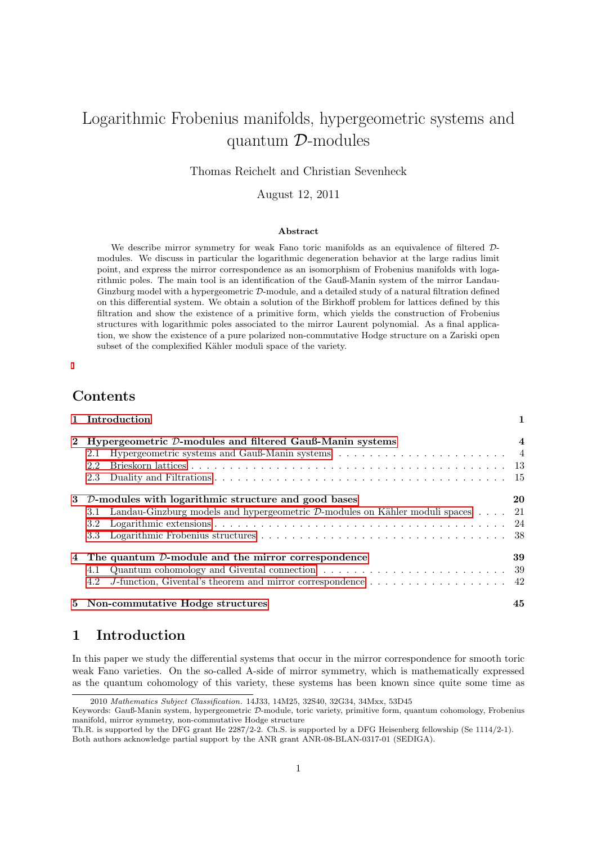# <span id="page-0-1"></span>Logarithmic Frobenius manifolds, hypergeometric systems and quantum D-modules

### Thomas Reichelt and Christian Sevenheck

### August 12, 2011

#### Abstract

We describe mirror symmetry for weak Fano toric manifolds as an equivalence of filtered  $\mathcal{D}$ modules. We discuss in particular the logarithmic degeneration behavior at the large radius limit point, and express the mirror correspondence as an isomorphism of Frobenius manifolds with logarithmic poles. The main tool is an identification of the Gauß-Manin system of the mirror Landau-Ginzburg model with a hypergeometric D-module, and a detailed study of a natural filtration defined on this differential system. We obtain a solution of the Birkhoff problem for lattices defined by this filtration and show the existence of a primitive form, which yields the construction of Frobenius structures with logarithmic poles associated to the mirror Laurent polynomial. As a final application, we show the existence of a pure polarized non-commutative Hodge structure on a Zariski open subset of the complexified Kähler moduli space of the variety.

# Contents

|                | 1 Introduction                                                                                                                                                             | 1                       |
|----------------|----------------------------------------------------------------------------------------------------------------------------------------------------------------------------|-------------------------|
| $\mathbf{2}^-$ | Hypergeometric D-modules and filtered Gauß-Manin systems<br>Hypergeometric systems and Gauß-Manin systems $\dots \dots \dots \dots \dots \dots \dots$<br>2.1<br>2.2<br>2.3 | $\overline{\mathbf{4}}$ |
|                | 3 D-modules with logarithmic structure and good bases<br>Landau-Ginzburg models and hypergeometric $\mathcal{D}$ -modules on Kähler moduli spaces 21<br>3.1<br>3.2<br>3.3  | 20                      |
|                | 4 The quantum D-module and the mirror correspondence<br>4.1<br>J-function, Givental's theorem and mirror correspondence $\dots \dots \dots \dots \dots \dots \dots$<br>4.2 | 39                      |
|                | 5 Non-commutative Hodge structures                                                                                                                                         | 45                      |

### <span id="page-0-0"></span>1 Introduction

In this paper we study the differential systems that occur in the mirror correspondence for smooth toric weak Fano varieties. On the so-called A-side of mirror symmetry, which is mathematically expressed as the quantum cohomology of this variety, these systems has been known since quite some time as

<sup>2010</sup> Mathematics Subject Classification. 14J33, 14M25, 32S40, 32G34, 34Mxx, 53D45

Keywords: Gauß-Manin system, hypergeometric D-module, toric variety, primitive form, quantum cohomology, Frobenius manifold, mirror symmetry, non-commutative Hodge structure

Th.R. is supported by the DFG grant He 2287/2-2. Ch.S. is supported by a DFG Heisenberg fellowship (Se 1114/2-1).

Both authors acknowledge partial support by the ANR grant ANR-08-BLAN-0317-01 (SEDIGA).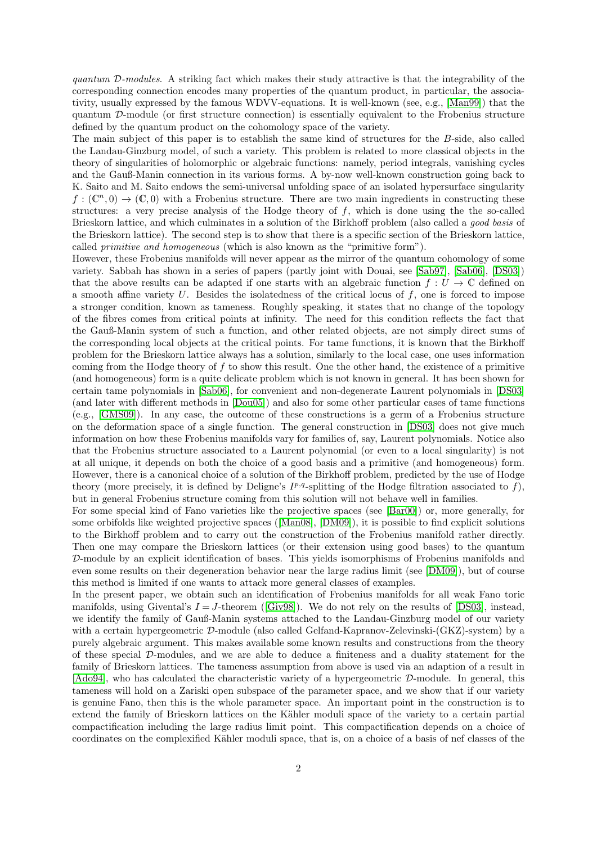quantum D-modules. A striking fact which makes their study attractive is that the integrability of the corresponding connection encodes many properties of the quantum product, in particular, the associativity, usually expressed by the famous WDVV-equations. It is well-known (see, e.g., [\[Man99\]](#page-48-0)) that the quantum D-module (or first structure connection) is essentially equivalent to the Frobenius structure defined by the quantum product on the cohomology space of the variety.

The main subject of this paper is to establish the same kind of structures for the B-side, also called the Landau-Ginzburg model, of such a variety. This problem is related to more classical objects in the theory of singularities of holomorphic or algebraic functions: namely, period integrals, vanishing cycles and the Gauß-Manin connection in its various forms. A by-now well-known construction going back to K. Saito and M. Saito endows the semi-universal unfolding space of an isolated hypersurface singularity  $f: (\mathbb{C}^n,0) \to (\mathbb{C},0)$  with a Frobenius structure. There are two main ingredients in constructing these structures: a very precise analysis of the Hodge theory of  $f$ , which is done using the the so-called Brieskorn lattice, and which culminates in a solution of the Birkhoff problem (also called a good basis of the Brieskorn lattice). The second step is to show that there is a specific section of the Brieskorn lattice, called primitive and homogeneous (which is also known as the "primitive form").

However, these Frobenius manifolds will never appear as the mirror of the quantum cohomology of some variety. Sabbah has shown in a series of papers (partly joint with Douai, see [\[Sab97\]](#page-49-0), [\[Sab06\]](#page-49-1), [\[DS03\]](#page-47-0)) that the above results can be adapted if one starts with an algebraic function  $f: U \to \mathbb{C}$  defined on a smooth affine variety  $U$ . Besides the isolatedness of the critical locus of  $f$ , one is forced to impose a stronger condition, known as tameness. Roughly speaking, it states that no change of the topology of the fibres comes from critical points at infinity. The need for this condition reflects the fact that the Gauß-Manin system of such a function, and other related objects, are not simply direct sums of the corresponding local objects at the critical points. For tame functions, it is known that the Birkhoff problem for the Brieskorn lattice always has a solution, similarly to the local case, one uses information coming from the Hodge theory of  $f$  to show this result. One the other hand, the existence of a primitive (and homogeneous) form is a quite delicate problem which is not known in general. It has been shown for certain tame polynomials in [\[Sab06\]](#page-49-1), for convenient and non-degenerate Laurent polynomials in [\[DS03\]](#page-47-0) (and later with different methods in [\[Dou05\]](#page-47-1)) and also for some other particular cases of tame functions (e.g., [\[GMS09\]](#page-48-1)). In any case, the outcome of these constructions is a germ of a Frobenius structure on the deformation space of a single function. The general construction in [\[DS03\]](#page-47-0) does not give much information on how these Frobenius manifolds vary for families of, say, Laurent polynomials. Notice also that the Frobenius structure associated to a Laurent polynomial (or even to a local singularity) is not at all unique, it depends on both the choice of a good basis and a primitive (and homogeneous) form. However, there is a canonical choice of a solution of the Birkhoff problem, predicted by the use of Hodge theory (more precisely, it is defined by Deligne's  $I^{p,q}$ -splitting of the Hodge filtration associated to f), but in general Frobenius structure coming from this solution will not behave well in families.

For some special kind of Fano varieties like the projective spaces (see [\[Bar00\]](#page-47-2)) or, more generally, for some orbifolds like weighted projective spaces([\[Man08\]](#page-48-2), [\[DM09\]](#page-47-3)), it is possible to find explicit solutions to the Birkhoff problem and to carry out the construction of the Frobenius manifold rather directly. Then one may compare the Brieskorn lattices (or their extension using good bases) to the quantum D-module by an explicit identification of bases. This yields isomorphisms of Frobenius manifolds and even some results on their degeneration behavior near the large radius limit (see [\[DM09\]](#page-47-3)), but of course this method is limited if one wants to attack more general classes of examples.

In the present paper, we obtain such an identification of Frobenius manifolds for all weak Fano toric manifolds,using Givental's  $I = J$ -theorem ([\[Giv98\]](#page-47-4)). We do not rely on the results of [\[DS03\]](#page-47-0), instead, we identify the family of Gauß-Manin systems attached to the Landau-Ginzburg model of our variety with a certain hypergeometric D-module (also called Gelfand-Kapranov-Zelevinski-(GKZ)-system) by a purely algebraic argument. This makes available some known results and constructions from the theory of these special D-modules, and we are able to deduce a finiteness and a duality statement for the family of Brieskorn lattices. The tameness assumption from above is used via an adaption of a result in [\[Ado94\]](#page-46-0), who has calculated the characteristic variety of a hypergeometric D-module. In general, this tameness will hold on a Zariski open subspace of the parameter space, and we show that if our variety is genuine Fano, then this is the whole parameter space. An important point in the construction is to extend the family of Brieskorn lattices on the Kähler moduli space of the variety to a certain partial compactification including the large radius limit point. This compactification depends on a choice of coordinates on the complexified Kähler moduli space, that is, on a choice of a basis of nef classes of the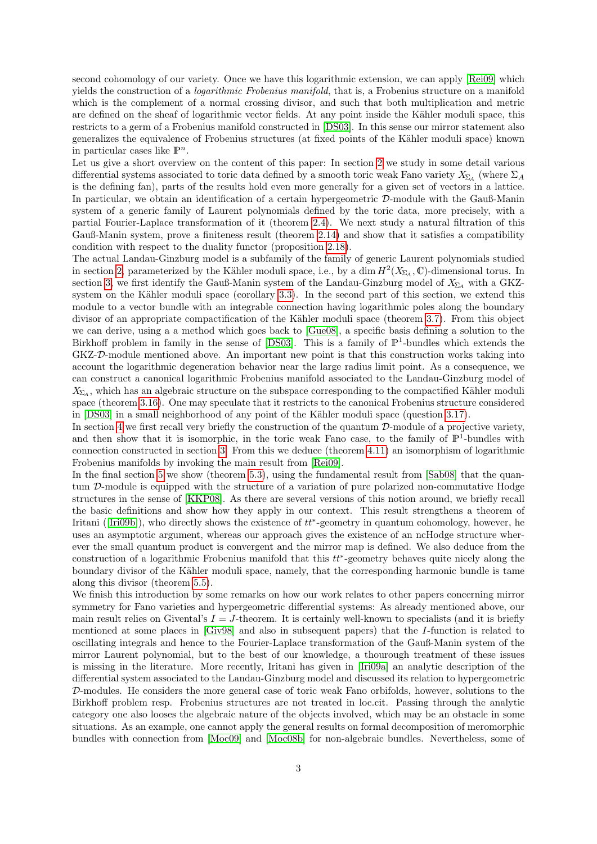second cohomology of our variety. Once we have this logarithmic extension, we can apply [\[Rei09\]](#page-49-2) which yields the construction of a logarithmic Frobenius manifold, that is, a Frobenius structure on a manifold which is the complement of a normal crossing divisor, and such that both multiplication and metric are defined on the sheaf of logarithmic vector fields. At any point inside the Kähler moduli space, this restricts to a germ of a Frobenius manifold constructed in [\[DS03\]](#page-47-0). In this sense our mirror statement also generalizes the equivalence of Frobenius structures (at fixed points of the Kähler moduli space) known in particular cases like  $\mathbb{P}^n$ .

Let us give a short overview on the content of this paper: In section [2](#page-3-0) we study in some detail various differential systems associated to toric data defined by a smooth toric weak Fano variety  $X_{\Sigma_A}$  (where  $\Sigma_A$ is the defining fan), parts of the results hold even more generally for a given set of vectors in a lattice. In particular, we obtain an identification of a certain hypergeometric D-module with the Gauß-Manin system of a generic family of Laurent polynomials defined by the toric data, more precisely, with a partial Fourier-Laplace transformation of it (theorem [2.4\)](#page-6-0). We next study a natural filtration of this Gauß-Manin system, prove a finiteness result (theorem [2.14\)](#page-14-1) and show that it satisfies a compatibility condition with respect to the duality functor (proposition [2.18\)](#page-0-1).

The actual Landau-Ginzburg model is a subfamily of the family of generic Laurent polynomials studied in section [2,](#page-3-0) parameterized by the Kähler moduli space, i.e., by a dim  $H^2(X_{\Sigma_A}, \mathbb{C})$ -dimensional torus. In section [3,](#page-19-0) we first identify the Gauß-Manin system of the Landau-Ginzburg model of  $X_{\Sigma_4}$  with a GKZ-system on the Kähler moduli space (corollary [3.3\)](#page-22-0). In the second part of this section, we extend this module to a vector bundle with an integrable connection having logarithmic poles along the boundary divisor of an appropriate compactification of the Kähler moduli space (theorem [3.7\)](#page-24-0). From this object we can derive, using a a method which goes back to [\[Gue08\]](#page-48-3), a specific basis defining a solution to the Birkhoff problem in family in the sense of  $[DS03]$ . This is a family of  $\mathbb{P}^1$ -bundles which extends the GKZ-D-module mentioned above. An important new point is that this construction works taking into account the logarithmic degeneration behavior near the large radius limit point. As a consequence, we can construct a canonical logarithmic Frobenius manifold associated to the Landau-Ginzburg model of  $X_{\Sigma_4}$ , which has an algebraic structure on the subspace corresponding to the compactified Kähler moduli space (theorem [3.16\)](#page-0-1). One may speculate that it restricts to the canonical Frobenius structure considered in  $[DS03]$  in a small neighborhood of any point of the Kähler moduli space (question [3.17\)](#page-38-2).

In section [4](#page-38-0) we first recall very briefly the construction of the quantum  $D$ -module of a projective variety, and then show that it is isomorphic, in the toric weak Fano case, to the family of  $\mathbb{P}^1$ -bundles with connection constructed in section [3.](#page-19-0) From this we deduce (theorem [4.11\)](#page-44-1) an isomorphism of logarithmic Frobenius manifolds by invoking the main result from [\[Rei09\]](#page-49-2).

In the final section [5](#page-44-0) we show (theorem [5.3\)](#page-45-0), using the fundamental result from [\[Sab08\]](#page-49-3) that the quantum D-module is equipped with the structure of a variation of pure polarized non-commutative Hodge structures in the sense of [\[KKP08\]](#page-48-4). As there are several versions of this notion around, we briefly recall the basic definitions and show how they apply in our context. This result strengthens a theorem of Iritani([\[Iri09b\]](#page-48-5)), who directly shows the existence of tt<sup>∗</sup> -geometry in quantum cohomology, however, he uses an asymptotic argument, whereas our approach gives the existence of an ncHodge structure wherever the small quantum product is convergent and the mirror map is defined. We also deduce from the construction of a logarithmic Frobenius manifold that this  $tt^*$ -geometry behaves quite nicely along the boundary divisor of the Kähler moduli space, namely, that the corresponding harmonic bundle is tame along this divisor (theorem [5.5\)](#page-46-1).

We finish this introduction by some remarks on how our work relates to other papers concerning mirror symmetry for Fano varieties and hypergeometric differential systems: As already mentioned above, our main result relies on Givental's  $I = J$ -theorem. It is certainly well-known to specialists (and it is briefly mentioned at some places in [\[Giv98\]](#page-47-4) and also in subsequent papers) that the I-function is related to oscillating integrals and hence to the Fourier-Laplace transformation of the Gauß-Manin system of the mirror Laurent polynomial, but to the best of our knowledge, a thourough treatment of these issues is missing in the literature. More recently, Iritani has given in [\[Iri09a\]](#page-48-6) an analytic description of the differential system associated to the Landau-Ginzburg model and discussed its relation to hypergeometric D-modules. He considers the more general case of toric weak Fano orbifolds, however, solutions to the Birkhoff problem resp. Frobenius structures are not treated in loc.cit. Passing through the analytic category one also looses the algebraic nature of the objects involved, which may be an obstacle in some situations. As an example, one cannot apply the general results on formal decomposition of meromorphic bundles with connection from [\[Moc09\]](#page-49-4) and [\[Moc08b\]](#page-49-5) for non-algebraic bundles. Nevertheless, some of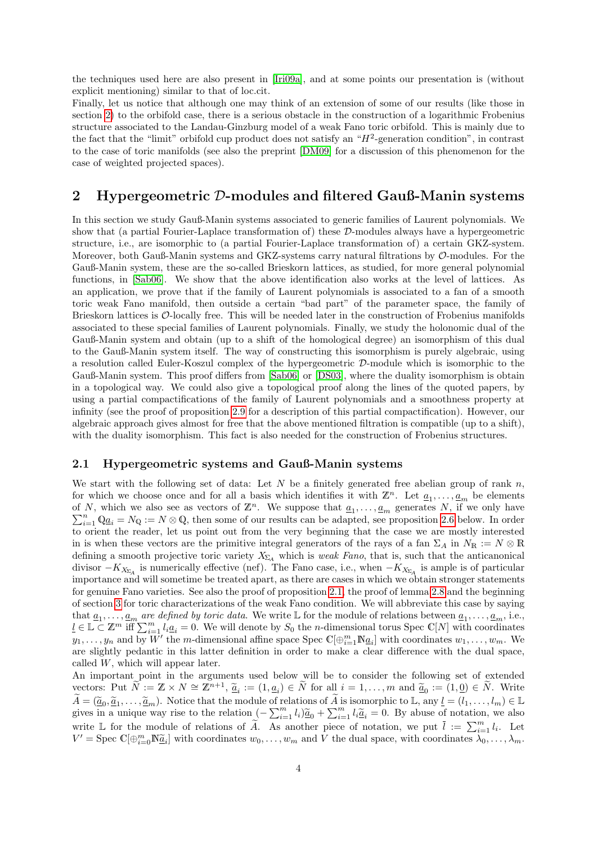the techniques used here are also present in [\[Iri09a\]](#page-48-6), and at some points our presentation is (without explicit mentioning) similar to that of loc.cit.

Finally, let us notice that although one may think of an extension of some of our results (like those in section [2\)](#page-3-0) to the orbifold case, there is a serious obstacle in the construction of a logarithmic Frobenius structure associated to the Landau-Ginzburg model of a weak Fano toric orbifold. This is mainly due to the fact that the "limit" orbifold cup product does not satisfy an " $H^2$ -generation condition", in contrast to the case of toric manifolds (see also the preprint [\[DM09\]](#page-47-3) for a discussion of this phenomenon for the case of weighted projected spaces).

### <span id="page-3-0"></span>2 Hypergeometric D-modules and filtered Gauß-Manin systems

In this section we study Gauß-Manin systems associated to generic families of Laurent polynomials. We show that (a partial Fourier-Laplace transformation of) these D-modules always have a hypergeometric structure, i.e., are isomorphic to (a partial Fourier-Laplace transformation of) a certain GKZ-system. Moreover, both Gauß-Manin systems and GKZ-systems carry natural filtrations by  $\mathcal{O}$ -modules. For the Gauß-Manin system, these are the so-called Brieskorn lattices, as studied, for more general polynomial functions, in [\[Sab06\]](#page-49-1). We show that the above identification also works at the level of lattices. As an application, we prove that if the family of Laurent polynomials is associated to a fan of a smooth toric weak Fano manifold, then outside a certain "bad part" of the parameter space, the family of Brieskorn lattices is  $\mathcal{O}$ -locally free. This will be needed later in the construction of Frobenius manifolds associated to these special families of Laurent polynomials. Finally, we study the holonomic dual of the Gauß-Manin system and obtain (up to a shift of the homological degree) an isomorphism of this dual to the Gauß-Manin system itself. The way of constructing this isomorphism is purely algebraic, using a resolution called Euler-Koszul complex of the hypergeometric D-module which is isomorphic to the Gauß-Manin system. This proof differs from [\[Sab06\]](#page-49-1) or [\[DS03\]](#page-47-0), where the duality isomorphism is obtain in a topological way. We could also give a topological proof along the lines of the quoted papers, by using a partial compactifications of the family of Laurent polynomials and a smoothness property at infinity (see the proof of proposition [2.9](#page-11-0) for a description of this partial compactification). However, our algebraic approach gives almost for free that the above mentioned filtration is compatible (up to a shift), with the duality isomorphism. This fact is also needed for the construction of Frobenius structures.

### <span id="page-3-1"></span>2.1 Hypergeometric systems and Gauß-Manin systems

We start with the following set of data: Let  $N$  be a finitely generated free abelian group of rank  $n$ , for which we choose once and for all a basis which identifies it with  $\mathbb{Z}^n$ . Let  $\underline{a}_1, \ldots, \underline{a}_m$  be elements of N, which we also see as vectors of  $\mathbb{Z}^n$ . We suppose that  $\underline{a}_1, \ldots, \underline{a}_m$  generates N, if we only have  $\sum_{i=1}^{n} \mathbb{Q} a_i = N_{\mathbb{Q}} := N \otimes \mathbb{Q}$ , then some of our results can be adapted, see proposition [2.6](#page-8-0) below. In order to orient the reader, let us point out from the very beginning that the case we are mostly interested in is when these vectors are the primitive integral generators of the rays of a fan  $\Sigma_A$  in  $N_R := N \otimes R$ defining a smooth projective toric variety  $X_{\Sigma_A}$  which is weak Fano, that is, such that the anticanonical divisor  $-K_{X_{\Sigma_A}}$  is numerically effective (nef). The Fano case, i.e., when  $-K_{X_{\Sigma_A}}$  is ample is of particular importance and will sometime be treated apart, as there are cases in which we obtain stronger statements for genuine Fano varieties. See also the proof of proposition [2.1,](#page-0-1) the proof of lemma [2.8](#page-10-0) and the beginning of section [3](#page-19-0) for toric characterizations of the weak Fano condition. We will abbreviate this case by saying that  $\underline{a}_1,\ldots,\underline{a}_m$  are defined by toric data. We write  $\mathbb L$  for the module of relations between  $\underline{a}_1,\ldots,\underline{a}_m$ , i.e.,  $\underline{l} \in \mathbb{L} \subseteq \mathbb{Z}^m$  iff  $\sum_{i=1}^m l_i \underline{a}_i = 0$ . We will denote by  $S_0$  the *n*-dimensional torus Spec C[N] with coordinates  $y_1, \ldots, y_n$  and by W<sup>t</sup> the m-dimensional affine space Spec C[ $\bigoplus_{i=1}^m \mathbb{N}_{\mathcal{Q}_i}$ ] with coordinates  $w_1, \ldots, w_m$ . We are slightly pedantic in this latter definition in order to make a clear difference with the dual space, called  $W$ , which will appear later.

An important point in the arguments used below will be to consider the following set of extended vectors: Put  $\widetilde{N} := \mathbb{Z} \times N \cong \mathbb{Z}^{n+1}$ ,  $\widetilde{a}_i := (1, a_i) \in \widetilde{N}$  for all  $i = 1, \ldots, m$  and  $\widetilde{a}_0 := (1, 0) \in \widetilde{N}$ . Write  $\widetilde{A} = (\widetilde{\underline{a}}_0, \widetilde{\underline{a}}_1, \dots, \widetilde{\underline{a}}_m)$ . Notice that the module of relations of  $\widetilde{A}$  is isomorphic to  $\mathbb{L}$ , any  $\underline{l} = (l_1, \dots, l_m) \in \mathbb{L}$ <br>gives in a unique way rise to the relation  $(-\sum_{i=1}^m l_i) \widetilde{\$ write L for the module of relations of  $\widetilde{A}$ . As another piece of notation, we put  $\overline{l} := \sum_{i=1}^m l_i$ . Let  $V' = \text{Spec } \mathbb{C}[\bigoplus_{i=0}^{m} \mathbb{N}\underline{\tilde{a}}_i]$  with coordinates  $w_0, \ldots, w_m$  and V the dual space, with coordinates  $\lambda_0, \ldots, \lambda_m$ .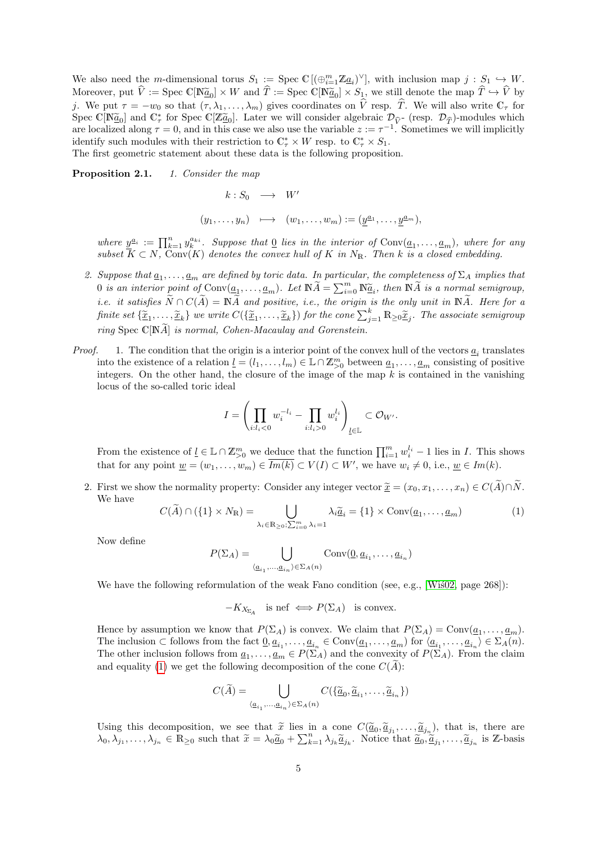We also need the *m*-dimensional torus  $S_1 := \text{Spec } \mathbb{C}[(\bigoplus_{i=1}^m \mathbb{Z} \underline{a}_i)^\vee]$ , with inclusion map  $j : S_1 \hookrightarrow W$ . Moreover, put  $\hat{V} := \text{Spec } \mathbb{C}[\mathbb{N} \underline{\tilde{a}}_0] \times W$  and  $\hat{T} := \text{Spec } \mathbb{C}[\mathbb{N} \underline{\tilde{a}}_0] \times S_1$ , we still denote the map  $\hat{T} \hookrightarrow \hat{V}$  by j. We put  $\tau = -w_0$  so that  $(\tau, \lambda_1, \ldots, \lambda_m)$  gives coordinates on  $\hat{V}$  resp.  $\hat{T}$ . We will also write  $\mathbb{C}_{\tau}$  for Spec C[N $\tilde{a}_0$ ] and  $C^*_{\tau}$  for Spec C[Z $\tilde{a}_0$ ]. Later we will consider algebraic  $\mathcal{D}_{\hat{V}}$  (resp.  $\mathcal{D}_{\hat{T}}$ )-modules which are localized along  $\tau = 0$ , and in this case we also use the variable  $z := \tau^{-1}$ . identify such modules with their restriction to  $\mathbb{C}_{\tau}^{*} \times W$  resp. to  $\mathbb{C}_{\tau}^{*} \times S_1$ .

The first geometric statement about these data is the following proposition.

Proposition 2.1. 1. Consider the map

 $k : S_0 \longrightarrow W'$ 

$$
(y_1,\ldots,y_n)\quad\longmapsto\quad (w_1,\ldots,w_m):=(\underline{y}^{\underline{a}_1},\ldots,\underline{y}^{\underline{a}_m}),
$$

where  $\underline{y}^{a_i} := \prod_{k=1}^n y_k^{a_{ki}}$ . Suppose that  $\underline{0}$  lies in the interior of  $Conv(\underline{a_1}, \ldots, \underline{a_m})$ , where for any subset  $K \subset N$ , Conv $(K)$  denotes the convex hull of K in N<sub>R</sub>. Then k is a closed embedding.

- 2. Suppose that  $\underline{a}_1,\ldots,\underline{a}_m$  are defined by toric data. In particular, the completeness of  $\Sigma_A$  implies that 0 is an interior point of  $Conv(\underline{a_1}, \ldots, \underline{a_m})$ . Let  $\mathbb{N} \widetilde{A} = \sum_{i=0}^m \mathbb{N} \widetilde{a_i}$ , then  $\mathbb{N} \widetilde{A}$  is a normal semigroup, i.e. it satisfies  $\widetilde{N} \cap C(\widetilde{A}) = \mathbb{N} \widetilde{A}$  and positive, i.e., the origin is the only unit in  $\mathbb{N} \widetilde{A}$ . Here for a finite set  $\{\underline{\widetilde{x}}_1,\ldots,\underline{\widetilde{x}}_k\}$  we write  $C(\{\underline{\widetilde{x}}_1,\ldots,\underline{\widetilde{x}}_k\})$  for the cone  $\sum_{j=1}^k \mathbb{R}_{\geq 0}\underline{\widetilde{x}}_j$ . The associate semigroup ring Spec  $\mathbb{C}[\mathbb{N}\tilde{A}]$  is normal, Cohen-Macaulay and Gorenstein.
- *Proof.* 1. The condition that the origin is a interior point of the convex hull of the vectors  $\underline{a}_i$  translates into the existence of a relation  $\underline{l} = (l_1, \ldots, l_m) \in \mathbb{L} \cap \mathbb{Z}_{\geq 0}^m$  between  $\underline{a}_1, \ldots, \underline{a}_m$  consisting of positive integers. On the other hand, the closure of the image of the map  $k$  is contained in the vanishing locus of the so-called toric ideal

$$
I = \left(\prod_{i:l_i<0} w_i^{-l_i} - \prod_{i:l_i>0} w_i^{l_i}\right)_{\underline{l}\in \mathbb{L}} \subset \mathcal{O}_{W'}.
$$

From the existence of  $\underline{l} \in \mathbb{L} \cap \mathbb{Z}_{\geq 0}^m$  we deduce that the function  $\prod_{i=1}^m w_i^{l_i} - 1$  lies in I. This shows that for any point  $\underline{w} = (w_1, \ldots, w_m) \in \overline{Im(k)} \subset V(I) \subset W'$ , we have  $w_i \neq 0$ , i.e.,  $\underline{w} \in Im(k)$ .

2. First we show the normality property: Consider any integer vector  $\tilde{x} = (x_0, x_1, \ldots, x_n) \in C(\tilde{A}) \cap \tilde{N}$ . We have

<span id="page-4-0"></span>
$$
C(\widetilde{A}) \cap (\{1\} \times N_{\mathbb{R}}) = \bigcup_{\lambda_i \in \mathbb{R}_{\geq 0}; \sum_{i=0}^m \lambda_i = 1} \lambda_i \widetilde{\underline{a}}_i = \{1\} \times \text{Conv}(\underline{a}_1, \dots, \underline{a}_m)
$$
(1)

Now define

$$
P(\Sigma_A) = \bigcup_{\langle \underline{a}_{i_1}, \dots, \underline{a}_{i_n} \rangle \in \Sigma_A(n)} \text{Conv}(\underline{0}, \underline{a}_{i_1}, \dots, \underline{a}_{i_n})
$$

We have the following reformulation of the weak Fano condition (see, e.g., [Wis02, page  $268$ ]):

 $-K_{X_{\Sigma_A}}$  is nef  $\iff P(\Sigma_A)$  is convex.

Hence by assumption we know that  $P(\Sigma_A)$  is convex. We claim that  $P(\Sigma_A) = \text{Conv}(\underline{a}_1, \dots, \underline{a}_m)$ . The inclusion  $\subset$  follows from the fact  $\underline{0}, \underline{a}_{i_1}, \ldots, \underline{a}_{i_n} \in \text{Conv}(\underline{a}_1, \ldots, \underline{a}_m)$  for  $\langle \underline{a}_{i_1}, \ldots, \underline{a}_{i_n} \rangle \in \Sigma_A(n)$ . The other inclusion follows from  $\underline{a}_1, \ldots, \underline{a}_m \in P(\Sigma_A)$  and the convexity of  $P(\Sigma_A)$ . From the claim and equality [\(1\)](#page-4-0) we get the following decomposition of the cone  $C(A)$ :

$$
C(\widetilde{A}) = \bigcup_{\langle \underline{a}_{i_1}, \dots, \underline{a}_{i_n} \rangle \in \Sigma_A(n)} C(\{\underline{\widetilde{a}}_0, \underline{\widetilde{a}}_{i_1}, \dots, \underline{\widetilde{a}}_{i_n}\})
$$

Using this decomposition, we see that  $\tilde{x}$  lies in a cone  $C(\underline{\tilde{a}}_0, \underline{\tilde{a}}_{j_1}, \ldots, \underline{\tilde{a}}_{j_n})$ , that is, there are  $\lambda_0, \lambda_{j_1}, \ldots, \lambda_{j_n} \in \mathbb{R}_{\geq 0}$  such that  $\widetilde{x} = \lambda_0 \widetilde{\underline{a}}_0 + \sum_{k=1}^n \lambda_{j_k} \widetilde{\underline{a}}_{j_k}$ . Notice that  $\widetilde{\underline{a}}_0, \widetilde{\underline{a}}_{j_1}, \ldots, \widetilde{\underline{a}}_{j_n}$  is  $\mathbb{Z}$ -basis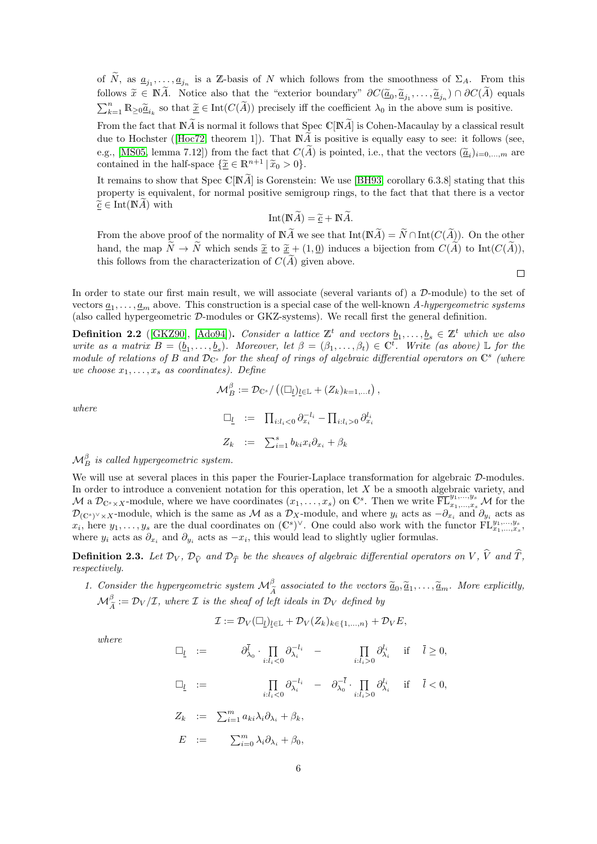of  $\widetilde{N}$ , as  $\underline{a}_{j_1}, \ldots, \underline{a}_{j_n}$  is a Z-basis of N which follows from the smoothness of  $\Sigma_A$ . From this follows  $\widetilde{x} \in \mathbb{N} \widetilde{A}$ . Notice also that the "exterior boundary"  $\partial C(\underline{\widetilde{a}}_0, \underline{\widetilde{a}}_{j_1}, \ldots, \underline{\widetilde{a}}_{j_n}) \cap \partial C(\widetilde{A})$  equals  $\sum_{k=1}^n \mathbb{R}_{\geq 0} \underline{\tilde{a}}_{i_k}$  so that  $\underline{\tilde{x}} \in \text{Int}(C(\tilde{A}))$  precisely iff the coefficient  $\lambda_0$  in the above sum is positive.

From the fact that  $\mathbb{N}\widetilde{A}$  is normal it follows that Spec  $\mathbb{C}[\mathbb{N}\widetilde{A}]$  is Cohen-Macaulay by a classical result dueto Hochster ([\[Hoc72,](#page-48-7) theorem 1]). That  $\mathbb{N}\tilde{A}$  is positive is equally easy to see: it follows (see, e.g., [\[MS05,](#page-49-6) lemma 7.12]) from the fact that  $C(A)$  is pointed, i.e., that the vectors  $(\underline{\tilde{a}}_i)_{i=0,\dots,m}$  are<br>contained in the half space  $\{\tilde{a} \in \mathbb{R}^{n+1} | \tilde{a}_i > 0\}$ contained in the half-space  $\{\widetilde{x} \in \mathbb{R}^{n+1} \mid \widetilde{x}_0 > 0\}.$ 

It remains to show that Spec  $\mathbb{C}[\mathbb{N}\widetilde{A}]$  is Gorenstein: We use [\[BH93,](#page-47-5) corollary 6.3.8] stating that this property is equivalent, for normal positive semigroup rings, to the fact that that there is a vector  $\widetilde{\underline{c}} \in \text{Int}(\mathbb{N}A)$  with

$$
\text{Int}(\mathbb{N}\widetilde{A}) = \widetilde{\underline{c}} + \mathbb{N}\widetilde{A}.
$$

From the above proof of the normality of  $\mathbb{N}\widetilde{A}$  we see that  $\text{Int}(\mathbb{N}\widetilde{A}) = \widetilde{N} \cap \text{Int}(C(\widetilde{A}))$ . On the other hand, the map  $\widetilde{N} \to \widetilde{N}$  which sends  $\widetilde{\underline{x}}$  to  $\widetilde{\underline{x}} + (1, 0)$  induces a bijection from  $C(\widetilde{A})$  to Int( $C(\widetilde{A})$ ), this follows from the characterization of  $C(\widetilde{A})$  given above.

 $\Box$ 

In order to state our first main result, we will associate (several variants of) a  $\mathcal{D}\text{-module}$ ) to the set of vectors  $\underline{a}_1, \ldots, \underline{a}_m$  above. This construction is a special case of the well-known A-hypergeometric systems (also called hypergeometric D-modules or GKZ-systems). We recall first the general definition.

**Definition 2.2** ([\[GKZ90\]](#page-47-6), [\[Ado94\]](#page-46-0)). Consider a lattice  $\mathbb{Z}^t$  and vectors  $\underline{b}_1,\ldots,\underline{b}_s \in \mathbb{Z}^t$  which we also write as a matrix  $B = (\underline{b}_1, \ldots, \underline{b}_s)$ . Moreover, let  $\beta = (\beta_1, \ldots, \beta_t) \in \mathbb{C}^t$ . Write (as above) L for the module of relations of B and  $\mathcal{D}_{\mathbb{C}^s}$  for the sheaf of rings of algebraic differential operators on  $\mathbb{C}^s$  (where we choose  $x_1, \ldots, x_s$  as coordinates). Define

$$
\mathcal{M}_{B}^{\beta}:=\mathcal{D}_{\mathbb{C}^{s}}/\left((\Box_{\underline{l}})_{\underline{l}\in\mathbb{L}}+(Z_{k})_{k=1,\ldots t}\right),
$$

where

$$
\Box_{\underline{l}} := \prod_{i:l_i < 0} \partial_{x_i}^{-l_i} - \prod_{i:l_i > 0} \partial_{x_i}^{l_i}
$$
\n
$$
Z_k := \sum_{i=1}^s b_{ki} x_i \partial_{x_i} + \beta_k
$$

 ${\cal M}^\beta_B$  is called hypergeometric system.

We will use at several places in this paper the Fourier-Laplace transformation for algebraic  $\mathcal{D}$ -modules. In order to introduce a convenient notation for this operation, let  $X$  be a smooth algebraic variety, and M a  $\mathcal{D}_{\mathbb{C}^s \times X}$ -module, where we have coordinates  $(x_1, \ldots, x_s)$  on  $\mathbb{C}^s$ . Then we write  $\overline{\mathrm{FL}}_{x_1,\ldots,x_s}^{y_1,\ldots,y_s}$  $\mathcal{M}_{2s}$  M for the  $\mathcal{D}_{(\mathbb{C}^s)^{\vee}\times X}$ -module, which is the same as M as a  $\mathcal{D}_X$ -module, and where  $y_i$  acts as  $-\partial_{x_i}$  and  $\partial_{y_i}$  acts as  $x_i$ , here  $y_1, \ldots, y_s$  are the dual coordinates on  $(\mathbb{C}^s)^\vee$ . One could also work with the functor  $\mathrm{FL}_{x_1,\ldots,x_s}^{y_1,\ldots,y_s}$ , where  $y_i$  acts as  $\partial_{x_i}$  and  $\partial_{y_i}$  acts as  $-x_i$ , this would lead to slightly uglier formulas.

**Definition 2.3.** Let  $\mathcal{D}_V$ ,  $\mathcal{D}_{\widehat{V}}$  and  $\mathcal{D}_{\widehat{T}}$  be the sheaves of algebraic differential operators on V,  $\widehat{V}$  and  $\widehat{T}$ , respectively.

1. Consider the hypergeometric system  $\mathcal{M}_{\tilde{A}}^{\beta}$  associated to the vectors  $\tilde{a}_0, \tilde{a}_1, \ldots, \tilde{a}_m$ . More explicitly,  $\mathcal{M}_{\widetilde{A}}^{\beta} := \mathcal{D}_V/\mathcal{I}$ , where  $\mathcal I$  is the sheaf of left ideals in  $\mathcal{D}_V$  defined by

$$
\mathcal{I} := \mathcal{D}_V(\Box_l)_{l \in \mathbb{L}} + \mathcal{D}_V(Z_k)_{k \in \{1, ..., n\}} + \mathcal{D}_V E,
$$

where

$$
\Box_{\underline{l}} \quad := \qquad \qquad \partial_{\lambda_0}^{\overline{l}} \cdot \prod_{i:l_i < 0} \partial_{\lambda_i}^{-l_i} \quad - \qquad \prod_{i:l_i > 0} \partial_{\lambda_i}^{l_i} \quad \text{if} \quad \overline{l} \ge 0,
$$
\n
$$
\Box_{\underline{l}} \quad := \qquad \qquad \prod_{i:l_i > 0} \partial_{\lambda_i}^{-l_i} \quad - \quad \partial_{\lambda_0}^{-\overline{l}} \cdot \prod_{i:l_i > 0} \partial_{\lambda_i}^{l_i} \quad \text{if} \quad \overline{l} < 0,
$$

 $i:l_i>0$ 

$$
i: l_i < 0
$$
\n
$$
Z_k := \sum_{i=1}^m a_{ki} \lambda_i \partial_{\lambda_i} + \beta_k,
$$
\n
$$
E := \sum_{i=0}^m \lambda_i \partial_{\lambda_i} + \beta_0,
$$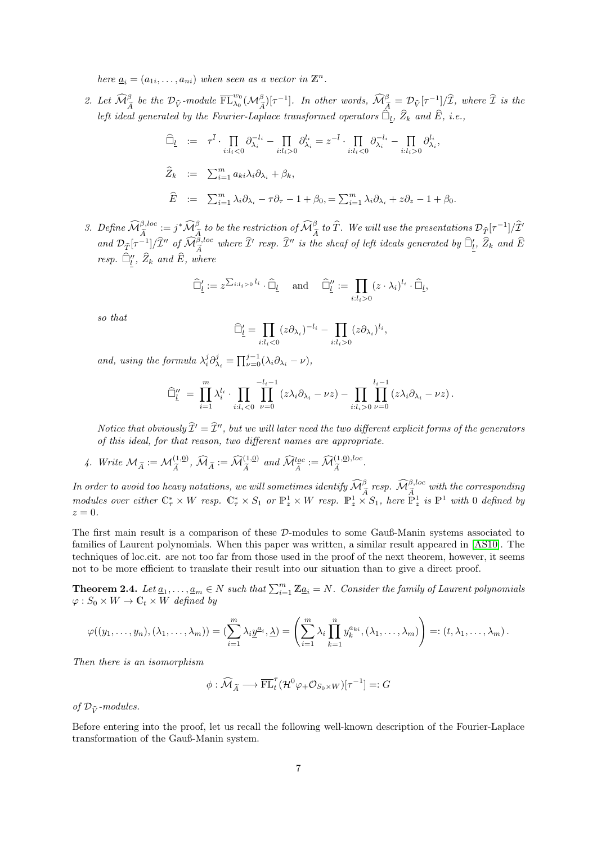here  $\underline{a}_i = (a_{1i}, \ldots, a_{ni})$  when seen as a vector in  $\mathbb{Z}^n$ .

2. Let  $\widehat{\mathcal{M}}^{\beta}_{\widetilde{A}}$  be the  $\mathcal{D}_{\widehat{V}}$ -module  $\overline{\mathrm{FL}}_{\lambda_0}^{w_0}(\mathcal{M}^{\beta}_{\widetilde{A}})[\tau^{-1}]$ . In other words,  $\widehat{\mathcal{M}}^{\beta}_{\widetilde{A}} = \mathcal{D}_{\widehat{V}}[\tau^{-1}]/\widehat{I}$ , where  $\widehat{I}$  is the left ideal generated by the Fourier-Laplace transformed operators  $\widehat{\Box}_l$ ,  $\widehat{Z}_k$  and  $\widehat{E}$ , i.e.,

$$
\begin{aligned}\n\widehat{\Box}_{\underline{l}} &:= \quad \tau^{\overline{l}} \cdot \prod_{i:l_i < 0} \partial_{\lambda_i}^{-l_i} - \prod_{i:l_i > 0} \partial_{\lambda_i}^{l_i} = z^{-\overline{l}} \cdot \prod_{i:l_i < 0} \partial_{\lambda_i}^{-l_i} - \prod_{i:l_i > 0} \partial_{\lambda_i}^{l_i}, \\
\widehat{Z}_k &:= \sum_{i=1}^m a_{ki} \lambda_i \partial_{\lambda_i} + \beta_k, \\
\widehat{E} &:= \sum_{i=1}^m \lambda_i \partial_{\lambda_i} - \tau \partial_{\tau} - 1 + \beta_0, \\
&= \sum_{i=1}^m \lambda_i \partial_{\lambda_i} + z \partial_{z} - 1 + \beta_0.\n\end{aligned}
$$

3. Define  $\widehat{\mathcal{M}}^{\beta,loc}_{\widehat{A}} := j^* \widehat{\mathcal{M}}^{\beta}_{\widehat{A}}$  to be the restriction of  $\widehat{\mathcal{M}}^{\beta}_{\widehat{A}}$  to  $\widehat{T}$ . We will use the presentations  $\mathcal{D}_{\widehat{T}}[\tau^{-1}]/\widehat{T}$ and  $\mathcal{D}_{\widehat{T}}[\tau^{-1}]/\widehat{\mathcal{I}}''$  of  $\widehat{\mathcal{M}}_{\widetilde{A}}^{\beta,loc}$  where  $\widehat{\mathcal{I}}'$  resp.  $\widehat{\mathcal{I}}''$  is the sheaf of left ideals generated by  $\widehat{\Box}'_l$ ,  $\widehat{Z}_k$  and  $\widehat{E}$ resp.  $\widehat{\Box}''_{\underline{l}}$ ,  $\widehat{Z}_k$  and  $\widehat{E}$ , where

$$
\widehat{\Box}_{\underline{l}}':=z^{\sum_{i:l_i>0}l_i}\cdot\widehat{\Box}_{\underline{l}} \quad \text{ and } \quad \widehat{\Box}_{\underline{l}}'':=\prod_{i:l_i>0}(z\cdot\lambda_i)^{l_i}\cdot\widehat{\Box}_{\underline{l}},
$$

so that

$$
\widehat{\Box}_{\underline{l}}^{\prime}=\prod_{i:l_{i}<0}(z\partial_{\lambda_{i}})^{-l_{i}}-\prod_{i:l_{i}>0}(z\partial_{\lambda_{i}})^{l_{i}},
$$

and, using the formula  $\lambda_i^j \partial_{\lambda_i}^j = \prod_{\nu=0}^{j-1} (\lambda_i \partial_{\lambda_i} - \nu)$ ,

$$
\widehat{\Box}''_l = \prod_{i=1}^m \lambda_i^{l_i} \cdot \prod_{i:l_i < 0} \prod_{\nu=0}^{-l_i - 1} (z\lambda_i \partial_{\lambda_i} - \nu z) - \prod_{i:l_i > 0} \prod_{\nu=0}^{l_i - 1} (z\lambda_i \partial_{\lambda_i} - \nu z).
$$

Notice that obviously  $\widehat{\mathcal{I}}'=\widehat{\mathcal{I}}''$ , but we will later need the two different explicit forms of the generators of this ideal, for that reason, two different names are appropriate.

4. Write 
$$
\mathcal{M}_{\widetilde{A}} := \mathcal{M}_{\widetilde{A}}^{(1,\underline{0})}
$$
,  $\widehat{\mathcal{M}}_{\widetilde{A}} := \widehat{\mathcal{M}}_{\widetilde{A}}^{(1,\underline{0})}$  and  $\widehat{\mathcal{M}}_{\widetilde{A}}^{loc} := \widehat{\mathcal{M}}_{\widetilde{A}}^{(1,\underline{0}), loc}$ .

In order to avoid too heavy notations, we will sometimes identify  $\widehat{\mathcal{M}}_{\widetilde{A}}^{\beta}$  resp.  $\widehat{\mathcal{M}}_{\widetilde{A}}^{\beta,loc}$  with the corresponding modules over either  $\mathbb{C}_{\tau}^{*} \times W$  resp.  $\mathbb{C}_{\tau}^{*} \times S_1$  or  $\mathbb{P}_{z}$  $z=0.$ 

The first main result is a comparison of these D-modules to some Gauß-Manin systems associated to families of Laurent polynomials. When this paper was written, a similar result appeared in [\[AS10\]](#page-46-2). The techniques of loc.cit. are not too far from those used in the proof of the next theorem, however, it seems not to be more efficient to translate their result into our situation than to give a direct proof.

<span id="page-6-0"></span>**Theorem 2.4.** Let  $\underline{a}_1, \ldots, \underline{a}_m \in N$  such that  $\sum_{i=1}^m \mathbb{Z} \underline{a}_i = N$ . Consider the family of Laurent polynomials  $\varphi: S_0 \times W \to \mathbb{C}_t \times W$  defined by

$$
\varphi((y_1,\ldots,y_n),(\lambda_1,\ldots,\lambda_m))=(\sum_{i=1}^m\lambda_i\underline{y}^{a_i},\underline{\lambda})=\left(\sum_{i=1}^m\lambda_i\prod_{k=1}^ny_k^{a_{ki}},(\lambda_1,\ldots,\lambda_m)\right)=(t,\lambda_1,\ldots,\lambda_m).
$$

Then there is an isomorphism

$$
\phi : \widehat{\mathcal{M}}_{\widetilde{A}} \longrightarrow \overline{\mathrm{FL}}_t^{\tau}(\mathcal{H}^0\varphi_{+}\mathcal{O}_{S_0\times W})[\tau^{-1}] =: G
$$

of  $\mathcal{D}_{\widehat{V}}$ -modules.

Before entering into the proof, let us recall the following well-known description of the Fourier-Laplace transformation of the Gauß-Manin system.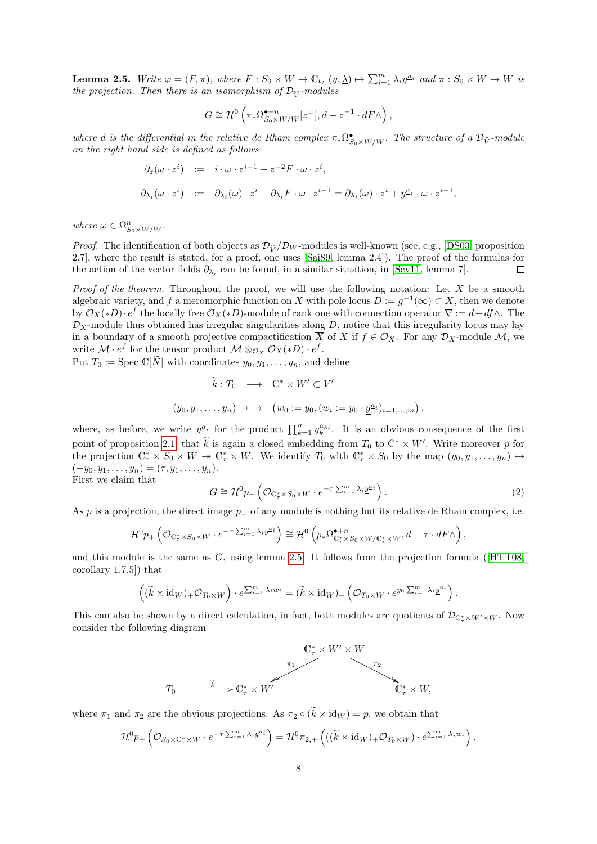<span id="page-7-0"></span>**Lemma 2.5.** Write  $\varphi = (F, \pi)$ , where  $F : S_0 \times W \to \mathbb{C}_t$ ,  $(\underline{y}, \underline{\lambda}) \mapsto \sum_{i=1}^m \lambda_i \underline{y}^{\underline{a}_i}$  and  $\pi : S_0 \times W \to W$  is the projection. Then there is an isomorphism of  $\mathcal{D}_{\hat{V}}$ -modules

$$
G \cong \mathcal{H}^0\left(\pi_*\Omega_{S_0 \times W/W}^{\bullet+n}[z^{\pm}], d - z^{-1} \cdot dF \wedge\right),
$$

where d is the differential in the relative de Rham complex  $\pi_*\Omega_{S_0\times W/W}^{\bullet}$ . The structure of a  $\mathcal{D}_{\hat{V}}$ -module on the right hand side is defined as follows

$$
\partial_z(\omega \cdot z^i) := i \cdot \omega \cdot z^{i-1} - z^{-2} F \cdot \omega \cdot z^i,
$$
  

$$
\partial_{\lambda_i}(\omega \cdot z^i) := \partial_{\lambda_i}(\omega) \cdot z^i + \partial_{\lambda_i} F \cdot \omega \cdot z^{i-1} = \partial_{\lambda_i}(\omega) \cdot z^i + \underline{y}^{\underline{a}_i} \cdot \omega \cdot z^{i-1},
$$

where  $\omega \in \Omega^n_{S_0 \times W/W}$ .

*Proof.* The identification of both objects as  $\mathcal{D}_{\hat{V}}/\mathcal{D}_W$ -modules is well-known (see, e.g., [\[DS03,](#page-47-0) proposition 2.7], where the result is stated, for a proof, one uses [\[Sai89,](#page-49-7) lemma 2.4]). The proof of the formulas for the action of the vector fields  $\partial_{\lambda_i}$  can be found, in a similar situation, in [\[Sev11,](#page-49-8) lemma 7].  $\Box$ 

*Proof of the theorem.* Throughout the proof, we will use the following notation: Let  $X$  be a smooth algebraic variety, and f a meromorphic function on X with pole locus  $D := g^{-1}(\infty) \subset X$ , then we denote by  $\mathcal{O}_X(*D) \cdot e^f$  the locally free  $\mathcal{O}_X(*D)$ -module of rank one with connection operator  $\nabla := d + df \wedge$ . The  $\mathcal{D}_X$ -module thus obtained has irregular singularities along  $D$ , notice that this irregularity locus may lay in a boundary of a smooth projective compactification  $\overline{X}$  of X if  $f \in \mathcal{O}_X$ . For any  $\mathcal{D}_X$ -module M, we write  $\mathcal{M} \cdot e^f$  for the tensor product  $\mathcal{M} \otimes_{\mathcal{O}_X} \mathcal{O}_X(*D) \cdot e^f$ .

Put  $T_0 := \text{Spec } \mathbb{C}[\widetilde{N}]$  with coordinates  $y_0, y_1, \ldots, y_n$ , and define

$$
\widetilde{k}: T_0 \longrightarrow \mathbb{C}^* \times W' \subset V'
$$
  

$$
(y_0, y_1, \dots, y_n) \longmapsto (w_0 := y_0, (w_i := y_0 \cdot \underline{y}^{a_i})_{i=1,\dots,m}),
$$

where, as before, we write  $\underline{y}^{a_i}$  for the product  $\prod_{k=1}^n y_k^{a_{ki}}$ . It is an obvious consequence of the first point of proposition [2.1,](#page-0-1) that  $\widetilde{k}$  is again a closed embedding from  $T_0$  to  $\mathbb{C}^* \times W'$ . Write moreover p for the projection  $\mathbb{C}^*_\tau \times S_0 \times W \to \mathbb{C}^*_\tau \times W$ . We identify  $T_0$  with  $\mathbb{C}^*_\tau \times S_0$  by the map  $(y_0, y_1, \ldots, y_n) \mapsto$  $(-y_0, y_1, \ldots, y_n) = (\tau, y_1, \ldots, y_n).$ 

First we claim that

$$
G \cong \mathcal{H}^0 p_+ \left( \mathcal{O}_{\mathbb{C}^*_\tau \times S_0 \times W} \cdot e^{-\tau \sum_{i=1}^m \lambda_i \underline{y}^{a_i}} \right). \tag{2}
$$

As p is a projection, the direct image  $p_+$  of any module is nothing but its relative de Rham complex, i.e.

$$
\mathcal{H}^0 p_+\left(\mathcal{O}_{\mathbb{C}_\tau^*\times S_0\times W}\cdot e^{-\tau\sum_{i=1}^m \lambda_i \underline{y}^{a_i}}\right)\cong \mathcal{H}^0\left(p_*\Omega_{\mathbb{C}_\tau^*\times S_0\times W/\mathbb{C}_\tau^*\times W}^{\bullet+n},d-\tau\cdot dF\wedge\right),
$$

andthis module is the same as  $G$ , using lemma [2.5.](#page-7-0) It follows from the projection formula ([\[HTT08,](#page-48-8) corollary 1.7.5]) that

$$
\left((\widetilde{k} \times id_W)_+ \mathcal{O}_{T_0 \times W}\right) \cdot e^{\sum_{i=1}^m \lambda_i w_i} = (\widetilde{k} \times id_W)_+ \left(\mathcal{O}_{T_0 \times W} \cdot e^{y_0 \sum_{i=1}^m \lambda_i \underline{y}^{a_i}}\right).
$$

This can also be shown by a direct calculation, in fact, both modules are quotients of  $\mathcal{D}_{\mathbb{C}^*_\tau \times W' \times W}$ . Now consider the following diagram



where  $\pi_1$  and  $\pi_2$  are the obvious projections. As  $\pi_2 \circ (\widetilde{k} \times id_W) = p$ , we obtain that

$$
\mathcal{H}^0 p_+\left(\mathcal{O}_{S_0\times\mathbb{C}_\tau^*\times W}\cdot e^{-\tau\sum_{i=1}^m\lambda_i\underline{y}^{a_i}}\right)=\mathcal{H}^0\pi_{2,+}\left(((\widetilde{k}\times\mathrm{id}_W)_+\mathcal{O}_{T_0\times W})\cdot e^{\sum_{i=1}^m\lambda_iw_i}\right).
$$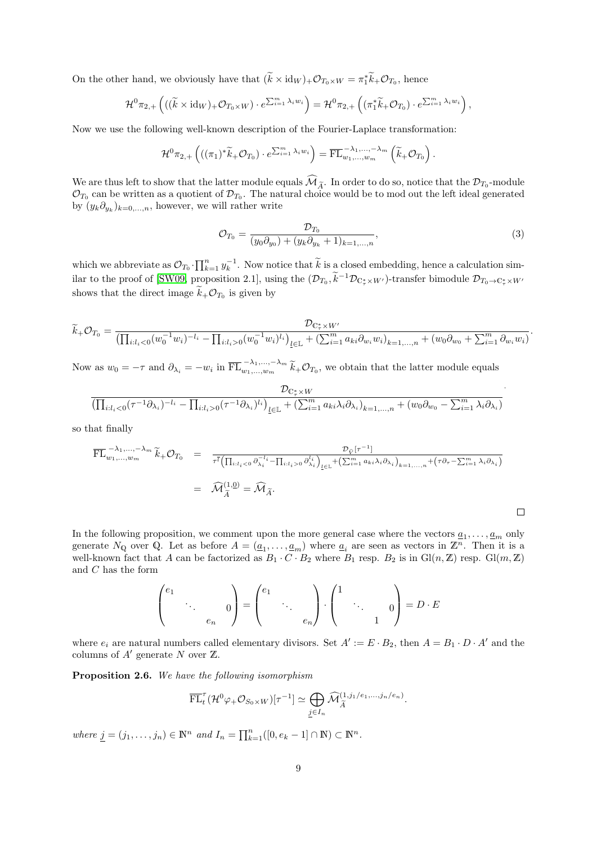On the other hand, we obviously have that  $(\tilde{k} \times id_W)_+ \mathcal{O}_{T_0 \times W} = \pi_1^* \tilde{k}_+ \mathcal{O}_{T_0}$ , hence

$$
\mathcal{H}^0\pi_{2,+}\left((\widetilde{k}\times \mathrm{id}_W)_+\mathcal{O}_{T_0\times W})\cdot e^{\sum_{i=1}^m\lambda_iw_i}\right)=\mathcal{H}^0\pi_{2,+}\left((\pi_1^*\widetilde{k}_+\mathcal{O}_{T_0})\cdot e^{\sum_{i=1}^m\lambda_iw_i}\right),
$$

Now we use the following well-known description of the Fourier-Laplace transformation:

$$
\mathcal{H}^0\pi_{2,+}\left((\pi_1)^*\widetilde{k}_+\mathcal{O}_{T_0})\cdot e^{\sum_{i=1}^m\lambda_iw_i}\right)=\overline{\mathrm{FL}}_{w_1,\ldots,w_m}^{-\lambda_1,\ldots,-\lambda_m}\left(\widetilde{k}_+\mathcal{O}_{T_0}\right).
$$

We are thus left to show that the latter module equals  $M_{\tilde{A}}$ . In order to do so, notice that the  $\mathcal{D}_{T_0}$ -module  $\mathcal{O}_{T_0}$  can be written as a quotient of  $\mathcal{D}_{T_0}$ . The natural choice would be to mod out the left ideal generated by  $(y_k \partial_{y_k})_{k=0,\ldots,n}$ , however, we will rather write

<span id="page-8-1"></span>
$$
\mathcal{O}_{T_0} = \frac{\mathcal{D}_{T_0}}{(y_0 \partial_{y_0}) + (y_k \partial_{y_k} + 1)_{k=1,\dots,n}},
$$
\n(3)

.

 $\Box$ 

which we abbreviate as  $\mathcal{O}_{T_0} \cdot \prod_{k=1}^n y_k^{-1}$ . Now notice that  $\widetilde{k}$  is a closed embedding, hence a calculation sim-ilar to the proof of [\[SW09,](#page-49-9) proposition 2.1], using the  $(\mathcal{D}_{T_0}, k^{-1}\mathcal{D}_{\mathbb{C}^*_\tau \times W'})$ -transfer bimodule  $\mathcal{D}_{T_0 \to \mathbb{C}^*_\tau \times W'}$ shows that the direct image  $k_+\mathcal{O}_{T_0}$  is given by

$$
\widetilde{k}_{+}\mathcal{O}_{T_{0}} = \frac{\mathcal{D}_{\mathbb{C}_{\tau}^{*}\times W'}}{\left(\prod_{i:l_{i}<0}(w_{0}^{-1}w_{i})^{-l_{i}} - \prod_{i:l_{i}>0}(w_{0}^{-1}w_{i})^{l_{i}}\right)_{l\in\mathbb{L}} + \left(\sum_{i=1}^{m}a_{ki}\partial_{w_{i}}w_{i}\right)_{k=1,\dots,n} + \left(w_{0}\partial_{w_{0}} + \sum_{i=1}^{m}\partial_{w_{i}}w_{i}\right)}.
$$

Now as  $w_0 = -\tau$  and  $\partial_{\lambda_i} = -w_i$  in  $\overline{\mathrm{FL}}_{w_1,\dots,w_m}^{-\lambda_1,\dots,-\lambda_m}$   $\widetilde{k}_+ \mathcal{O}_{T_0}$ , we obtain that the latter module equals

$$
\frac{\mathcal{D}_{\mathbb{C}_{\tau}^{*}\times W}}{\left(\prod_{i:l_{i}<0}(\tau^{-1}\partial_{\lambda_{i}})^{-l_{i}}-\prod_{i:l_{i}>0}(\tau^{-1}\partial_{\lambda_{i}})^{l_{i}}\right)_{\underline{l}\in\mathbb{L}}+\left(\sum_{i=1}^{m}a_{ki}\lambda_{i}\partial_{\lambda_{i}}\right)_{k=1,\ldots,n}+(w_{0}\partial_{w_{0}}-\sum_{i=1}^{m}\lambda_{i}\partial_{\lambda_{i}})}
$$

so that finally

$$
\overline{\mathrm{FL}}_{w_1,\ldots,w_m}^{-\lambda_1,\ldots,-\lambda_m} \widetilde{k}_+ \mathcal{O}_{T_0} = \frac{\mathcal{D}_{\hat{V}}[\tau^{-1}]}{\tau^{\overline{l}} \left(\prod_{i:l_i < 0} \partial_{\lambda_i}^{-l_i} - \prod_{i:l_i > 0} \partial_{\lambda_i}^{l_i}\right)_{l \in \mathbb{L}} + \left(\sum_{i=1}^m a_{ki}\lambda_i \partial_{\lambda_i}\right)_{k=1,\ldots,n} + \left(\tau \partial_{\tau} - \sum_{i=1}^m \lambda_i \partial_{\lambda_i}\right)} \\
= \widehat{\mathcal{M}}_{\widetilde{A}}^{(1,\underline{0})} = \widehat{\mathcal{M}}_{\widetilde{A}}.
$$

In the following proposition, we comment upon the more general case where the vectors  $\underline{a}_1, \ldots, \underline{a}_m$  only generate  $N_Q$  over Q. Let as before  $A = (\underline{a}_1, \ldots, \underline{a}_m)$  where  $\underline{a}_i$  are seen as vectors in  $\mathbb{Z}^n$ . Then it is a well-known fact that A can be factorized as  $B_1 \cdot C \cdot B_2$  where  $B_1$  resp.  $B_2$  is in Gl(n, Z) resp. Gl(m, Z) and C has the form

$$
\begin{pmatrix} e_1 & & \\ & \ddots & \\ & & e_n \end{pmatrix} = \begin{pmatrix} e_1 & & \\ & \ddots & \\ & & e_n \end{pmatrix} \cdot \begin{pmatrix} 1 & & \\ & \ddots & \\ & & 1 \end{pmatrix} = D \cdot E
$$

where  $e_i$  are natural numbers called elementary divisors. Set  $A' := E \cdot B_2$ , then  $A = B_1 \cdot D \cdot A'$  and the columns of  $A'$  generate N over  $\mathbb Z$ .

<span id="page-8-0"></span>Proposition 2.6. We have the following isomorphism

$$
\overline{\mathrm{FL}}_t^\tau(\mathcal{H}^0\varphi_+\mathcal{O}_{S_0\times W})[\tau^{-1}] \simeq \bigoplus_{\underline{j}\in I_n}\widehat{\mathcal{M}}_{\widetilde{A}}^{(1,j_1/e_1,\ldots,j_n/e_n)}.
$$

where  $\underline{j} = (j_1, \ldots, j_n) \in \mathbb{N}^n$  and  $I_n = \prod_{k=1}^n ([0, e_k - 1] \cap \mathbb{N}) \subset \mathbb{N}^n$ .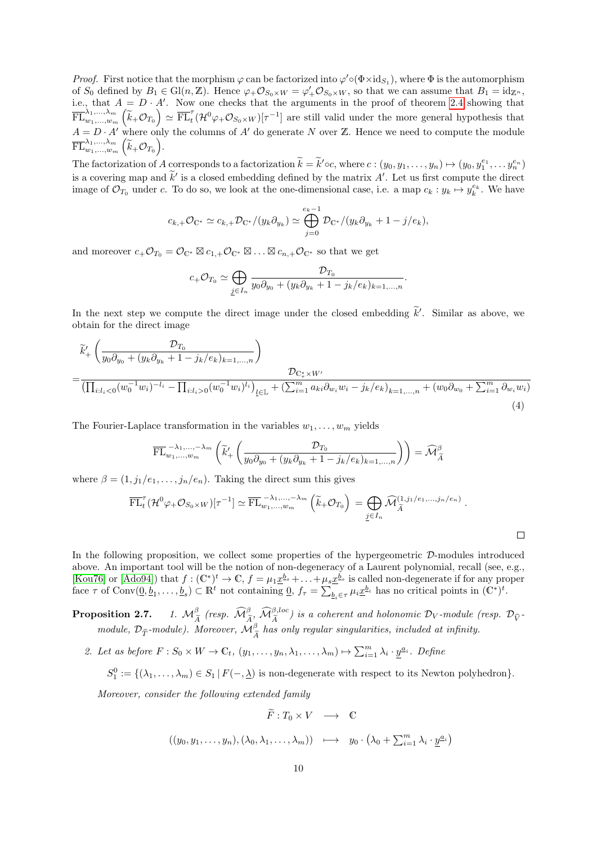*Proof.* First notice that the morphism  $\varphi$  can be factorized into  $\varphi' \circ (\Phi \times id_{S_1})$ , where  $\Phi$  is the automorphism of  $S_0$  defined by  $B_1 \in Gl(n,\mathbb{Z})$ . Hence  $\varphi_+ \mathcal{O}_{S_0 \times W} = \varphi'_+ \mathcal{O}_{S_0 \times W}$ , so that we can assume that  $B_1 = id_{\mathbb{Z}^n}$ , i.e., that  $A = D \cdot A'$ . Now one checks that the arguments in the proof of theorem [2.4](#page-6-0) showing that  $\overline{\mathrm{FL}}_{w_1,\dots,w_m}^{\lambda_1,\dots,\lambda_m}\left(\widetilde{k}_+\mathcal{O}_{T_0}\right) \simeq \overline{\mathrm{FL}}_{t}^{\tau}(\mathcal{H}^0\varphi_{+}\mathcal{O}_{S_0\times W})[\tau^{-1}]$  are still valid under the more general hypothesis that  $A = D \cdot A'$  where only the columns of A' do generate N over Z. Hence we need to compute the module  $\overline{\mathrm{FL}}^{\lambda_1,...,\lambda_m}_{w_1,...,w_m}\left(\widetilde{k}_+\mathcal{O}_{T_0}\right)$ .

The factorization of A corresponds to a factorization  $\widetilde{k} = \widetilde{k}' \circ c$ , where  $c : (y_0, y_1, \ldots, y_n) \mapsto (y_0, y_1^e, \ldots, y_n^e)$ is a covering map and  $k'$  is a closed embedding defined by the matrix A'. Let us first compute the direct image of  $\mathcal{O}_{T_0}$  under c. To do so, we look at the one-dimensional case, i.e. a map  $c_k : y_k \mapsto y_k^{e_k}$ . We have

$$
c_{k,+}\mathcal{O}_{\mathbb{C}^*}\simeq c_{k,+}\mathcal{D}_{\mathbb{C}^*}/(y_k\partial_{y_k})\simeq \bigoplus_{j=0}^{e_k-1}\mathcal{D}_{\mathbb{C}^*}/(y_k\partial_{y_k}+1-j/e_k),
$$

and moreover  $c_+\mathcal{O}_{T_0} = \mathcal{O}_{\mathbb{C}^*} \boxtimes c_{1,+}\mathcal{O}_{\mathbb{C}^*} \boxtimes \ldots \boxtimes c_{n,+}\mathcal{O}_{\mathbb{C}^*}$  so that we get

$$
c_{+}\mathcal{O}_{T_0} \simeq \bigoplus_{\underline{j}\in I_n} \frac{\mathcal{D}_{T_0}}{y_0\partial_{y_0} + (y_k\partial_{y_k} + 1 - j_k/e_k)_{k=1,\ldots,n}}.
$$

In the next step we compute the direct image under the closed embedding  $\tilde{k}'$ . Similar as above, we obtain for the direct image

$$
\tilde{k}'_{+}\left(\frac{\mathcal{D}_{T_0}}{y_0 \partial_{y_0} + (y_k \partial_{y_k} + 1 - j_k/e_k)_{k=1,\dots,n}}\right) \n= \frac{\mathcal{D}_{\mathbb{C}_{\tau}^* \times W'}}{\left(\prod_{i:l_i < 0} (w_0^{-1} w_i)^{-l_i} - \prod_{i:l_i > 0} (w_0^{-1} w_i)^{l_i}\right)_{l \in \mathbb{L}} + \left(\sum_{i=1}^m a_{ki} \partial_{w_i} w_i - j_k/e_k\right)_{k=1,\dots,n} + (w_0 \partial_{w_0} + \sum_{i=1}^m \partial_{w_i} w_i)}\n\tag{4}
$$

The Fourier-Laplace transformation in the variables  $w_1, \ldots, w_m$  yields

$$
\overline{\mathrm{FL}}_{w_1,\ldots,w_m}^{-\lambda_1,\ldots,-\lambda_m}\left(\widetilde{k}_+'\left(\frac{\mathcal{D}_{T_0}}{y_0\partial_{y_0}+(y_k\partial_{y_k}+1-j_k/e_k)_{k=1,\ldots,n}}\right)\right)=\widehat{\mathcal{M}}_{\widetilde{A}}^{\beta}
$$

where  $\beta = (1, j_1/e_1, \ldots, j_n/e_n)$ . Taking the direct sum this gives

$$
\overline{\mathrm{FL}}_t^{\tau}(\mathcal{H}^0\varphi_+\mathcal{O}_{S_0\times W})[\tau^{-1}] \simeq \overline{\mathrm{FL}}_{w_1,\ldots,w_m}^{-\lambda_1,\ldots,-\lambda_m}\left(\widetilde{k}_+\mathcal{O}_{T_0}\right) = \bigoplus_{\underline{j}\in I_n} \widehat{\mathcal{M}}_{\widetilde{A}}^{(1,j_1/e_1,\ldots,j_n/e_n)}.
$$

 $\Box$ 

In the following proposition, we collect some properties of the hypergeometric  $D$ -modules introduced above. An important tool will be the notion of non-degeneracy of a Laurent polynomial, recall (see, e.g., [\[Kou76\]](#page-48-9) or [\[Ado94\]](#page-46-0)) that  $f: (\mathbb{C}^*)^t \to \mathbb{C}$ ,  $f = \mu_1 \underline{x}^{b_s} + \ldots + \mu_s \underline{x}^{b_s}$  is called non-degenerate if for any proper face  $\tau$  of  $Conv(\underline{0}, \underline{b}_1, \ldots, \underline{b}_s) \subset \mathbb{R}^t$  not containing  $\underline{0}$ ,  $f_{\tau} = \sum_{\underline{b}_i \in \tau} \mu_i \underline{x}^{\underline{b}_i}$  has no critical points in  $(\mathbb{C}^*)^t$ .

**Proposition 2.7.** 1.  $M^{\beta}_{\widetilde{A}}$  (resp.  $\widehat{M}^{\beta}_{\widetilde{A}}, \widehat{M}^{\beta,loc}_{\widetilde{A}}$ ) is a coherent and holonomic  $\mathcal{D}_V$ -module (resp.  $\mathcal{D}_{\widehat{V}}$ module,  $\mathcal{D}_{\widehat{T}}$ -module). Moreover,  $\mathcal{M}_{\widetilde{A}}^{\beta}$  has only regular singularities, included at infinity.

2. Let as before  $F: S_0 \times W \to \mathbb{C}_t$ ,  $(y_1, \ldots, y_n, \lambda_1, \ldots, \lambda_m) \mapsto \sum_{i=1}^m \lambda_i \cdot \underline{y}^{a_i}$ . Define

 $S_1^0 := \{(\lambda_1, \ldots, \lambda_m) \in S_1 \mid F(-, \underline{\lambda})$  is non-degenerate with respect to its Newton polyhedron $\}.$ 

Moreover, consider the following extended family

$$
\widetilde{F}: T_0 \times V \longrightarrow \mathbb{C}
$$
  

$$
((y_0, y_1, \dots, y_n), (\lambda_0, \lambda_1, \dots, \lambda_m)) \longrightarrow y_0 \cdot (\lambda_0 + \sum_{i=1}^m \lambda_i \cdot \underline{y}^{a_i})
$$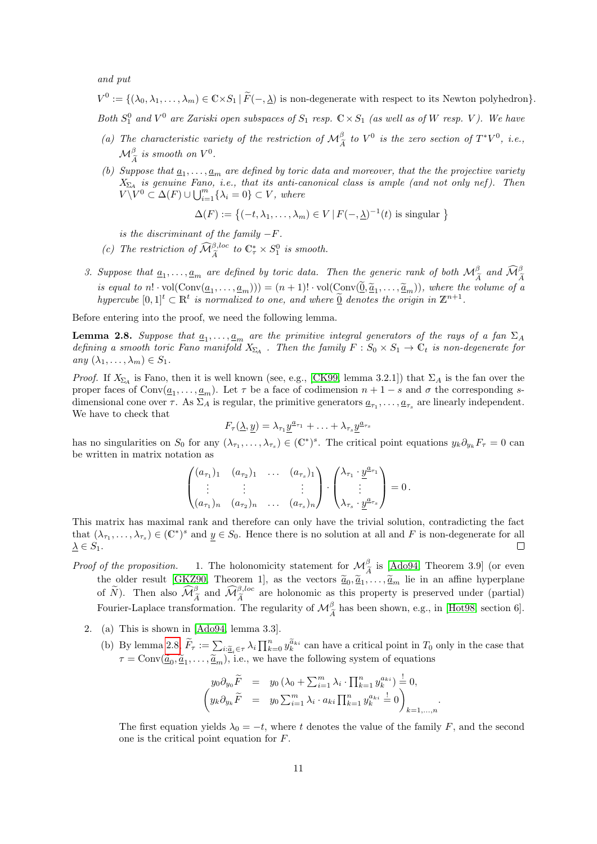and put

 $V^0 := \{(\lambda_0, \lambda_1, \dots, \lambda_m) \in \mathbb{C} \times S_1 \mid \widetilde{F}(-, \underline{\lambda})$  is non-degenerate with respect to its Newton polyhedron}.

Both  $S_1^0$  and  $V^0$  are Zariski open subspaces of  $S_1$  resp.  $\mathbb{C} \times S_1$  (as well as of W resp. V). We have

- (a) The characteristic variety of the restriction of  $\mathcal{M}_{\tilde{A}}^{\beta}$  to  $V^0$  is the zero section of  $T^*V^0$ , i.e.,  $\mathcal{M}^{\beta}_{\tilde{\lambda}}$  is smooth on  $V^0$ .  $\boldsymbol{A}$
- (b) Suppose that  $\underline{a}_1, \ldots, \underline{a}_m$  are defined by toric data and moreover, that the the projective variety  $X_{\Sigma_{A}}$  is genuine Fano, i.e., that its anti-canonical class is ample (and not only nef). Then  $V \backslash V^0 \subset \Delta(F) \cup \bigcup_{i=1}^m {\{\lambda_i = 0\}} \subset V$ , where

$$
\Delta(F) := \left\{ (-t, \lambda_1, \dots, \lambda_m) \in V \, | \, F(-, \underline{\lambda})^{-1}(t) \text{ is singular } \right\}
$$

is the discriminant of the family  $-F$ .

- (c) The restriction of  $\widehat{\mathcal{M}}_{\widetilde{A}}^{\beta,loc}$  to  $\mathbb{C}_{\tau}^{*} \times S_{1}^{0}$  is smooth.
- 3. Suppose that  $\underline{a}_1,\ldots,\underline{a}_m$  are defined by toric data. Then the generic rank of both  $\mathcal{M}^{\beta}_{\widetilde{A}}$  and  $\widehat{\mathcal{M}}^{\beta}_{\widetilde{A}}$ is equal to  $n! \cdot \text{vol}(\text{Conv}(\underline{a}_1, ..., \underline{a}_m))) = (n+1)! \cdot \text{vol}(\text{Conv}(\underline{\widetilde{0}}, \underline{\widetilde{a}}_1, ..., \underline{\widetilde{a}}_m))$ , where the volume of a<br>hypercycle  $[0, 1]^t \subset \mathbb{R}^t$  is normalized to one, and where  $\widetilde{0}$  denotes the origin in  $\mathbb{Z}$ hypercube  $[0,1]^t \subset \mathbb{R}^t$  is normalized to one, and where  $\widetilde{\mathcal{Q}}$  denotes the origin in  $\mathbb{Z}^{n+1}$ .

Before entering into the proof, we need the following lemma.

<span id="page-10-0"></span>**Lemma 2.8.** Suppose that  $\underline{a}_1, \ldots, \underline{a}_m$  are the primitive integral generators of the rays of a fan  $\Sigma_A$ defining a smooth toric Fano manifold  $X_{\Sigma_A}$ . Then the family  $F : S_0 \times S_1 \to \mathbb{C}_t$  is non-degenerate for any  $(\lambda_1, \ldots, \lambda_m) \in S_1$ .

*Proof.* If  $X_{\Sigma_A}$  is Fano, then it is well known (see, e.g., [\[CK99,](#page-47-7) lemma 3.2.1]) that  $\Sigma_A$  is the fan over the proper faces of  $Conv(\underline{a}_1, \ldots, \underline{a}_m)$ . Let  $\tau$  be a face of codimension  $n + 1 - s$  and  $\sigma$  the corresponding sdimensional cone over  $\tau$ . As  $\Sigma_A$  is regular, the primitive generators  $\underline{a}_{\tau_1}, \ldots, \underline{a}_{\tau_s}$  are linearly independent. We have to check that

$$
F_{\tau}(\underline{\lambda},\underline{y}) = \lambda_{\tau_1}\underline{y}^{\underline{a}_{\tau_1}} + \ldots + \lambda_{\tau_s}\underline{y}^{\underline{a}_{\tau_s}}
$$

has no singularities on  $S_0$  for any  $(\lambda_{\tau_1},\ldots,\lambda_{\tau_s})\in (\mathbb{C}^*)^s$ . The critical point equations  $y_k\partial_{y_k}F_\tau=0$  can be written in matrix notation as

$$
\begin{pmatrix}\n(a_{\tau_1})_1 & (a_{\tau_2})_1 & \dots & (a_{\tau_s})_1 \\
\vdots & \vdots & & \vdots \\
(a_{\tau_1})_n & (a_{\tau_2})_n & \dots & (a_{\tau_s})_n\n\end{pmatrix} \cdot \begin{pmatrix}\n\lambda_{\tau_1} \cdot \underline{y}^{a_{\tau_1}} \\
\vdots \\
\lambda_{\tau_s} \cdot \underline{y}^{a_{\tau_s}}\n\end{pmatrix} = 0.
$$

This matrix has maximal rank and therefore can only have the trivial solution, contradicting the fact that  $(\lambda_{\tau_1},\ldots,\lambda_{\tau_s})\in (\mathbb{C}^*)^s$  and  $y\in S_0$ . Hence there is no solution at all and F is non-degenerate for all  $\underline{\lambda}\in S_1.$  $\Box$ 

- *Proof of the proposition.* 1. The holonomicity statement for  $\mathcal{M}_{\tilde{A}}^{\beta}$  is [\[Ado94,](#page-46-0) Theorem 3.9] (or even<br>the able weakly CK700, Theorem 1, so the vectors  $\tilde{A} \tilde{A}$  is  $\tilde{A}$  is in an effect homomology the older result [\[GKZ90,](#page-47-6) Theorem 1], as the vectors  $\tilde{\underline{a}}_0, \tilde{\underline{a}}_1, \ldots, \tilde{\underline{a}}_m$  lie in an affine hyperplane of  $\widetilde{N}$ ). Then also  $\widehat{\mathcal{M}}_{\widetilde{A}}^{\beta}$  and  $\widehat{\mathcal{M}}_{\widetilde{A}}^{\beta,loc}$  are holonomic as this property is preserved under (partial) Fourier-Laplace transformation. The regularity of  $\mathcal{M}_{\widetilde{A}}^{\beta}$  has been shown, e.g., in [\[Hot98,](#page-48-10) section 6].
	- 2. (a) This is shown in [\[Ado94,](#page-46-0) lemma 3.3].
		- (b) By lemma [2.8,](#page-10-0)  $\widetilde{F}_{\tau} := \sum_{i:\widetilde{a}_i\in\tau}\lambda_i\prod_{k=0}^n y_k^{\widetilde{a}_{ki}}$  can have a critical point in  $T_0$  only in the case that  $\tau = \text{Conv}(\underline{\widetilde{a}}_0, \underline{\widetilde{a}}_1, \dots, \underline{\widetilde{a}}_m)$ , i.e., we have the following system of equations

$$
y_0 \partial_{y_0} \widetilde{F} = y_0 \left( \lambda_0 + \sum_{i=1}^m \lambda_i \cdot \prod_{k=1}^n y_k^{a_{ki}} \right) = 0,
$$
  

$$
\left( y_k \partial_{y_k} \widetilde{F} = y_0 \sum_{i=1}^m \lambda_i \cdot a_{ki} \prod_{k=1}^n y_k^{a_{ki}} = 0 \right)_{k=1,...,n}
$$

.

The first equation yields  $\lambda_0 = -t$ , where t denotes the value of the family F, and the second one is the critical point equation for F.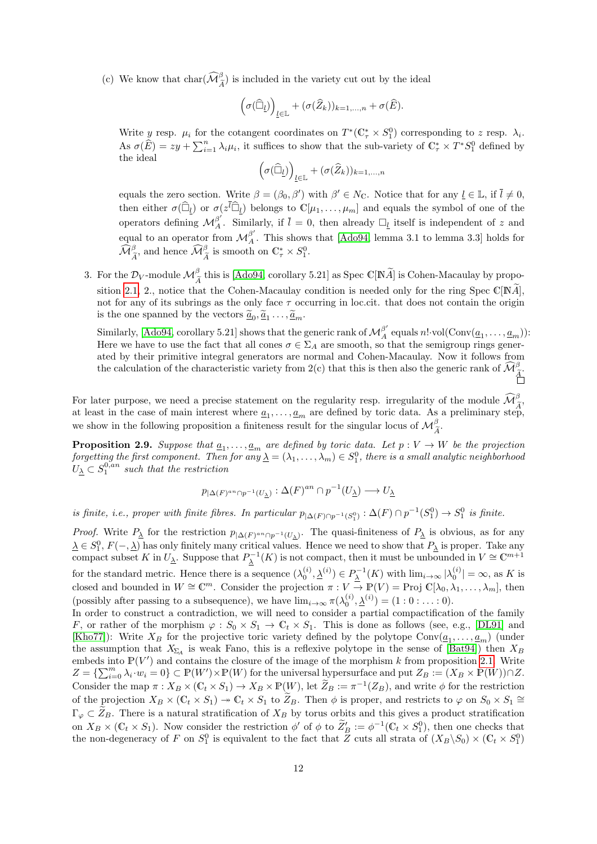(c) We know that  $char(\widehat{\mathcal{M}}^{\beta}_{\widetilde{A}})$  is included in the variety cut out by the ideal

$$
\left(\sigma(\widehat{\Box}_l)\right)_{\underline{l}\in\mathbb{L}}+(\sigma(\widehat{Z}_k))_{k=1,...,n}+\sigma(\widehat{E}).
$$

Write y resp.  $\mu_i$  for the cotangent coordinates on  $T^*(\mathbb{C}^*_\tau \times S^0_1)$  corresponding to z resp.  $\lambda_i$ . As  $\sigma(\widehat{E}) = zy + \sum_{i=1}^n \lambda_i \mu_i$ , it suffices to show that the sub-variety of  $\mathbb{C}^*_{\tau} \times T^*S^0_1$  defined by the ideal

$$
\left(\sigma(\widehat{\Box}_{\underline{l}})\right)_{\underline{l}\in\mathbb{L}}+(\sigma(\widehat{Z}_k))_{k=1,\ldots,n}
$$

equals the zero section. Write  $\beta = (\beta_0, \beta')$  with  $\beta' \in N_{\mathbb{C}}$ . Notice that for any  $\underline{l} \in \mathbb{L}$ , if  $\overline{l} \neq 0$ , then either  $\sigma(\widehat{\Box}_l)$  or  $\sigma(z^{\overline{l}}\widehat{\Box}_l)$  belongs to  $\mathbb{C}[\mu_1,\ldots,\mu_m]$  and equals the symbol of one of the operators defining  $\mathcal{M}_{A}^{\beta'}$ . Similarly, if  $\overline{l} = 0$ , then already  $\Box_{\underline{l}}$  itself is independent of z and equal to an operator from  $\mathcal{M}_{A}^{\beta'}$ . This shows that [\[Ado94,](#page-46-0) lemma 3.1 to lemma 3.3] holds for  $\widehat{\mathcal{M}}^{\beta}_{\widetilde{A}}$ , and hence  $\widehat{\mathcal{M}}^{\beta}_{\widetilde{A}}$  is smooth on  $\mathbb{C}^*_{\tau} \times S^0_1$ .

3. For the  $\mathcal{D}_V$ -module  $\mathcal{M}_{\tilde{A}}^{\beta}$  this is [\[Ado94,](#page-46-0) corollary 5.21] as Spec C[N $\tilde{A}$ ] is Cohen-Macaulay by propo-sition [2.1,](#page-0-1) 2., notice that the Cohen-Macaulay condition is needed only for the ring Spec  $\mathbb{C}[\mathbb{N}\tilde{A}]$ , not for any of its subrings as the only face  $\tau$  occurring in loc.cit. that does not contain the origin is the one spanned by the vectors  $\tilde{\underline{a}}_0, \tilde{\underline{a}}_1 \ldots, \tilde{\underline{a}}_m$ .

Similarly, [\[Ado94,](#page-46-0) corollary 5.21] shows that the generic rank of  $\mathcal{M}_A^{\beta'}$  equals  $n! \cdot \text{vol}(\text{Conv}(\underline{a}_1, \ldots, \underline{a}_m))$ : Here we have to use the fact that all cones  $\sigma \in \Sigma_A$  are smooth, so that the semigroup rings generated by their primitive integral generators are normal and Cohen-Macaulay. Now it follows from the calculation of the characteristic variety from 2(c) that this is then also the generic rank of  $\widehat{\mathcal{M}}_{\widehat{\mathcal{A}}}^{\beta}$ .

For later purpose, we need a precise statement on the regularity resp. irregularity of the module  $\widehat{\mathcal{M}}_{\widehat{A}}^{\beta}$ , at least in the case of main interest where  $\underline{a}_1, \ldots, \underline{a}_m$  are defined by toric data. As a preliminary step, we show in the following proposition a finiteness result for the singular locus of  $\mathcal{M}_{\widetilde{A}}^{\beta}$ .

<span id="page-11-0"></span>**Proposition 2.9.** Suppose that  $\underline{a}_1, \ldots, \underline{a}_m$  are defined by toric data. Let  $p: V \to W$  be the projection forgetting the first component. Then for any  $\Delta=(\lambda_1,\ldots,\lambda_m)\in S_1^0,$  there is a small analytic neighborhood  $U_{\underline{\lambda}} \subset S_1^{0,an}$  such that the restriction

$$
p_{\mid \Delta(F)^{an} \cap p^{-1}(U_{\underline{\lambda}})} : \Delta(F)^{an} \cap p^{-1}(U_{\underline{\lambda}}) \longrightarrow U_{\underline{\lambda}}
$$

is finite, i.e., proper with finite fibres. In particular  $p_{\vert \Delta(F) \cap p^{-1}(S_1^0)} : \Delta(F) \cap p^{-1}(S_1^0) \to S_1^0$  is finite.

*Proof.* Write  $P_{\underline{\lambda}}$  for the restriction  $p_{|\Delta(F)^{an}\cap p^{-1}(U_{\underline{\lambda}})}$ . The quasi-finiteness of  $P_{\underline{\lambda}}$  is obvious, as for any  $\Delta \in S_1^0$ ,  $F(-, \Delta)$  has only finitely many critical values. Hence we need to show that  $P_{\Delta}$  is proper. Take any compact subset K in  $U_{\underline{\lambda}}$ . Suppose that  $P_{\underline{\lambda}}^{-1}(K)$  is not compact, then it must be unbounded in  $V \cong \mathbb{C}^{m+1}$ for the standard metric. Hence there is a sequence  $(\lambda_0^{(i)}, \underline{\lambda}^{(i)}) \in P_{\underline{\lambda}}^{-1}(K)$  with  $\lim_{i \to \infty} |\lambda_0^{(i)}| = \infty$ , as K is closed and bounded in  $W \cong \mathbb{C}^m$ . Consider the projection  $\pi : V \to \mathbb{P}(V) = \text{Proj } \mathbb{C}[\lambda_0, \lambda_1, \ldots, \lambda_m],$  then (possibly after passing to a subsequence), we have  $\lim_{i\to\infty} \pi(\lambda_0^{(i)}, \underline{\lambda}^{(i)}) = (1:0:\dots:0)$ .

In order to construct a contradiction, we will need to consider a partial compactification of the family F, or rather of the morphism  $\varphi: S_0 \times S_1 \to \mathbb{C}_t \times S_1$ . This is done as follows (see, e.g., [\[DL91\]](#page-47-8) and [\[Kho77\]](#page-48-11)): Write  $X_B$  for the projective toric variety defined by the polytope  $Conv(\underline{a}_1, \ldots, \underline{a}_m)$  (under the assumption that  $X_{\Sigma_A}$  is weak Fano, this is a reflexive polytope in the sense of [\[Bat94\]](#page-47-9)) then  $X_B$ embeds into  $\mathbb{P}(V')$  and contains the closure of the image of the morphism k from proposition [2.1.](#page-0-1) Write  $Z = \{\sum_{i=0}^{m} \lambda_i \cdot w_i = 0\} \subset \mathbb{P}(W') \times \mathbb{P}(W)$  for the universal hypersurface and put  $Z_B := (X_B \times \mathbb{P}(W)) \cap Z$ . Consider the map  $\pi: X_B \times (\mathbb{C}_t \times S_1) \to X_B \times \mathbb{P}(W)$ , let  $\widetilde{Z}_B := \pi^{-1}(Z_B)$ , and write  $\phi$  for the restriction of the projection  $X_B \times (\mathbb{C}_t \times S_1) \twoheadrightarrow \mathbb{C}_t \times S_1$  to  $\widetilde{Z}_B$ . Then  $\phi$  is proper, and restricts to  $\varphi$  on  $S_0 \times S_1 \cong \widetilde{Z}_B$ .  $\Gamma_{\varphi} \subset \tilde{Z}_B$ . There is a natural stratification of  $X_B$  by torus orbits and this gives a product stratification on  $X_B \times (\mathbb{C}_t \times S_1)$ . Now consider the restriction  $\phi'$  of  $\phi$  to  $\widetilde{Z}'_B := \phi^{-1}(\mathbb{C}_t \times S_1^0)$ , then one checks that the non-degeneracy of F on  $S_1^0$  is equivalent to the fact that  $Z$  cuts all strata of  $(X_B \backslash S_0) \times (\mathbb{C}_t \times S_1^0)$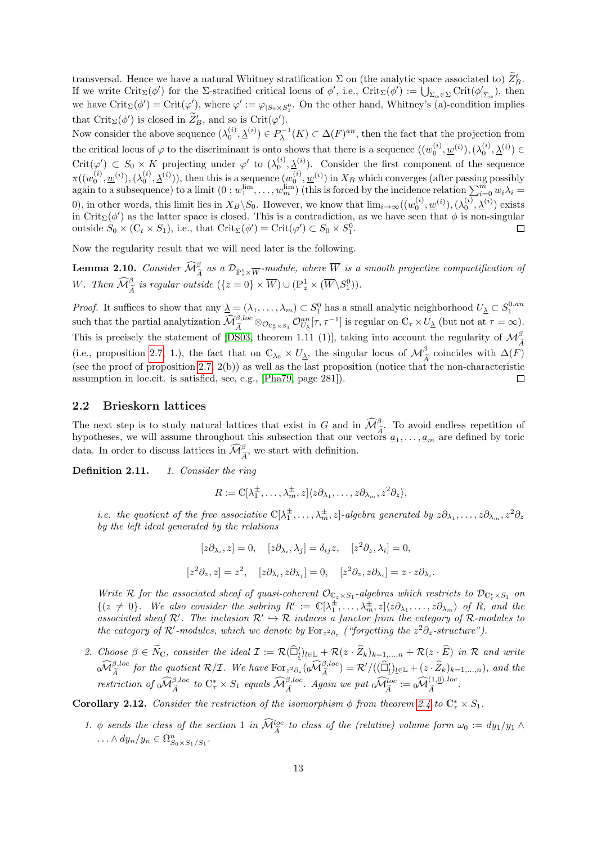transversal. Hence we have a natural Whitney stratification  $\Sigma$  on (the analytic space associated to)  $\widetilde{Z}_B'$ . If we write  $\operatorname{Crit}_{\Sigma}(\phi')$  for the  $\Sigma$ -stratified critical locus of  $\phi'$ , i.e.,  $\operatorname{Crit}_{\Sigma}(\phi') := \bigcup_{\Sigma_{\alpha} \in \Sigma} \operatorname{Crit}(\phi'_{|\Sigma_{\alpha}})$ , then we have  $\text{Crit}_{\Sigma}(\phi') = \text{Crit}(\varphi')$ , where  $\varphi' := \varphi_{|S_0 \times S_1^0}$ . On the other hand, Whitney's (a)-condition implies that Crit<sub> $\Sigma(\phi')$ </sub> is closed in  $\widetilde{Z}'_B$ , and so is Crit $(\varphi')$ .

Now consider the above sequence  $(\lambda_0^{(i)}, \underline{\lambda}^{(i)}) \in P_{\underline{\lambda}}^{-1}(K) \subset \Delta(F)^{an}$ , then the fact that the projection from the critical locus of  $\varphi$  to the discriminant is onto shows that there is a sequence  $((w_0^{(i)}, \underline{w}^{(i)}), (\lambda_0^{(i)}, \underline{\lambda}^{(i)}) \in$  $\mathrm{Crit}(\varphi') \subset S_0 \times K$  projecting under  $\varphi'$  to  $(\lambda_0^{(i)}, \underline{\lambda}_1^{(i)})$ . Consider the first component of the sequence  $\pi((w_0^{(i)}, \underline{w}^{(i)}), (\lambda_0^{(i)}, \underline{\lambda}^{(i)}))$ , then this is a sequence  $(w_0^{(i)}, \underline{w}^{(i)})$  in  $X_B$  which converges (after passing possibly again to a subsequence) to a limit  $(0:w_1^{\lim},\ldots,w_m^{\lim})$  (this is forced by the incidence relation  $\sum_{i=0}^m w_i\lambda_i =$ 0), in other words, this limit lies in  $X_B \backslash S_0$ . However, we know that  $\lim_{i\to\infty} ((w_0^{(i)}, \underline{w}^{(i)}), (\lambda_0^{(i)}, \underline{\lambda}^{(i)})$  exists in Crit<sub>Σ</sub>( $\phi'$ ) as the latter space is closed. This is a contradiction, as we have seen that  $\phi$  is non-singular outside  $S_0 \times (\mathbb{C}_t \times S_1)$ , i.e., that  $\operatorname{Crit}_{\Sigma}(\phi') = \operatorname{Crit}(\varphi') \subset S_0 \times S_1^0$ .  $\Box$ 

Now the regularity result that we will need later is the following.

**Lemma 2.10.** Consider  $\widehat{\mathcal{M}}_{\widetilde{A}}^{\beta}$  as a  $\mathcal{D}_{\mathbb{P}_{z}^1 \times \overline{W}}$ -module, where  $\overline{W}$  is a smooth projective compactification of W. Then  $\widehat{\mathcal{M}}_{\widetilde{A}}^{\beta}$  is regular outside  $(\{z=0\}\times\overline{W})\cup(\mathbb{P}_{z}^{1}\times(\overline{W}\backslash S_{1}^{0}))$ .

*Proof.* It suffices to show that any  $\underline{\lambda} = (\lambda_1, ..., \lambda_m) \subset S_1^0$  has a small analytic neighborhood  $U_{\underline{\lambda}} \subset S_1^{0,an}$ <br>such that the partial analytization  $\widehat{\mathcal{M}}_{\lambda}^{\beta,loc} \otimes_{\mathcal{O}_{\mathbb{C}_{\tau}^* \times S_1}} \mathcal{O}_{U_{\underline{\lambda}}}^{an}[\tau,$ This is precisely the statement of [\[DS03,](#page-47-0) theorem 1.11 (1)], taking into account the regularity of  $\mathcal{M}_{\lambda}^{\beta}$ (i.e., proposition [2.7,](#page-0-1) 1.), the fact that on  $\mathbb{C}_{\lambda_0} \times U_{\lambda}$ , the singular locus of  $\mathcal{M}_{\lambda}^{\beta}$  coincides with  $\Delta(F)$ <br>(see the proof of proposition 2.7, 2(b)) or well as the loct proposition (potion that the pap (see the proof of proposition [2.7,](#page-0-1) 2(b)) as well as the last proposition (notice that the non-characteristic assumption in loc.cit. is satisfied, see, e.g., [\[Pha79,](#page-49-10) page 281]).  $\Box$ 

#### <span id="page-12-0"></span>2.2 Brieskorn lattices

The next step is to study natural lattices that exist in G and in  $\widehat{\mathcal{M}}_{\widetilde{A}}^{\beta}$ . To avoid endless repetition of hypotheses, we will assume throughout this subsection that our vectors  $\underline{a}_1, \ldots, \underline{a}_m$  are defined by toric data. In order to discuss lattices in  $\widehat{\mathcal{M}}_{\widetilde{A}}^{\beta}$ , we start with definition.

Definition 2.11. 1. Consider the ring

$$
R := \mathbb{C}[\lambda_1^{\pm}, \ldots, \lambda_m^{\pm}, z] \langle z \partial_{\lambda_1}, \ldots, z \partial_{\lambda_m}, z^2 \partial_z \rangle,
$$

*i.e.* the quotient of the free associative  $\mathbb{C}[\lambda_1^{\pm}, \ldots, \lambda_m^{\pm}, z]$ -algebra generated by  $z \partial_{\lambda_1}, \ldots, z \partial_{\lambda_m}, z^2 \partial_z$ by the left ideal generated by the relations

$$
[z\partial_{\lambda_i}, z] = 0, \quad [z\partial_{\lambda_i}, \lambda_j] = \delta_{ij}z, \quad [z^2\partial_z, \lambda_i] = 0,
$$
  

$$
[z^2\partial_z, z] = z^2, \quad [z\partial_{\lambda_i}, z\partial_{\lambda_j}] = 0, \quad [z^2\partial_z, z\partial_{\lambda_i}] = z \cdot z\partial_{\lambda_i}
$$

.

Write R for the associated sheaf of quasi-coherent  $\mathcal{O}_{\mathbb{C}_z \times S_1}$ -algebras which restricts to  $\mathcal{D}_{\mathbb{C}_\tau^* \times S_1}$  on  $\{(z \neq 0\})$ . We also consider the subring  $R' := \mathbb{C}[\lambda_1^{\pm}, \ldots, \lambda_m^{\pm}, z] \langle z \partial_{\lambda_1}, \ldots, z \partial_{\lambda_m} \rangle$  of R, and the associated sheaf R'. The inclusion  $\mathcal{R}' \hookrightarrow \mathcal{R}$  induces a functor from the category of R-modules to the category of  $\mathcal{R}'$ -modules, which we denote by  $\text{For}_{z^2\partial_z}$  ("forgetting the  $z^2\partial_z$ -structure").

2. Choose  $\beta \in \widetilde{N}_{\mathbb{C}}$ , consider the ideal  $\mathcal{I} := \mathcal{R}(\widehat{\Box}_{\underline{l}}')_{\underline{l} \in \mathbb{L}} + \mathcal{R}(z \cdot \widehat{Z}_k)_{k=1,\dots,n} + \mathcal{R}(z \cdot \widehat{E})$  in  $\mathcal R$  and write  $\begin{array}{ll}\n\widehat{\mathcal{M}}_{\widetilde{A}}^{\beta,loc} & \text{for the quotient } \mathcal{R}/\mathcal{I}.\n\end{array}$ We have  $\text{For}_{z^2\partial_z}(\widehat{\mathcal{M}}_{\widetilde{A}}^{\beta,loc}) = \mathcal{R}'/((\widehat{\Box}_l')_{l\in\mathbb{L}} + (z\cdot \widehat{Z}_k)_{k=1,\dots,n}),$  and the restriction of  $\widehat{\mathcal{M}}_{\widetilde{A}}^{\beta,loc}$  to  $\mathbb{C}_{\tau}^* \times S_1$  equals  $\widehat{\mathcal{M}}_{\widetilde{A}}^{\beta,loc}$ . Again we put  $\widehat{\mathcal{M}}_{\widetilde{A}}^{loc} := \widehat{\mathcal{M}}_{\widetilde{A}}^{(1,0),loc}$ .

<span id="page-12-1"></span>**Corollary 2.12.** Consider the restriction of the isomorphism  $\phi$  from theorem [2.4](#page-6-0) to  $\mathbb{C}_{\tau}^{*} \times S_1$ .

1. φ sends the class of the section 1 in  $\widehat{\mathcal{M}}_{\widetilde{A}}^{loc}$  to class of the (relative) volume form  $\omega_0 := dy_1/y_1 \wedge$  $\ldots \wedge dy_n/y_n \in \Omega^n_{S_0 \times S_1/S_1}.$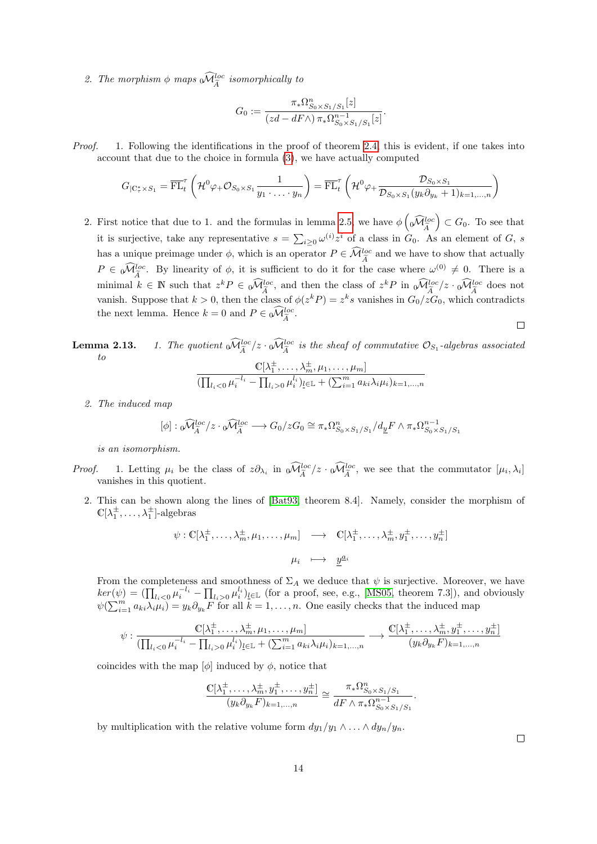2. The morphism  $\phi$  maps  $\widehat{\mathcal{M}}_{\widetilde{A}}^{loc}$  isomorphically to

$$
G_0:=\frac{\pi_*\Omega_{S_0\times S_1/S_1}^n[z]}{(zd-dF\wedge)\,\pi_*\Omega_{S_0\times S_1/S_1}^{n-1}[z]}
$$

.

Proof. 1. Following the identifications in the proof of theorem [2.4,](#page-6-0) this is evident, if one takes into account that due to the choice in formula [\(3\)](#page-8-1), we have actually computed

$$
G_{|\mathbb{C}_{\tau}^*\times S_1} = \overline{\mathrm{FL}}_t^\tau \left( \mathcal{H}^0 \varphi_+ \mathcal{O}_{S_0 \times S_1} \frac{1}{y_1 \cdot \ldots \cdot y_n} \right) = \overline{\mathrm{FL}}_t^\tau \left( \mathcal{H}^0 \varphi_+ \frac{\mathcal{D}_{S_0 \times S_1}}{\mathcal{D}_{S_0 \times S_1} (y_k \partial_{y_k} + 1)_{k=1,\ldots,n}} \right)
$$

- 2. First notice that due to 1. and the formulas in lemma [2.5,](#page-7-0) we have  $\phi\left(\widehat{\mathcal{M}}_{\widetilde{A}}^{loc}\right) \subset G_0$ . To see that A<sup>-</sup> it is surjective, take any representative  $s = \sum_{i\geq 0} \omega^{(i)} z^i$  of a class in  $G_0$ . As an element of G, s has a unique preimage under  $\phi$ , which is an operator  $P \in \widehat{\mathcal{M}}_{\widetilde{A}}^{loc}$  and we have to show that actually  $P \in \tilde{\mathcal{M}}_{\tilde{A}}^{loc}$ . By linearity of  $\phi$ , it is sufficient to do it for the case where  $\omega^{(0)} \neq 0$ . There is a minimal  $k \in \mathbb{N}$  such that  $z^k P \in \substack{\Omega \\ \partial M_A^{loc}}$ , and then the class of  $z^k P$  in  $\substack{\Omega \\ \partial M_A^{loc}/z} \cdot \substack{\Omega \\ \partial M_A^{loc}}$  does not vanish. Suppose that  $k > 0$ , then the class of  $\phi(z^k P) = z^k s$  vanishes in  $G_0/zG_0$ , which contradicts the next lemma. Hence  $k = 0$  and  $P \in \widetilde{\mathcal{M}}_{\widetilde{A}}^{loc}$ .  $\Box$
- **Lemma 2.13.** 1. The quotient  $\delta \widetilde{\mathcal{M}}_{\widetilde{A}}^{loc}/z \cdot \delta \widetilde{\mathcal{M}}_{\widetilde{A}}^{loc}$  is the sheaf of commutative  $\mathcal{O}_{S_1}$ -algebras associated to

$$
\frac{\mathbb{C}[\lambda_1^{\pm}, \dots, \lambda_m^{\pm}, \mu_1, \dots, \mu_m]}{\left(\prod_{l_i < 0} \mu_i^{-l_i} - \prod_{l_i > 0} \mu_i^{l_i}\right)_{l \in \mathbb{L}} + \left(\sum_{i=1}^m a_{ki}\lambda_i\mu_i\right)_{k=1,\dots,n}}
$$

2. The induced map

$$
[\phi] : {}_0\widehat{\mathcal{M}}_{\widetilde{A}}^{loc}/z \cdot {}_0\widehat{\mathcal{M}}_{\widetilde{A}}^{loc} \longrightarrow G_0/zG_0 \cong \pi_*\Omega_{S_0 \times S_1/S_1}^n/d_{\underline{y}}F \wedge \pi_*\Omega_{S_0 \times S_1/S_1}^{n-1}
$$

is an isomorphism.

- *Proof.* 1. Letting  $\mu_i$  be the class of  $z\partial_{\lambda_i}$  in  $\sqrt{\mathcal{M}_{\tilde{A}}^{loc}}/z \cdot \sqrt{\mathcal{M}_{\tilde{A}}^{loc}}$ , we see that the commutator  $[\mu_i, \lambda_i]$ vanishes in this quotient.
	- 2. This can be shown along the lines of [\[Bat93,](#page-47-10) theorem 8.4]. Namely, consider the morphism of  $\mathbb{C}[\lambda_1^{\pm}, \ldots, \lambda_1^{\pm}]$ -algebras

$$
\psi : \mathbb{C}[\lambda_1^{\pm}, \dots, \lambda_m^{\pm}, \mu_1, \dots, \mu_m] \longrightarrow \mathbb{C}[\lambda_1^{\pm}, \dots, \lambda_m^{\pm}, y_1^{\pm}, \dots, y_n^{\pm}]
$$

$$
\mu_i \longmapsto y^{\underline{a}_i}
$$

From the completeness and smoothness of  $\Sigma_A$  we deduce that  $\psi$  is surjective. Moreover, we have  $\text{ker}(\psi) = (\prod_{l_i < 0} \mu_i^{-l_i} - \prod_{l_i > 0} \mu_i^{l_i})_{l \in \mathbb{L}}$  (for a proof, see, e.g., [\[MS05,](#page-49-6) theorem 7.3]), and obviously  $\psi(\sum_{i=1}^m a_{ki}\lambda_i\mu_i) = y_k\partial_{y_k}F$  for all  $k = 1, \ldots, n$ . One easily checks that the induced map

$$
\psi : \frac{\mathbb{C}[\lambda_1^{\pm},\ldots,\lambda_m^{\pm},\mu_1,\ldots,\mu_m]}{(\prod_{l_i < 0} \mu_i^{-l_i} - \prod_{l_i > 0} \mu_i^{l_i})_{l \in \mathbb{L}} + (\sum_{i=1}^m a_{ki} \lambda_i \mu_i)_{k=1,\ldots,n}} \longrightarrow \frac{\mathbb{C}[\lambda_1^{\pm},\ldots,\lambda_m^{\pm},y_1^{\pm},\ldots,y_n^{\pm}]}{(y_k \partial_{y_k} F)_{k=1,\ldots,n}}
$$

coincides with the map  $[\phi]$  induced by  $\phi$ , notice that

$$
\frac{\mathbb{C}[\lambda_1^{\pm},\ldots,\lambda_m^{\pm},y_1^{\pm},\ldots,y_n^{\pm}]}{(y_k\partial_{y_k}F)_{k=1,\ldots,n}} \cong \frac{\pi_*\Omega_{S_0\times S_1/S_1}^n}{dF \wedge \pi_*\Omega_{S_0\times S_1/S_1}^{n-1}}.
$$

by multiplication with the relative volume form  $dy_1/y_1 \wedge \ldots \wedge dy_n/y_n$ .

 $\Box$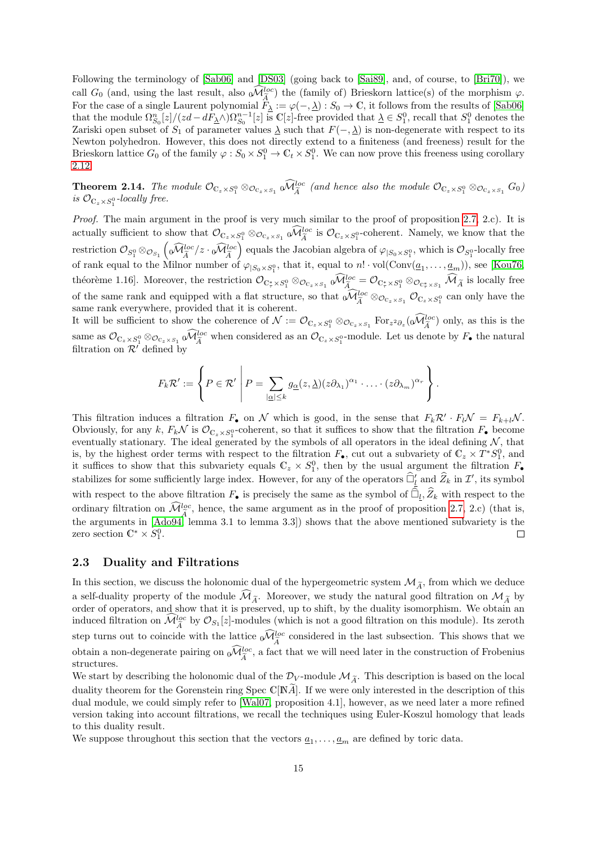Following the terminology of [\[Sab06\]](#page-49-1) and [\[DS03\]](#page-47-0) (going back to [\[Sai89\]](#page-49-7), and, of course, to [\[Bri70\]](#page-47-11)), we call  $G_0$  (and, using the last result, also  $\widehat{\mathcal{M}}_{\widetilde{A}}^{loc}$ ) the (family of) Brieskorn lattice(s) of the morphism  $\varphi$ . For the case of a single Laurent polynomial  $F_{\lambda} := \varphi(-, \lambda) : S_0 \to \mathbb{C}$ , it follows from the results of [\[Sab06\]](#page-49-1) that the module  $\Omega_{S_0}^n[z]/(zd - dF_{\underline{\lambda}} \wedge) \Omega_{S_0}^{n-1}[z]$  is  $\mathbb{C}[z]$ -free provided that  $\underline{\lambda} \in S_1^0$ , recall that  $S_1^0$  denotes the Zariski open subset of  $S_1$  of parameter values  $\lambda$  such that  $F(-, \lambda)$  is non-degenerate with respect to its Newton polyhedron. However, this does not directly extend to a finiteness (and freeness) result for the Brieskorn lattice  $G_0$  of the family  $\varphi: S_0 \times S_1^0 \to \mathbb{C}_t \times S_1^0$ . We can now prove this freeness using corollary [2.12.](#page-12-1)

<span id="page-14-1"></span>**Theorem 2.14.** The module  $\mathcal{O}_{\mathbb{C}_z \times S_1^0} \otimes_{\mathcal{O}_{\mathbb{C}_z \times S_1}} \widehat{\mathcal{M}}_{\widetilde{A}}^{loc}$  (and hence also the module  $\mathcal{O}_{\mathbb{C}_z \times S_1^0} \otimes_{\mathcal{O}_{\mathbb{C}_z \times S_1}} G_0$ ) is  $\mathcal{O}_{\mathbb{C}_z \times S_1^0}$ -locally free.

Proof. The main argument in the proof is very much similar to the proof of proposition [2.7,](#page-0-1) 2.c). It is actually sufficient to show that  $\mathcal{O}_{\mathbb{C}_z\times S_1^0}\otimes_{\mathcal{O}_{\mathbb{C}_z\times S_1}}\widehat{\mathcal{M}}_{\widetilde{A}}^{loc}$  is  $\mathcal{O}_{\mathbb{C}_z\times S_1^0}$ -coherent. Namely, we know that the restriction  $\mathcal{O}_{S_1^0} \otimes_{\mathcal{O}_{S_1}} \left( \widehat{vM}_{\widetilde{A}}^{loc}/z \cdot \widehat{vM}_{\widetilde{A}}^{loc} \right)$ ) equals the Jacobian algebra of  $\varphi_{|S_0 \times S_1^0}$ , which is  $\mathcal{O}_{S_1^0}$ -locally free of rank equal to the Milnor number of  $\varphi_{|S_0 \times S_1^0}$ , that it, equal to  $n! \cdot \text{vol}(\text{Conv}(\underline{a}_1, \ldots, \underline{a}_m))$ , see [\[Kou76,](#page-48-9) théorème 1.16]. Moreover, the restriction  $\mathcal{O}_{\mathbb{C}^*_{\tau}\times S_1^0} \otimes_{\mathcal{O}_{\mathbb{C}_z}\times S_1} \widehat{\mathcal{M}}_{\widetilde{A}}^{loc} = \mathcal{O}_{\mathbb{C}^*_{\tau}\times S_1^0} \otimes_{\mathcal{O}_{\mathbb{C}^*_{\tau}\times S_1}} \widehat{\mathcal{M}}_{\widetilde{A}}$  is locally free of the same rank and equipped with a flat structure, so that  $\widehat{M}_{\widetilde{A}}^{loc} \otimes_{\mathcal{O}_{C_z \times S_1}} \mathcal{O}_{C_z \times S_1^0}$  can only have the same rank everywhere, provided that it is coherent.

It will be sufficient to show the coherence of  $\mathcal{N} := \mathcal{O}_{\mathbb{C}_z \times S_1^0} \otimes_{\mathcal{O}_{\mathbb{C}_z \times S_1}} \text{For}_{z^2 \partial_z}(\sqrt{\mathcal{M}_{\widetilde{A}}^{loc}})$  only, as this is the A<sup>-</sup> same as  $\mathcal{O}_{\mathbb{C}_z \times S_1^0} \otimes \mathcal{O}_{\mathbb{C}_z \times S_1} \widetilde{\mathcal{M}}_A^{loc}$  when considered as an  $\mathcal{O}_{\mathbb{C}_z \times S_1^0}$ -module. Let us denote by  $F_{\bullet}$  the natural filtration on  $\mathbb{Z}'$  defined by filtration on  $\mathcal{R}'$  defined by

$$
F_k \mathcal{R}' := \left\{ P \in \mathcal{R}' \middle| P = \sum_{|\underline{\alpha}| \leq k} g_{\underline{\alpha}}(z, \underline{\lambda})(z \partial_{\lambda_1})^{\alpha_1} \cdot \ldots \cdot (z \partial_{\lambda_m})^{\alpha_r} \right\}.
$$

This filtration induces a filtration  $F_{\bullet}$  on N which is good, in the sense that  $F_k \mathcal{R}' \cdot F_l \mathcal{N} = F_{k+l} \mathcal{N}$ . Obviously, for any k,  $F_k \mathcal{N}$  is  $\mathcal{O}_{\mathbb{C}_z \times S_1^0}$ -coherent, so that it suffices to show that the filtration  $F_{\bullet}$  become eventually stationary. The ideal generated by the symbols of all operators in the ideal defining  $N$ , that is, by the highest order terms with respect to the filtration  $F_{\bullet}$ , cut out a subvariety of  $\mathbb{C}_{z} \times T^{*}S_{1}^{0}$ , and it suffices to show that this subvariety equals  $\mathbb{C}_z \times S_1^0$ , then by the usual argument the filtration  $F_{\bullet}$ stabilizes for some sufficiently large index. However, for any of the operators  $\widehat{\Box}_{\underline{\ell}}^{\underline{\ell}}$  and  $\widehat{Z}_k$  in  $\mathcal{I}^{\prime}$ , its symbol with respect to the above filtration  $F_{\bullet}$  is precisely the same as the symbol of  $\widehat{\Box}_{\underline{l}}, \widehat{Z}_k$  with respect to the ordinary filtration on  $\widehat{\mathcal{M}}_{\widehat{A}}^{loc}$ , hence, the same argument as in the proof of proposition [2.7,](#page-0-1) 2.c) (that is, the arguments in  $[Ado94,$  lemma 3.1 to lemma 3.3]) shows that the above mentioned subvariety is the zero section  $\mathbb{C}^* \times S_1^0$ .  $\Box$ 

#### <span id="page-14-0"></span>2.3 Duality and Filtrations

In this section, we discuss the holonomic dual of the hypergeometric system  $\mathcal{M}_{\tilde{\Lambda}}$ , from which we deduce a self-duality property of the module  $\mathcal{M}_{\tilde{A}}$ . Moreover, we study the natural good filtration on  $\mathcal{M}_{\tilde{A}}$  by order of operators, and show that it is preserved, up to shift, by the duality isomorphism. We obtain an induced filtration on  $\widehat{\mathcal{M}}_{\widetilde{A}}^{loc}$  by  $\mathcal{O}_{S_1}[z]$ -modules (which is not a good filtration on this module). Its zeroth step turns out to coincide with the lattice  $\widehat{\mathcal{M}}_{\widetilde{A}}^{loc}$  considered in the last subsection. This shows that we obtain a non-degenerate pairing on  $\widehat{M}_{\widetilde{A}}^{loc}$ , a fact that we will need later in the construction of Frobenius<br>structures structures.

We start by describing the holonomic dual of the  $\mathcal{D}_V$ -module  $\mathcal{M}_{\tilde{\Lambda}}$ . This description is based on the local duality theorem for the Gorenstein ring Spec  $\mathbb{C}[\tilde{N}\tilde{A}]$ . If we were only interested in the description of this dual module, we could simply refer to [\[Wal07,](#page-50-1) proposition 4.1], however, as we need later a more refined version taking into account filtrations, we recall the techniques using Euler-Koszul homology that leads to this duality result.

We suppose throughout this section that the vectors  $\underline{a}_1, \ldots, \underline{a}_m$  are defined by toric data.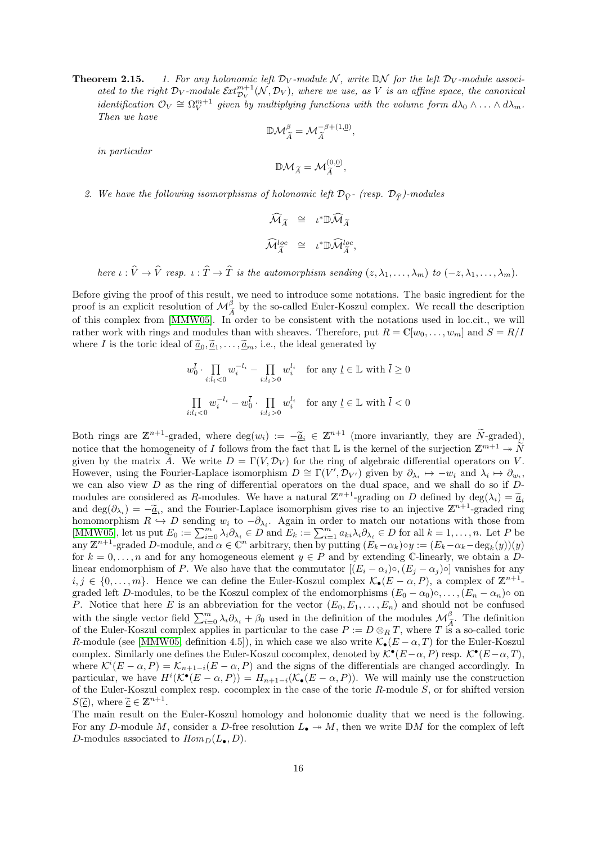**Theorem 2.15.** 1. For any holonomic left  $\mathcal{D}_V$ -module N, write  $\mathbb{D}\mathcal{N}$  for the left  $\mathcal{D}_V$ -module associated to the right  $\mathcal{D}_V$ -module  $\mathcal{E}xt_{\mathcal{D}_V}^{m+1}(\mathcal{N},\mathcal{D}_V)$ , where we use, as V is an affine space, the canonical identification  $\mathcal{O}_V \cong \Omega_V^{m+1}$  given by multiplying functions with the volume form  $d\lambda_0 \wedge \ldots \wedge d\lambda_m$ . Then we have

$$
\mathbb{D}\mathcal{M}_{\widetilde{A}}^{\beta}=\mathcal{M}_{\widetilde{A}}^{-\beta+(1,\underline{0})},
$$

in particular

$$
\mathbb{D}\mathcal{M}_{\widetilde{A}}=\mathcal{M}_{\widetilde{A}}^{(0,\underline{0})},
$$

2. We have the following isomorphisms of holonomic left  $\mathcal{D}_{\widehat{V}}$  - (resp.  $\mathcal{D}_{\widehat{T}}$ )-modules

$$
\widehat{\mathcal{M}}_{\widetilde{A}} \cong \iota^* \mathbb{D} \widehat{\mathcal{M}}_{\widetilde{A}}
$$
  

$$
\widehat{\mathcal{M}}_{\widetilde{A}}^{loc} \cong \iota^* \mathbb{D} \widehat{\mathcal{M}}_{\widetilde{A}}^{loc},
$$

here  $\iota : \widehat{V} \to \widehat{V}$  resp.  $\iota : \widehat{T} \to \widehat{T}$  is the automorphism sending  $(z, \lambda_1, \ldots, \lambda_m)$  to  $(-z, \lambda_1, \ldots, \lambda_m)$ .

Before giving the proof of this result, we need to introduce some notations. The basic ingredient for the proof is an explicit resolution of  $\mathcal{M}_{\tau}^{\beta}$  by the so-called Euler-Koszul complex. We recall the description of this complex from  $[MMW05]$ . In order to be consistent with the notations used in loc.cit., we will rather work with rings and modules than with sheaves. Therefore, put  $R = \mathbb{C}[w_0, \ldots, w_m]$  and  $S = R/I$ where *I* is the toric ideal of  $\tilde{\underline{a}}_0, \tilde{\underline{a}}_1, \ldots, \tilde{\underline{a}}_m$ , i.e., the ideal generated by

$$
w_0^{\overline{l}} \cdot \prod_{i:l_i < 0} w_i^{-l_i} - \prod_{i:l_i > 0} w_i^{l_i} \quad \text{for any } \underline{l} \in \mathbb{L} \text{ with } \overline{l} \ge 0
$$
\n
$$
\prod_{i:l_i < 0} w_i^{-l_i} - w_0^{\overline{l}} \cdot \prod_{i:l_i > 0} w_i^{l_i} \quad \text{for any } \underline{l} \in \mathbb{L} \text{ with } \overline{l} < 0
$$

Both rings are  $\mathbb{Z}^{n+1}$ -graded, where  $\deg(w_i) := -\tilde{a}_i \in \mathbb{Z}^{n+1}$  (more invariantly, they are  $\tilde{N}$ -graded), notice that the homogeneity of I follows from the fact that L is the kernel of the surjection  $\mathbb{Z}^{m+1} \to \tilde{N}$ given by the matrix A. We write  $D = \Gamma(V, \mathcal{D}_V)$  for the ring of algebraic differential operators on V. However, using the Fourier-Laplace isomorphism  $D \cong \Gamma(V', \mathcal{D}_{V'})$  given by  $\partial_{\lambda_i} \mapsto -w_i$  and  $\lambda_i \mapsto \partial_{w_i}$ , we can also view  $D$  as the ring of differential operators on the dual space, and we shall do so if  $D$ modules are considered as R-modules. We have a natural  $\mathbb{Z}^{n+1}$ -grading on D defined by deg( $\lambda_i$ ) =  $\tilde{a}_i$ and deg( $\partial_{\lambda_i}$ ) =  $-\tilde{a}_i$ , and the Fourier-Laplace isomorphism gives rise to an injective  $\mathbb{Z}^{n+1}$ -graded ring<br>homomorphism  $B \leftrightarrow D$  sonding  $w_i$  to  $-\partial_i$ . Again in order to match our notations with those from homomorphism  $R \hookrightarrow D$  sending  $w_i$  to  $-\partial_{\lambda_i}$ . Again in order to match our notations with those from [\[MMW05\]](#page-48-12), let us put  $E_0 := \sum_{i=0}^m \lambda_i \partial_{\lambda_i} \in D$  and  $E_k := \sum_{i=1}^m a_{ki} \lambda_i \partial_{\lambda_i} \in D$  for all  $k = 1, \ldots, n$ . Let P be any  $\mathbb{Z}^{n+1}$ -graded D-module, and  $\alpha \in \mathbb{C}^n$  arbitrary, then by putting  $(E_k - \alpha_k) \circ y := (E_k - \alpha_k - \deg_k(y))(y)$ for  $k = 0, \ldots, n$  and for any homogeneous element  $y \in P$  and by extending C-linearly, we obtain a Dlinear endomorphism of P. We also have that the commutator  $[(E_i - \alpha_i) \circ (E_j - \alpha_j) \circ]$  vanishes for any  $i, j \in \{0, \ldots, m\}$ . Hence we can define the Euler-Koszul complex  $\mathcal{K}_{\bullet}(E-\alpha, P)$ , a complex of  $\mathbb{Z}^{n+1}$ graded left D-modules, to be the Koszul complex of the endomorphisms  $(E_0 - \alpha_0) \circ, \ldots, (E_n - \alpha_n) \circ$  on P. Notice that here E is an abbreviation for the vector  $(E_0, E_1, \ldots, E_n)$  and should not be confused with the single vector field  $\sum_{i=0}^{m} \lambda_i \partial_{\lambda_i} + \beta_0$  used in the definition of the modules  $\mathcal{M}_{\tilde{A}}^{\beta}$ . The definition of the Euler-Koszul complex applies in particular to the case  $P = D \otimes_R T$  where  $T$  is a soof the Euler-Koszul complex applies in particular to the case  $P := D \otimes_R T$ , where T is a so-called toric R-module (see [\[MMW05,](#page-48-12) definition 4.5]), in which case we also write  $\mathcal{K}_{\bullet}(E-\alpha,T)$  for the Euler-Koszul complex. Similarly one defines the Euler-Koszul cocomplex, denoted by  $\mathcal{K}^{\bullet}(E-\alpha, P)$  resp.  $\mathcal{K}^{\bullet}(E-\alpha, T)$ , where  $\mathcal{K}^i(E-\alpha, P) = \mathcal{K}_{n+1-i}(E-\alpha, P)$  and the signs of the differentials are changed accordingly. In particular, we have  $H^i(\mathcal{K}^\bullet(E-\alpha,P)) = H_{n+1-i}(\mathcal{K}_\bullet(E-\alpha,P)).$  We will mainly use the construction of the Euler-Koszul complex resp. cocomplex in the case of the toric R-module S, or for shifted version  $S(\underline{\widetilde{c}})$ , where  $\underline{\widetilde{c}} \in \mathbb{Z}^{n+1}$ .<br>The main result on the

The main result on the Euler-Koszul homology and holonomic duality that we need is the following. For any D-module M, consider a D-free resolution  $L_{\bullet} \to M$ , then we write DM for the complex of left D-modules associated to  $Hom_D(L_{\bullet}, D)$ .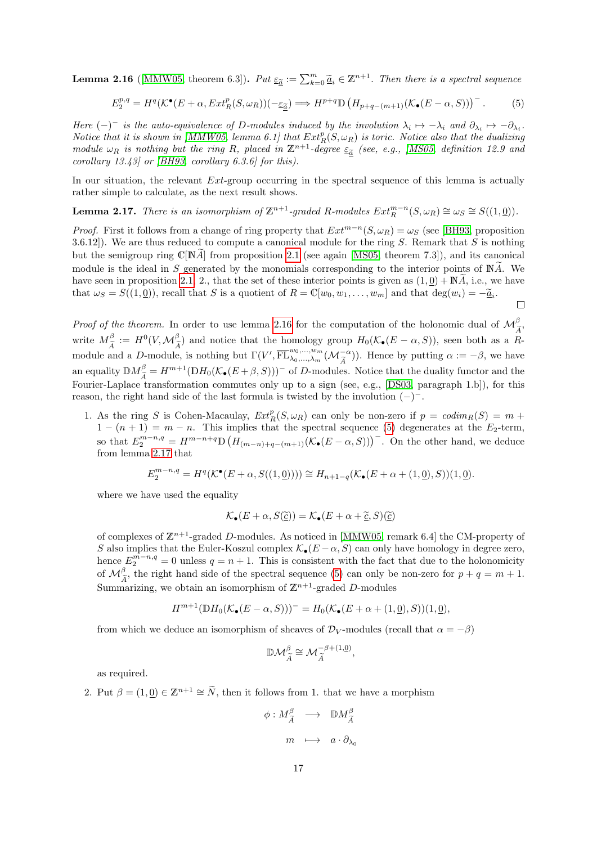<span id="page-16-0"></span>**Lemma 2.16** ([\[MMW05,](#page-48-12) theorem 6.3]). Put  $\underline{\varepsilon}_{\underline{\tilde{a}}} := \sum_{k=0}^{m} \underline{\tilde{a}}_i \in \mathbb{Z}^{n+1}$ . Then there is a spectral sequence

<span id="page-16-1"></span>
$$
E_2^{p,q} = H^q(\mathcal{K}^\bullet(E + \alpha, Ext_R^p(S, \omega_R))(-\underline{\varepsilon}_{\underline{\tilde{a}}}) \Longrightarrow H^{p+q} \mathbb{D}\left(H_{p+q-(m+1)}(\mathcal{K}_\bullet(E - \alpha, S))\right)^{-}.
$$
 (5)

Here  $(-)^-$  is the auto-equivalence of D-modules induced by the involution  $\lambda_i \mapsto -\lambda_i$  and  $\partial_{\lambda_i} \mapsto -\partial_{\lambda_i}$ . Notice that it is shown in [\[MMW05,](#page-48-12) lemma 6.1] that  $Ext^p_R(S, \omega_R)$  is toric. Notice also that the dualizing module  $\omega_R$  is nothing but the ring R, placed in  $\mathbb{Z}^{n+1}$ -degree  $\underline{\varepsilon}_{\underline{\alpha}}$  (see, e.g., [\[MS05,](#page-49-6) definition 12.9 and<br>consillar 12.12 on [BH02, consillary 6.2.6] for this) corollary 13.43] or [\[BH93,](#page-47-5) corollary 6.3.6] for this).

In our situation, the relevant  $Ext$ -group occurring in the spectral sequence of this lemma is actually rather simple to calculate, as the next result shows.

<span id="page-16-2"></span>**Lemma 2.17.** There is an isomorphism of  $\mathbb{Z}^{n+1}$ -graded R-modules  $Ext_{R}^{m-n}(S,\omega_{R}) \cong \omega_{S} \cong S((1,0)).$ 

*Proof.* First it follows from a change of ring property that  $Ext^{m-n}(S, \omega_R) = \omega_S$  (see [\[BH93,](#page-47-5) proposition 3.6.12]). We are thus reduced to compute a canonical module for the ring  $S$ . Remark that  $S$  is nothing but the semigroup ring  $\mathbb{C}[NA]$  from proposition [2.1](#page-0-1) (see again [\[MS05,](#page-49-6) theorem 7.3]), and its canonical module is the ideal in S generated by the monomials corresponding to the interior points of  $\mathbb{N}\tilde{A}$ . We have seen in proposition [2.1,](#page-0-1) 2., that the set of these interior points is given as  $(1, 0) + NA$ , i.e., we have that  $\omega_S = S((1, 0))$ , recall that S is a quotient of  $R = \mathbb{C}[w_0, w_1, \dots, w_m]$  and that  $\deg(w_i) = -\tilde{a}_i$ .  $\Box$ 

*Proof of the theorem.* In order to use lemma [2.16](#page-16-0) for the computation of the holonomic dual of  $\mathcal{M}_{\gamma}^{\beta}$ , write  $M_{\widetilde{A}}^{\beta} := H^0(V, \mathcal{M}_{\widetilde{A}}^{\beta})$  and notice that the homology group  $H_0(\mathcal{K}_{\bullet}(E - \alpha, S))$ , seen both as a Rmodule and a D-module, is nothing but  $\Gamma(V', \overline{\mathrm{FL}}_{\lambda_0,\ldots,\lambda_m}^{w_0,\ldots,w_m}(\mathcal{M}_{\widetilde{A}}^{-\alpha}))$ . Hence by putting  $\alpha := -\beta$ , we have an equality  $\mathbb{D}M_A^{\beta} = H^{m+1}(\mathbb{D}H_0(\mathcal{K}_{\bullet}(E+\beta, S)))^{-}$  of D-modules. Notice that the duality functor and the Fourier-Laplace transformation commutes only up to a sign (see, e.g., [\[DS03,](#page-47-0) paragraph 1.b]), for this reason, the right hand side of the last formula is twisted by the involution  $(-)^-$ .

1. As the ring S is Cohen-Macaulay,  $Ext^p_R(S, \omega_R)$  can only be non-zero if  $p = codim_R(S) = m +$  $1 - (n + 1) = m - n$ . This implies that the spectral sequence [\(5\)](#page-16-1) degenerates at the  $E_2$ -term, so that  $E_2^{m-n,q} = H^{m-n+q} \mathbb{D} \left( H_{(m-n)+q-(m+1)}(\mathcal{K}_{\bullet}(E-\alpha, S)) \right)$ . On the other hand, we deduce from lemma [2.17](#page-16-2) that

$$
E_2^{m-n,q} = H^q(\mathcal{K}^\bullet(E + \alpha, S((1, \underline{0})))) \cong H_{n+1-q}(\mathcal{K}_\bullet(E + \alpha + (1, \underline{0}), S))(1, \underline{0}).
$$

where we have used the equality

$$
\mathcal{K}_{\bullet}(E+\alpha, S(\widetilde{\underline{c}})) = \mathcal{K}_{\bullet}(E+\alpha+\widetilde{\underline{c}}, S)(\widetilde{\underline{c}})
$$

of complexes of  $\mathbb{Z}^{n+1}$ -graded D-modules. As noticed in [\[MMW05,](#page-48-12) remark 6.4] the CM-property of S also implies that the Euler-Koszul complex  $\mathcal{K}_{\bullet}(E-\alpha, S)$  can only have homology in degree zero, hence  $E_2^{m-n,q} = 0$  unless  $q = n + 1$ . This is consistent with the fact that due to the holonomicity of  $\mathcal{M}_{\tilde{d}}^{\beta}$ , the right hand side of the spectral sequence [\(5\)](#page-16-1) can only be non-zero for  $p + q = m + 1$ . Summarizing, we obtain an isomorphism of  $\mathbb{Z}^{n+1}$ -graded D-modules

$$
H^{m+1}(\mathbb{D}H_0(\mathcal{K}_{\bullet}(E-\alpha,S)))^{-}=H_0(\mathcal{K}_{\bullet}(E+\alpha+(1,\underline{0}),S))(1,\underline{0}),
$$

from which we deduce an isomorphism of sheaves of  $\mathcal{D}_V$ -modules (recall that  $\alpha = -\beta$ )

$$
\mathbb{D}\mathcal{M}_{\widetilde{A}}^{\beta} \cong \mathcal{M}_{\widetilde{A}}^{-\beta + (1,\underline{0})}
$$

,

as required.

2. Put  $\beta = (1, 0) \in \mathbb{Z}^{n+1} \cong \tilde{N}$ , then it follows from 1. that we have a morphism

$$
\begin{array}{rcl}\n\phi: M_{\widetilde{A}}^{\beta} & \longrightarrow & \mathbb{D}M_{\widetilde{A}}^{\beta} \\
m & \longmapsto & a\cdot \partial_{\lambda_0}\n\end{array}
$$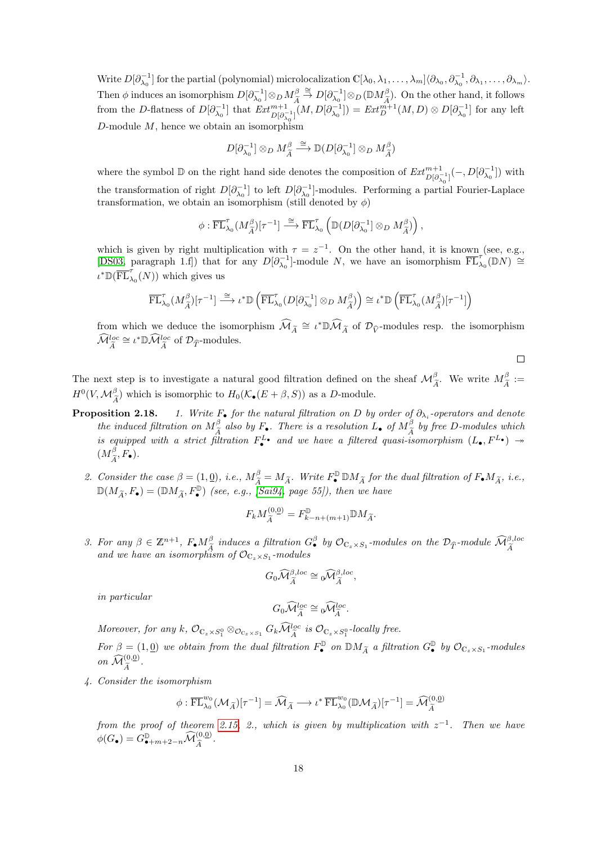Write  $D[\partial_{\lambda_0}^{-1}]$  for the partial (polynomial) microlocalization  $\mathbb{C}[\lambda_0, \lambda_1, \ldots, \lambda_m] \langle \partial_{\lambda_0}, \partial_{\lambda_0}^{-1}, \partial_{\lambda_1}, \ldots, \partial_{\lambda_m} \rangle$ . Then  $\phi$  induces an isomorphism  $D[\partial_{\lambda_0}^{-1}] \otimes_D M_A^{\beta} \stackrel{\cong}{\to} D[\partial_{\lambda_0}^{-1}] \otimes_D (\mathbb{D} M_A^{\beta})$ . On the other hand, it follows from the D-flatness of  $D[\partial_{\lambda_0}^{-1}]$  that  $Ext_{D[\partial_{\lambda_0}^{-1}]}^{m+1}(M, D[\partial_{\lambda_0}^{-1}]) = Ext_D^{m+1}(M, D) \otimes D[\partial_{\lambda_0}^{-1}]$  for any left D-module  $M$ , hence we obtain an isomorphism

$$
D[\partial^{-1}_{\lambda_0}]\otimes_D M_{\widetilde{A}}^\beta\stackrel{\cong}{\longrightarrow} \mathbb{D}(D[\partial^{-1}_{\lambda_0}]\otimes_D M_{\widetilde{A}}^\beta)
$$

where the symbol  $\mathbb D$  on the right hand side denotes the composition of  $Ext^{m+1}_{D[\partial_{\lambda_0}^{-1}]}(-, D[\partial_{\lambda_0}^{-1}])$  with the transformation of right  $D[\partial_{\lambda_0}^{-1}]$  to left  $D[\partial_{\lambda_0}^{-1}]$ -modules. Performing a partial Fourier-Laplace transformation, we obtain an isomorphism (still denoted by  $\phi$ )

$$
\phi: \overline{\mathrm{FL}}_{\lambda_0}^{\tau}(M_{\widetilde{A}}^{\beta})[\tau^{-1}] \stackrel{\cong}{\longrightarrow} \overline{\mathrm{FL}}_{\lambda_0}^{\tau} \left( \mathbb{D}(D[\partial_{\lambda_0}^{-1}] \otimes_D M_{\widetilde{A}}^{\beta}) \right),
$$

which is given by right multiplication with  $\tau = z^{-1}$ . On the other hand, it is known (see, e.g., [\[DS03,](#page-47-0) paragraph 1.f]) that for any  $D[\partial_{\lambda_0}^{-1}]$ -module N, we have an isomorphism  $\overline{\mathrm{FL}}_{\lambda_0}^{\tau}(\mathbb{D}N) \cong$  $u^* \mathbb{D}(\overline{\mathrm{FL}}_{\lambda_0}^{\tau}(N))$  which gives us

$$
\overline{\mathrm{FL}}^{\tau}_{\lambda_0}(M^{\beta}_{\widetilde{A}})[\tau^{-1}] \stackrel{\cong}{\longrightarrow} \iota^* \mathbb{D}\left(\overline{\mathrm{FL}}^{\tau}_{\lambda_0}(D[\partial_{\lambda_0}^{-1}] \otimes_D M^{\beta}_{\widetilde{A}})\right) \cong \iota^* \mathbb{D}\left(\overline{\mathrm{FL}}^{\tau}_{\lambda_0}(M^{\beta}_{\widetilde{A}})[\tau^{-1}]\right)
$$

from which we deduce the isomorphism  $\widehat{\mathcal{M}}_{\widetilde{A}} \cong \iota^* \mathbb{D} \widehat{\mathcal{M}}_{\widetilde{A}}$  of  $\mathcal{D}_{\widehat{V}}$ -modules resp. the isomorphism  $\widehat{\mathcal{M}}_{\widetilde{A}}^{loc} \cong \iota^* \mathbb{D} \widehat{\mathcal{M}}_{\widetilde{A}}^{loc}$  of  $\mathcal{D}_{\widehat{T}}$ -modules.

 $\Box$ 

The next step is to investigate a natural good filtration defined on the sheaf  $\mathcal{M}_{\widetilde{A}}^{\beta}$ . We write  $M_{\widetilde{A}}^{\beta} :=$  $H^0(V, \mathcal{M}_{\widetilde{A}}^{\beta})$  which is isomorphic to  $H_0(\mathcal{K}_\bullet(E+\beta, S))$  as a D-module.

- **Proposition 2.18.** 1. Write  $F_{\bullet}$  for the natural filtration on D by order of  $\partial_{\lambda_i}$ -operators and denote the induced filtration on  $M^{\beta}_{\tilde{A}}$  also by  $F_{\bullet}$ . There is a resolution  $L_{\bullet}$  of  $M^{\beta}_{\tilde{A}}$  by free D-modules which is equipped with a strict filtration  $F_{\bullet}^{L_{\bullet}}$  and we have a filtered quasi-isomorphism  $(L_{\bullet}, F^{L_{\bullet}}) \rightarrow$  $(M_{\widetilde{A}}^{\beta}, F_{\bullet}).$ 
	- 2. Consider the case  $\beta = (1, 0)$ , i.e.,  $M_{\tilde{A}}^{\beta} = M_{\tilde{A}}$ . Write  $F_{\bullet}^{\mathbb{D}} \mathbb{D} M_{\tilde{A}}$  for the dual filtration of  $F_{\bullet} M_{\tilde{A}}$ , i.e.,  $\mathbb{D}(M_{\widetilde{A}}, F_{\bullet}) = (\mathbb{D}M_{\widetilde{A}}, F_{\bullet}^{\mathbb{D}})$  (see, e.g., *[Sai94*, page 55]), then we have

$$
F_k M_{\widetilde{A}}^{(0,\underline{0})} = F_{k-n+(m+1)}^{\mathbb{D}} \mathbb{D} M_{\widetilde{A}}.
$$

3. For any  $\beta \in \mathbb{Z}^{n+1}$ ,  $F_{\bullet} M_{\tilde{A}}^{\beta}$  induces a filtration  $G_{\bullet}^{\beta}$  by  $\mathcal{O}_{\mathbb{C}_z \times S_1}$ -modules on the  $\mathcal{D}_{\hat{T}}$ -module  $\widehat{\mathcal{M}}_{\tilde{A}}^{\beta,loc}$ <br>and we have an isomorphism of  $\mathcal{O}_{\mathbb{C}_z \times S_1}$ -m

$$
G_0 \widehat{\mathcal{M}}_{\widetilde{A}}^{\beta, loc} \cong {}_0 \widehat{\mathcal{M}}_{\widetilde{A}}^{\beta, loc},
$$

in particular

$$
G_0\widehat{\mathcal{M}}_{\widetilde{A}}^{loc} \cong {}_0\widehat{\mathcal{M}}_{\widetilde{A}}^{loc}.
$$

Moreover, for any  $k$ ,  $\mathcal{O}_{\mathbb{C}_z \times S_1^0} \otimes_{\mathcal{O}_{\mathbb{C}_z \times S_1}} G_k \widehat{\mathcal{M}}_{\widetilde{A}}^{loc}$  is  $\mathcal{O}_{\mathbb{C}_z \times S_1^0}$ -locally free.

For  $\beta = (1, 0)$  we obtain from the dual filtration  $F_{\bullet}^{\mathbb{D}}$  on  $\mathbb{D}M_{\widetilde{A}}$  a filtration  $G_{\bullet}^{\mathbb{D}}$  by  $\mathcal{O}_{\mathbb{C}_{z} \times S_1}$ -modules on  $\widehat{\mathcal{M}}_{\widetilde{A}}^{(0,\underline{0})}$ .

4. Consider the isomorphism

$$
\phi : \overline{\mathrm{FL}}_{\lambda_0}^{w_0}(\mathcal{M}_{\widetilde{A}})[\tau^{-1}] = \widehat{\mathcal{M}}_{\widetilde{A}} \longrightarrow \iota^* \overline{\mathrm{FL}}_{\lambda_0}^{w_0}(\mathbb{D}\mathcal{M}_{\widetilde{A}})[\tau^{-1}] = \widehat{\mathcal{M}}_{\widetilde{A}}^{(0,0)}
$$

from the proof of theorem [2.15,](#page-0-1) 2., which is given by multiplication with  $z^{-1}$ . Then we have  $\phi(G_{\bullet}) = G_{\bullet+m+2-n}^{\mathbb{D}} \widehat{\mathcal{M}}_{\widehat{A}}^{(0,\underline{0})}.$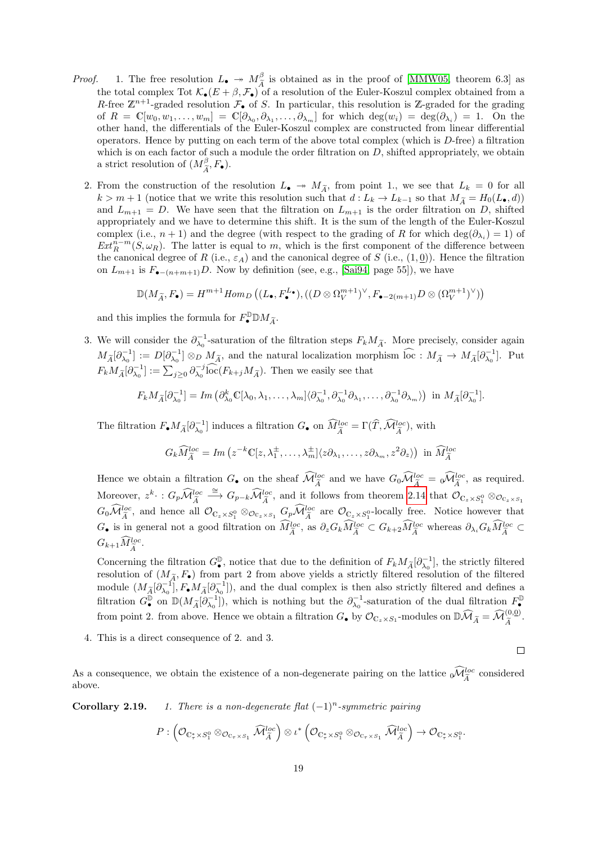- *Proof.* 1. The free resolution  $L_{\bullet} \rightarrow M_{\tilde{\lambda}}^{\beta}$  is obtained as in the proof of [\[MMW05,](#page-48-12) theorem 6.3] as the total complex Tot  $\mathcal{K}_{\bullet}(E + \beta, \mathcal{F}_{\bullet})$  of a resolution of the Euler-Koszul complex obtained from a R-free  $\mathbb{Z}^{n+1}$ -graded resolution  $\mathcal{F}_{\bullet}$  of S. In particular, this resolution is Z-graded for the grading of  $R = \mathbb{C}[w_0, w_1, \dots, w_m] = \mathbb{C}[\partial_{\lambda_0}, \partial_{\lambda_1}, \dots, \partial_{\lambda_m}]$  for which  $\deg(w_i) = \deg(\partial_{\lambda_i}) = 1$ . On the other hand, the differentials of the Euler-Koszul complex are constructed from linear differential operators. Hence by putting on each term of the above total complex (which is  $D$ -free) a filtration which is on each factor of such a module the order filtration on  $D$ , shifted appropriately, we obtain a strict resolution of  $(M_{\widetilde{A}}^{\beta}, F_{\bullet}).$ 
	- 2. From the construction of the resolution  $L_{\bullet} \rightarrow M_{\widetilde{A}}$ , from point 1., we see that  $L_k = 0$  for all  $k > m + 1$  (notice that we write this resolution such that  $d: L_k \to L_{k-1}$  so that  $M_{\widetilde{A}} = H_0(L_{\bullet}, d)$ ) and  $L_{m+1} = D$ . We have seen that the filtration on  $L_{m+1}$  is the order filtration on D, shifted appropriately and we have to determine this shift. It is the sum of the length of the Euler-Koszul complex (i.e.,  $n + 1$ ) and the degree (with respect to the grading of R for which  $deg(\partial_{\lambda_i}) = 1$ ) of  $Ext^{n-m}_R(S, \omega_R)$ . The latter is equal to m, which is the first component of the difference between the canonical degree of R (i.e.,  $\varepsilon_A$ ) and the canonical degree of S (i.e.,  $(1, 0)$ ). Hence the filtration on  $L_{m+1}$  is  $F_{\bullet-(n+m+1)}D$ . Now by definition (see, e.g., [\[Sai94,](#page-49-11) page 55]), we have

$$
\mathbb{D}(M_{\widetilde{A}}, F_{\bullet}) = H^{m+1}Hom_D\left((L_{\bullet}, F_{\bullet}^{L_{\bullet}}), ((D \otimes \Omega_V^{m+1})^{\vee}, F_{\bullet-2(m+1)}D \otimes (\Omega_V^{m+1})^{\vee})\right)
$$

and this implies the formula for  $F_{\bullet}^{\mathbb{D}} \mathbb{D} M_{\tilde{A}}$ .

3. We will consider the  $\partial_{\lambda_0}^{-1}$ -saturation of the filtration steps  $F_kM_{\tilde{A}}$ . More precisely, consider again  $M_{\widetilde{A}}[\partial_{\lambda_0}^{-1}] := D[\partial_{\lambda_0}^{-1}] \otimes_D M_{\widetilde{A}},$  and the natural localization morphism  $\widehat{loc}: M_{\widetilde{A}} \to M_{\widetilde{A}}[\partial_{\lambda_0}^{-1}]$ . Put  $F_k M_{\tilde{A}}[\partial_{\lambda_0}^{-1}] := \sum_{j \geq 0} \partial_{\lambda_0}^{-j} \widehat{\text{loc}}(F_{k+j} M_{\tilde{A}}).$  Then we easily see that

$$
F_k M_{\widetilde{A}}[\partial_{\lambda_0}^{-1}] = Im \left( \partial_{\lambda_0}^k \mathbb{C}[\lambda_0, \lambda_1, \dots, \lambda_m] \langle \partial_{\lambda_0}^{-1}, \partial_{\lambda_0}^{-1} \partial_{\lambda_1}, \dots, \partial_{\lambda_0}^{-1} \partial_{\lambda_m} \rangle \right) \text{ in } M_{\widetilde{A}}[\partial_{\lambda_0}^{-1}].
$$

The filtration  $F_{\bullet} M_{\tilde{A}} [\partial_{\lambda_0}^{-1}]$  induces a filtration  $G_{\bullet}$  on  $\widehat{M}_{\tilde{A}}^{loc} = \Gamma(\widehat{T}, \widehat{\mathcal{M}}_{\tilde{A}}^{loc})$ , with

$$
G_k \widehat{M}_{\widetilde{A}}^{loc} = Im\left(z^{-k}\mathbb{C}[z,\lambda_1^{\pm},\ldots,\lambda_m^{\pm}]\langle z\partial_{\lambda_1},\ldots,z\partial_{\lambda_m},z^2\partial_z\rangle\right) \text{ in } \widehat{M}_{\widetilde{A}}^{loc}
$$

Hence we obtain a filtration  $G_{\bullet}$  on the sheaf  $\widehat{\mathcal{M}}_{\widetilde{A}}^{loc}$  and we have  $G_0 \widehat{\mathcal{M}}_{\widetilde{A}}^{loc} = \widehat{\mathcal{M}}_{\widetilde{A}}^{loc}$ , as required. A  $\lim_{A \to A}$ Moreover,  $z^k$  :  $G_p \widehat{\mathcal{M}}_{\widetilde{A}}^{loc} \stackrel{\cong}{\longrightarrow} G_{p-k} \widehat{\mathcal{M}}_{\widetilde{A}}^{loc}$ , and it follows from theorem [2.14](#page-14-1) that  $\mathcal{O}_{\mathbb{C}_z \times S_1^0} \otimes_{\mathcal{O}_{\mathbb{C}_z \times S_1}}$  $G_0 \widehat{\mathcal{M}}_{\widetilde{A}}^{loc}$ , and hence all  $\mathcal{O}_{\mathbb{C}_z \times S_1^0} \otimes_{\mathcal{O}_{\mathbb{C}_z \times S_1}} G_p \widehat{\mathcal{M}}_{\widetilde{A}}^{loc}$  are  $\mathcal{O}_{\mathbb{C}_z \times S_1^0}$ -locally free. Notice however that  $G_{\bullet}$  is in general not a good filtration on  $\tilde{M}_{\tilde{A}}^{loc}$ , as  $\partial_z G_k \tilde{M}_{\tilde{A}}^{loc} \subset G_{k+2} \tilde{M}_{\tilde{A}}^{loc}$  whereas  $\partial_{\lambda_i} G_k \tilde{M}_{\tilde{A}}^{loc} \subset \tilde{C}_{k+2}$  $G_{k+1} \widehat{M}_{\widetilde{A}}^{loc}.$ 

Concerning the filtration  $G_{\mathbf{p}}^{\mathbb{D}}$ , notice that due to the definition of  $F_k M_{\widetilde{A}}[\partial_{\lambda_0}^{-1}]$ , the strictly filtered resolution of  $(M_{\widetilde{A}}, F_{\bullet})$  from part 2 from above yields a strictly filtered resolution of the filtered module  $(M_{\tilde{A}}[\partial_{\lambda_0}^{-1}], F_{\bullet}M_{\tilde{A}}[\partial_{\lambda_0}^{-1}])$ , and the dual complex is then also strictly filtered and defines a filtration  $G^{\mathbb{D}}_{\bullet}$  on  $\mathbb{D}(M_{\widetilde{A}}[\partial_{\lambda_0}^{-1}])$ , which is nothing but the  $\partial_{\lambda_0}^{-1}$ -saturation of the dual filtration  $F^{\mathbb{D}}_{\bullet}$ from point 2. from above. Hence we obtain a filtration  $G_{\bullet}$  by  $\mathcal{O}_{\mathbb{C}_z \times S_1}$ -modules on  $\mathbb{D} \widehat{\mathcal{M}}_{\widetilde{A}} = \widehat{\mathcal{M}}_{\widetilde{A}}^{(0,0)}$ .

 $\Box$ 

4. This is a direct consequence of 2. and 3.

As a consequence, we obtain the existence of a non-degenerate pairing on the lattice  $\delta \widetilde{M}_{\widetilde{A}}^{loc}$  considered above.

**Corollary 2.19.** 1. There is a non-degenerate flat  $(-1)^n$ -symmetric pairing

$$
P: \left(\mathcal{O}_{\mathbb{C}_{\tau}^{\ast} \times S_{1}^{0}} \otimes_{\mathcal{O}_{\mathbb{C}_{\tau} \times S_{1}}} \widehat{\mathcal{M}}_{\widetilde{A}}^{loc}\right) \otimes \iota^{*}\left(\mathcal{O}_{\mathbb{C}_{\tau}^{\ast} \times S_{1}^{0}} \otimes_{\mathcal{O}_{\mathbb{C}_{\tau} \times S_{1}}} \widehat{\mathcal{M}}_{\widetilde{A}}^{loc}\right) \to \mathcal{O}_{\mathbb{C}_{\tau}^{\ast} \times S_{1}^{0}}.
$$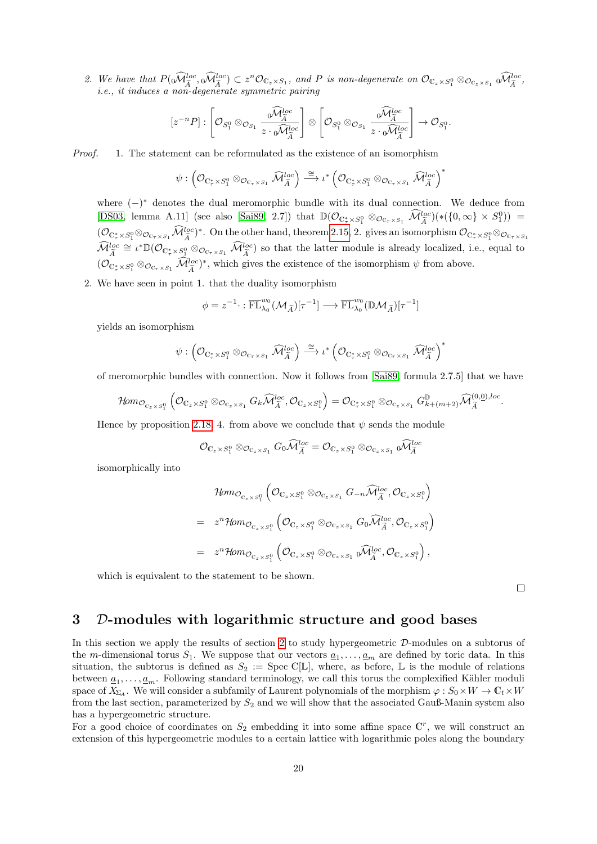2. We have that  $P(\widetilde{M}_{\widetilde{A}}^{loc}, \widetilde{M}_{\widetilde{B}}^{loc}) \subset z^n \mathcal{O}_{\mathbb{C}_z \times S_1}$ , and P is non-degenerate on  $\mathcal{O}_{\mathbb{C}_z \times S_1^0} \otimes_{\mathcal{O}_{\mathbb{C}_z \times S_1}} \widetilde{M}_{\widetilde{A}}^{loc}$ ,<br>i.e. it induces a non-degenerate symmetric pairing i.e., it induces a non-degenerate symmetric pairing

$$
[z^{-n}P] : \left[\mathcal{O}_{S_1^0} \otimes_{\mathcal{O}_{S_1}} \frac{\sqrt{\mathcal{M}_{\widetilde{A}}^{loc}}}{z \cdot \sqrt{\mathcal{M}_{\widetilde{A}}^{loc}}}\right] \otimes \left[\mathcal{O}_{S_1^0} \otimes_{\mathcal{O}_{S_1}} \frac{\sqrt{\mathcal{M}_{\widetilde{A}}^{loc}}}{z \cdot \sqrt{\mathcal{M}_{\widetilde{A}}^{loc}}}\right] \to \mathcal{O}_{S_1^0}.
$$

Proof. 1. The statement can be reformulated as the existence of an isomorphism

$$
\psi: \left(\mathcal{O}_{\mathbb{C}^*_{\tau}\times S^0_1}\otimes_{\mathcal{O}_{\mathbb{C}_{\tau}\times S_1}}\widehat{\mathcal{M}}_{\widetilde{A}}^{loc}\right)\stackrel{\cong}\longrightarrow \iota^*\left(\mathcal{O}_{\mathbb{C}^*_{\tau}\times S^0_1}\otimes_{\mathcal{O}_{\mathbb{C}_{\tau}\times S_1}}\widehat{\mathcal{M}}_{\widetilde{A}}^{loc}\right)^*
$$

where  $(-)^*$  denotes the dual meromorphic bundle with its dual connection. We deduce from [\[DS03,](#page-47-0) lemma A.11] (see also [\[Sai89,](#page-49-7) 2.7]) that  $\mathbb{D}(\mathcal{O}_{\mathbb{C}^*_{\tau}\times S_1^0}\otimes_{\mathcal{O}_{\mathbb{C}_{\tau}\times S_1}}\widehat{\mathcal{M}}_{\widetilde{A}}^{loc})(*(\{0,\infty\}\times S_1^0)) =$  $\boldsymbol{A}$  $(\mathcal{O}_{\mathbb{C}^*_\tau \times S_1^0} \otimes_{\mathcal{O}_{\mathbb{C}_\tau \times S_1}} \widetilde{\mathcal{M}}_{\widetilde{A}}^{loc})^*$ . On the other hand, theorem [2.15,](#page-0-1) 2. gives an isomorphism  $\mathcal{O}_{\mathbb{C}^*_\tau \times S_1^0} \otimes_{\mathcal{O}_{\mathbb{C}_\tau \times S_1}}$  $\widehat{\mathcal{M}}_{\widetilde{A}}^{loc} \cong \iota^* \mathbb{D}(\mathcal{O}_{\mathbb{C}^*_{\tau} \times S^0_1} \otimes_{\mathcal{O}_{\mathbb{C}_{\tau} \times S_1}} \widehat{\mathcal{M}}_{\widetilde{A}}^{loc})$  so that the latter module is already localized, i.e., equal to  $(\mathcal{O}_{\mathbb{C}_{\tau}^* \times S_1^0} \otimes_{\mathcal{O}_{\mathbb{C}_{\tau} \times S_1}} \widehat{\mathcal{M}}_{\widetilde{A}}^{loc})^*$ , which gives the existence of the isomorphism  $\psi$  from above.

2. We have seen in point 1. that the duality isomorphism

$$
\phi = z^{-1} : \overline{\mathrm{FL}}_{\lambda_0}^{w_0}(\mathcal{M}_{\widetilde{A}})[\tau^{-1}] \longrightarrow \overline{\mathrm{FL}}_{\lambda_0}^{w_0}(\mathbb{D}\mathcal{M}_{\widetilde{A}})[\tau^{-1}]
$$

yields an isomorphism

$$
\psi: \left(\mathcal{O}_{\mathbb{C}^*_\tau \times S^0_1} \otimes_{\mathcal{O}_{\mathbb{C}_\tau \times S_1}} \widehat{\mathcal{M}}^{loc}_{\widetilde{A}} \right) \stackrel{\cong}{\longrightarrow} \iota^* \left(\mathcal{O}_{\mathbb{C}^*_\tau \times S^0_1} \otimes_{\mathcal{O}_{\mathbb{C}_\tau \times S_1}} \widehat{\mathcal{M}}^{loc}_{\widetilde{A}} \right)^*
$$

of meromorphic bundles with connection. Now it follows from [\[Sai89,](#page-49-7) formula 2.7.5] that we have

$$
\mathcal{H}om_{\mathcal{O}_{\mathbb{C}_{z}\times S_{1}^{0}}}\left(\mathcal{O}_{\mathbb{C}_{z}\times S_{1}^{0}}\otimes_{\mathcal{O}_{\mathbb{C}_{z}\times S_{1}}}G_{k}\widehat{\mathcal{M}}_{\widetilde{A}}^{loc},\mathcal{O}_{\mathbb{C}_{z}\times S_{1}^{0}}\right)=\mathcal{O}_{\mathbb{C}_{r}^{*}\times S_{1}^{0}}\otimes_{\mathcal{O}_{\mathbb{C}_{z}\times S_{1}}}G_{k+(m+2)}^{\mathbb{D}}\widehat{\mathcal{M}}_{\widetilde{A}}^{(0,\underline{0}),loc}
$$

Hence by proposition [2.18,](#page-0-1) 4. from above we conclude that  $\psi$  sends the module

$$
\mathcal{O}_{\mathbb{C}_{z}\times S_{1}^{0}}\otimes_{\mathcal{O}_{\mathbb{C}_{z}\times S_{1}}}G_{0}\widehat{\mathcal{M}}_{\widetilde{A}}^{loc}=\mathcal{O}_{\mathbb{C}_{z}\times S_{1}^{0}}\otimes_{\mathcal{O}_{\mathbb{C}_{z}\times S_{1}}} \widehat{\mathcal{M}}_{\widetilde{A}}^{loc}
$$

isomorphically into

$$
\mathcal{H}om_{\mathcal{O}_{C_z \times S_1^0}} \left( \mathcal{O}_{C_z \times S_1^0} \otimes_{\mathcal{O}_{C_z \times S_1}} G_{-n} \widehat{\mathcal{M}}_{\widetilde{A}}^{loc}, \mathcal{O}_{C_z \times S_1^0} \right)
$$
\n
$$
= z^n \mathcal{H}om_{\mathcal{O}_{C_z \times S_1^0}} \left( \mathcal{O}_{C_z \times S_1^0} \otimes_{\mathcal{O}_{C_z \times S_1}} G_0 \widehat{\mathcal{M}}_{\widetilde{A}}^{loc}, \mathcal{O}_{C_z \times S_1^0} \right)
$$
\n
$$
= z^n \mathcal{H}om_{\mathcal{O}_{C_z \times S_1^0}} \left( \mathcal{O}_{C_z \times S_1^0} \otimes_{\mathcal{O}_{C_z \times S_1}} \widehat{\mathcal{M}}_{\widetilde{A}}^{loc}, \mathcal{O}_{C_z \times S_1^0} \right),
$$

which is equivalent to the statement to be shown.

 $\Box$ 

.

### <span id="page-19-0"></span>3 D-modules with logarithmic structure and good bases

In this section we apply the results of section [2](#page-3-0) to study hypergeometric D-modules on a subtorus of the m-dimensional torus  $S_1$ . We suppose that our vectors  $\underline{a}_1, \ldots, \underline{a}_m$  are defined by toric data. In this situation, the subtorus is defined as  $S_2 := \text{Spec } \mathbb{C}[\mathbb{L}],$  where, as before,  $\mathbb{L}$  is the module of relations between  $\underline{a}_1, \ldots, \underline{a}_m$ . Following standard terminology, we call this torus the complexified Kähler moduli space of  $X_{\Sigma_A}$ . We will consider a subfamily of Laurent polynomials of the morphism  $\varphi: S_0 \times W \to \mathbb{C}_t \times W$ from the last section, parameterized by  $S_2$  and we will show that the associated Gauß-Manin system also has a hypergeometric structure.

For a good choice of coordinates on  $S_2$  embedding it into some affine space  $\mathbb{C}^r$ , we will construct an extension of this hypergeometric modules to a certain lattice with logarithmic poles along the boundary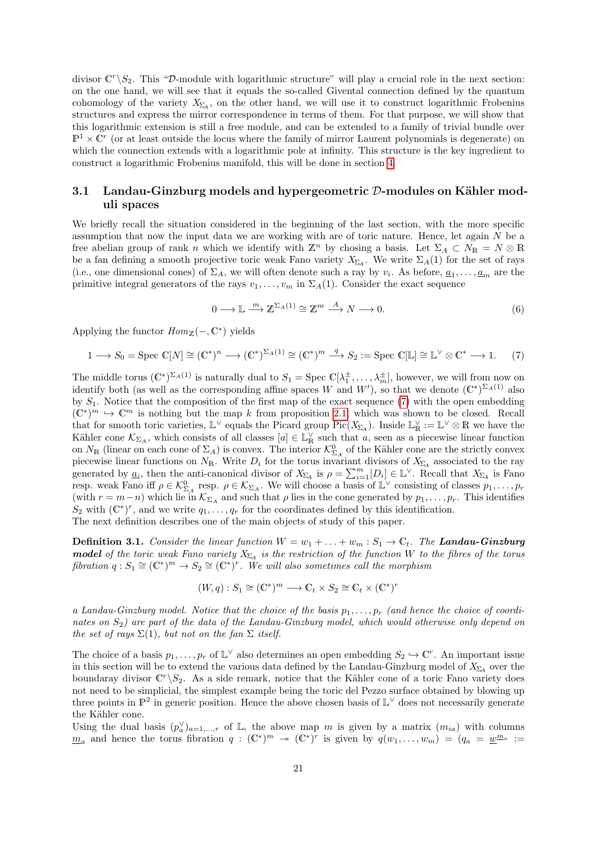divisor  $\mathbb{C}^r \backslash S_2$ . This "D-module with logarithmic structure" will play a crucial role in the next section: on the one hand, we will see that it equals the so-called Givental connection defined by the quantum cohomology of the variety  $X_{\Sigma_A}$ , on the other hand, we will use it to construct logarithmic Frobenius structures and express the mirror correspondence in terms of them. For that purpose, we will show that this logarithmic extension is still a free module, and can be extended to a family of trivial bundle over  $\mathbb{P}^1 \times \mathbb{C}^r$  (or at least outside the locus where the family of mirror Laurent polynomials is degenerate) on which the connection extends with a logarithmic pole at infinity. This structure is the key ingredient to construct a logarithmic Frobenius manifold, this will be done in section [4.](#page-38-0)

### <span id="page-20-0"></span>3.1 Landau-Ginzburg models and hypergeometric  $D$ -modules on Kähler moduli spaces

We briefly recall the situation considered in the beginning of the last section, with the more specific assumption that now the input data we are working with are of toric nature. Hence, let again  $N$  be a free abelian group of rank n which we identify with  $\mathbb{Z}^n$  by chosing a basis. Let  $\Sigma_A \subset N_{\mathbb{R}} = N \otimes \mathbb{R}$ be a fan defining a smooth projective toric weak Fano variety  $X_{\Sigma_A}$ . We write  $\Sigma_A(1)$  for the set of rays (i.e., one dimensional cones) of  $\Sigma_A$ , we will often denote such a ray by  $v_i$ . As before,  $\underline{a}_1, \ldots, \underline{a}_m$  are the primitive integral generators of the rays  $v_1, \ldots, v_m$  in  $\Sigma_A(1)$ . Consider the exact sequence

<span id="page-20-2"></span>
$$
0 \longrightarrow \mathbb{L} \xrightarrow{m} \mathbb{Z}^{\Sigma_A(1)} \cong \mathbb{Z}^m \xrightarrow{A} N \longrightarrow 0. \tag{6}
$$

Applying the functor  $Hom_{\mathbb{Z}}(-, \mathbb{C}^*)$  yields

<span id="page-20-1"></span>
$$
1 \longrightarrow S_0 = \text{Spec } \mathbb{C}[N] \cong (\mathbb{C}^*)^n \longrightarrow (\mathbb{C}^*)^{\Sigma_A(1)} \cong (\mathbb{C}^*)^m \xrightarrow{q} S_2 := \text{Spec } \mathbb{C}[\mathbb{L}] \cong \mathbb{L}^{\vee} \otimes \mathbb{C}^* \longrightarrow 1. \tag{7}
$$

The middle torus  $(\mathbb{C}^*)^{\Sigma_A(1)}$  is naturally dual to  $S_1 = \text{Spec } \mathbb{C}[\lambda_1^{\pm}, \ldots, \lambda_m^{\pm}]$ , however, we will from now on identify both (as well as the corresponding affine spaces W and W'), so that we denote  $(\mathbb{C}^*)^{\Sigma_A(1)}$  also by  $S_1$ . Notice that the composition of the first map of the exact sequence [\(7\)](#page-20-1) with the open embedding  $(\mathbb{C}^*)^m \hookrightarrow \mathbb{C}^m$  is nothing but the map k from proposition [2.1,](#page-0-1) which was shown to be closed. Recall that for smooth toric varieties,  $\mathbb{L}^{\vee}$  equals the Picard group Pic( $X_{\Sigma_A}$ ). Inside  $\mathbb{L}^{\vee}_R := \mathbb{L}^{\vee} \otimes \mathbb{R}$  we have the Kähler cone  $\mathcal{K}_{\Sigma_A}$ , which consists of all classes  $[a] \in \mathbb{L}_{\mathbb{R}}^{\vee}$  such that a, seen as a piecewise linear function on  $N_R$  (linear on each cone of  $\Sigma_A$ ) is convex. The interior  $\mathcal{K}_{\Sigma_A}^0$  of the Kähler cone are the strictly convex piecewise linear functions on  $N_{\rm R}$ . Write  $D_i$  for the torus invariant divisors of  $X_{\Sigma_A}$  associated to the ray generated by  $\underline{a}_i$ , then the anti-canonical divisor of  $X_{\Sigma_A}$  is  $\rho = \sum_{i=1}^m [D_i] \in \mathbb{L}^{\vee}$ . Recall that  $X_{\Sigma_A}$  is Fano resp. weak Fano iff  $\rho \in \mathcal{K}_{\Sigma_A}^0$  resp.  $\rho \in \mathcal{K}_{\Sigma_A}$ . We will choose a basis of  $\mathbb{L}^\vee$  consisting of classes  $p_1, \ldots, p_r$ (with  $r = m-n$ ) which lie in  $\mathcal{K}_{\Sigma_A}$  and such that  $\rho$  lies in the cone generated by  $p_1, \ldots, p_r$ . This identifies  $S_2$  with  $(\mathbb{C}^*)^r$ , and we write  $q_1, \ldots, q_r$  for the coordinates defined by this identification. The next definition describes one of the main objects of study of this paper.

**Definition 3.1.** Consider the linear function  $W = w_1 + \ldots + w_m : S_1 \to \mathbb{C}_t$ . The **Landau-Ginzburg model** of the toric weak Fano variety  $X_{\Sigma_A}$  is the restriction of the function W to the fibres of the torus fibration  $q: S_1 \cong (\mathbb{C}^*)^m \to S_2 \cong (\mathbb{C}^*)^r$ . We will also sometimes call the morphism

 $(W, q) : S_1 \cong (\mathbb{C}^*)^m \longrightarrow \mathbb{C}_t \times S_2 \cong \mathbb{C}_t \times (\mathbb{C}^*)^r$ 

a Landau-Ginzburg model. Notice that the choice of the basis  $p_1, \ldots, p_r$  (and hence the choice of coordinates on  $S_2$ ) are part of the data of the Landau-Ginzburg model, which would otherwise only depend on the set of rays  $\Sigma(1)$ , but not on the fan  $\Sigma$  itself.

The choice of a basis  $p_1, \ldots, p_r$  of  $\mathbb{L}^{\vee}$  also determines an open embedding  $S_2 \hookrightarrow \mathbb{C}^r$ . An important issue in this section will be to extend the various data defined by the Landau-Ginzburg model of  $X_{\Sigma_A}$  over the boundaray divisor  $\mathbb{C}^r\backslash S_2$ . As a side remark, notice that the Kähler cone of a toric Fano variety does not need to be simplicial, the simplest example being the toric del Pezzo surface obtained by blowing up three points in  $\mathbb{P}^2$  in generic position. Hence the above chosen basis of  $\mathbb{L}^{\vee}$  does not necessarily generate the Kähler cone.

Using the dual basis  $(p_a^{\vee})_{a=1,\dots,r}$  of L, the above map m is given by a matrix  $(m_{ia})$  with columns  $\underline{m}_a$  and hence the torus fibration  $q : (\mathbb{C}^*)^m \to (\mathbb{C}^*)^r$  is given by  $q(w_1,\ldots,w_m) = (q_a = \underline{w}^{\underline{m}_a} :=$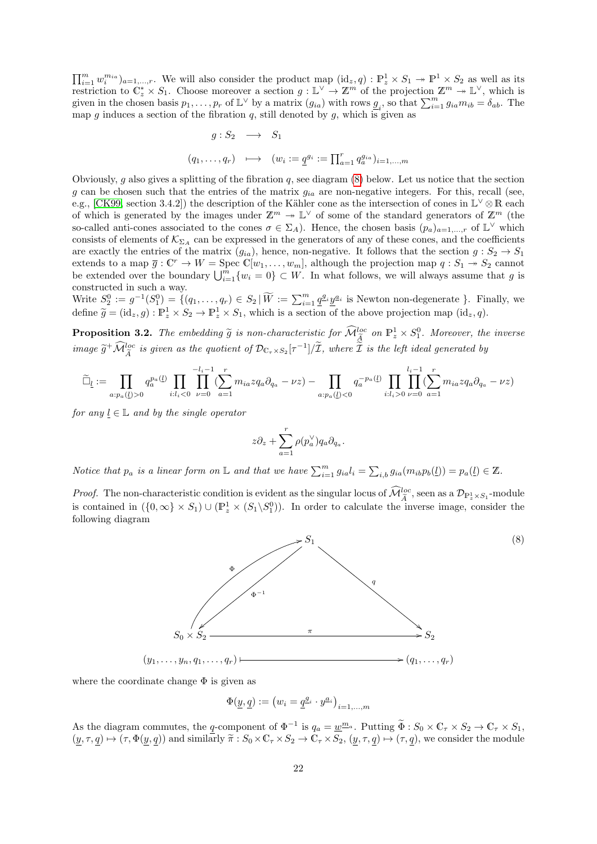$\prod_{i=1}^m w_i^{m_{ia}}_{a=1,\dots,r}$ . We will also consider the product map  $(\mathrm{id}_z,q) : \mathbb{P}_z^1 \times S_1 \to \mathbb{P}^1 \times S_2$  as well as its restriction to  $\mathbb{C}_z^* \times S_1$ . Choose moreover a section  $g: \mathbb{L}^{\vee} \to \mathbb{Z}^m$  of the projection  $\mathbb{Z}^m \to \mathbb{L}^{\vee}$ , which is given in the chosen basis  $p_1, \ldots, p_r$  of  $\mathbb{L}^{\vee}$  by a matrix  $(g_{ia})$  with rows  $\underline{g}_i$ , so that  $\sum_{i=1}^m g_{ia} m_{ib} = \delta_{ab}$ . The map g induces a section of the fibration q, still denoted by g, which is given as

$$
g: S_2 \longrightarrow S_1
$$
  

$$
(q_1, \ldots, q_r) \longmapsto (w_i := \underline{q}^{g_i} := \prod_{a=1}^r q_a^{g_{ia}})_{i=1,\ldots,m}
$$

Obviously, g also gives a splitting of the fibration q, see diagram  $(8)$  below. Let us notice that the section g can be chosen such that the entries of the matrix  $g_{ia}$  are non-negative integers. For this, recall (see, e.g., [\[CK99,](#page-47-7) section 3.4.2]) the description of the Kähler cone as the intersection of cones in  $\mathbb{L}^{\vee} \otimes \mathbb{R}$  each of which is generated by the images under  $\mathbb{Z}^m \to \mathbb{L}^{\vee}$  of some of the standard generators of  $\mathbb{Z}^m$  (the so-called anti-cones associated to the cones  $\sigma \in \Sigma_A$ ). Hence, the chosen basis  $(p_a)_{a=1,\dots,r}$  of  $\mathbb{L}^{\vee}$  which consists of elements of  $K_{\Sigma_A}$  can be expressed in the generators of any of these cones, and the coefficients are exactly the entries of the matrix  $(g_{ia})$ , hence, non-negative. It follows that the section  $g: S_2 \to S_1$ extends to a map  $\overline{g}: \mathbb{C}^r \to W = \text{Spec } \mathbb{C}[w_1,\ldots,w_m],$  although the projection map  $q: S_1 \to S_2$  cannot be extended over the boundary  $\bigcup_{i=1}^{n} \{w_i = 0\} \subset W$ . In what follows, we will always assume that g is constructed in such a way.

Write  $S_2^0 := g^{-1}(S_1^0) = \{(q_1, \ldots, q_r) \in S_2 | \widetilde{W} := \sum_{i=1}^m \underline{q}^{g_i} \underline{y}^{a_i}$  is Newton non-degenerate }. Finally, we define  $\tilde{g} = (\text{id}_z, g) : \mathbb{P}_z^1 \times S_2 \to \mathbb{P}_z^1 \times S_1$ , which is a section of the above projection map  $(\text{id}_z, q)$ .

<span id="page-21-1"></span>**Proposition 3.2.** The embedding  $\widetilde{g}$  is non-characteristic for  $\widehat{\mathcal{M}}_{\frac{\widetilde{A}}{2}}^{loc}$  on  $\mathbb{P}^1_z \times S^0_1$ . Moreover, the inverse image  $\widetilde{g}^+ \widehat{\mathcal{M}}_{\widetilde{A}}^{loc}$  is given as the quotient of  $\mathcal{D}_{\mathbb{C}_\tau \times S_2}[\tau^{-1}]/\widetilde{\mathcal{I}}$ , where  $\widetilde{\mathcal{I}}$  is the left ideal generated by

$$
\widetilde{\Box}_{\underline{l}} := \prod_{a: p_a(\underline{l}) > 0} q_a^{p_a(\underline{l})} \prod_{i: l_i < 0} \prod_{\nu=0}^{-l_i - 1} (\sum_{a=1}^r m_{ia} z q_a \partial_{q_a} - \nu z) - \prod_{a: p_a(\underline{l}) < 0} q_a^{-p_a(\underline{l})} \prod_{i: l_i > 0} \prod_{\nu=0}^{l_i - 1} (\sum_{a=1}^r m_{ia} z q_a \partial_{q_a} - \nu z)
$$

for any  $\underline{l} \in \mathbb{L}$  and by the single operator

$$
z\partial_z+\sum_{a=1}^r\rho(p_a^\vee)q_a\partial_{q_a}.
$$

Notice that  $p_a$  is a linear form on  $\mathbb L$  and that we have  $\sum_{i=1}^m g_{ia} l_i = \sum_{i,b} g_{ia}(m_{ib}p_b(\underline{l})) = p_a(\underline{l}) \in \mathbb Z$ .

*Proof.* The non-characteristic condition is evident as the singular locus of  $\widehat{\mathcal{M}}_{\widetilde{A}}^{loc}$ , seen as a  $\mathcal{D}_{\mathbb{P}^1_\ast \times S_1}$ -module is contained in  $(\{0,\infty\}\times S_1)\cup (\mathbb{P}_z^1\times (S_1\backslash S_1^0))$ . In order to calculate the inverse image, consider the following diagram

<span id="page-21-0"></span>

where the coordinate change  $\Phi$  is given as

$$
\Phi(\underline{y}, \underline{q}) := \left(w_i = \underline{q}^{\underline{q}_i} \cdot y^{\underline{a}_i}\right)_{i=1,\ldots,m}
$$

As the diagram commutes, the q-component of  $\Phi^{-1}$  is  $q_a = \underline{w}^{\underline{m}_a}$ . Putting  $\widetilde{\Phi}: S_0 \times \mathbb{C}_{\tau} \times S_2 \to \mathbb{C}_{\tau} \times S_1$ ,  $(y, \tau, q) \mapsto (\tau, \Phi(y, q))$  and similarly  $\widetilde{\pi}: S_0 \times \mathbb{C}_\tau \times S_2 \to \widetilde{\mathbb{C}}_\tau \times \widetilde{S_2}$ ,  $(y, \tau, q) \mapsto (\tau, q)$ , we consider the module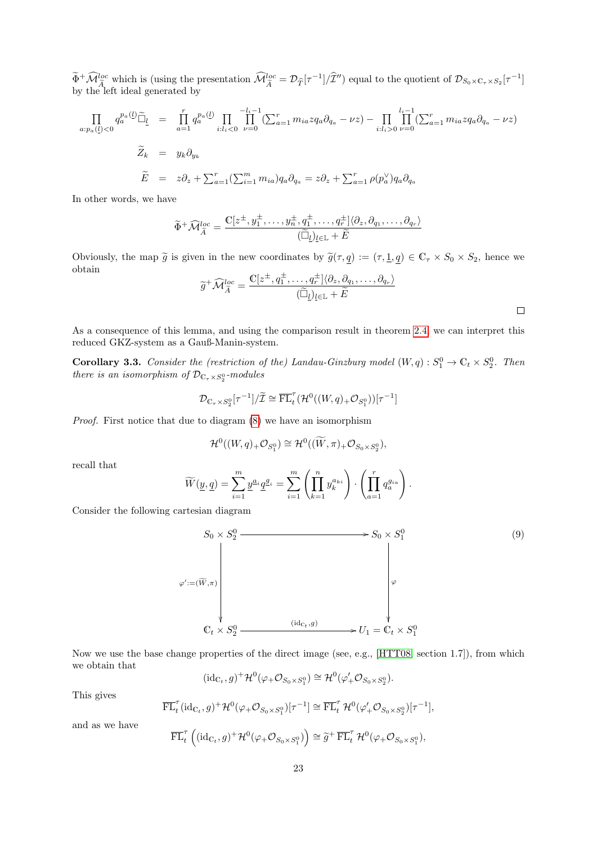$\widetilde{\Phi}^+\widetilde{\mathcal{M}}_{\widetilde{A}}^{loc}$  which is (using the presentation  $\widetilde{\mathcal{M}}_{\widetilde{A}}^{loc} = \mathcal{D}_{\widehat{T}}[\tau^{-1}]/\widehat{\mathcal{I}}'$ ) equal to the quotient of  $\mathcal{D}_{S_0 \times \mathbb{C}_{\tau} \times S_2}[\tau^{-1}]$ by the left ideal generated by

$$
\prod_{a:p_a(\underline{l})<0} q_a^{p_a(\underline{l})} \widetilde{\Box}_{\underline{l}} = \prod_{a=1}^r q_a^{p_a(\underline{l})} \prod_{i:l_i<0} \prod_{\nu=0}^{-l_i-1} (\sum_{a=1}^r m_{ia} z q_a \partial_{q_a} - \nu z) - \prod_{i:l_i>0} \prod_{\nu=0}^{l_i-1} (\sum_{a=1}^r m_{ia} z q_a \partial_{q_a} - \nu z)
$$
  

$$
\widetilde{Z}_k = y_k \partial_{y_k}
$$
  

$$
\widetilde{E} = z \partial_z + \sum_{a=1}^r (\sum_{i=1}^m m_{ia}) q_a \partial_{q_a} = z \partial_z + \sum_{a=1}^r \rho(p_a^{\vee}) q_a \partial_{q_a}
$$

In other words, we have

$$
\widetilde{\Phi}^+\widehat{\mathcal{M}}_{\widetilde{A}}^{loc} = \frac{\mathbb{C}[z^{\pm}, y_1^{\pm}, \dots, y_n^{\pm}, q_1^{\pm}, \dots, q_r^{\pm}]\langle \partial_z, \partial_{q_1}, \dots, \partial_{q_r} \rangle}{(\widetilde{\Box}_l)_{l \in \mathbb{L}} + \widetilde{E}}
$$

Obviously, the map  $\tilde{g}$  is given in the new coordinates by  $\tilde{g}(\tau, q) := (\tau, \underline{1}, q) \in \mathbb{C}_{\tau} \times S_0 \times S_2$ , hence we obtain

$$
\widetilde{g}^+ \widehat{\mathcal{M}}_{\widetilde{A}}^{loc} = \frac{\mathbb{C}[z^{\pm}, q_1^{\pm}, \dots, q_r^{\pm}] \langle \partial_z, \partial_{q_1}, \dots, \partial_{q_r} \rangle}{(\widetilde{\Box}_l)_{l \in \mathbb{L}} + \widetilde{E}}
$$

 $\Box$ 

As a consequence of this lemma, and using the comparison result in theorem [2.4,](#page-6-0) we can interpret this reduced GKZ-system as a Gauß-Manin-system.

<span id="page-22-0"></span>**Corollary 3.3.** Consider the (restriction of the) Landau-Ginzburg model  $(W, q) : S_1^0 \to \mathbb{C}_t \times S_2^0$ . Then there is an isomorphism of  $\mathcal{D}_{\mathbb{C}_{\tau}\times S^0_2}$ -modules

$$
\mathcal{D}_{\mathbb{C}_{\tau}\times S^0_2}[\tau^{-1}]\big/\widetilde{\mathcal{I}}\cong \overline{\mathrm{FL}}_{t}^{\tau}(\mathcal{H}^{0}((W,q)_{+}\mathcal{O}_{S^0_1}))[\tau^{-1}]
$$

Proof. First notice that due to diagram [\(8\)](#page-21-0) we have an isomorphism

$$
\mathcal{H}^0((W,q)_+\mathcal{O}_{S_1^0})\cong\mathcal{H}^0((\widetilde{W},\pi)_+\mathcal{O}_{S_0\times S_2^0}),
$$

recall that

$$
\widetilde{W}(\underline{y}, \underline{q}) = \sum_{i=1}^{m} \underline{y}^{a_i} \underline{q}^{g_i} = \sum_{i=1}^{m} \left( \prod_{k=1}^{n} y_k^{a_{ki}} \right) \cdot \left( \prod_{a=1}^{r} q_a^{g_{ia}} \right).
$$

Consider the following cartesian diagram

$$
S_0 \times S_2^0 \longrightarrow S_0 \times S_1^0
$$
\n
$$
\downarrow \qquad \qquad \downarrow \qquad \qquad \downarrow \qquad \qquad \downarrow \qquad \qquad \downarrow
$$
\n
$$
C_t \times S_2^0 \longrightarrow \text{ (id}_{C_t, g)} \longrightarrow U_1 = C_t \times S_1^0
$$
\n(9)

Now we use the base change properties of the direct image (see, e.g., [\[HTT08,](#page-48-8) section 1.7]), from which we obtain that

$$
(\mathrm{id}_{\mathbb{C}_t}, g)^+ \mathcal{H}^0(\varphi_+ \mathcal{O}_{S_0 \times S^0_1}) \cong \mathcal{H}^0(\varphi_+' \mathcal{O}_{S_0 \times S^0_2}).
$$

This gives

$$
\begin{split} \overline{\mathrm{FL}}_t^\tau (\mathrm{id}_{\mathbb{C}_t}, g)^+ \mathcal{H}^0(\varphi_+ \mathcal{O}_{S_0 \times S_1^0})[\tau^{-1}] &\cong \overline{\mathrm{FL}}_t^\tau \, \mathcal{H}^0(\varphi_+' \mathcal{O}_{S_0 \times S_2^0})[\tau^{-1}],\\ \overline{\mathrm{FL}}_t^\tau \left( (\mathrm{id}_{\mathbb{C}_t}, g)^+ \mathcal{H}^0(\varphi_+ \mathcal{O}_{S_0 \times S_1^0}) \right) &\cong \widetilde{g}^+ \, \overline{\mathrm{FL}}_t^\tau \, \mathcal{H}^0(\varphi_+ \mathcal{O}_{S_0 \times S_1^0}), \end{split}
$$

and as we have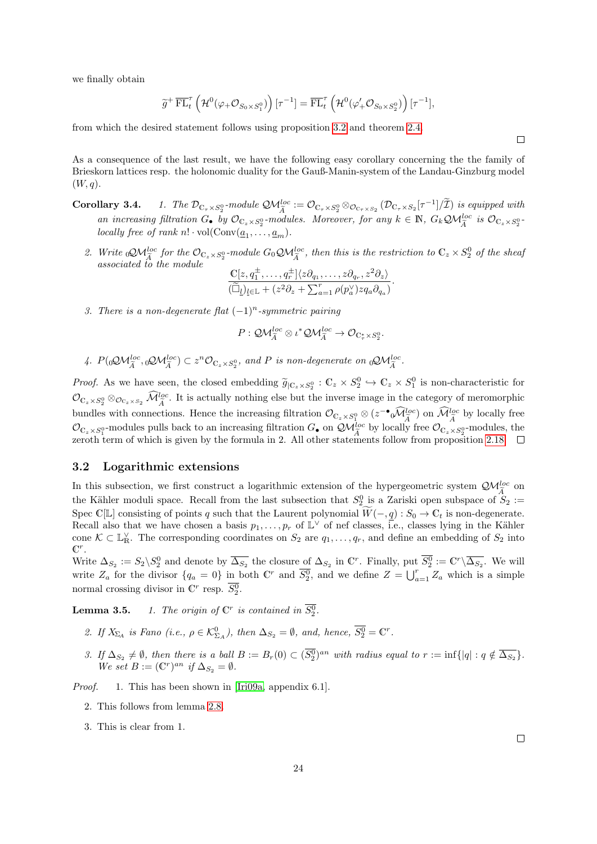we finally obtain

$$
\widetilde{g}^+\,\overline{\mathrm{FL}}_t^\tau\,\Big(\mathcal{H}^0(\varphi_+\mathcal{O}_{S_0\times S^0_1})\Big)\,[\tau^{-1}]=\overline{\mathrm{FL}}_t^\tau\,\Big(\mathcal{H}^0(\varphi_+' \mathcal{O}_{S_0\times S^0_2})\Big)\,[\tau^{-1}],
$$

from which the desired statement follows using proposition [3.2](#page-21-1) and theorem [2.4.](#page-6-0)

As a consequence of the last result, we have the following easy corollary concerning the the family of Brieskorn lattices resp. the holonomic duality for the Gauß-Manin-system of the Landau-Ginzburg model  $(W, q)$ .

- **Corollary 3.4.** 1. The  $\mathcal{D}_{\mathbb{C}_{\tau}\times S_2^0}$ -module  $\mathcal{QM}_{\widetilde{A}}^{loc} := \mathcal{O}_{\mathbb{C}_{\tau}\times S_2^0} \otimes_{\mathcal{O}_{\mathbb{C}_{\tau}\times S_2}} (\mathcal{D}_{\mathbb{C}_{\tau}\times S_2}[\tau^{-1}]/\widetilde{A})$  is equipped with an increasing filtration  $G_{\bullet}$  by  $\mathcal{O}_{\mathbb{C}_z \times S_2^0}$ -modules. Moreover, for any  $k \in \mathbb{N}$ ,  $G_k \mathcal{Q} \mathcal{M}_{\widetilde{A}}^{loc}$  is  $\mathcal{O}_{\mathbb{C}_z \times S_2^0}$ -<br>levelly free of much algorithmic and  $G_{\bullet}$ locally free of rank  $n! \cdot \text{vol}(\text{Conv}(\underline{a}_1, \ldots, \underline{a}_m)).$ 
	- 2. Write  $\partial \mathcal{M}_{\tilde{A}}^{loc}$  for the  $\mathcal{O}_{\mathbb{C}_z \times S_2^0}$ -module  $G_0 \mathcal{M}_{\tilde{A}}^{loc}$ , then this is the restriction to  $\mathbb{C}_z \times S_2^0$  of the sheaf associated to the module<br>  $\mathbb{C}[z, q_1^{\pm}, \ldots, q_r^{\pm}] \langle z \partial_{q_1}, \ldots, z \partial_{q_r}, z^2 \partial_z \rangle$

$$
\frac{\mathbb{C}[z,q_1^+,\ldots,q_r^+]\langle z\partial_{q_1},\ldots,z\partial_{q_r},z^2\partial_z\rangle}{(\widetilde{\Box}_l)_{l\in\mathbb{L}}+(z^2\partial_z+\sum_{a=1}^r\rho(p_a^{\vee})zq_a\partial_{q_a})}.
$$

3. There is a non-degenerate flat  $(-1)^n$ -symmetric pairing

$$
P: \mathcal{QM}_{\widetilde{A}}^{loc} \otimes \iota^* \mathcal{QM}_{\widetilde{A}}^{loc} \to \mathcal{O}_{\mathbb{C}^*_{\tau} \times S^0_2}.
$$

4.  $P(_{0}\mathcal{QM}_{\widetilde{A}}^{loc}, {}_{0}\mathcal{QM}_{\widetilde{A}}^{loc}) \subset z^{n}\mathcal{O}_{\mathbb{C}_{z}\times S_{2}^{0}},$  and P is non-degenerate on  ${}_{0}\mathcal{QM}_{\widetilde{A}}^{loc}.$ 

*Proof.* As we have seen, the closed embedding  $\widetilde{g}_{|C_z \times S_2^0} : C_z \times S_2^0 \to C_z \times S_1^0$  is non-characteristic for  $\mathcal{O}_{\mathbb{C}_z\times S_2^0}\otimes_{\mathcal{O}_{\mathbb{C}_z\times S_2}}\widehat{\mathcal{M}}_{\widetilde{A}}^{loc}$ . It is actually nothing else but the inverse image in the category of meromorphic bundles with connections. Hence the increasing filtration  $\mathcal{O}_{C_z \times S_1^0} \otimes (z^{-\bullet} \widetilde{\mathcal{M}}_{\widetilde{A}}^{loc})$  on  $\widetilde{\mathcal{M}}_{\widetilde{A}}^{loc}$  by locally free  $\mathcal{O}_{\mathbb{C}_z\times S_1^0}$ -modules pulls back to an increasing filtration  $G_{\bullet}$  on  $\mathcal{QM}_{\widetilde{A}}^{loc}$  by locally free  $\mathcal{O}_{\mathbb{C}_z\times S_2^0}$ -modules, the zeroth term of which is given by the formula in 2. All other statements follow from proposition [2.18.](#page-0-1)

#### <span id="page-23-0"></span>3.2 Logarithmic extensions

In this subsection, we first construct a logarithmic extension of the hypergeometric system  $\mathcal{QM}^{loc}_{\tilde{\lambda}}$  on the Kähler moduli space. Recall from the last subsection that  $S_2^0$  is a Zariski open subspace of  $S_2 :=$ Spec C[L] consisting of points q such that the Laurent polynomial  $\widetilde{W}(-, q) : S_0 \to \mathbb{C}_t$  is non-degenerate. Recall also that we have chosen a basis  $p_1, \ldots, p_r$  of  $\mathbb{L}^{\vee}$  of nef classes, i.e., classes lying in the Kähler cone  $\mathcal{K} \subset \mathbb{L}_{\mathbb{R}}^{\vee}$ . The corresponding coordinates on  $S_2$  are  $q_1, \ldots, q_r$ , and define an embedding of  $S_2$  into  $\mathbb{C}^r$ .

Write  $\Delta_{S_2} := S_2 \setminus S_2^0$  and denote by  $\overline{\Delta_{S_2}}$  the closure of  $\Delta_{S_2}$  in  $\mathbb{C}^r$ . Finally, put  $\overline{S_2^0} := \mathbb{C}^r \setminus \overline{\Delta_{S_2}}$ . We will write  $Z_a$  for the divisor  $\{q_a = 0\}$  in both  $\mathbb{C}^r$  and  $\overline{S_2^0}$ , and we define  $Z = \bigcup_{a=1}^r Z_a$  which is a simple normal crossing divisor in  $\mathbb{C}^r$  resp.  $\overline{S_2^0}$ .

**Lemma 3.5.** 1. The origin of  $\mathbb{C}^r$  is contained in  $\overline{S_2^0}$ .

- 2. If  $X_{\Sigma_A}$  is Fano (i.e.,  $\rho \in \mathcal{K}_{\Sigma_A}^0$ ), then  $\Delta_{S_2} = \emptyset$ , and, hence,  $\overline{S_2^0} = \mathbb{C}^r$ .
- 3. If  $\Delta_{S_2} \neq \emptyset$ , then there is a ball  $B := B_r(0) \subset (S_2^0)^{an}$  with radius equal to  $r := \inf\{|q| : q \notin \overline{\Delta_{S_2}}\}.$ We set  $B := (\mathbb{C}^r)^{an}$  if  $\Delta_{S_2} = \emptyset$ .

Proof. 1. This has been shown in [\[Iri09a,](#page-48-6) appendix 6.1].

- 2. This follows from lemma [2.8.](#page-10-0)
- 3. This is clear from 1.

 $\Box$ 

 $\Box$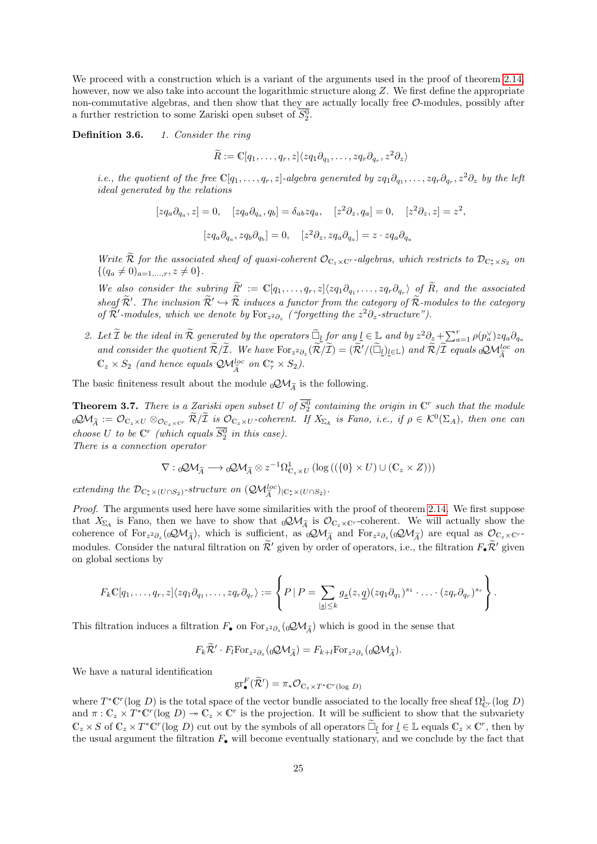We proceed with a construction which is a variant of the arguments used in the proof of theorem [2.14,](#page-14-1) however, now we also take into account the logarithmic structure along Z. We first define the appropriate non-commutative algebras, and then show that they are actually locally free  $\mathcal{O}\text{-modules}$ , possibly after a further restriction to some Zariski open subset of  $S_2^0$ .

Definition 3.6. 1. Consider the ring

$$
\widetilde{R} := \mathbb{C}[q_1,\ldots,q_r,z] \langle zq_1 \partial_{q_1},\ldots,zq_r \partial_{q_r},z^2 \partial_z \rangle
$$

*i.e.*, the quotient of the free  $\mathbb{C}[q_1,\ldots,q_r,z]$ -algebra generated by  $zq_1\partial_{q_1},\ldots,zq_r\partial_{q_r},z^2\partial_z$  by the left ideal generated by the relations

$$
[zq_a\partial_{q_a}, z] = 0, \quad [zq_a\partial_{q_a}, q_b] = \delta_{ab}zq_a, \quad [z^2\partial_z, q_a] = 0, \quad [z^2\partial_z, z] = z^2,
$$
  

$$
[zq_a\partial_{q_a}, zq_b\partial_{q_b}] = 0, \quad [z^2\partial_z, zq_a\partial_{q_a}] = z \cdot zq_a\partial_{q_a}
$$

Write R for the associated sheaf of quasi-coherent  $\mathcal{O}_{C_z \times C_r}$ -algebras, which restricts to  $\mathcal{D}_{C_{\tau}^* \times S_2}$  on  $\{(q_a \neq 0)_{a=1,\ldots,r}, z \neq 0\}.$ 

We also consider the subring  $\widetilde{R}':=\mathbb{C}[q_1,\ldots,q_r,z]\langle zq_1\partial_{q_1},\ldots,zq_r\partial_{q_r}\rangle$  of  $\widetilde{R}$ , and the associated sheaf  $\widetilde{\mathcal{R}}'$ . The inclusion  $\widetilde{\mathcal{R}}' \hookrightarrow \widetilde{\mathcal{R}}$  induces a functor from the category of  $\widetilde{\mathcal{R}}$ -modules to the category of  $\widetilde{\mathcal{R}}'$ -modules, which we denote by  $\text{For}_{z^2\partial_z}$  ("forgetting the  $z^2\partial_z$ -structure").

2. Let  $\widetilde{\mathcal{I}}$  be the ideal in  $\widetilde{\mathcal{R}}$  generated by the operators  $\widetilde{\Box}_l$  for any  $l \in \mathbb{L}$  and by  $z^2 \partial_z + \sum_{a=1}^r \rho(p_a^{\vee}) z q_a \partial_{q_a}$ and consider the quotient  $\widetilde{\mathcal{R}}/\widetilde{\mathcal{I}}$ . We have  $\text{For}_{z^2\partial_z}(\widetilde{\mathcal{R}}/\widetilde{\mathcal{I}})=(\widetilde{\mathcal{R}}'/(\widetilde{\Box}_{\underline{l}})_{\underline{l}\in\mathbb{L}})$  and  $\widetilde{\mathcal{R}}/\widetilde{\mathcal{I}}$  equals  ${}_0\mathcal{QM}_{\widetilde{A}}^{\text{loc}}$  on  $\mathbb{C}_z \times S_2$  (and hence equals  $\mathcal{QM}_{\tilde{A}}^{loc}$  on  $\mathbb{C}^*_{\tau} \times S_2$ ).

The basic finiteness result about the module  ${}_0\mathcal{Q}\mathcal{M}_{\widetilde{A}}$  is the following.

<span id="page-24-0"></span>**Theorem 3.7.** There is a Zariski open subset U of  $\overline{S_2^0}$  containing the origin in  $\mathbb{C}^r$  such that the module  $\partial_0 \mathcal{M}_{\widetilde{A}} := \mathcal{O}_{\mathbb{C}_z \times U} \otimes_{\mathcal{O}_{\mathbb{C}_z \times \mathbb{C}^r}} \widetilde{\mathcal{R}} / \widetilde{I}$  is  $\mathcal{O}_{\mathbb{C}_z \times U}$ -coherent. If  $X_{\Sigma_A}$  is Fano, i.e., if  $\rho \in \mathcal{K}^0(\Sigma_A)$ , then one can choose U to be  $\mathbb{C}^r$  (which equals  $\overline{S_2^0}$  in this case). There is a connection operator

$$
\nabla : {}_0\mathcal{Q}\mathcal{M}_{\widetilde{A}} \longrightarrow {}_0\mathcal{Q}\mathcal{M}_{\widetilde{A}} \otimes z^{-1}\Omega^1_{\mathbb{C}_z\times U}(\log((\{0\}\times U)\cup(\mathbb{C}_z\times Z)))
$$

extending the  $\mathcal{D}_{\mathbb{C}_{\tau}^*\times (U\cap S_2)}$ -structure on  $(\mathcal{QM}_{\widetilde{A}}^{loc})_{|\mathbb{C}_{\tau}^*\times (U\cap S_2)}$ .

Proof. The arguments used here have some similarities with the proof of theorem [2.14.](#page-14-1) We first suppose that  $X_{\Sigma_A}$  is Fano, then we have to show that  $\partial \mathcal{M}_{\widetilde{A}}$  is  $\mathcal{O}_{\mathbb{C}_z\times\mathbb{C}^r}$ -coherent. We will actually show the coherence of For<sub>z<sup>2</sup> $\partial_z$ </sup>( $_0Q\mathcal{M}_{\widetilde{A}}$ ), which is sufficient, as  $_0Q\mathcal{M}_{\widetilde{A}}$  and For<sub>z<sup>2</sup> $\partial_z$ </sup>( $_0Q\mathcal{M}_{\widetilde{A}}$ ) are equal as  $\mathcal{O}_{C_z\times C}$ <sup>-</sup></sub></sub> modules. Consider the natural filtration on  $\tilde{\mathcal{R}}'$  given by order of operators, i.e., the filtration  $F_{\bullet}\tilde{\mathcal{R}}'$  given on global sections by

$$
F_k\mathbb{C}[q_1,\ldots,q_r,z]\langle zq_1\partial_{q_1},\ldots,zq_r\partial_{q_r}\rangle:=\left\{P\,|\,P=\sum_{|\underline{s}|\leq k}g_{\underline{s}}(z,\underline{q})(zq_1\partial_{q_1})^{s_1}\cdot\ldots\cdot(zq_r\partial_{q_r})^{s_r}\right\}.
$$

This filtration induces a filtration  $F_{\bullet}$  on  $\text{For}_{z^2 \partial_z}({}_0 \mathcal{Q} \mathcal{M}_{\widetilde{A}})$  which is good in the sense that

 $F_k \widetilde{\mathcal{R}}' \cdot F_l \text{For}_{z^2 \partial_z} ({}_0 \mathcal{Q} \mathcal{M}_{\widetilde{A}}) = F_{k+l} \text{For}_{z^2 \partial_z} ({}_0 \mathcal{Q} \mathcal{M}_{\widetilde{A}}).$ 

We have a natural identification

$$
\mathrm{gr}^F_{\bullet}(\widetilde{\mathcal{R}}') = \pi_* \mathcal{O}_{\mathbb{C}_z \times T^* \mathbb{C}^r(\log D)}
$$

where  $T^*\mathbb{C}^r(\log D)$  is the total space of the vector bundle associated to the locally free sheaf  $\Omega_{\mathbb{C}^r}^1(\log D)$ and  $\pi: \mathbb{C}_z \times T^* \mathbb{C}^r (\log D) \to \mathbb{C}_z \times \mathbb{C}^r$  is the projection. It will be sufficient to show that the subvariety  $\mathbb{C}_z \times S$  of  $\mathbb{C}_z \times T^* \mathbb{C}^r(\log D)$  cut out by the symbols of all operators  $\widetilde{\Box}_l$  for  $l \in \mathbb{L}$  equals  $\mathbb{C}_z \times \mathbb{C}^r$ , then by the usual argument the filtration  $F_{\bullet}$  will become eventually stationary, and we conclude by the fact that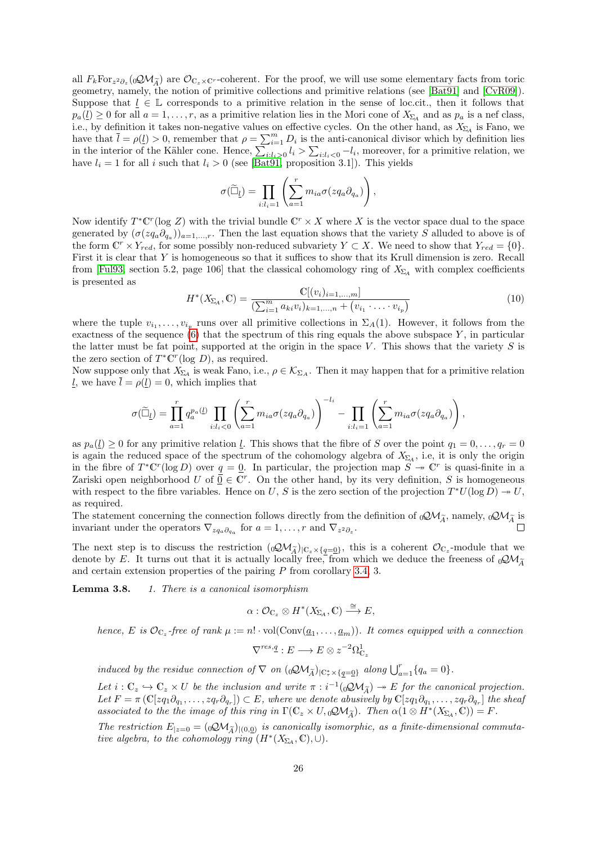all  $F_k$ For<sub>z</sub> $_{22}$ <sub>2</sub>( $_{0}Q\mathcal{M}_{\widetilde{A}}$ ) are  $\mathcal{O}_{\mathbb{C}_z\times\mathbb{C}^r}$ -coherent. For the proof, we will use some elementary facts from toric<br>necessary property the patient of primitive called integral primitive polit geometry, namely, the notion of primitive collections and primitive relations (see [\[Bat91\]](#page-47-12) and [\[CvR09\]](#page-47-13)). Suppose that  $\underline{l} \in \mathbb{L}$  corresponds to a primitive relation in the sense of loc.cit., then it follows that  $p_a(\underline{l}) \geq 0$  for all  $a = 1, \ldots, r$ , as a primitive relation lies in the Mori cone of  $X_{\Sigma_A}$  and as  $p_a$  is a nef class, i.e., by definition it takes non-negative values on effective cycles. On the other hand, as  $X_{\Sigma_A}$  is Fano, we have that  $\bar{l} = \rho(\underline{l}) > 0$ , remember that  $\rho = \sum_{i=1}^{m} D_i$  is the anti-canonical divisor which by definition lies in the interior of the Kähler cone. Hence,  $\sum_{i:l_i>0} l_i > \sum_{i:l_i<0} -l_i$ , moreover, for a primitive relation, we have  $l_i = 1$  for all i such that  $l_i > 0$  (see [\[Bat91,](#page-47-12) proposition 3.1]). This yields

$$
\sigma(\widetilde{\Box}_{\underline{l}}) = \prod_{i:l_i=1} \left( \sum_{a=1}^r m_{ia} \sigma(zq_a \partial_{q_a}) \right),
$$

Now identify  $T^*{\mathbb C}^r(\log Z)$  with the trivial bundle  ${\mathbb C}^r\times X$  where X is the vector space dual to the space generated by  $(\sigma(zq_a\partial_{q_a}))_{a=1,\ldots,r}$ . Then the last equation shows that the variety S alluded to above is of the form  $\mathbb{C}^r \times Y_{red}$ , for some possibly non-reduced subvariety  $Y \subset X$ . We need to show that  $Y_{red} = \{0\}$ . First it is clear that Y is homogeneous so that it suffices to show that its Krull dimension is zero. Recall from [\[Ful93,](#page-47-14) section 5.2, page 106] that the classical cohomology ring of  $X_{\Sigma_A}$  with complex coefficients is presented as

<span id="page-25-0"></span>
$$
H^*(X_{\Sigma_A}, \mathbb{C}) = \frac{\mathbb{C}[(v_i)_{i=1,...,m}]}{(\sum_{i=1}^m a_{ki}v_i)_{k=1,...,n} + (v_{i_1} \cdot ... \cdot v_{i_p})}
$$
(10)

where the tuple  $v_{i_1}, \ldots, v_{i_p}$  runs over all primitive collections in  $\Sigma_A(1)$ . However, it follows from the exactness of the sequence  $(6)$  that the spectrum of this ring equals the above subspace Y, in particular the latter must be fat point, supported at the origin in the space  $V$ . This shows that the variety  $S$  is the zero section of  $T^*\mathbb{C}^r(\log D)$ , as required.

Now suppose only that  $X_{\Sigma_A}$  is weak Fano, i.e.,  $\rho \in \mathcal{K}_{\Sigma_A}$ . Then it may happen that for a primitive relation *l*, we have  $\bar{l} = \rho(l) = 0$ , which implies that

$$
\sigma(\widetilde{\Box}_{\underline{l}}) = \prod_{a=1}^r q_a^{p_a(\underline{l})} \prod_{i:l_i<0} \left( \sum_{a=1}^r m_{ia} \sigma(zq_a \partial_{q_a}) \right)^{-l_i} - \prod_{i:l_i=1} \left( \sum_{a=1}^r m_{ia} \sigma(zq_a \partial_{q_a}) \right),
$$

as  $p_a(\underline{l}) \geq 0$  for any primitive relation  $\underline{l}$ . This shows that the fibre of S over the point  $q_1 = 0, \ldots, q_r = 0$ is again the reduced space of the spectrum of the cohomology algebra of  $X_{\Sigma_A}$ , i.e, it is only the origin in the fibre of  $T^*\mathbb{C}^r(\log D)$  over  $q = 0$ . In particular, the projection map  $S \to \mathbb{C}^r$  is quasi-finite in a Zariski open neighborhood U of  $\overline{0} \in \mathbb{C}^r$ . On the other hand, by its very definition, S is homogeneous with respect to the fibre variables. Hence on U, S is the zero section of the projection  $T^*U(\log D) \to U$ , as required.

The statement concerning the connection follows directly from the definition of  ${}_0\mathcal{QM}_{\widetilde{A}}$ , namely,  ${}_0\mathcal{QM}_{\widetilde{A}}$  is invariant under the operators  $\nabla_{z q_a \partial_{q_a}}$  for  $a = 1, \ldots, r$  and  $\nabla_{z^2 \partial_z}$ .

The next step is to discuss the restriction  $(\partial \mathcal{M}_{\tilde{A}})|_{C_z\times\{q=0\}}$ , this is a coherent  $\mathcal{O}_{C_z}$ -module that we<br>denote by E. It turns out that it is actually locally free from which we deduce the framese of  $\partial M$ denote by E. It turns out that it is actually locally free, from which we deduce the freeness of  $\partial M_{\tilde{A}}$ and certain extension properties of the pairing  $P$  from corollary [3.4,](#page-0-1) 3.

Lemma 3.8. 1. There is a canonical isomorphism

$$
\alpha: \mathcal{O}_{\mathbb{C}_z} \otimes H^*(X_{\Sigma_A}, \mathbb{C}) \stackrel{\cong}{\longrightarrow} E,
$$

hence, E is  $\mathcal{O}_{\mathbb{C}_z}$ -free of rank  $\mu := n! \cdot \text{vol}(\text{Conv}(\underline{a}_1, \dots, \underline{a}_m))$ . It comes equipped with a connection

$$
\nabla^{res. {\underline{q}}}:E\longrightarrow E\otimes z^{-2}\Omega^1_{{\mathbb C}_z}
$$

induced by the residue connection of  $\nabla$  on  $(\partial \mathcal{M}_{\tilde{A}})|_{\mathbb{C}_{\tau}^* \times {\{\underline{q}=\underline{0}\}}}$  along  $\bigcup_{a=1}^r {\{q_a=0\}}$ .

Let  $i : \mathbb{C}_z \to \mathbb{C}_z \times U$  be the inclusion and write  $\pi : i^{-1}(\partial \mathcal{M}_{\tilde{A}}) \to E$  for the canonical projection. Let  $F = \pi(\mathbb{C}[zq_1\partial_{q_1},\ldots,zq_r\partial_{q_r}]) \subset E$ , where we denote abusively by  $\mathbb{C}[zq_1\partial_{q_1},\ldots,zq_r\partial_{q_r}]$  the sheaf associated to the the image of this ring in  $\Gamma(\mathbb{C}_z \times U, \partial \mathcal{M}_{\tilde{A}})$ . Then  $\alpha(1 \otimes H^*(X_{\Sigma_A}, \mathbb{C})) = F$ .

The restriction  $E_{|z=0} = (\partial \mathcal{M}_{\tilde{A}})|_{(0,0)}$  is canonically isomorphic, as a finite-dimensional commutative algebra, to the cohomology  $\overline{ring}(H^*(X_{\Sigma_A},\mathbb{C}),\cup).$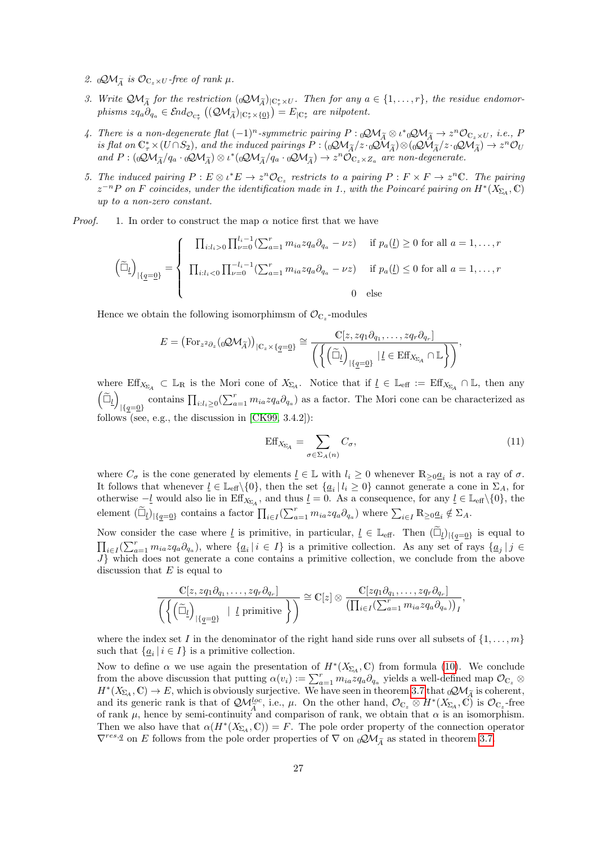- 2.  $_{0}\mathcal{QM}_{\widetilde{A}}$  is  $\mathcal{O}_{\mathbb{C}_{z}\times U}$ -free of rank  $\mu$ .
- 3. Write  $\mathcal{QM}_{\widetilde{A}}$  for the restriction  $(\mathcal{QM}_{\widetilde{A}})|_{\mathbb{C}^*_{\tau}\times U}$ . Then for any  $a \in \{1,\ldots,r\}$ , the residue endomorphisms  $zq_a\partial_{q_a} \in \mathcal{E}nd_{\mathcal{O}_{\mathbb{C}^*_{\tau}}}((\mathcal{QM}_{\widetilde{A}})|_{\mathbb{C}^*_{\tau}\times\{0\}})=E_{|\mathbb{C}^*_{\tau}}$  are nilpotent.
- 4. There is a non-degenerate flat  $(-1)^n$ -symmetric pairing  $P : \partial_\mathcal{M} \otimes \iota^* \partial_\mathcal{M} \otimes \iota^* \partial_\mathcal{M} \otimes \iota^* \partial_{\mathcal{C}_z \times U}$ , i.e.,  $P : \partial_\mathcal{M} \otimes \iota^* \partial_\mathcal{M} \otimes \iota^* \partial_\mathcal{M} \otimes \iota^* \partial_\mathcal{M} \otimes \iota^* \partial_\mathcal{M}$ is flat on  $\mathbb{C}^*_\tau \times (U \cap S_2)$ , and the induced pairings  $P : (\substack{0 \in \mathcal{M}_{\widetilde{A}}/z \cdot 0 \mathcal{Q} \mathcal{M}_{\widetilde{A}}}) \otimes (\substack{0 \in \mathcal{M}_{\widetilde{A}}/z \cdot 0 \mathcal{Q} \mathcal{M}_{\widetilde{A}}}) \to z^n \mathcal{O}_U$ and  $P: (\partial Q\mathcal{M}_{\widetilde{A}}/q_a \cdot \partial Q\mathcal{M}_{\widetilde{A}}) \otimes \iota^*(\partial Q\mathcal{M}_{\widetilde{A}}/q_a \cdot \partial Q\mathcal{M}_{\widetilde{A}}) \to z^n \widetilde{\mathcal{O}}_{C_z \times Z_a}$  are non-degenerate.
- 5. The induced pairing  $P: E \otimes \iota^* E \to z^n \mathcal{O}_{\mathbb{C}_z}$  restricts to a pairing  $P: F \times F \to z^n \mathbb{C}$ . The pairing  $z^{-n}P$  on F coincides, under the identification made in 1., with the Poincaré pairing on  $H^*(X_{\Sigma_A}, \mathbb{C})$ up to a non-zero constant.

*Proof.* 1. In order to construct the map  $\alpha$  notice first that we have

$$
\left(\widetilde{\Box}_{l}\right)_{|\{q=\underline{0}\}} = \begin{cases} \prod_{i:l_i>0} \prod_{\nu=0}^{l_i-1} (\sum_{a=1}^r m_{ia} z q_a \partial_{q_a} - \nu z) & \text{if } p_a(\underline{l}) \ge 0 \text{ for all } a = 1,\dots,r\\ \prod_{i:l_i<0} \prod_{\nu=0}^{l_i-1} (\sum_{a=1}^r m_{ia} z q_a \partial_{q_a} - \nu z) & \text{if } p_a(\underline{l}) \le 0 \text{ for all } a = 1,\dots,r \end{cases}
$$

Hence we obtain the following isomorphimsm of  $\mathcal{O}_{\mathbb{C}_z}$ -modules

$$
E = (\text{For}_{z^2 \partial_z}(\mathbf{0} \mathcal{Q} \mathcal{M}_{\widetilde{A}}))_{|\mathbb{C}_z \times \{q = 0\}} \cong \frac{\mathbb{C}[z, zq_1 \partial_{q_1}, \dots, zq_r \partial_{q_r}]}{\left(\left\{\left(\widetilde{\Box}_{\underline{l}}\right)_{|\{q = 0\}} | \underline{l} \in \text{Eff}_{X_{\Sigma_A}} \cap \mathbb{L}\right\}\right)},
$$

where  $\text{Eff}_{X_{\Sigma_A}} \subset \mathbb{L}_R$  is the Mori cone of  $X_{\Sigma_A}$ . Notice that if  $\underline{l} \in \mathbb{L}_{\text{eff}} := \text{Eff}_{X_{\Sigma_A}} \cap \mathbb{L}$ , then any  $\left(\widetilde{\Box}_{\underline{l}}\right)$ contains  $\prod_{i:l_i\geq 0}(\sum_{a=1}^r m_{ia}zq_a\partial_{q_a})$  as a factor. The Mori cone can be characterized as follows (see, e.g., the discussion in [\[CK99,](#page-47-7) 3.4.2]):

<span id="page-26-0"></span>
$$
Eff_{X_{\Sigma_A}} = \sum_{\sigma \in \Sigma_A(n)} C_{\sigma}, \tag{11}
$$

where  $C_{\sigma}$  is the cone generated by elements  $\underline{l} \in \mathbb{L}$  with  $l_i \geq 0$  whenever  $\mathbb{R}_{\geq 0} \underline{a}_i$  is not a ray of  $\sigma$ . It follows that whenever  $\underline{l} \in \mathbb{L}_{eff} \setminus \{0\}$ , then the set  $\{\underline{a}_i \mid l_i \geq 0\}$  cannot generate a cone in  $\Sigma_A$ , for otherwise  $-l$  would also lie in  $\mathrm{Eff}_{X_{\Sigma_A}}$ , and thus  $l = 0$ . As a consequence, for any  $l \in \mathbb{L}_{\text{eff}}\backslash\{0\}$ , the element  $(\tilde{\Box}_{\underline{l}})_{|\{\underline{q}=0\}}$  contains a factor  $\prod_{i\in I}(\sum_{a=1}^r m_{ia}zq_a\partial_{q_a})$  where  $\sum_{i\in I}\mathbb{R}_{\geq 0}\underline{a}_i \notin \Sigma_A$ .

Now consider the case where <u>l</u> is primitive, in particular,  $l \in \mathbb{L}_{\text{eff}}$ . Then  $(\Box_l)_{\lvert {q=0 \rvert}}$  is equal to  $\prod_{i\in I}(\sum_{a=1}^r m_{ia}zq_a\partial_{q_a}),$  where  $\{a_i\mid i\in I\}$  is a primitive collection. As any set of rays  $\{a_j\mid j\in I\}$ J} which does not generate a cone contains a primitive collection, we conclude from the above discussion that  $E$  is equal to

$$
\frac{\mathbb{C}[z,zq_1\partial_{q_1},\ldots,zq_r\partial_{q_r}]}{\left(\left\{\left(\widetilde{\Box}_{\underline{l}}\right)_{|\{\underline{q}=\underline{0}\}}\;|\; \underline{l} \text{ primitive }\right\}\right)}\cong \mathbb{C}[z]\otimes \frac{\mathbb{C}[zq_1\partial_{q_1},\ldots,zq_r\partial_{q_r}]}{\left(\prod_{i\in I}(\sum_{a=1}^r m_{ia}zq_a\partial_{q_a})\right)_I},
$$

where the index set I in the denominator of the right hand side runs over all subsets of  $\{1, \ldots, m\}$ such that  $\{\underline{a}_i \mid i \in I\}$  is a primitive collection.

Now to define  $\alpha$  we use again the presentation of  $H^*(X_{\Sigma_A}, \mathbb{C})$  from formula [\(10\)](#page-25-0). We conclude from the above discussion that putting  $\alpha(v_i) := \sum_{a=1}^r m_{ia} z q_a \partial_{q_a}$  yields a well-defined map  $\mathcal{O}_{\mathbb{C}_z} \otimes$  $H^*(X_{\Sigma_A}, \mathbb{C}) \to E$ , which is obviously surjective. We have seen in theorem [3.7](#page-24-0) that  ${}_0\mathcal{Q}\mathcal{M}_{\widetilde{A}}$  is coherent, and its generic rank is that of  $\mathcal{QM}_{A}^{loc}$ , i.e.,  $\mu$ . On the other hand,  $\mathcal{O}_{\mathbb{C}_z} \otimes H^*(X_{\Sigma_A}, \mathbb{C})$  is  $\mathcal{O}_{\mathbb{C}_z}$ -free<br>of rank  $\mu$  hance by somi continuity and comparison of rank we obtain that  $\alpha$  i of rank  $\mu$ , hence by semi-continuity and comparison of rank, we obtain that  $\alpha$  is an isomorphism. Then we also have that  $\alpha(H^*(X_{\Sigma_A}, \mathbb{C})) = F$ . The pole order property of the connection operator  $\nabla^{res,q}$  on E follows from the pole order properties of  $\nabla$  on  $_0\mathcal{QM}_{\widetilde{A}}$  as stated in theorem [3.7.](#page-24-0)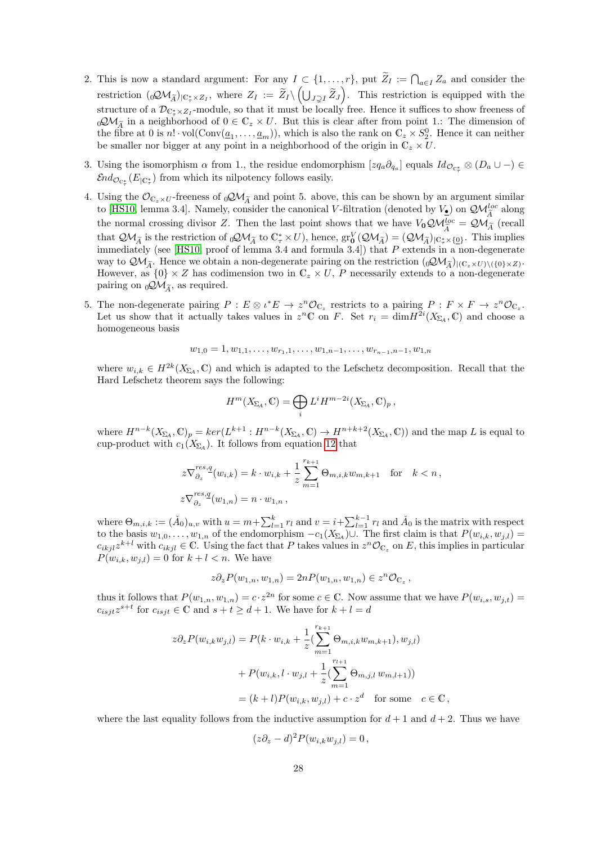- 2. This is now a standard argument: For any  $I \subset \{1, \ldots, r\}$ , put  $Z_I := \bigcap_{a \in I} Z_a$  and consider the restriction  $\left(\begin{array}{c}\left(\mathcal{QM}_{\widetilde{A}}\right)|_{\mathbb{C}_{\tau}^{*}\times Z_{I}}, \end{array}\right)$  where  $Z_{I} := \widetilde{Z}_{I} \setminus \left(\bigcup_{J \supsetneq I} \widetilde{Z}_{J}\right)$ . This restriction is equipped with the structure of a  $\mathcal{D}_{\mathbb{C}^*_\tau \times Z_I}$ -module, so that it must be locally free. Hence it suffices to show freeness of  $_0\mathcal{Q}M_{\widetilde{A}}$  in a neighborhood of  $0 \in \mathbb{C}_z \times U$ . But this is clear after from point 1.: The dimension of the fibre at 0 is  $n! \cdot \text{vol}(\text{Conv}(\underline{a}_1, \ldots, \underline{a}_m))$ , which is also the rank on  $\mathbb{C}_z \times S_2^0$ . Hence it can neither be smaller nor bigger at any point in a neighborhood of the origin in  $\mathbb{C}_z \times U$ .
- 3. Using the isomorphism  $\alpha$  from 1., the residue endomorphism  $[ z q_a \partial_{q_a} ]$  equals  $Id_{\mathcal{O}_{\mathbb{C}^*_\tau}} \otimes (D_a \cup -) \in$  $\mathcal{E}nd_{\mathcal{O}_{\mathbb{C}_{\tau}^*}}(E_{|\mathbb{C}_{\tau}^*})$  from which its nilpotency follows easily.
- 4. Using the  $\mathcal{O}_{\mathbb{C}_z\times U}$ -freeness of  $_0\mathcal{QM}_{\widetilde{A}}$  and point 5. above, this can be shown by an argument similar to [\[HS10,](#page-48-13) lemma 3.4]. Namely, consider the canonical V-filtration (denoted by  $V_{\bullet}$ ) on  $\mathcal{QM}_{\tilde{\lambda}}^{loc}$  along the normal crossing divisor Z. Then the last point shows that we have  $V_0 Q M_{\tilde{A}}^{loc} = Q M_{\tilde{A}}$  (recall the other in the last point shows that we have  $V_0 Q M_{\tilde{A}}^{loc} = Q M_{\tilde{A}}$  (recall that  $\mathcal{QM}_{\widetilde{A}}$  is the restriction of  ${}_{0}\mathcal{QM}_{\widetilde{A}}$  to  $\mathbb{C}^{*}_{\tau}\times U$ ), hence,  $gr_{Q}^{V}(\mathcal{QM}_{\widetilde{A}})=(\mathcal{QM}_{\widetilde{A}})|_{\mathbb{C}^{*}_{\tau}\times\{0\}}$ . This implies immediately (see [\[HS10,](#page-48-13) proof of lemma 3.4 and formula 3.4]) that  $P$  extends in a non-degenerate way to  $\mathcal{QM}_{\tilde{A}}$ . Hence we obtain a non-degenerate pairing on the restriction  $(\frac{Q\mathcal{M}_{\tilde{A}}}{(C_x\times U)(\{0\}\times Z)}$ . However, as  $\{0\} \times Z$  has codimension two in  $\mathbb{C}_z \times U$ , P necessarily extends to a non-degenerate pairing on  $\partial M_{\tilde{\Lambda}}$ , as required.
- 5. The non-degenerate pairing  $P: E \otimes \iota^* E \to z^n \mathcal{O}_{\mathbb{C}_z}$  restricts to a pairing  $P: F \times F \to z^n \mathcal{O}_{\mathbb{C}_z}$ . Let us show that it actually takes values in  $z^n \mathbb{C}$  on F. Set  $r_i = \dim H^{2i}(X_{\Sigma_A}, \mathbb{C})$  and choose a homogeneous basis

$$
w_{1,0} = 1, w_{1,1}, \ldots, w_{r_1,1}, \ldots, w_{1,n-1}, \ldots, w_{r_{n-1},n-1}, w_{1,n}
$$

where  $w_{i,k} \in H^{2k}(X_{\Sigma_A}, \mathbb{C})$  and which is adapted to the Lefschetz decomposition. Recall that the Hard Lefschetz theorem says the following:

$$
H^m(X_{\Sigma_A},\mathbb{C})=\bigoplus_i L^i H^{m-2i}(X_{\Sigma_A},\mathbb{C})_p\,,
$$

where  $H^{n-k}(X_{\Sigma_A},\mathbb{C})_p = \ker(L^{k+1}: H^{n-k}(X_{\Sigma_A},\mathbb{C}) \to H^{n+k+2}(X_{\Sigma_A},\mathbb{C}))$  and the map L is equal to cup-product with  $c_1(X_{\Sigma_4})$ . It follows from equation [12](#page-30-0) that

$$
z\nabla_{\partial_z}^{res,q}(w_{i,k}) = k \cdot w_{i,k} + \frac{1}{z} \sum_{m=1}^{r_{k+1}} \Theta_{m,i,k} w_{m,k+1} \quad \text{for} \quad k < n,
$$
  

$$
z\nabla_{\partial_z}^{res,q}(w_{1,n}) = n \cdot w_{1,n},
$$

where  $\Theta_{m,i,k} := (\check{A}_0)_{u,v}$  with  $u = m + \sum_{l=1}^k r_l$  and  $v = i + \sum_{l=1}^{k-1} r_l$  and  $\check{A}_0$  is the matrix with respect to the basis  $w_{1,0}, \ldots, w_{1,n}$  of the endomorphism  $-c_1(X_{\Sigma_A}) \cup$ . The first claim is that  $P(w_{i,k}, w_{j,l}) =$  $c_{ikjl}z^{k+l}$  with  $c_{ikjl} \in \mathbb{C}$ . Using the fact that P takes values in  $z^n\mathcal{O}_{\mathbb{C}_z}$  on E, this implies in particular  $P(w_{i,k}, w_{j,l}) = 0$  for  $k + l < n$ . We have

$$
z\partial_z P(w_{1,n}, w_{1,n}) = 2nP(w_{1,n}, w_{1,n}) \in z^n \mathcal{O}_{\mathbb{C}_z},
$$

thus it follows that  $P(w_{1,n}, w_{1,n}) = c \cdot z^{2n}$  for some  $c \in \mathbb{C}$ . Now assume that we have  $P(w_{i,s}, w_{j,t}) =$  $c_{isjt}z^{s+t}$  for  $c_{isjt} \in \mathbb{C}$  and  $s+t \geq d+1$ . We have for  $k+l=d$ 

$$
z\partial_z P(w_{i,k}w_{j,l}) = P(k \cdot w_{i,k} + \frac{1}{z} (\sum_{m=1}^{r_{k+1}} \Theta_{m,i,k}w_{m,k+1}), w_{j,l})
$$
  
+ 
$$
P(w_{i,k}, l \cdot w_{j,l} + \frac{1}{z} (\sum_{m=1}^{r_{l+1}} \Theta_{m,j,l}w_{m,l+1}))
$$
  
= 
$$
(k+l)P(w_{i,k}, w_{j,l}) + c \cdot z^d \text{ for some } c \in \mathbb{C},
$$

where the last equality follows from the inductive assumption for  $d+1$  and  $d+2$ . Thus we have

$$
(z\partial_z - d)^2 P(w_{i,k}w_{j,l}) = 0,
$$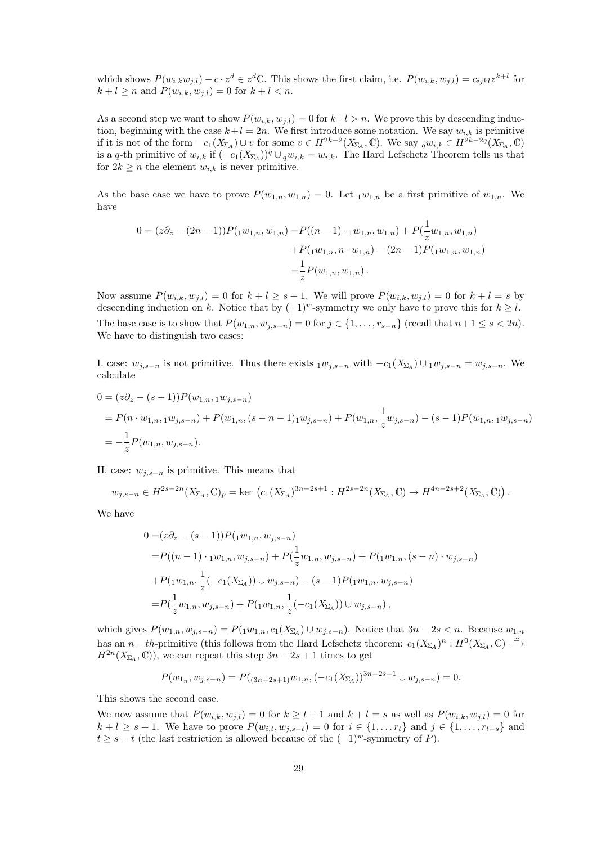which shows  $P(w_{i,k}w_{j,l}) - c \cdot z^d \in z^d \mathbb{C}$ . This shows the first claim, i.e.  $P(w_{i,k}, w_{j,l}) = c_{ijkl} z^{k+l}$  for  $k + l \ge n$  and  $P(w_{i,k}, w_{i,l}) = 0$  for  $k + l < n$ .

As a second step we want to show  $P(w_{i,k}, w_{j,l}) = 0$  for  $k+l > n$ . We prove this by descending induction, beginning with the case  $k+l = 2n$ . We first introduce some notation. We say  $w_{i,k}$  is primitive if it is not of the form  $-c_1(X_{\Sigma_A}) \cup v$  for some  $v \in H^{2k-2}(X_{\Sigma_A}, \mathbb{C})$ . We say  $\varphi w_{i,k} \in H^{2k-2q}(X_{\Sigma_A}, \mathbb{C})$ is a q-th primitive of  $w_{i,k}$  if  $(-c_1(X_{\Sigma_A}))^q \cup_q w_{i,k} = w_{i,k}$ . The Hard Lefschetz Theorem tells us that for  $2k \geq n$  the element  $w_{i,k}$  is never primitive.

As the base case we have to prove  $P(w_{1,n}, w_{1,n}) = 0$ . Let  $_1w_{1,n}$  be a first primitive of  $w_{1,n}$ . We have

$$
0 = (z\partial_z - (2n-1))P(_1w_{1,n}, w_{1,n}) = P((n-1)\cdot_1 w_{1,n}, w_{1,n}) + P(\frac{1}{z}w_{1,n}, w_{1,n})
$$
  
+P(\_1w\_{1,n}, n \cdot w\_{1,n}) - (2n-1)P(\_1w\_{1,n}, w\_{1,n})  
=  $\frac{1}{z}P(w_{1,n}, w_{1,n}).$ 

Now assume  $P(w_{i,k}, w_{j,l}) = 0$  for  $k + l \geq s + 1$ . We will prove  $P(w_{i,k}, w_{j,l}) = 0$  for  $k + l = s$  by descending induction on k. Notice that by  $(-1)^w$ -symmetry we only have to prove this for  $k \geq l$ . The base case is to show that  $P(w_{1,n}, w_{j,s-n}) = 0$  for  $j \in \{1, \ldots, r_{s-n}\}$  (recall that  $n+1 \leq s < 2n$ ). We have to distinguish two cases:

I. case:  $w_{j,s-n}$  is not primitive. Thus there exists  $_1w_{j,s-n}$  with  $-c_1(X_{\Sigma_A}) \cup _1w_{j,s-n} = w_{j,s-n}$ . We calculate

$$
0 = (z\partial_z - (s-1))P(w_{1,n}, w_{j,s-n})
$$
  
=  $P(n \cdot w_{1,n}, w_{j,s-n}) + P(w_{1,n}, (s-n-1)w_{j,s-n}) + P(w_{1,n}, \frac{1}{z}w_{j,s-n}) - (s-1)P(w_{1,n}, w_{j,s-n})$   
=  $-\frac{1}{z}P(w_{1,n}, w_{j,s-n}).$ 

II. case:  $w_{i,s-n}$  is primitive. This means that

$$
w_{j,s-n} \in H^{2s-2n}(X_{\Sigma_A}, \mathbb{C})_p = \ker \left( c_1(X_{\Sigma_A})^{3n-2s+1} : H^{2s-2n}(X_{\Sigma_A}, \mathbb{C}) \to H^{4n-2s+2}(X_{\Sigma_A}, \mathbb{C}) \right).
$$

We have

$$
0 = (z\partial_z - (s-1))P(\n_1w_{1,n}, w_{j,s-n})
$$
  
\n
$$
= P((n-1)\cdot_1w_{1,n}, w_{j,s-n}) + P(\frac{1}{z}w_{1,n}, w_{j,s-n}) + P(\n_1w_{1,n}, (s-n)\cdot w_{j,s-n})
$$
  
\n
$$
+ P(\n_1w_{1,n}, \frac{1}{z}(-c_1(X_{\Sigma_A})) \cup w_{j,s-n}) - (s-1)P(\n_1w_{1,n}, w_{j,s-n})
$$
  
\n
$$
= P(\frac{1}{z}w_{1,n}, w_{j,s-n}) + P(\n_1w_{1,n}, \frac{1}{z}(-c_1(X_{\Sigma_A})) \cup w_{j,s-n}),
$$

which gives  $P(w_{1,n}, w_{j,s-n}) = P({}_1w_{1,n}, c_1(X_{\Sigma_A}) \cup w_{j,s-n})$ . Notice that  $3n - 2s < n$ . Because  $w_{1,n}$ has an  $n-th$ -primitive (this follows from the Hard Lefschetz theorem:  $c_1(X_{\Sigma_A})^n : H^0(X_{\Sigma_A}, \mathbb{C}) \longrightarrow$  $H^{2n}(X_{\Sigma_A},\mathbb{C}))$ , we can repeat this step  $3n-2s+1$  times to get

$$
P(w_{1_n}, w_{j,s-n}) = P((3n-2s+1)w_{1,n}, (-c_1(X_{\Sigma_A}))^{3n-2s+1} \cup w_{j,s-n}) = 0.
$$

This shows the second case.

We now assume that  $P(w_{i,k}, w_{j,l}) = 0$  for  $k \ge t+1$  and  $k+l = s$  as well as  $P(w_{i,k}, w_{j,l}) = 0$  for  $k + l \geq s + 1$ . We have to prove  $P(w_{i,t}, w_{j,s-t}) = 0$  for  $i \in \{1, ..., r_t\}$  and  $j \in \{1, ..., r_{t-s}\}$  and  $t \geq s - t$  (the last restriction is allowed because of the  $(-1)^w$ -symmetry of P).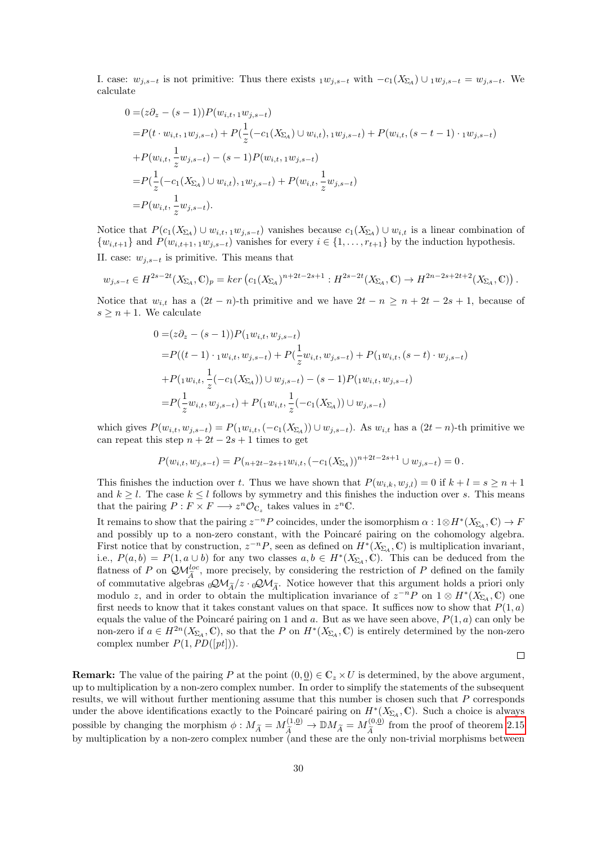I. case:  $w_{j,s-t}$  is not primitive: Thus there exists  $_1w_{j,s-t}$  with  $-c_1(X_{\Sigma_A}) \cup _1w_{j,s-t} = w_{j,s-t}$ . We calculate

$$
0 = (z\partial_z - (s-1))P(w_{i,t}, 1w_{j,s-t})
$$
  
= P(t \cdot w\_{i,t}, 1w\_{j,s-t}) + P(\frac{1}{z}(-c\_1(X\_{\Sigma\_A}) \cup w\_{i,t}), 1w\_{j,s-t}) + P(w\_{i,t}, (s-t-1) \cdot 1w\_{j,s-t})  
+ P(w\_{i,t}, \frac{1}{z}w\_{j,s-t}) - (s-1)P(w\_{i,t}, 1w\_{j,s-t})  
= P(\frac{1}{z}(-c\_1(X\_{\Sigma\_A}) \cup w\_{i,t}), 1w\_{j,s-t}) + P(w\_{i,t}, \frac{1}{z}w\_{j,s-t})  
= P(w\_{i,t}, \frac{1}{z}w\_{j,s-t}).

Notice that  $P(c_1(X_{\Sigma_A}) \cup w_{i,t}, w_{j,s-t})$  vanishes because  $c_1(X_{\Sigma_A}) \cup w_{i,t}$  is a linear combination of  $\{w_{i,t+1}\}\$  and  $P(w_{i,t+1}, \mathbf{1}w_{j,s-t})$  vanishes for every  $i \in \{1, \ldots, r_{t+1}\}\$  by the induction hypothesis. II. case:  $w_{i,s-t}$  is primitive. This means that

$$
w_{j,s-t} \in H^{2s-2t}(X_{\Sigma_A}, \mathbb{C})_p = \ker (c_1(X_{\Sigma_A})^{n+2t-2s+1} : H^{2s-2t}(X_{\Sigma_A}, \mathbb{C}) \to H^{2n-2s+2t+2}(X_{\Sigma_A}, \mathbb{C}))
$$
.

Notice that  $w_{i,t}$  has a  $(2t - n)$ -th primitive and we have  $2t - n \ge n + 2t - 2s + 1$ , because of  $s \geq n+1$ . We calculate

$$
0 = (z\partial_z - (s-1))P(\mathbf{1}w_{i,t}, w_{j,s-t})
$$
  
= P((t-1) \cdot \mathbf{1}w\_{i,t}, w\_{j,s-t}) + P(\frac{1}{z}w\_{i,t}, w\_{j,s-t}) + P(\mathbf{1}w\_{i,t}, (s-t) \cdot w\_{j,s-t})  
+ P(\mathbf{1}w\_{i,t}, \frac{1}{z}(-c\_1(X\_{\Sigma\_A})) \cup w\_{j,s-t}) - (s-1)P(\mathbf{1}w\_{i,t}, w\_{j,s-t})  
= P(\frac{1}{z}w\_{i,t}, w\_{j,s-t}) + P(\mathbf{1}w\_{i,t}, \frac{1}{z}(-c\_1(X\_{\Sigma\_A})) \cup w\_{j,s-t})

which gives  $P(w_{i,t}, w_{j,s-t}) = P(\underline{w}_{i,t}, (-c_1(X_{\Sigma_A})) \cup w_{j,s-t})$ . As  $w_{i,t}$  has a  $(2t - n)$ -th primitive we can repeat this step  $n + 2t - 2s + 1$  times to get

$$
P(w_{i,t}, w_{j,s-t}) = P_{n+2t-2s+1}w_{i,t}, (-c_1(X_{\Sigma_A}))^{n+2t-2s+1} \cup w_{j,s-t}) = 0.
$$

This finishes the induction over t. Thus we have shown that  $P(w_{i,k}, w_{j,l}) = 0$  if  $k + l = s \ge n + 1$ and  $k \geq l$ . The case  $k \leq l$  follows by symmetry and this finishes the induction over s. This means that the pairing  $P: F \times F \longrightarrow z^n \mathcal{O}_{\mathbb{C}_z}$  takes values in  $z^n \mathbb{C}$ .

It remains to show that the pairing  $z^{-n}P$  coincides, under the isomorphism  $\alpha: 1 \otimes H^*(X_{\Sigma_A}, \mathbb{C}) \to P$ and possibly up to a non-zero constant, with the Poincaré pairing on the cohomology algebra. First notice that by construction,  $z^{-n}P$ , seen as defined on  $H^*(X_{\Sigma_A}, \mathbb{C})$  is multiplication invariant, i.e.,  $P(a, b) = P(1, a \cup b)$  for any two classes  $a, b \in H^*(X_{\Sigma_A}, \mathbb{C})$ . This can be deduced from the flatness of P on  $\mathcal{QM}_{\tilde{A}}^{loc}$ , more precisely, by considering the restriction of P defined on the family of commutative algebras  $\partial \mathcal{M}_{\tilde{\Lambda}}/z \cdot \partial \mathcal{M}_{\tilde{\Lambda}}$ . Notice however that this argument holds a priori only modulo z, and in order to obtain the multiplication invariance of  $z^{-n}P$  on  $1 \otimes H^*(X_{\Sigma_A}, \mathbb{C})$  one first needs to know that it takes constant values on that space. It suffices now to show that  $P(1, a)$ equals the value of the Poincaré pairing on 1 and a. But as we have seen above,  $P(1, a)$  can only be non-zero if  $a \in H^{2n}(X_{\Sigma_A}, \mathbb{C})$ , so that the P on  $H^*(X_{\Sigma_A}, \mathbb{C})$  is entirely determined by the non-zero complex number  $P(1, PD([pt]))$ .

 $\Box$ 

**Remark:** The value of the pairing P at the point  $(0, 0) \in \mathbb{C}_z \times U$  is determined, by the above argument, up to multiplication by a non-zero complex number. In order to simplify the statements of the subsequent results, we will without further mentioning assume that this number is chosen such that P corresponds under the above identifications exactly to the Poincaré pairing on  $H^*(X_{\Sigma_A}, \mathbb{C})$ . Such a choice is always possible by changing the morphism  $\phi: M_{\widetilde{A}} = M_{\widetilde{A}}^{(1,0)} \to \mathbb{D}M_{\widetilde{A}} = M_{\widetilde{A}}^{(0,0)}$  $\tilde{\tilde{A}}$ <br>column the proof of theorem [2.15](#page-0-1) by multiplication by a non-zero complex number (and these are the only non-trivial morphisms between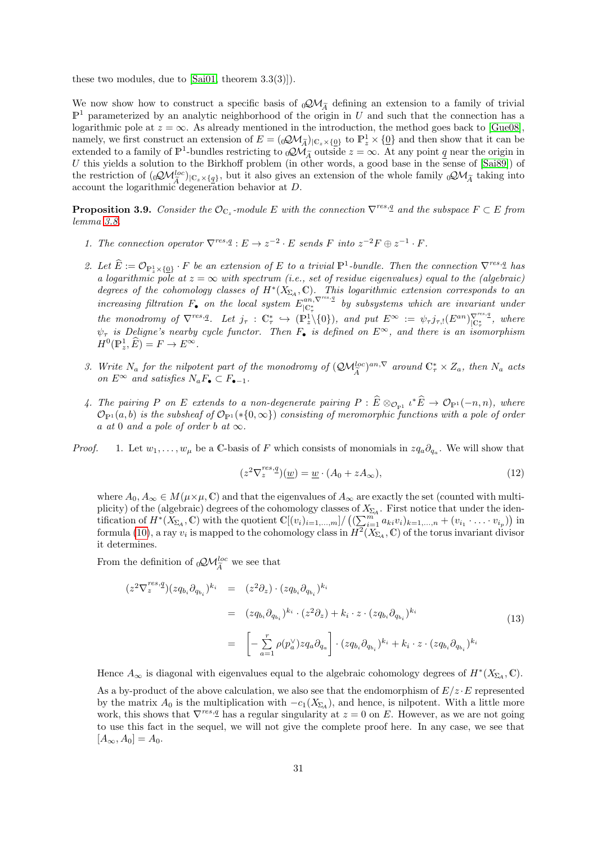these two modules, due to [\[Sai01,](#page-49-12) theorem 3.3(3)]).

We now show how to construct a specific basis of  $\partial \mathcal{M}_{\tilde{\Lambda}}$  defining an extension to a family of trivial  $\mathbb{P}^1$  parameterized by an analytic neighborhood of the origin in U and such that the connection has a logarithmic pole at  $z = \infty$ . As already mentioned in the introduction, the method goes back to [\[Gue08\]](#page-48-3), namely, we first construct an extension of  $E = (0 \mathcal{Q} M_A) |C_z \times \{0\}$  to  $\mathbb{P}^1_z \times \{0\}$  and then show that it can be extended to a family of  $\mathbb{P}^1$ -bundles restricting to  $\partial \mathcal{M}_{\tilde{A}}$  outside  $z = \infty$ . At any point q near the origin in U this yields a solution to the Birkhoff problem (in other words, a good base in the sense of [\[Sai89\]](#page-49-7)) of the restriction of  $(\partial QM_{\tilde{A}}^{loc})_{|C_z\times \{q\}}$ , but it also gives an extension of the whole family  $\partial QM_{\tilde{A}}$  taking into  $\frac{\text{A}}{\text{A}}$  ( $\frac{\text{A}}{\text{A}}$ )  $\frac{\text{A}}{\text{B}}$  and  $\frac{\text{A}}{\text{A}}$  and  $\frac{\text{A}}{\text{B}}$  and  $\frac{\text{A}}{\text{B}}$  and  $\frac{\text{A}}{\text{B}}$ .

<span id="page-30-2"></span>**Proposition 3.9.** Consider the  $\mathcal{O}_{C_z}$ -module E with the connection  $\nabla^{res,q}$  and the subspace  $F \subset E$  from lemma [3.8.](#page-0-1)

- 1. The connection operator  $\nabla^{res,q}: E \to z^{-2} \cdot E$  sends F into  $z^{-2}F \oplus z^{-1} \cdot F$ .
- 2. Let  $\widehat{E} := \mathcal{O}_{\mathbb{P}_z^1 \times \{0\}}$   $\cdot$  F be an extension of E to a trivial  $\mathbb{P}^1$ -bundle. Then the connection  $\nabla^{res,q}$  has a logarithmic pole at  $z = \infty$  with spectrum (i.e., set of residue eigenvalues) equal to the (algebraic) degrees of the cohomology classes of  $H^*(X_{\Sigma_A},\mathbb{C})$ . This logarithmic extension corresponds to an increasing filtration  $F_{\bullet}$  on the local system  $E_{\parallel \mathbb{C}^*}^{an,\nabla^{res,q}}$  $\lim_{|\mathbb{C}_{\tau}^*}$  by subsystems which are invariant under the monodromy of  $\nabla^{res,q}$ . Let  $j_{\tau} : \mathbb{C}_{\tau}^* \hookrightarrow (\mathbb{P}_{z}^1\setminus\{0\})$ , and put  $E^{\infty} := \psi_{\tau}j_{\tau,!}(E^{an})^{\nabla^{res,q}}_{\mathbb{C}_{\tau}^*}$ , where  $\psi_{\tau}$  is Deligne's nearby cycle functor. Then  $F_{\bullet}$  is defined on  $E^{\infty}$ , and there is an isomorphism  $H^0(\mathbb{P}^1_z, \widehat{E}) = F \to E^\infty.$
- 3. Write  $N_a$  for the nilpotent part of the monodromy of  $(QM_{\tilde{A}}^{loc})^{an,\nabla}$  around  $\mathbb{C}_{\tau}^* \times Z_a$ , then  $N_a$  acts on  $F^{\infty}$  and satisfies  $N F \subset F$ on  $E^{\infty}$  and satisfies  $N_aF_{\bullet} \subset F_{\bullet-1}$ .
- 4. The pairing P on E extends to a non-degenerate pairing  $P : \widehat{E} \otimes_{\mathcal{O}_{\mathbb{P}^1}} i^* \widehat{E} \to \mathcal{O}_{\mathbb{P}^1}(-n, n)$ , where  $\mathcal{O}_{\mathbb{P}^1}(a, b)$  is the subsheaf of  $\mathcal{O}_{\mathbb{P}^1}(\ast{0, \infty})$  consisting of meromorphic functions with a pole of order a at 0 and a pole of order b at  $\infty$ .

*Proof.* 1. Let  $w_1, \ldots, w_\mu$  be a C-basis of F which consists of monomials in  $zq_a\partial_{q_a}$ . We will show that

<span id="page-30-0"></span>
$$
(z^2 \nabla_z^{res,q})(\underline{w}) = \underline{w} \cdot (A_0 + zA_\infty),\tag{12}
$$

where  $A_0, A_\infty \in M(\mu \times \mu, \mathbb{C})$  and that the eigenvalues of  $A_\infty$  are exactly the set (counted with multiplicity) of the (algebraic) degrees of the cohomology classes of  $X_{\Sigma_A}$ . First notice that under the identification of  $H^*(X_{\Sigma_A}, \mathbb{C})$  with the quotient  $\mathbb{C}[(v_i)_{i=1,\dots,m}]/((\sum_{i=1}^{m} a_{ki}v_i)_{k=1,\dots,n} + (v_{i_1} \cdot \ldots \cdot v_{i_p}))$  in formula [\(10\)](#page-25-0), a ray  $v_i$  is mapped to the cohomology class in  $H^2(X_{\Sigma_A}, \mathbb{C})$  of the torus invariant divisor it determines.

From the definition of  $\partial QM_{\widetilde{A}}^{loc}$  we see that

<span id="page-30-1"></span>
$$
(z^2 \nabla_z^{res,q})(zq_{b_i}\partial_{q_{b_i}})^{k_i} = (z^2 \partial_z) \cdot (zq_{b_i}\partial_{q_{b_i}})^{k_i}
$$
  
\n
$$
= (zq_{b_i}\partial_{q_{b_i}})^{k_i} \cdot (z^2 \partial_z) + k_i \cdot z \cdot (zq_{b_i}\partial_{q_{b_i}})^{k_i}
$$
  
\n
$$
= \left[ -\sum_{a=1}^r \rho(p_a^{\vee})zq_a\partial_{q_a} \right] \cdot (zq_{b_i}\partial_{q_{b_i}})^{k_i} + k_i \cdot z \cdot (zq_{b_i}\partial_{q_{b_i}})^{k_i}
$$
\n(13)

Hence  $A_{\infty}$  is diagonal with eigenvalues equal to the algebraic cohomology degrees of  $H^*(X_{\Sigma_A}, \mathbb{C})$ .

As a by-product of the above calculation, we also see that the endomorphism of  $E/z \cdot E$  represented by the matrix  $A_0$  is the multiplication with  $-c_1(X_{\Sigma_A})$ , and hence, is nilpotent. With a little more work, this shows that  $\nabla^{res,q}$  has a regular singularity at  $z = 0$  on E. However, as we are not going to use this fact in the sequel, we will not give the complete proof here. In any case, we see that  $[A_{\infty}, A_0] = A_0.$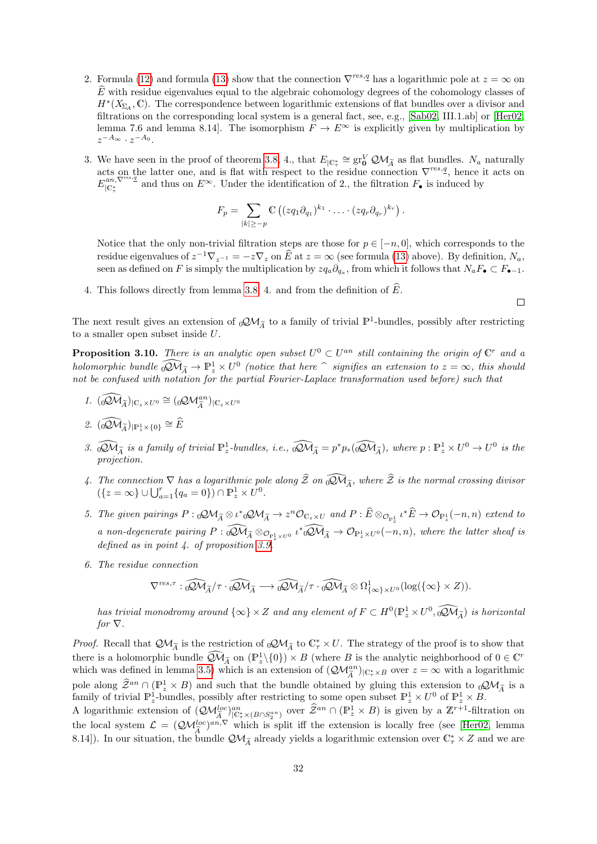- 2. Formula [\(12\)](#page-30-0) and formula [\(13\)](#page-30-1) show that the connection  $\nabla^{res,q}$  has a logarithmic pole at  $z = \infty$  on  $\widehat{E}$  with residue eigenvalues equal to the algebraic cohomology degrees of the cohomology classes of  $H^*(X_{\Sigma_A}, \mathbb{C})$ . The correspondence between logarithmic extensions of flat bundles over a divisor and filtrations on the corresponding local system is a general fact, see, e.g., [\[Sab02,](#page-49-13) III.1.ab] or [\[Her02,](#page-48-14) lemma 7.6 and lemma 8.14]. The isomorphism  $F \to E^{\infty}$  is explicitly given by multiplication by  $z^{-A_{\infty}} \cdot z^{-A_0}.$
- 3. We have seen in the proof of theorem [3.8,](#page-0-1) 4., that  $E_{|C^*|} \cong \operatorname{gr}_V^V \mathcal{Q} \mathcal{M}_{\tilde{A}}$  as flat bundles.  $N_a$  naturally acts on the latter one, and is flat with respect to the residue connection  $\nabla^{res,q}$ , hence it acts on  $E^{an,\nabla^{res},q}_{\mathsf{IC}*}$  $\int_{[C^*_\tau]}^{an,\nabla^{res},\underline{q}}$  and thus on  $E^\infty$ . Under the identification of 2., the filtration  $F_\bullet$  is induced by

$$
F_p = \sum_{|k| \geq -p} \mathbb{C} \left( (zq_1 \partial_{q_1})^{k_1} \cdot \ldots \cdot (zq_r \partial_{q_r})^{k_r} \right).
$$

Notice that the only non-trivial filtration steps are those for  $p \in [-n, 0]$ , which corresponds to the residue eigenvalues of  $z^{-1}\nabla_{z^{-1}} = -z\nabla_z$  on  $\widehat{E}$  at  $z = \infty$  (see formula [\(13\)](#page-30-1) above). By definition,  $N_a$ , seen as defined on F is simply the multiplication by  $zq_a\partial_{q_a}$ , from which it follows that  $N_aF_\bullet \subset F_{\bullet-1}$ .

4. This follows directly from lemma [3.8,](#page-0-1) 4. and from the definition of  $\widehat{E}$ .

The next result gives an extension of  $\partial \mathcal{M}_{\tilde{A}}$  to a family of trivial  $\mathbb{P}^1$ -bundles, possibly after restricting to a smaller open subset inside U.

<span id="page-31-0"></span>**Proposition 3.10.** There is an analytic open subset  $U^0 \subset U^{an}$  still containing the origin of  $\mathbb{C}^r$  and a holomorphic bundle  $\widehat{QM}_{\widetilde{A}} \to \mathbb{P}^1_z \times U^0$  (notice that here  $\widehat{\phantom{a}}$  signifies an extension to  $z = \infty$ , this should not be confused with notation for the partial Fourier-Laplace transformation used before) such that

1. 
$$
(\widehat{0QM}_{\widetilde{A}})|_{\mathbb{C}_z\times U^0}\cong ({}_{0QM}_{\widetilde{A}}^{an})_{|\mathbb{C}_z\times U^0}
$$

2. 
$$
(\widehat{\mathbb{Q}\mathcal{M}_{\widetilde{A}}})_{|\mathbb{P}^1_z \times \{0\}} \cong \widehat{E}
$$

- 3.  $\widehat{\phi\mathcal{M}}_{\widetilde{A}}$  is a family of trivial  $\mathbb{P}^1_z$ -bundles, i.e.,  $\widehat{\phi\mathcal{M}}_{\widetilde{A}} = p^*p_*(\widehat{\phi\mathcal{M}}_{\widetilde{A}})$ , where  $p: \mathbb{P}^1_z \times U^0 \to U^0$  is the projection.
- 4. The connection  $\nabla$  has a logarithmic pole along  $\widehat{\mathcal{Z}}$  on  $\widehat{QM}_{\widetilde{A}}$ , where  $\widehat{\mathcal{Z}}$  is the normal crossing divisor  $({z = \infty} \cup \bigcup_{a=1}^r {q_a = 0}) \cap \mathbb{P}_z^1 \times \overline{U^0}.$
- 5. The given pairings  $P: \partial_\mu \mathcal{M}_{\widetilde{A}} \otimes \iota^* \partial_\mu \mathcal{M}_{\widetilde{A}} \to z^n \mathcal{O}_{\mathbb{C}_z \times U}$  and  $P: \widehat{E} \otimes_{\mathcal{O}_{\mathbb{P}^1_z}} \iota^* \widehat{E} \to \mathcal{O}_{\mathbb{P}^1_z}(-n, n)$  extend to a non-degenerate pairing  $P: \widehat{\omega} \widehat{\omega}_{\widehat{A}} \otimes_{\mathbb{P}^1_z \times U^0} \iota^* \widehat{\omega} \widehat{\omega}_{\widehat{A}} \to \mathcal{O}_{\mathbb{P}^1_z \times U^0}(-n, n)$ , where the latter sheaf is defined as in point 4. of proposition [3.9.](#page-30-2)
- 6. The residue connection

$$
\nabla^{res,\tau}: \widehat{\mathbb{Q}\mathcal{M}_{\widetilde{A}}}/\tau\cdot \widehat{\mathbb{Q}\mathcal{M}_{\widetilde{A}}}\longrightarrow \widehat{\mathbb{Q}\mathcal{M}_{\widetilde{A}}}/\tau\cdot \widehat{\mathbb{Q}\mathcal{M}_{\widetilde{A}}}\otimes \Omega^1_{\{\infty\}\times U^0}(\log(\{\infty\}\times Z)).
$$

has trivial monodromy around  $\{\infty\} \times Z$  and any element of  $F \subset H^0(\mathbb{P}^1_z \times U^0, \widehat{Q\mathcal{M}_{\widetilde{A}}})$  is horizontal for  $\nabla$ .

*Proof.* Recall that  $\mathcal{QM}_{\tilde{A}}$  is the restriction of  ${}_{0}\mathcal{QM}_{\tilde{A}}$  to  $C_{\tau}^{*} \times U$ . The strategy of the proof is to show that there is a holomorphic bundle  $\widehat{\mathcal{QM}}_{\widetilde{A}}$  on  $(\mathbb{P}^1_\kappa\setminus\{0\}) \times B$  (where B is the analytic neighborhood of  $0 \in \mathbb{C}^r$ ) which was defined in lemma [3.5\)](#page-0-1) which is an extension of  $(\mathcal{QM}_{\tilde{A}}^{an})_{|\mathbb{C}_{\tau}^{*}\times B}$  over  $z=\infty$  with a logarithmic pole along  $\hat{Z}^{an} \cap (\mathbb{P}^1_z \times B)$  and such that the bundle obtained by gluing this extension to  ${}_0\mathcal{QM}_{\tilde{A}}$  is a family of trivial  $\mathbb{P}^1_z$ -bundles, possibly after restricting to some open subset  $\mathbb{P}^1_z \times U$ A logarithmic extension of  $(QM_{\tilde{A}}^{loc})^{an}$  over  $\hat{Z}^{an} \cap (\mathbb{P}^1_z \times B)$  is given by a  $\mathbb{Z}^{r+1}$ -filtration on the local system  $\mathcal{L} = (\mathcal{QM}_{\tilde{A}}^{loc})^{an,\nabla}$  which is split iff the extension is locally free (see [\[Her02,](#page-48-14) lemma) 8.14]). In our situation, the bundle  $\mathcal{QM}_{\widetilde{A}}$  already yields a logarithmic extension over  $\mathbb{C}^*_\tau \times Z$  and we are

 $\Box$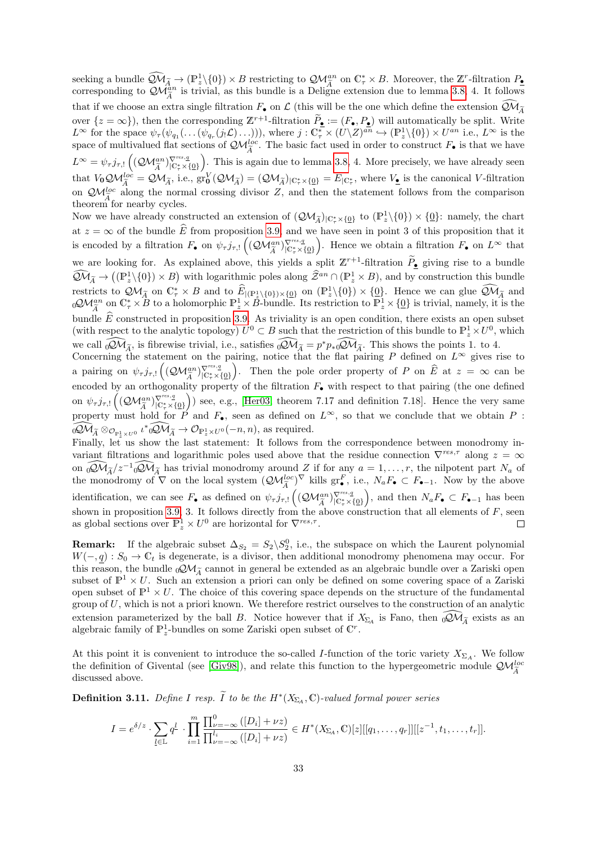seeking a bundle  $\widehat{\mathcal{QM}}_{\widetilde{A}} \to (\mathbb{P}^1_\ast \setminus \{0\}) \times B$  restricting to  $\mathcal{QM}_{\widetilde{A}}^{an}$  on  $\mathbb{C}^*_\tau \times B$ . Moreover, the Z<sup>r</sup>-filtration  $P_{\bullet}$ <br>corresponding to  $\widehat{OM}^{an}$  is trivial, as this bundle is a Delign corresponding to  $\mathcal{Q}M_{\tilde{A}}^{\hat{a}n}$  is trivial, as this bundle is a Deligne extension due to lemma [3.8,](#page-0-1) 4. It follows that if we choose an extra single filtration  $F_{\bullet}$  on  $\mathcal L$  (this will be the one which define the extension  $\widehat{\mathcal{QM}}_{\widetilde{A}}$ over  $\{z = \infty\}$ ), then the corresponding  $\mathbb{Z}^{r+1}$ -filtration  $\widetilde{P}_\bullet := (F_\bullet, P_\bullet)$  will automatically be split. Write  $L^{\infty}$  for the space  $\psi_{\tau}(\psi_{q_1}(\ldots(\psi_{q_r}(j_!\mathcal{L})\ldots)))$ , where  $j:\mathbb{C}_{\tau}^*\times(U\setminus Z)^{\widetilde{an}}\hookrightarrow(\mathbb{P}_z^1\setminus\{0\})\times U^{an}$  i.e.,  $L^{\infty}$  is the space of multivalued flat sections of  $\mathcal{QM}_{\tilde{A}}^{loc}$ . The basic fact used in order to construct  $F_{\bullet}$  is that we have  $L^{\infty} = \psi_{\tau} j_{\tau, !} \left( (\mathcal{Q}\mathcal{M}_{\widetilde{A}}^{an})_{|\mathbb{C}_{\tau}^{\ast} \times \{\underline{0}\}}^{\nabla^{res, \underline{q}}}_{|\mathbb{C}_{\tau}^{\ast} \times \{\underline{0}\}} \right)$ that  $V_0 \mathcal{Q} M_{\tilde{A}}^{loc} = \mathcal{Q} M_{\tilde{A}}$ , i.e.,  $gr_0^V(\mathcal{Q} M_{\tilde{A}}) = (\mathcal{Q} M_{\tilde{A}})_{|C^*_{\tau} \times \{0\}} = E_{|C^*_{\tau}|}$ , where  $V_{\bullet}$  is the canonical V-filtration . This is again due to lemma [3.8,](#page-0-1) 4. More precisely, we have already seen on  $\mathcal{QM}^{loc}_{\tilde{\lambda}}$  along the normal crossing divisor Z, and then the statement follows from the comparison  $\sum_{A} A$  dising the norm

Now we have already constructed an extension of  $(Q\mathcal{M}_{\tilde{A}})|_{C^*_r\times{0}}$  to  $(\mathbb{P}^1_\zeta\setminus{0})\times{\mathbb{Q}}$ : namely, the chart at  $z = \infty$  of the bundle  $\widehat{E}$  from proposition [3.9,](#page-30-2) and we have seen in point 3 of this proposition that it is encoded by a filtration  $F_{\bullet}$  on  $\psi_{\tau} j_{\tau,!} \left( (\mathcal{QM}_{\tilde{A}}^{an})^{\nabla^{res,q}}_{|\mathbb{C}_{\tau}^* \times \{ \underline{0} \}} \right)$ ). Hence we obtain a filtration  $F_{\bullet}$  on  $L^{\infty}$  that we are looking for. As explained above, this yields a split  $\mathbb{Z}^{r+1}$ -filtration  $\widetilde{P}_{\bullet}$  giving rise to a bundle  $\widehat{\mathcal{QM}}_{\widetilde{A}} \to (\mathbb{P}_z^1 \setminus \{0\}) \times B)$  with logarithmic poles along  $\widehat{\mathcal{Z}}^{an} \cap (\mathbb{P}_z^1 \times B)$ , and by construction this bundle restricts to  $\mathcal{QM}_{\tilde{A}}^{\alpha}$  on  $\mathbb{C}_{\tau}^{*} \times B$  and to  $\widehat{E}_{|(\mathbb{P}_{\tilde{A}}^{1}\setminus{0})\times\{0\}}$  on  $(\mathbb{P}_{\tilde{z}}^{1}\setminus{0})\times\{0\}$ . Hence we can glue  $\widehat{\mathcal{QM}}_{\tilde{A}}^{\alpha}$  and  ${}_{0}\mathcal{QM}_{\tilde{A}}^{\alpha}$  on  $\mathbb{C}_{\tau}^{*} \times B$  to bundle  $\overline{E}$  constructed in proposition [3.9.](#page-30-2) As triviality is an open condition, there exists an open subset (with respect to the analytic topology)  $U^0 \subset B$  such that the restriction of this bundle to  $\mathbb{P}_z^1 \times U^0$ , which we call  $\widehat{QM}_{\widetilde{A}}$ , is fibrewise trivial, i.e., satisfies  $\widehat{QM}_{\widetilde{A}} = p^*p_*\widehat{QM}_{\widetilde{A}}$ . This shows the points 1. to 4.<br>Concerning the statement on the pairing, notice that the flat pairing P defined on  $L^{\in$ 

a pairing on  $\psi_{\tau} j_{\tau,!} \left( (\mathcal{Q} \mathcal{M}_{\widetilde{A}}^{an})_{|\mathbb{C}_{\tau}^{*} \times \{0\}}^{\nabla^{res,q}} \right)$ ). Then the pole order property of P on  $\widehat{E}$  at  $z = \infty$  can be encoded by an orthogonality property of the filtration  $F_{\bullet}$  with respect to that pairing (the one defined on  $\psi_\tau j_{\tau,!}\left((\mathcal{Q}\mathcal{M}_{\widetilde{A}}^{an})_{|\mathbb{C}^*_\tau \times \{ \underline{0}\}}^{\nabla^{res, \underline{q}}},\right.$ property must hold for P and  $F_{\bullet}$ , seen as defined on  $L^{\infty}$ , so that we conclude that we obtain P : ) see, e.g., [\[Her03,](#page-48-15) theorem 7.17 and definition 7.18]. Hence the very same  $\widehat{\mathrm{GMA}}_{\widetilde{A}} \otimes_{\mathcal{O}_{\mathbb{P}_z^1 \times U^0}} \iota^* \widehat{\mathrm{GMA}}_{\widetilde{A}} \to \mathcal{O}_{\mathbb{P}_z^1 \times U^0}(-n, n)$ , as required.

Finally, let us show the last statement: It follows from the correspondence between monodromy invariant filtrations and logarithmic poles used above that the residue connection  $\nabla^{res, \tau}$  along  $z = \infty$ on  $\widehat{\mathcal{QM}}_{\widetilde{A}}/z^{-1}\widehat{\mathcal{QM}}_{\widetilde{A}}$  has trivial monodromy around Z if for any  $a = 1, \ldots, r$ , the nilpotent part  $N_a$  of the monodromy of  $\nabla$  on the local system  $(QM_{\tilde{A}}^{loc})^{\nabla}$  kills  $gr_{\bullet}^{F}$ , i.e.,  $N_aF_{\bullet}\subset F_{\bullet-1}$ . Now by the above  $\overline{A}$ identification, we can see  $F_{\bullet}$  as defined on  $\psi_{\tau} j_{\tau,!} \left( (\mathcal{Q} \mathcal{M}_{\tilde{A}}^{an})^{\nabla^{res,q}}_{|\mathbb{C}^*_{\tau}\times\{0\}} \right)$ ), and then  $N_a F_{\bullet} \subset F_{\bullet-1}$  has been shown in proposition [3.9,](#page-30-2) 3. It follows directly from the above construction that all elements of  $F$ , seen as global sections over  $\mathbb{P}^1_z \times U^0$  are horizontal for  $\nabla^{res, \tau}$ .  $\Box$ 

**Remark:** If the algebraic subset  $\Delta_{S_2} = S_2 \backslash S_2^0$ , i.e., the subspace on which the Laurent polynomial  $W(-, q) : S_0 \to \mathbb{C}_t$  is degenerate, is a divisor, then additional monodromy phenomena may occur. For this reason, the bundle  $_0Q\mathcal{M}_{\tilde{\Lambda}}$  cannot in general be extended as an algebraic bundle over a Zariski open subset of  $\mathbb{P}^1 \times U$ . Such an extension a priori can only be defined on some covering space of a Zariski open subset of  $\mathbb{P}^1 \times U$ . The choice of this covering space depends on the structure of the fundamental group of  $U$ , which is not a priori known. We therefore restrict ourselves to the construction of an analytic extension parameterized by the ball B. Notice however that if  $X_{\Sigma_A}$  is Fano, then  $\partial \mathcal{M}_{\widetilde{A}}$  exists as an algebraic family of  $\mathbb{P}^1_z$ -bundles on some Zariski open subset of  $\mathbb{C}^r$ .

At this point it is convenient to introduce the so-called I-function of the toric variety  $X_{\Sigma_A}$ . We follow the definition of Givental (see [\[Giv98\]](#page-47-4)), and relate this function to the hypergeometric module  $\mathcal{QM}_{\tilde{A}}^{loc}$ discussed above.

<span id="page-32-0"></span>**Definition 3.11.** Define I resp.  $\widetilde{I}$  to be the  $H^*(X_{\Sigma_A}, \mathbb{C})$ -valued formal power series

$$
I = e^{\delta/z} \cdot \sum_{\underline{l} \in \mathbb{L}} q^{\underline{l}} \cdot \prod_{i=1}^{m} \frac{\prod_{\nu=-\infty}^{0} ([D_i] + \nu z)}{\prod_{\nu=-\infty}^{l_i} ([D_i] + \nu z)} \in H^*(X_{\Sigma_A}, \mathbb{C})[z][[q_1, \ldots, q_r]][[z^{-1}, t_1, \ldots, t_r]].
$$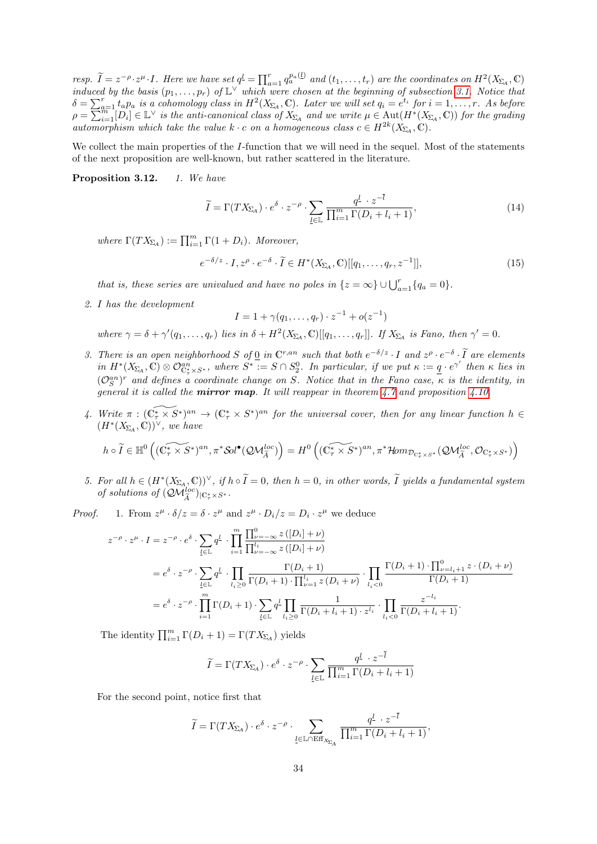resp.  $\widetilde{I} = z^{-\rho} \cdot z^{\mu} \cdot I$ . Here we have set  $q^{\underline{l}} = \prod_{a=1}^{r} q_a^{\underline{p}_a(\underline{l})}$  and  $(t_1, \ldots, t_r)$  are the coordinates on  $H^2(X_{\Sigma_A}, \mathbb{C})$ induced by the basis  $(p_1, \ldots, p_r)$  of  $\mathbb{L}^{\vee}$  which were chosen at the beginning of subsection [3.1.](#page-20-0) Notice that  $\delta = \sum_{a=1}^r t_a p_a$  is a cohomology class in  $H^2(X_{\Sigma_A}, \mathbb{C})$ . Later we will set  $q_i = e^{t_i}$  for  $i = 1, \ldots, r$ . As before  $\rho = \sum_{i=1}^{\infty} [D_i] \in \mathbb{L}^{\vee}$  is the anti-canonical class of  $X_{\Sigma_A}$  and we write  $\mu \in \text{Aut}(H^*(X_{\Sigma_A}, \mathbb{C}))$  for the grading automorphism which take the value  $k \cdot c$  on a homogeneous class  $c \in H^{2k}(X_{\Sigma_A}, \mathbb{C})$ .

We collect the main properties of the I-function that we will need in the sequel. Most of the statements of the next proposition are well-known, but rather scattered in the literature.

Proposition 3.12. 1. We have

$$
\widetilde{I} = \Gamma(TX_{\Sigma_A}) \cdot e^{\delta} \cdot z^{-\rho} \cdot \sum_{\underline{l} \in \mathbb{L}} \frac{q^{\underline{l}} \cdot z^{-\overline{l}}}{\prod_{i=1}^m \Gamma(D_i + l_i + 1)},\tag{14}
$$

where  $\Gamma(TX_{\Sigma_A}) := \prod_{i=1}^m \Gamma(1+D_i)$ . Moreover,

$$
e^{-\delta/z} \cdot I, z^{\rho} \cdot e^{-\delta} \cdot \widetilde{I} \in H^*(X_{\Sigma_A}, \mathbb{C})[[q_1, \dots, q_r, z^{-1}]],
$$
\n
$$
(15)
$$

that is, these series are univalued and have no poles in  $\{z = \infty\} \cup \bigcup_{a=1}^r \{q_a = 0\}.$ 

2. I has the development

$$
I = 1 + \gamma(q_1, \dots, q_r) \cdot z^{-1} + o(z^{-1})
$$

where  $\gamma = \delta + \gamma'(q_1, \ldots, q_r)$  lies in  $\delta + H^2(X_{\Sigma_A}, \mathbb{C})[[q_1, \ldots, q_r]]$ . If  $X_{\Sigma_A}$  is Fano, then  $\gamma' = 0$ .

- 3. There is an open neighborhood S of 0 in  $\mathbb{C}^{r,an}$  such that both  $e^{-\delta/z} \cdot I$  and  $z^{\rho} \cdot e^{-\delta} \cdot \widetilde{I}$  are elements  $in H^*(X_{\Sigma_A}, \mathbb{C}) \otimes \mathcal{O}_{\mathbb{C}^*_\tau \times S^*}^{an}$ , where  $S^* := S \cap S_2^0$ . In particular, if we put  $\kappa := \underline{q} \cdot e^{\gamma'}$  then  $\kappa$  lies in  $(\mathcal{O}_S^{an})^r$  and defines a coordinate change on S. Notice that in the Fano case,  $\kappa$  is the identity, in general it is called the **mirror map**. It will reappear in theorem [4.7](#page-42-0) and proposition [4.10.](#page-43-0)
- 4. Write  $\pi : (\widetilde{\mathbb{C}_\tau^* \times S^*})^{an} \to (\mathbb{C}_\tau^* \times S^*)^{an}$  for the universal cover, then for any linear function  $h \in$  $(H^*(X_{\Sigma_A},\mathbb{C}))^{\vee}$ , we have

$$
h\circ \widetilde{I}\in \mathbb{H}^0\left((\widetilde{\mathbb{C}_\tau^{\times} \times S^*})^{an}, \pi^{\ast}\mathcal{S}ol^{\bullet}(\mathcal{QM}^{loc}_{\widetilde{A}})\right)=H^0\left((\widetilde{\mathbb{C}_\tau^{\times} \times S^*})^{an}, \pi^{\ast}\mathcal{H}om_{\mathcal{D}_{\mathbb{C}_\tau^{\times} \times S^*}}(\mathcal{QM}^{loc}_{\widetilde{A}}, \mathcal{O}_{\mathbb{C}_\tau^{\times} \times S^*})\right)
$$

5. For all  $h \in (H^*(X_{\Sigma_A}, \mathbb{C}))^{\vee}$ , if  $h \circ \widetilde{I} = 0$ , then  $h = 0$ , in other words,  $\widetilde{I}$  yields a fundamental system of solutions of  $(\mathcal{QM}_{\widetilde{A}}^{loc})_{|\mathbb{C}^*_{\widetilde{I}} \times S^*}$ .

*Proof.* 1. From  $z^{\mu} \cdot \delta/z = \delta \cdot z^{\mu}$  and  $z^{\mu} \cdot D_i/z = D_i \cdot z^{\mu}$  we deduce

$$
z^{-\rho} \cdot z^{\mu} \cdot I = z^{-\rho} \cdot e^{\delta} \cdot \sum_{\underline{l} \in \mathbb{L}} q^{\underline{l}} \cdot \prod_{i=1}^{m} \frac{\prod_{\nu=-\infty}^{0} z([D_i] + \nu)}{\prod_{\nu=-\infty}^{l_i} z([D_i] + \nu)}
$$
  
\n
$$
= e^{\delta} \cdot z^{-\rho} \cdot \sum_{\underline{l} \in \mathbb{L}} q^{\underline{l}} \cdot \prod_{l_i \geq 0} \frac{\Gamma(D_i + 1)}{\Gamma(D_i + 1) \cdot \prod_{\nu=1}^{l_i} z(D_i + \nu)} \cdot \prod_{l_i < 0} \frac{\Gamma(D_i + 1) \cdot \prod_{\nu=l_i+1}^{0} z \cdot (D_i + \nu)}{\Gamma(D_i + 1)}
$$
  
\n
$$
= e^{\delta} \cdot z^{-\rho} \cdot \prod_{i=1}^{m} \Gamma(D_i + 1) \cdot \sum_{\underline{l} \in \mathbb{L}} q^{\underline{l}} \prod_{l_i \geq 0} \frac{1}{\Gamma(D_i + l_i + 1) \cdot z^{l_i}} \cdot \prod_{l_i < 0} \frac{z^{-l_i}}{\Gamma(D_i + l_i + 1)}.
$$

The identity  $\prod_{i=1}^{m} \Gamma(D_i + 1) = \Gamma(T X_{\Sigma_A})$  yields

$$
\widetilde{I} = \Gamma(TX_{\Sigma_A}) \cdot e^{\delta} \cdot z^{-\rho} \cdot \sum_{\underline{l} \in \mathbb{L}} \frac{q^{\underline{l}} \cdot z^{-l}}{\prod_{i=1}^m \Gamma(D_i + l_i + 1)}
$$

For the second point, notice first that

$$
\widetilde{I} = \Gamma(TX_{\Sigma_A}) \cdot e^{\delta} \cdot z^{-\rho} \cdot \sum_{\underline{l} \in \mathbb{L} \cap \text{Eff}_{X_{\Sigma_A}}} \frac{q^{\underline{l}} \cdot z^{-\overline{l}}}{\prod_{i=1}^m \Gamma(D_i + l_i + 1)},
$$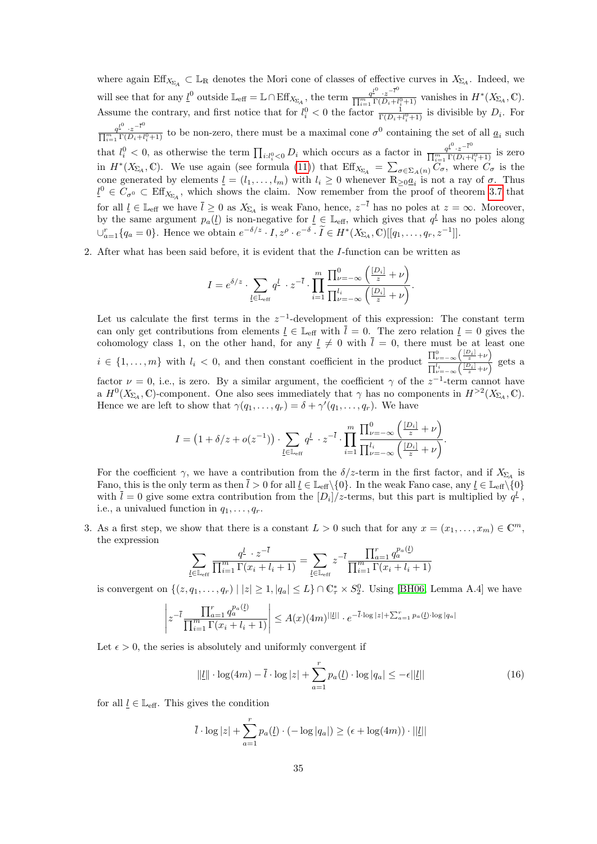where again  $\text{Eff}_{X_{\Sigma_A}} \subset \mathbb{L}_{\mathbb{R}}$  denotes the Mori cone of classes of effective curves in  $X_{\Sigma_A}$ . Indeed, we will see that for any  $\underline{l}^0$  outside  $\mathbb{L}_{\text{eff}} = \mathbb{L} \cap \text{Eff}_{X_{\Sigma_A}}$ , the term  $\frac{q^{\underline{l}^0} \cdot z^{-\overline{l}^0}}{\prod_{i=1}^m \Gamma(D_i+l)}$  $\frac{q^{\underline{v}}\cdot z^{-\underline{v}}}{\prod_{i=1}^m \Gamma(D_i+l_i^0+1)}$  vanishes in  $H^*(X_{\Sigma_A},\mathbb{C})$ . Assume the contrary, and first notice that for  $l_i^0 < 0$  the factor  $\frac{1}{\Gamma(D_i + l_i^0 + 1)}$  is divisible by  $D_i$ . For  $q^{\underline{l}^0} \cdot z^{-\overline{l}^0}$  $\frac{q^{\underline{t}}\cdot z^{-i}}{\prod_{i=1}^m \Gamma(D_i+l_i^0+1)}$  to be non-zero, there must be a maximal cone  $\sigma^0$  containing the set of all  $\underline{a}_i$  such that  $l_i^0 < 0$ , as otherwise the term  $\prod_{i:l_i^0 < 0} D_i$  which occurs as a factor in  $\frac{q^{l^0} \cdot z^{-l^0}}{\prod_{i=1}^m \Gamma(D_i + 1)}$  $\frac{q^2 \cdot z}{\prod_{i=1}^m \Gamma(D_i+l_i^0+1)}$  is zero in  $H^*(X_{\Sigma_A}, \mathbb{C})$ . We use again (see formula [\(11\)](#page-26-0)) that  $\text{Eff}_{X_{\Sigma_A}} = \sum_{\sigma \in \Sigma_A(n)} \widetilde{C_{\sigma}}$ , where  $\widetilde{C_{\sigma}}$  is the cone generated by elements  $\underline{l} = (l_1, \ldots, l_m)$  with  $l_i \geq 0$  whenever  $\mathbb{R}_{\geq 0} \underline{a_i}$  is not a ray of  $\sigma$ . Thus  $\underline{l}^0 \in C_{\sigma^0} \subset \text{Eff}_{X_{\Sigma_A}}$ , which shows the claim. Now remember from the proof of theorem [3.7](#page-24-0) that for all  $\underline{l} \in \mathbb{L}_{\text{eff}}$  we have  $\overline{l} \geq 0$  as  $X_{\Sigma_A}$  is weak Fano, hence,  $z^{-\overline{l}}$  has no poles at  $z = \infty$ . Moreover, by the same argument  $p_a(\underline{l})$  is non-negative for  $\underline{l} \in \mathbb{L}_{\text{eff}}$ , which gives that  $q^{\underline{l}}$  has no poles along  $\bigcup_{a=1}^r \{q_a=0\}$ . Hence we obtain  $e^{-\delta/z} \cdot I, z^{\rho} \cdot e^{-\delta} \cdot \widetilde{I} \in H^*(X_{\Sigma_A}, \mathbb{C})[[q_1, \ldots, q_r, z^{-1}]].$ 

2. After what has been said before, it is evident that the I-function can be written as

$$
I = e^{\delta/z} \cdot \sum_{\underline{l} \in \mathbb{L}_{\text{eff}}} q_{-}^{l} \cdot z^{-\overline{l}} \cdot \prod_{i=1}^{m} \frac{\prod_{\nu=-\infty}^{0} \left(\frac{[D_i]}{z} + \nu\right)}{\prod_{\nu=-\infty}^{l_i} \left(\frac{[D_i]}{z} + \nu\right)}.
$$

Let us calculate the first terms in the  $z^{-1}$ -development of this expression: The constant term can only get contributions from elements  $\underline{l} \in \mathbb{L}_{\text{eff}}$  with  $\overline{l} = 0$ . The zero relation  $\underline{l} = 0$  gives the cohomology class 1, on the other hand, for any  $\underline{l} \neq 0$  with  $\overline{l} = 0$ , there must be at least one  $i \in \{1,\ldots,m\}$  with  $l_i < 0$ , and then constant coefficient in the product  $\frac{\prod_{\nu=-\infty}^{0} \left(\frac{[D_i]}{2} + \nu\right)}{\prod_{i=1}^{0} \left(\frac{[D_i]}{2} + \nu\right)}$  $\prod_{\nu=-\infty}^{l_i} \left(\frac{[D_i]}{z} + \nu\right)$  gets a factor  $\nu = 0$ , i.e., is zero. By a similar argument, the coefficient  $\gamma$  of the  $z^{-1}$ -term cannot have −1 a  $H^0(X_{\Sigma_A}, \mathbb{C})$ -component. One also sees immediately that  $\gamma$  has no components in  $H^{>2}(X_{\Sigma_A}, \mathbb{C})$ . Hence we are left to show that  $\gamma(q_1,\ldots,q_r) = \delta + \gamma'(q_1,\ldots,q_r)$ . We have

$$
I = \left(1 + \delta/z + o(z^{-1})\right) \cdot \sum_{\underline{l} \in \mathbb{L}_{eff}} q_{\underline{l}}^{\underline{l}} \cdot z^{-\overline{l}} \cdot \prod_{i=1}^{m} \frac{\prod_{\nu=-\infty}^{0} \left(\frac{[D_i]}{z} + \nu\right)}{\prod_{\nu=-\infty}^{l_i} \left(\frac{[D_i]}{z} + \nu\right)}.
$$

For the coefficient  $\gamma$ , we have a contribution from the  $\delta/z$ -term in the first factor, and if  $X_{\Sigma_A}$  is Fano, this is the only term as then  $\bar{l} > 0$  for all  $\underline{l} \in \mathbb{L}_{eff} \setminus \{0\}$ . In the weak Fano case, any  $\underline{l} \in \mathbb{L}_{eff} \setminus \{0\}$ with  $\bar{l} = 0$  give some extra contribution from the  $[D_i]/z$ -terms, but this part is multiplied by  $q^{\underline{l}}$ , i.e., a univalued function in  $q_1, \ldots, q_r$ .

3. As a first step, we show that there is a constant  $L > 0$  such that for any  $x = (x_1, \ldots, x_m) \in \mathbb{C}^m$ , the expression

$$
\sum_{\underline{l} \in \mathbb{L}_{\text{eff}}} \frac{q^{\underline{l}} \cdot z^{-\overline{l}}}{\prod_{i=1}^{m} \Gamma(x_i + l_i + 1)} = \sum_{\underline{l} \in \mathbb{L}_{\text{eff}}} z^{-\overline{l}} \frac{\prod_{a=1}^{r} q_a^{p_a(\underline{l})}}{\prod_{i=1}^{m} \Gamma(x_i + l_i + 1)}
$$

is convergent on  $\{(z,q_1,\ldots,q_r) \mid |z| \geq 1, |q_a| \leq L\} \cap \mathbb{C}_{\tau}^* \times S_2^0$ . Using [\[BH06,](#page-47-15) Lemma A.4] we have

$$
\left| z^{-\overline{l}} \frac{\prod_{a=1}^r q_a^{p_a(\underline{l})}}{\prod_{i=1}^m \Gamma(x_i + l_i + 1)} \right| \leq A(x) (4m)^{||\underline{l}||} \cdot e^{-\overline{l} \cdot \log|z| + \sum_{a=1}^r p_a(\underline{l}) \cdot \log|q_a|}
$$

Let  $\epsilon > 0$ , the series is absolutely and uniformly convergent if

<span id="page-34-0"></span>
$$
\|\underline{l}\| \cdot \log(4m) - \bar{l} \cdot \log|z| + \sum_{a=1}^{r} p_a(\underline{l}) \cdot \log|q_a| \le -\epsilon ||\underline{l}|| \tag{16}
$$

for all  $l \in \mathbb{L}_{\text{eff}}$ . This gives the condition

$$
\overline{l} \cdot \log|z| + \sum_{a=1}^{r} p_a(\underline{l}) \cdot (-\log|q_a|) \geq (\epsilon + \log(4m)) \cdot ||\underline{l}||
$$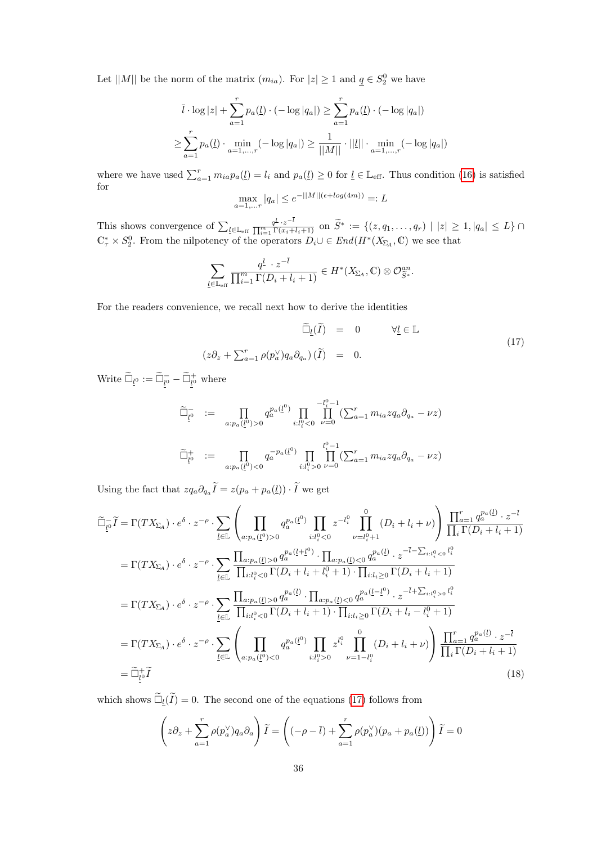Let  $||M||$  be the norm of the matrix  $(m_{ia})$ . For  $|z| \geq 1$  and  $q \in S_2^0$  we have

$$
\bar{l} \cdot \log |z| + \sum_{a=1}^{r} p_a(\underline{l}) \cdot (-\log |q_a|) \ge \sum_{a=1}^{r} p_a(\underline{l}) \cdot (-\log |q_a|)
$$
  

$$
\ge \sum_{a=1}^{r} p_a(\underline{l}) \cdot \min_{a=1,...,r} (-\log |q_a|) \ge \frac{1}{||M||} \cdot ||\underline{l}|| \cdot \min_{a=1,...,r} (-\log |q_a|)
$$

where we have used  $\sum_{a=1}^{r} m_{ia} p_a(\underline{l}) = l_i$  and  $p_a(\underline{l}) \geq 0$  for  $\underline{l} \in \mathbb{L}_{\text{eff}}$ . Thus condition [\(16\)](#page-34-0) is satisfied for

$$
\max_{a=1,...r} |q_a| \le e^{-||M||(\epsilon + \log(4m))} =: L
$$

This shows convergence of  $\sum_{\underline{l} \in \mathbb{L}_{eff}} \frac{q^{\underline{l} \cdot z^{-\overline{l}}}}{\prod_{i=1}^m \Gamma(x_i +$  $\frac{q^{\underline{k}} \cdot z^{-\underline{k}}}{\prod_{i=1}^m \Gamma(x_i+l_i+1)}$  on  $\widetilde{S}^* := \{(z,q_1,\ldots,q_r) \mid |z| \geq 1, |q_a| \leq L\} \cap$  $\mathbb{C}^*_\tau \times S^0_2$ . From the nilpotency of the operators  $D_i \cup \in End(H^*(X_{\Sigma_A}, \mathbb{C})$  we see that

$$
\sum_{\underline{l}\in\mathbb{L}_{\text{eff}}}\frac{q^{\underline{l}}\cdot z^{-\overline{l}}}{\prod_{i=1}^{m}\Gamma(D_i+l_i+1)}\in H^*(X_{\Sigma_A},\mathbb{C})\otimes\mathcal{O}_{\widetilde{S}^*}^{an}.
$$

For the readers convenience, we recall next how to derive the identities

<span id="page-35-0"></span>
$$
\widetilde{\Box}_{\underline{l}}(\widetilde{I}) = 0 \qquad \forall \underline{l} \in \mathbb{L}
$$
\n
$$
(z\partial_z + \sum_{a=1}^r \rho(p_a^{\vee}) q_a \partial_{q_a}) (\widetilde{I}) = 0.
$$
\n
$$
(17)
$$

Write  $\widetilde{\Box}_{\underline{l}^0} := \widetilde{\Box}_{\underline{l}^0}^- - \widetilde{\Box}_{\underline{l}^0}^+$  where

$$
\widetilde{\Box}_{\underline{l}^0}^{-} := \prod_{a: p_a(\underline{l}^0) > 0} q_a^{p_a(\underline{l}^0)} \prod_{i: l_i^0 < 0} \prod_{\nu=0}^{-l_i^0 - 1} (\sum_{a=1}^r m_{ia} z q_a \partial_{q_a} - \nu z)
$$
\n
$$
\widetilde{\Box}_{\underline{l}^0}^{+} := \prod_{a: p_a(\underline{l}^0) < 0} q_a^{-p_a(\underline{l}^0)} \prod_{i: l_i^0 > 0} \prod_{\nu=0}^{l_i^0 - 1} (\sum_{a=1}^r m_{ia} z q_a \partial_{q_a} - \nu z)
$$

Using the fact that  $zq_a \partial_{q_a} I = z(p_a + p_a(\underline{l})) \cdot I$  we get

$$
\widetilde{\Box}_{\underline{l}^{0}} \widetilde{I} = \Gamma(TX_{\Sigma_{A}}) \cdot e^{\delta} \cdot z^{-\rho} \cdot \sum_{\underline{l} \in \mathbb{L}} \left( \prod_{a: p_{a}(\underline{l}^{0})>0} q_{a}^{p_{a}(\underline{l}^{0})} \prod_{i:l_{i}^{0}<0} z^{-l_{i}^{0}} \prod_{\nu=l_{i}^{0}+1} (D_{i} + l_{i} + \nu) \right) \frac{\prod_{a=1}^{r} q_{a}^{p_{a}(\underline{l})} \cdot z^{-\overline{l}}}{\prod_{i} \Gamma(D_{i} + l_{i} + 1)}
$$
\n
$$
= \Gamma(TX_{\Sigma_{A}}) \cdot e^{\delta} \cdot z^{-\rho} \cdot \sum_{\underline{l} \in \mathbb{L}} \frac{\prod_{a: p_{a}(\underline{l})>0} q_{a}^{p_{a}(\underline{l}+\underline{l}^{0})} \cdot \prod_{a: p_{a}(\underline{l})<0} q_{a}^{p_{a}(\underline{l})} \cdot z^{-\overline{l} - \sum_{i:l_{i}^{0}<0} l_{i}^{0}}}{\prod_{i:l_{i}^{0}<0} \Gamma(D_{i} + l_{i} + l_{i}^{0} + 1) \cdot \prod_{i:l_{i}\geq 0} \Gamma(D_{i} + l_{i} + 1)}
$$
\n
$$
= \Gamma(TX_{\Sigma_{A}}) \cdot e^{\delta} \cdot z^{-\rho} \cdot \sum_{\underline{l} \in \mathbb{L}} \frac{\prod_{a: p_{a}(\underline{l})>0} q_{a}^{p_{a}(\underline{l})} \cdot \prod_{a: p_{a}(\underline{l})<0} q_{a}^{p_{a}(\underline{l}-\underline{l}^{0})} \cdot z^{-\overline{l} + \sum_{i:l_{i}^{0}>0} l_{i}^{0}}}{\prod_{i:l_{i}\geq 0} \Gamma(D_{i} + l_{i} + 1) \cdot \prod_{i:l_{i}\geq 0} \Gamma(D_{i} + l_{i} - l_{i}^{0} + 1)}
$$
\n
$$
= \Gamma(TX_{\Sigma_{A}}) \cdot e^{\delta} \cdot z^{-\rho} \cdot \sum_{\underline{l} \in \mathbb{L}} \left( \prod_{a: p_{a}(\underline{l}^{0})<0} q_{a}^{p_{a}(\underline{l}^{0})} \prod_{i:l_{i}\geq 0} z^{l
$$

which shows  $\tilde{\Box}_l(\tilde{I}) = 0$ . The second one of the equations [\(17\)](#page-35-0) follows from

$$
\left(z\partial_z + \sum_{a=1}^r \rho(p_a^\vee)q_a\partial_a\right)\widetilde{I} = \left((-\rho - \overline{l}) + \sum_{a=1}^r \rho(p_a^\vee)(p_a + p_a(\underline{l}))\right)\widetilde{I} = 0
$$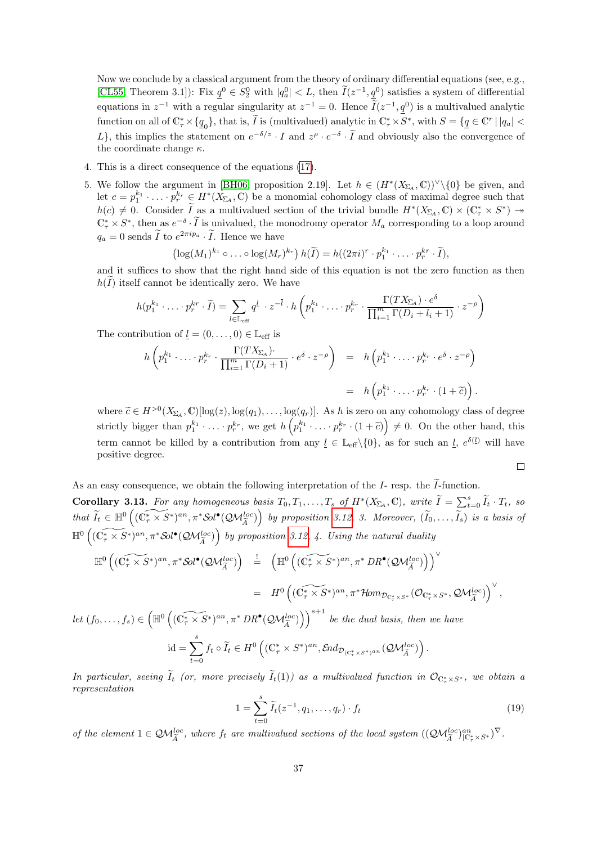Now we conclude by a classical argument from the theory of ordinary differential equations (see, e.g., [\[CL55,](#page-47-16) Theorem 3.1]): Fix  $q^0 \in S_2^0$  with  $|q_a^0| < L$ , then  $\tilde{I}(z^{-1}, \underline{q}^0)$  satisfies a system of differential equations in  $z^{-1}$  with a regular singularity at  $z^{-1} = 0$ . Hence  $\tilde{I}(z^{-1}, \underline{q}^0)$  is a multivalued analytic function on all of  $\mathbb{C}^*_\tau \times \{q_0\}$ , that is,  $\widetilde{I}$  is (multivalued) analytic in  $\mathbb{C}^*_\tau \times S^*$ , with  $S = \{q \in \mathbb{C}^r \mid |q_a| <$ L}, this implies the statement on  $e^{-\delta/z} \cdot I$  and  $z^{\rho} \cdot e^{-\delta} \cdot \tilde{I}$  and obviously also the convergence of the coordinate change  $\kappa$ .

- 4. This is a direct consequence of the equations [\(17\)](#page-35-0).
- 5. We follow the argument in [\[BH06,](#page-47-15) proposition 2.19]. Let  $h \in (H^*(X_{\Sigma_A}, \mathbb{C}))^{\vee} \setminus \{0\}$  be given, and let  $c = p_1^{k_1} \cdot \ldots \cdot p_r^{k_r} \in H^*(X_{\Sigma_A}, \mathbb{C})$  be a monomial cohomology class of maximal degree such that  $h(c) \neq 0$ . Consider  $\widetilde{I}$  as a multivalued section of the trivial bundle  $H^*(X_{\Sigma_A}, \mathbb{C}) \times (\mathbb{C}^*_r \times S^*) \rightarrow$  $\mathbb{C}^*_\tau \times S^*$ , then as  $e^{-\delta} \cdot \widetilde{I}$  is univalued, the monodromy operator  $M_a$  corresponding to a loop around  $q_a = 0$  sends  $\overline{I}$  to  $e^{2\pi i p_a} \cdot \overline{I}$ . Hence we have

$$
\left(\log(M_1)^{k_1}\circ\ldots\circ\log(M_r)^{k_r}\right)h(\widetilde{I})=h((2\pi i)^r\cdot p_1^{k_1}\cdot\ldots\cdot p_r^{k_r}\cdot\widetilde{I}),
$$

and it suffices to show that the right hand side of this equation is not the zero function as then  $h(I)$  itself cannot be identically zero. We have

$$
h(p_1^{k_1} \cdot \ldots \cdot p_r^{k_r} \cdot \widetilde{I}) = \sum_{l \in \mathbb{L}_{\text{eff}}} q^l \cdot z^{-\overline{l}} \cdot h\left(p_1^{k_1} \cdot \ldots \cdot p_r^{k_r} \cdot \frac{\Gamma(TX_{\Sigma_A}) \cdot e^{\delta}}{\prod_{i=1}^m \Gamma(D_i + l_i + 1)} \cdot z^{-\rho}\right)
$$

The contribution of  $\underline{l} = (0, \ldots, 0) \in \mathbb{L}_{\text{eff}}$  is

$$
h\left(p_1^{k_1}\cdot\ldots\cdot p_r^{k_r}\cdot\frac{\Gamma(TX_{\Sigma_A})\cdot}{\prod_{i=1}^m\Gamma(D_i+1)}\cdot e^{\delta}\cdot z^{-\rho}\right) = h\left(p_1^{k_1}\cdot\ldots\cdot p_r^{k_r}\cdot e^{\delta}\cdot z^{-\rho}\right)
$$

$$
= h\left(p_1^{k_1}\cdot\ldots\cdot p_r^{k_r}\cdot (1+\tilde{c})\right).
$$

where  $\tilde{c} \in H^{>0}(X_{\Sigma_A}, \mathbb{C})[\log(z), \log(q_1), \ldots, \log(q_r)].$  As h is zero on any cohomology class of degree strictly bigger than  $p_1^{k_1} \cdot \ldots \cdot p_r^{k_r}$ , we get  $h\left(p_1^{k_1} \cdot \ldots \cdot p_r^{k_r} \cdot (1 + \tilde{c})\right) \neq 0$ . On the other hand, this term cannot be killed by a contribution from any  $l \in \mathbb{L}_{eff}\setminus\{0\}$ , as for such an  $l, e^{\delta(l)}$  will have positive degree.

 $\Box$ 

As an easy consequence, we obtain the following interpretation of the  $I$ -resp. the  $\tilde{I}$ -function.

Corollary 3.13. For any homogeneous basis  $T_0, T_1, \ldots, T_s$  of  $H^*(X_{\Sigma_A}, \mathbb{C})$ , write  $\widetilde{I} = \sum_{t=0}^s \widetilde{I}_t \cdot T_t$ , so  $that \widetilde{I}_t \in \mathbb{H}^0\left((\widetilde{\mathbb{C}_\tau^* \times S^*})^{an}, \pi^* \mathcal{S}ol^{\bullet}(\mathcal{QM}_{\widetilde{A}}^{loc})\right)$  by proposition [3.12,](#page-0-1) 3. Moreover,  $(\widetilde{I}_0, \ldots, \widetilde{I}_s)$  is a basis of  $\mathbb{H}^0\left((\widetilde{\mathbb{C}_\tau^{\times} S^*})^{an}, \pi^*\mathcal{S}ol^{\bullet}(\mathcal{QM}_{\widetilde{A}}^{loc})\right)$  by proposition [3.12,](#page-0-1) 4. Using the natural duality

$$
\mathbb{H}^{0}\left((\widetilde{\mathbb{C}_{\tau}^{*} \times S^{*}})^{an}, \pi^{*} \mathcal{S}ol^{\bullet}(\mathcal{QM}_{\widetilde{A}}^{loc})\right) \stackrel{!}{=} \left(\mathbb{H}^{0}\left((\widetilde{\mathbb{C}_{\tau}^{*} \times S^{*}})^{an}, \pi^{*} \, DR^{\bullet}(\mathcal{QM}_{\widetilde{A}}^{loc})\right)\right)^{\vee}
$$
  

$$
= H^{0}\left((\widetilde{\mathbb{C}_{\tau}^{*} \times S^{*}})^{an}, \pi^{*} \mathcal{H}om_{\mathcal{D}_{\mathbb{C}_{\tau}^{*} \times S^{*}}}\left(\mathcal{O}_{\mathbb{C}_{\tau}^{*} \times S^{*}}, \mathcal{QM}_{\widetilde{A}}^{loc}\right)\right)^{\vee},
$$

 $let (f_0,...,f_s) \in (\mathbb{H}^0((\widetilde{\mathbb{C}_\tau^* \times S^*})^{an}, \pi^* DR^\bullet(\mathcal{QM}_{\widetilde{A}}^{loc}))\big)^{s+1}$  be the dual basis, then we have

$$
\mathrm{id} = \sum_{t=0}^{s} f_t \circ \widetilde{I}_t \in H^0\left( (\mathbb{C}^*_{\tau} \times S^*)^{an}, \mathcal{E}nd_{\mathcal{D}_{(\mathbb{C}^*_{\tau} \times S^*)^{an}}}(\mathcal{Q}M_{\widetilde{A}}^{loc}) \right).
$$

In particular, seeing  $I_t$  (or, more precisely  $I_t(1)$ ) as a multivalued function in  $\mathcal{O}_{\mathbb{C}^*_\tau \times S^*}$ , we obtain a representation

<span id="page-36-0"></span>
$$
1 = \sum_{t=0}^{s} \widetilde{I}_t(z^{-1}, q_1, \dots, q_r) \cdot f_t \tag{19}
$$

of the element  $1 \in \mathcal{QM}_{\tilde{A}}^{loc}$ , where  $f_t$  are multivalued sections of the local system  $((\mathcal{QM}_{\tilde{A}}^{loc})_{\mathbb{C}^*_\tau \times S^*}^{\text{an}})^\nabla$ .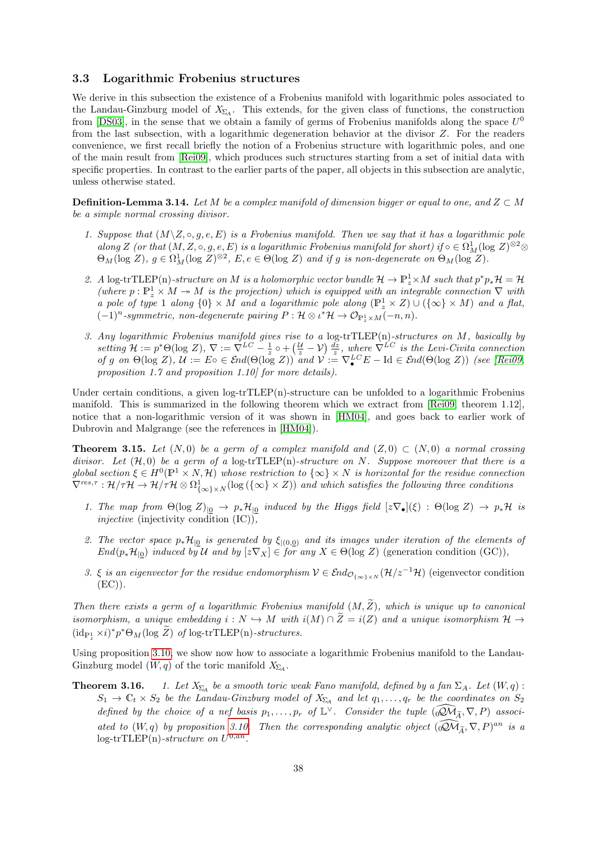#### <span id="page-37-0"></span>3.3 Logarithmic Frobenius structures

We derive in this subsection the existence of a Frobenius manifold with logarithmic poles associated to the Landau-Ginzburg model of  $X_{\Sigma_A}$ . This extends, for the given class of functions, the construction from [\[DS03\]](#page-47-0), in the sense that we obtain a family of germs of Frobenius manifolds along the space  $U^0$ from the last subsection, with a logarithmic degeneration behavior at the divisor Z. For the readers convenience, we first recall briefly the notion of a Frobenius structure with logarithmic poles, and one of the main result from [\[Rei09\]](#page-49-2), which produces such structures starting from a set of initial data with specific properties. In contrast to the earlier parts of the paper, all objects in this subsection are analytic, unless otherwise stated.

<span id="page-37-2"></span>**Definition-Lemma 3.14.** Let M be a complex manifold of dimension bigger or equal to one, and  $Z \subset M$ be a simple normal crossing divisor.

- 1. Suppose that  $(M\setminus Z, \circ, g, e, E)$  is a Frobenius manifold. Then we say that it has a logarithmic pole along Z (or that  $(M, Z, \circ, g, e, E)$  is a logarithmic Frobenius manifold for short) if  $\circ \in \Omega^1_M(\log Z)^{\otimes 2}$  $\Theta_M(\log Z)$ ,  $g \in \Omega^1_M(\log Z)^{\otimes 2}$ ,  $E, e \in \Theta(\log Z)$  and if g is non-degenerate on  $\Theta_M(\log Z)$ .
- 2. A log-trTLEP(n)-structure on M is a holomorphic vector bundle  $\mathcal{H} \to \mathbb{P}^1_z \times M$  such that  $p^*p_*\mathcal{H} = \mathcal{H}$ (where  $p: \mathbb{P}_z^1 \times M \to M$  is the projection) which is equipped with an integrable connection  $\nabla$  with a pole of type 1 along  $\{0\} \times M$  and a logarithmic pole along  $(\mathbb{P}_z^1 \times Z) \cup (\{\infty\} \times M)$  and a flat,  $(-1)^n$ -symmetric, non-degenerate pairing  $P: \mathcal{H} \otimes \iota^* \mathcal{H} \to \mathcal{O}_{\mathbb{P}^1_z \times M}(-n, n)$ .
- 3. Any logarithmic Frobenius manifold gives rise to a  $log-trTLEP(n)$ -structures on M, basically by setting  $\mathcal{H} := p^* \Theta(\log Z), \nabla := \nabla^{LC} - \frac{1}{z} \circ + (\frac{\mathcal{U}}{z} - \mathcal{V}) \frac{dz}{z},$  where  $\nabla^{LC}$  is the Levi-Civita connection of g on  $\Theta(\log Z)$ ,  $\mathcal{U} := E \circ \in \mathcal{E}nd(\Theta(\log Z))$  and  $\mathcal{V} := \nabla_{\bullet}^{LC} E - \text{Id} \in \mathcal{E}nd(\Theta(\log Z))$  (see [\[Rei09,](#page-49-2) proposition 1.7 and proposition 1.10] for more details).

Under certain conditions, a given log-trTLEP(n)-structure can be unfolded to a logarithmic Frobenius manifold. This is summarized in the following theorem which we extract from [\[Rei09,](#page-49-2) theorem 1.12], notice that a non-logarithmic version of it was shown in [\[HM04\]](#page-48-16), and goes back to earlier work of Dubrovin and Malgrange (see the references in [\[HM04\]](#page-48-16)).

<span id="page-37-1"></span>**Theorem 3.15.** Let  $(N, 0)$  be a germ of a complex manifold and  $(Z, 0) \subset (N, 0)$  a normal crossing divisor. Let  $(\mathcal{H}, 0)$  be a germ of a log-trTLEP(n)-structure on N. Suppose moreover that there is a global section  $\xi \in H^0(\mathbb{P}^1 \times N, \mathcal{H})$  whose restriction to  $\{\infty\} \times N$  is horizontal for the residue connection  $\nabla^{res,\tau}: \mathcal{H}/\tau\mathcal{H} \to \mathcal{H}/\tau\mathcal{H} \otimes \Omega^1_{\{\infty\}\times N}(\log{(\{\infty\}\times Z)})$  and which satisfies the following three conditions

- 1. The map from  $\Theta(\log Z)_{|0} \to p_*\mathcal{H}_{|0}$  induced by the Higgs field  $[z\nabla_{\bullet}](\xi) : \Theta(\log Z) \to p_*\mathcal{H}$  is injective (injectivity condition  $(IC)$ ),
- 2. The vector space  $p_*\mathcal{H}_{\vert 0}$  is generated by  $\xi_{\vert (0,0)}$  and its images under iteration of the elements of  $End(p_*\mathcal{H}_{\vert 0})$  induced by  $\mathcal{U}$  and by  $[z\nabla_X] \in \text{for any } X \in \Theta(\log Z)$  (generation condition (GC)),
- 3.  $\xi$  is an eigenvector for the residue endomorphism  $V \in \mathcal{E}nd_{\mathcal{O}_{\{\infty\}\times N}}(\mathcal{H}/z^{-1}\mathcal{H})$  (eigenvector condition  $(EC)$ ).

Then there exists a germ of a logarithmic Frobenius manifold  $(M,\tilde{Z})$ , which is unique up to canonical isomorphism, a unique embedding  $i : N \hookrightarrow M$  with  $i(M) \cap \widetilde{Z} = i(Z)$  and a unique isomorphism  $H \to$  $(\mathrm{id}_{\mathbb{P}^1_\ast} \times i)^* p^* \Theta_M(\log \widetilde{Z})$  of log-trTLEP(n)-structures.

Using proposition [3.10,](#page-31-0) we show now how to associate a logarithmic Frobenius manifold to the Landau-Ginzburg model  $(W, q)$  of the toric manifold  $X_{\Sigma_4}$ .

**Theorem 3.16.** 1. Let  $X_{\Sigma_A}$  be a smooth toric weak Fano manifold, defined by a fan  $\Sigma_A$ . Let  $(W, q)$ :  $S_1 \rightarrow \mathbb{C}_t \times S_2$  be the Landau-Ginzburg model of  $X_{\Sigma_A}$  and let  $q_1, \ldots, q_r$  be the coordinates on  $S_2$ defined by the choice of a nef basis  $p_1, \ldots, p_r$  of  $\mathbb{L}^{\vee}$ . Consider the tuple  $(\widehat{\omega M}_{\widetilde{A}}, \nabla, P)$  associated to  $(W, q)$  by proposition [3.10.](#page-31-0) Then the corresponding analytic object  $\widehat{(\mathbb{Q}\mathcal{M}_{\widetilde{A}}, \nabla, P)^{an}}$  is a  $log-trTLEP(n)$ -structure on  $U^{0,an}$ .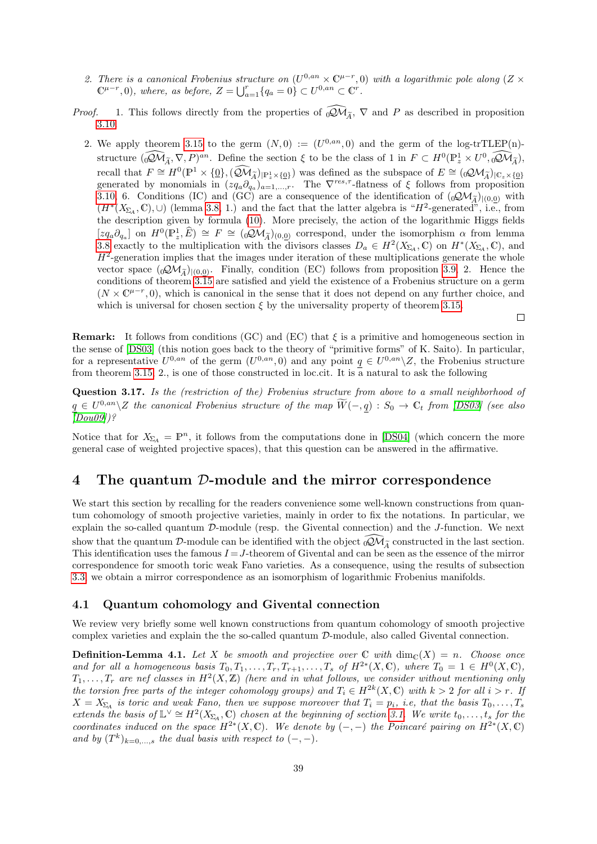- 2. There is a canonical Frobenius structure on  $(U^{0,an} \times \mathbb{C}^{\mu-r},0)$  with a logarithmic pole along  $(Z \times$  $\mathbb{C}^{\mu-r},0$ , where, as before,  $Z = \bigcup_{a=1}^{r} \{q_a = 0\} \subset U^{0,an} \subset \mathbb{C}^r$ .
- *Proof.* 1. This follows directly from the properties of  $\widehat{QM}_{\widetilde{A}}$ ,  $\nabla$  and P as described in proposition [3.10.](#page-31-0)
	- 2. We apply theorem [3.15](#page-37-1) to the germ  $(N,0) := (U^{0,an},0)$  and the germ of the log-trTLEP(n)structure  $(\widehat{OQM}_{\widetilde{A}}, \nabla, P)^{an}$ . Define the section  $\xi$  to be the class of 1 in  $F \subset H^0(\mathbb{P}^1_z \times U^0, \widehat{OQM}_{\widetilde{A}})$ , recall that  $F \cong H^0(\mathbb{P}^1 \times \{0\}, (\widehat{\mathcal{Q}M}_{\widetilde{A}})|_{\mathbb{P}^1_x \times \{0\}})$  was defined as the subspace of  $E \cong ({}_0\mathcal{Q}M_{\widetilde{A}})|_{\mathbb{C}_x \times \{0\}}$ generated by monomials in  $(zq_a\partial_{q_a})_{a=1,\dots,r}$ . The  $\nabla^{res,\tau}$ -flatness of  $\xi$  follows from proposition [3.10,](#page-31-0) 6. Conditions (IC) and (GC) are a consequence of the identification of  $\left(\frac{\partial \mathcal{M}_{\tilde{\mathcal{A}}}}{0,0\right)}$  with  $(H^*(X_{\Sigma_A}, \mathbb{C}), \cup)$  (lemma [3.8,](#page-0-1) 1.) and the fact that the latter algebra is " $H^2$ -generated", i.e., from the description given by formula [\(10\)](#page-25-0). More precisely, the action of the logarithmic Higgs fields  $[zq_a\partial_{q_a}]$  on  $H^0(\mathbb{P}^1_z,\widehat{E}) \cong F \cong ({}_0\mathcal{Q}\mathcal{M}_{\widetilde{A}})_{(0,\underline{0})}$  correspond, under the isomorphism  $\alpha$  from lemma [3.8](#page-0-1) exactly to the multiplication with the divisors classes  $D_a \in H^2(X_{\Sigma_A}, \mathbb{C})$  on  $H^*(X_{\Sigma_A}, \mathbb{C})$ , and  $H^2$ -generation implies that the images under iteration of these multiplications generate the whole vector space  $({}_0Q\mathcal{M}_{\widetilde{A}})|_{(0,\underline{0})}$ . Finally, condition (EC) follows from proposition [3.9,](#page-30-2) 2. Hence the conditions of theorem [3.15](#page-37-1) are satisfied and yield the existence of a Frobenius structure on a germ  $(N \times \mathbb{C}^{\mu-r},0)$ , which is canonical in the sense that it does not depend on any further choice, and which is universal for chosen section  $\xi$  by the universality property of theorem [3.15.](#page-37-1)

**Remark:** It follows from conditions (GC) and (EC) that  $\xi$  is a primitive and homogeneous section in the sense of [\[DS03\]](#page-47-0) (this notion goes back to the theory of "primitive forms" of K. Saito). In particular, for a representative  $U^{0,an}$  of the germ  $(U^{0,an},0)$  and any point  $q \in U^{0,an}\setminus Z$ , the Frobenius structure from theorem [3.15,](#page-37-1) 2., is one of those constructed in loc.cit. It is a natural to ask the following

 $\Box$ 

<span id="page-38-2"></span>Question 3.17. Is the (restriction of the) Frobenius structure from above to a small neighborhood of  $q \in U^{0,an} \backslash Z$  the canonical Frobenius structure of the map  $\widetilde{W}(-,\underline{q}) : S_0 \to \mathbb{C}_t$  from [\[DS03\]](#page-47-0) (see also  $\overline{Dou09}$ ?

Notice that for  $X_{\Sigma_A} = \mathbb{P}^n$ , it follows from the computations done in [\[DS04\]](#page-47-18) (which concern the more general case of weighted projective spaces), that this question can be answered in the affirmative.

# <span id="page-38-0"></span>4 The quantum D-module and the mirror correspondence

We start this section by recalling for the readers convenience some well-known constructions from quantum cohomology of smooth projective varieties, mainly in order to fix the notations. In particular, we explain the so-called quantum D-module (resp. the Givental connection) and the J-function. We next show that the quantum D-module can be identified with the object  $\partial \tilde{M}_{\tilde{A}}$  constructed in the last section. This identification uses the famous  $I = J$ -theorem of Givental and can be seen as the essence of the mirror correspondence for smooth toric weak Fano varieties. As a consequence, using the results of subsection [3.3,](#page-37-0) we obtain a mirror correspondence as an isomorphism of logarithmic Frobenius manifolds.

#### <span id="page-38-1"></span>4.1 Quantum cohomology and Givental connection

We review very briefly some well known constructions from quantum cohomology of smooth projective complex varieties and explain the the so-called quantum D-module, also called Givental connection.

**Definition-Lemma 4.1.** Let X be smooth and projective over C with  $\dim_{\mathbb{C}}(X) = n$ . Choose once and for all a homogeneous basis  $T_0, T_1, \ldots, T_r, T_{r+1}, \ldots, T_s$  of  $H^{2*}(X, \mathbb{C})$ , where  $T_0 = 1 \in H^0(X, \mathbb{C})$ ,  $T_1, \ldots, T_r$  are nef classes in  $H^2(X, \mathbb{Z})$  (here and in what follows, we consider without mentioning only the torsion free parts of the integer cohomology groups) and  $T_i \in H^{2k}(X, \mathbb{C})$  with  $k > 2$  for all  $i > r$ . If  $X = X_{\Sigma_A}$  is toric and weak Fano, then we suppose moreover that  $T_i = p_i$ , i.e, that the basis  $T_0, \ldots, T_s$ extends the basis of  $\mathbb{L}^{\vee} \cong H^2(X_{\Sigma_A}, \mathbb{C})$  chosen at the beginning of section [3.1.](#page-20-0) We write  $t_0, \ldots, t_s$  for the coordinates induced on the space  $H^{2*}(X,\mathbb{C})$ . We denote by  $(-,-)$  the Poincaré pairing on  $H^{2*}(X,\mathbb{C})$ and by  $(T^k)_{k=0,\ldots,s}$  the dual basis with respect to  $(-,-)$ .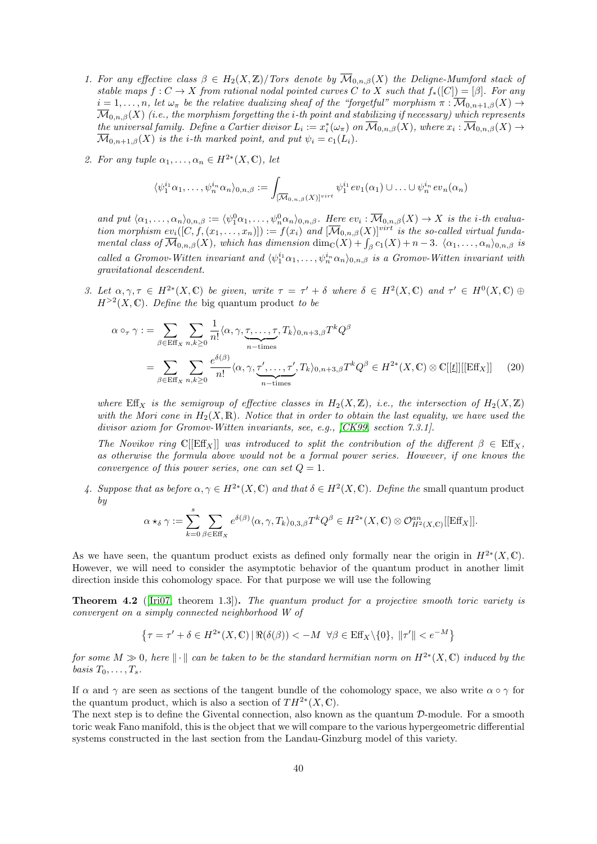- 1. For any effective class  $\beta \in H_2(X,\mathbb{Z})/T$ ors denote by  $\overline{\mathcal{M}}_{0,n,\beta}(X)$  the Deligne-Mumford stack of stable maps  $f: C \to X$  from rational nodal pointed curves C to X such that  $f_*([C]) = [\beta]$ . For any  $i = 1, \ldots, n$ , let  $\omega_{\pi}$  be the relative dualizing sheaf of the "forgetful" morphism  $\pi : \overline{\mathcal{M}}_{0,n+1,\beta}(X) \to$  $\overline{\mathcal{M}}_{0,n,\beta}(X)$  (i.e., the morphism forgetting the i-th point and stabilizing if necessary) which represents  $t$ he universal family. Define a Cartier divisor  $L_i:=x_i^*(\omega_{\pi})$  on  $\overline{\mathcal M}_{0,n,{\beta}}(X),$  where  $x_i:\overline{\mathcal M}_{0,n,{\beta}}(X)\to$  $\overline{\mathcal{M}}_{0,n+1,\beta}(X)$  is the *i*-th marked point, and put  $\psi_i = c_1(L_i)$ .
- 2. For any tuple  $\alpha_1, \ldots, \alpha_n \in H^{2*}(X, \mathbb{C})$ , let

$$
\langle \psi_1^{i_1} \alpha_1, \ldots, \psi_n^{i_n} \alpha_n \rangle_{0,n,\beta} := \int_{\overline{[M_{0,n,\beta}(X)]}^{\text{virt}}} \psi_1^{i_1} ev_1(\alpha_1) \cup \ldots \cup \psi_n^{i_n} ev_n(\alpha_n)
$$

and put  $\langle \alpha_1,\ldots,\alpha_n \rangle_{0,n,\beta} := \langle \psi_1^0 \alpha_1,\ldots,\psi_n^0 \alpha_n \rangle_{0,n,\beta}$ . Here  $ev_i : \overline{\mathcal{M}}_{0,n,\beta}(X) \to X$  is the *i*-th evaluation morphism  $ev_i([C, f, (x_1, \ldots, x_n)]) := f(x_i)$  and  $[\overline{\mathcal{M}}_{0,n,\beta}(X)]^{virt}$  is the so-called virtual fundamental class of  $\overline{\mathcal{M}}_{0,n,\beta}(X)$ , which has dimension  $\dim_{\mathbb{C}}(X) + \int_{\beta} c_1(X) + n - 3$ .  $\langle \alpha_1, \ldots, \alpha_n \rangle_{0,n,\beta}$  is called a Gromov-Witten invariant and  $\langle \psi_1^{i_1}\alpha_1,\ldots,\psi_n^{i_n}\alpha_n \rangle_{0,n,\beta}$  is a Gromov-Witten invariant with gravitational descendent.

3. Let  $\alpha, \gamma, \tau \in H^{2*}(X, \mathbb{C})$  be given, write  $\tau = \tau' + \delta$  where  $\delta \in H^2(X, \mathbb{C})$  and  $\tau' \in H^0(X, \mathbb{C}) \oplus$  $H^{>2}(X,\mathbb{C})$ . Define the big quantum product to be

$$
\alpha \circ_{\tau} \gamma := \sum_{\beta \in \text{Eff}_{X}} \sum_{n,k \geq 0} \frac{1}{n!} \langle \alpha, \gamma, \underbrace{\tau, \dots, \tau}_{n-\text{times}} T_k \rangle_{0, n+3, \beta} T^k Q^{\beta}
$$
  
= 
$$
\sum_{\beta \in \text{Eff}_{X}} \sum_{n,k \geq 0} \frac{e^{\delta(\beta)}}{n!} \langle \alpha, \gamma, \underbrace{\tau', \dots, \tau'}_{n-\text{times}} T_k \rangle_{0, n+3, \beta} T^k Q^{\beta} \in H^{2*}(X, \mathbb{C}) \otimes \mathbb{C}[[t]][[\text{Eff}_{X}]] \qquad (20)
$$

where  $\text{Eff}_X$  is the semigroup of effective classes in  $H_2(X,\mathbb{Z})$ , i.e., the intersection of  $H_2(X,\mathbb{Z})$ with the Mori cone in  $H_2(X,\mathbb{R})$ . Notice that in order to obtain the last equality, we have used the divisor axiom for Gromov-Witten invariants, see, e.g., [\[CK99,](#page-47-7) section 7.3.1].

The Novikov ring  $\mathbb{C}[[\text{Eff}_X]]$  was introduced to split the contribution of the different  $\beta \in \text{Eff}_X$ , as otherwise the formula above would not be a formal power series. However, if one knows the convergence of this power series, one can set  $Q = 1$ .

4. Suppose that as before  $\alpha, \gamma \in H^{2*}(X, \mathbb{C})$  and that  $\delta \in H^2(X, \mathbb{C})$ . Define the small quantum product by

$$
\alpha \star_{\delta} \gamma := \sum_{k=0}^{s} \sum_{\beta \in \text{Eff}_{X}} e^{\delta(\beta)} \langle \alpha, \gamma, T_{k} \rangle_{0,3,\beta} T^{k} Q^{\beta} \in H^{2*}(X, \mathbb{C}) \otimes \mathcal{O}_{H^{2}(X, \mathbb{C})}^{an}[[\text{Eff}_{X}]].
$$

As we have seen, the quantum product exists as defined only formally near the origin in  $H^{2*}(X,\mathbb{C})$ . However, we will need to consider the asymptotic behavior of the quantum product in another limit direction inside this cohomology space. For that purpose we will use the following

**Theorem 4.2** ([\[Iri07,](#page-48-17) theorem 1.3]). The quantum product for a projective smooth toric variety is convergent on a simply connected neighborhood W of

$$
\left\{ \tau = \tau' + \delta \in H^{2*}(X, \mathbb{C}) \, | \, \Re(\delta(\beta)) < -M \, \forall \beta \in \text{Eff}_X \setminus \{0\}, \, \| \tau' \| < e^{-M} \right\}
$$

for some  $M \gg 0$ , here  $\|\cdot\|$  can be taken to be the standard hermitian norm on  $H^{2*}(X,\mathbb{C})$  induced by the basis  $T_0, \ldots, T_s$ .

If  $\alpha$  and  $\gamma$  are seen as sections of the tangent bundle of the cohomology space, we also write  $\alpha \circ \gamma$  for the quantum product, which is also a section of  $TH^{2*}(X,\mathbb{C})$ .

The next step is to define the Givental connection, also known as the quantum  $\mathcal{D}\text{-module}$ . For a smooth toric weak Fano manifold, this is the object that we will compare to the various hypergeometric differential systems constructed in the last section from the Landau-Ginzburg model of this variety.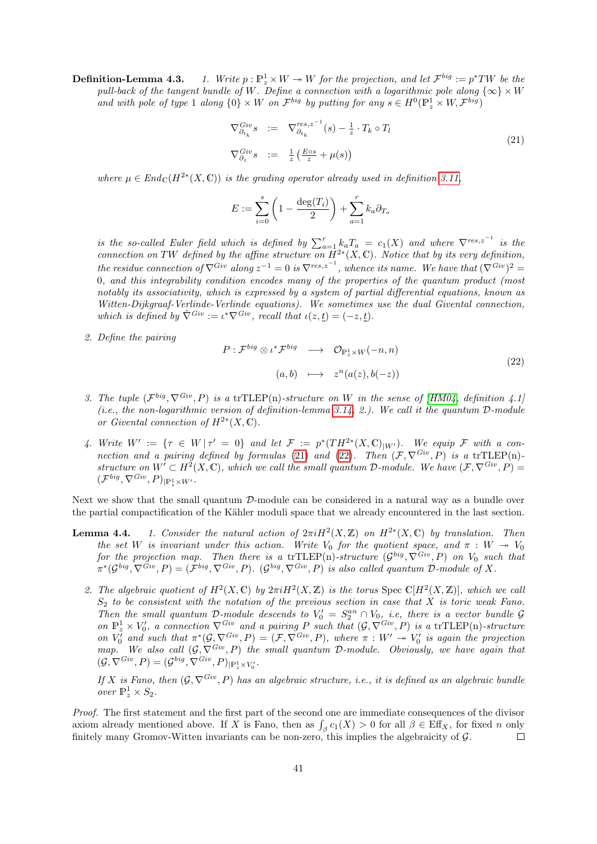Definition-Lemma 4.3.  $\frac{1}{z} \times W \twoheadrightarrow W$  for the projection, and let  $\mathcal{F}^{big} := p^*TW$  be the pull-back of the tangent bundle of W. Define a connection with a logarithmic pole along  $\{\infty\} \times W$ and with pole of type 1 along  $\{0\} \times W$  on  $\mathcal{F}^{big}$  by putting for any  $s \in H^0(\mathbb{P}_z^1 \times W, \mathcal{F}^{big})$ 

<span id="page-40-0"></span>
$$
\nabla_{\partial_{t_k}}^{Giv} s \quad := \quad \nabla_{\partial_{t_k}}^{res, z^{-1}}(s) - \frac{1}{z} \cdot T_k \circ T_l
$$
\n
$$
\nabla_{\partial_z}^{Giv} s \quad := \quad \frac{1}{z} \left( \frac{E \circ s}{z} + \mu(s) \right) \tag{21}
$$

where  $\mu \in End_{\mathbb{C}}(H^{2*}(X,\mathbb{C}))$  is the grading operator already used in definition [3.11,](#page-32-0)

$$
E := \sum_{i=0}^{s} \left( 1 - \frac{\deg(T_i)}{2} \right) + \sum_{a=1}^{r} k_a \partial_{T_a}
$$

is the so-called Euler field which is defined by  $\sum_{a=1}^{r} k_a T_a = c_1(X)$  and where  $\nabla^{res,z^{-1}}$  is the connection on TW defined by the affine structure on  $\overline{H}^{2*}(X,\mathbb{C})$ . Notice that by its very definition, the residue connection of  $\nabla^{Giv}$  along  $z^{-1} = 0$  is  $\nabla^{res,z^{-1}}$ , whence its name. We have that  $(\nabla^{Giv})^2 =$ 0, and this integrability condition encodes many of the properties of the quantum product (most notably its associativity, which is expressed by a system of partial differential equations, known as Witten-Dijkgraaf-Verlinde-Verlinde equations). We sometimes use the dual Givental connection, which is defined by  $\hat{\nabla}^{Giv} := \iota^* \nabla^{Giv}$ , recall that  $\iota(z, \underline{t}) = (-z, \underline{t})$ .

2. Define the pairing

<span id="page-40-1"></span>
$$
P: \mathcal{F}^{big} \otimes \iota^* \mathcal{F}^{big} \longrightarrow \mathcal{O}_{\mathbb{P}^1_z \times W}(-n, n)
$$
  
(a, b)  $\longmapsto z^n(a(z), b(-z))$  (22)

- 3. The tuple  $(\mathcal{F}^{big}, \nabla^{Giv}, P)$  is a trTLEP(n)-structure on W in the sense of  $\vert H M04\rangle$ , definition 4.1 (i.e., the non-logarithmic version of definition-lemma  $3.14$ ,  $2.$ ). We call it the quantum D-module or Givental connection of  $H^{2*}(X,\mathbb{C})$ .
- 4. Write  $W' := {\tau \in W | \tau' = 0}$  and let  $\mathcal{F} := p^*(TH^{2*}(X, \mathbb{C})_{|W'})$ . We equip  $\mathcal{F}$  with a con-nection and a pairing defined by formulas [\(21\)](#page-40-0) and [\(22\)](#page-40-1). Then  $(F, \nabla^{Giv}, P)$  is a trTLEP(n)structure on  $W' \subset H^2(X,\mathbb{C})$ , which we call the small quantum D-module. We have  $(\mathcal{F}, \nabla^{Giv}, P) =$  $(\mathcal{F}^{big},\nabla^{Giv},P)_{\mid \mathbb{P}^1_z\times W'}.$

Next we show that the small quantum  $\mathcal{D}$ -module can be considered in a natural way as a bundle over the partial compactification of the Kähler moduli space that we already encountered in the last section.

- **Lemma 4.4.** 1. Consider the natural action of  $2\pi iH^2(X,\mathbb{Z})$  on  $H^{2*}(X,\mathbb{C})$  by translation. Then the set W is invariant under this action. Write  $V_0$  for the quotient space, and  $\pi : W \twoheadrightarrow V_0$ for the projection map. Then there is a trTLEP(n)-structure  $(\mathcal{G}^{big}, \nabla^{Giv}, P)$  on  $V_0$  such that  $\pi^*(\mathcal{G}^{big}, \nabla^{Giv}, P) = (\mathcal{F}^{big}, \nabla^{Giv}, P)$ .  $(\mathcal{G}^{big}, \nabla^{Giv}, P)$  is also called quantum D-module of X.
	- 2. The algebraic quotient of  $H^2(X,\mathbb{C})$  by  $2\pi i H^2(X,\mathbb{Z})$  is the torus Spec  $\mathbb{C}[H^2(X,\mathbb{Z})]$ , which we call  $S_2$  to be consistent with the notation of the previous section in case that X is toric weak Fano. Then the small quantum D-module descends to  $V_0' = S_2^{an} \cap V_0$ , i.e, there is a vector bundle G on  $\mathbb{P}_z^1 \times V_0'$ , a connection  $\nabla^{Giv}$  and a pairing P such that  $(\mathcal{G}, \nabla^{Giv}, P)$  is a trTLEP(n)-structure on  $V_0^{\gamma}$  and such that  $\pi^*(\mathcal{G}, \nabla^{Giv}, P) = (\mathcal{F}, \nabla^{Giv}, P)$ , where  $\pi: W' \twoheadrightarrow V_0'$  is again the projection map. We also call  $(\mathcal{G}, \nabla^{Giv}, P)$  the small quantum D-module. Obviously, we have again that  $(\mathcal{G}, \nabla^{Giv}, P) = (\mathcal{G}^{big}, \nabla^{Giv}, P)_{|\mathbb{P}^1_z \times V_0'}$ .

If X is Fano, then  $(\mathcal{G}, \nabla^{Giv}, P)$  has an algebraic structure, i.e., it is defined as an algebraic bundle over  $\mathbb{P}^1_z \times S_2$ .

Proof. The first statement and the first part of the second one are immediate consequences of the divisor axiom already mentioned above. If X is Fano, then as  $\int_{\beta} c_1(X) > 0$  for all  $\beta \in \text{Eff}_X$ , for fixed n only finitely many Gromov-Witten invariants can be non-zero, this implies the algebraicity of  $\mathcal G$ .  $\Box$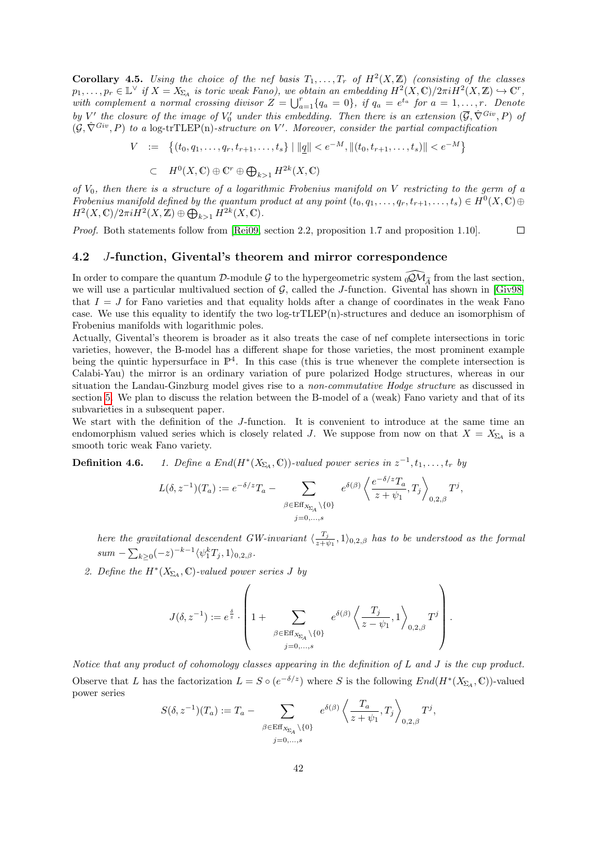<span id="page-41-1"></span>**Corollary 4.5.** Using the choice of the nef basis  $T_1, \ldots, T_r$  of  $H^2(X, \mathbb{Z})$  (consisting of the classes  $p_1,\ldots,p_r\in\mathbb{L}^\vee$  if  $X=X_{\Sigma_A}$  is toric weak Fano), we obtain an embedding  $H^2(X,\mathbb{C})/2\pi i H^2(X,\mathbb{Z})\hookrightarrow\mathbb{C}^r$ , with complement a normal crossing divisor  $Z = \bigcup_{a=1}^{r} \{q_a = 0\}$ , if  $q_a = e^{t_a}$  for  $a = 1, \ldots, r$ . Denote by V' the closure of the image of  $V'_0$  under this embedding. Then there is an extension  $(\overline{\mathcal{G}}, \hat{\nabla}^{Giv}, P)$  of  $(\mathcal{G}, \hat{\nabla}^{Giv}, P)$  to a log-trTLEP(n)-structure on V'. Moreover, consider the partial compactification

$$
V \quad := \quad \left\{ (t_0, q_1, \dots, q_r, t_{r+1}, \dots, t_s) \mid ||q|| < e^{-M}, \|(t_0, t_{r+1}, \dots, t_s)\| < e^{-M} \right\}
$$

$$
\subset H^0(X,\mathbb{C})\oplus \mathbb{C}^r \oplus \bigoplus_{k>1} H^{2k}(X,\mathbb{C})
$$

of  $V_0$ , then there is a structure of a logarithmic Frobenius manifold on V restricting to the germ of a Frobenius manifold defined by the quantum product at any point  $(t_0, q_1, \ldots, q_r, t_{r+1}, \ldots, t_s) \in H^0(X, \mathbb{C}) \oplus$  $H^2(X,\mathbb{C})/2\pi i H^2(X,\mathbb{Z})\oplus \bigoplus_{k>1} H^{2k}(X,\mathbb{C}).$ 

Proof. Both statements follow from [\[Rei09,](#page-49-2) section 2.2, proposition 1.7 and proposition 1.10].  $\Box$ 

#### <span id="page-41-0"></span>4.2 J-function, Givental's theorem and mirror correspondence

In order to compare the quantum D-module G to the hypergeometric system  $\overline{QM}_{\widetilde{A}}$  from the last section, we will use a particular multivalued section of  $G$ , called the J-function. Givental has shown in [\[Giv98\]](#page-47-4) that  $I = J$  for Fano varieties and that equality holds after a change of coordinates in the weak Fano case. We use this equality to identify the two log-trTLEP(n)-structures and deduce an isomorphism of Frobenius manifolds with logarithmic poles.

Actually, Givental's theorem is broader as it also treats the case of nef complete intersections in toric varieties, however, the B-model has a different shape for those varieties, the most prominent example being the quintic hypersurface in  $\mathbb{P}^4$ . In this case (this is true whenever the complete intersection is Calabi-Yau) the mirror is an ordinary variation of pure polarized Hodge structures, whereas in our situation the Landau-Ginzburg model gives rise to a *non-commutative Hodge structure* as discussed in section [5.](#page-44-0) We plan to discuss the relation between the B-model of a (weak) Fano variety and that of its subvarieties in a subsequent paper.

We start with the definition of the J-function. It is convenient to introduce at the same time an endomorphism valued series which is closely related J. We suppose from now on that  $X = X_{\Sigma_A}$  is a smooth toric weak Fano variety.

**Definition 4.6.** 1. Define a  $End(H^*(X_{\Sigma_A}, \mathbb{C}))$ -valued power series in  $z^{-1}, t_1, \ldots, t_r$  by

$$
L(\delta, z^{-1})(T_a) := e^{-\delta/z} T_a - \sum_{\beta \in \text{Eff}_{X_{\Sigma_A}} \backslash \{0\}} e^{\delta(\beta)} \left\langle \frac{e^{-\delta/z} T_a}{z + \psi_1}, T_j \right\rangle_{0,2,\beta} T^j,
$$
  
  $j = 0, ..., s$ 

here the gravitational descendent GW-invariant  $\langle \frac{T_j}{\gamma + i} \rangle$  $\frac{I_j}{z+\psi_1}$ , 1)<sub>0,2,β</sub> has to be understood as the formal  $sum - \sum_{k \geq 0} (-z)^{-k-1} \langle \psi_1^k T_j, 1 \rangle_{0,2,\beta}.$ 

2. Define the  $H^*(X_{\Sigma_A}, \mathbb{C})$ -valued power series J by

$$
J(\delta,z^{-1}) := e^{\frac{\delta}{z}} \cdot \left(1 + \sum_{\beta \in \text{Eff}_{X_{\Sigma_A}} \backslash \{0\}} e^{\delta(\beta)} \left\langle \frac{T_j}{z - \psi_1}, 1 \right\rangle_{0,2,\beta} T^j \right).
$$

Notice that any product of cohomology classes appearing in the definition of L and J is the cup product. Observe that L has the factorization  $L = S \circ (e^{-\delta/z})$  where S is the following  $End(H^*(X_{\Sigma_A}, \mathbb{C}))$ -valued power series

$$
S(\delta, z^{-1})(T_a) := T_a - \sum_{\beta \in \text{Eff}_{X_{\Sigma_A}} \backslash \{0\}} e^{\delta(\beta)} \left\langle \frac{T_a}{z + \psi_1}, T_j \right\rangle_{0,2,\beta} T^j,
$$
  
  $j = 0, ..., s$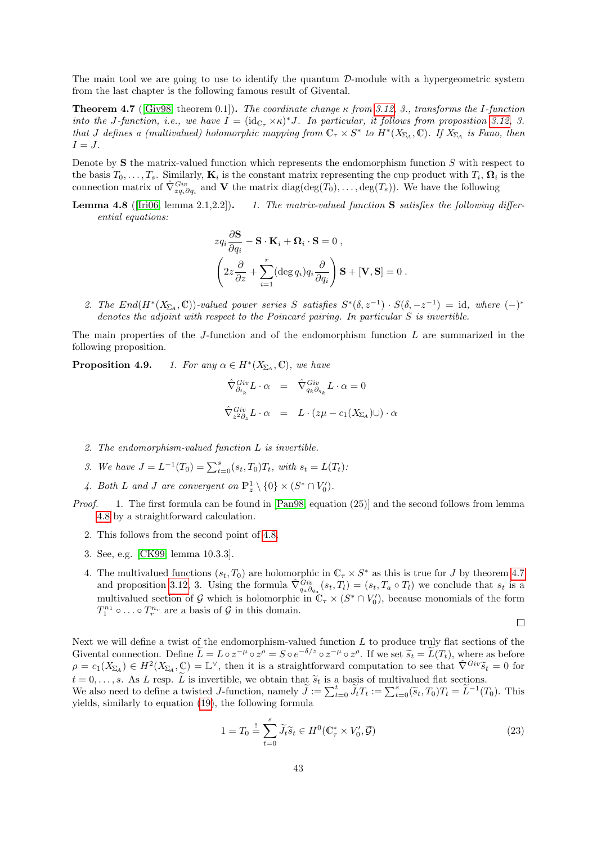The main tool we are going to use to identify the quantum  $\mathcal{D}$ -module with a hypergeometric system from the last chapter is the following famous result of Givental.

<span id="page-42-0"></span>**Theorem 4.7** ([\[Giv98,](#page-47-4) theorem 0.1]). The coordinate change  $\kappa$  from [3.12,](#page-0-1) 3., transforms the I-function into the J-function, i.e., we have  $I = (\mathrm{id}_{\mathbb{C}_{\tau}} \times \kappa)^* J$ . In particular, it follows from proposition [3.12,](#page-0-1) 3. that J defines a (multivalued) holomorphic mapping from  $\mathbb{C}_{\tau} \times S^*$  to  $H^*(X_{\Sigma_A}, \mathbb{C})$ . If  $X_{\Sigma_A}$  is Fano, then  $I = J$ .

Denote by S the matrix-valued function which represents the endomorphism function S with respect to the basis  $T_0, \ldots, T_s$ . Similarly,  $\mathbf{K}_i$  is the constant matrix representing the cup product with  $T_i$ ,  $\mathbf{\Omega}_i$  is the connection matrix of  $\hat{\nabla}_{z q_i \partial q_i}^{Giv}$  and **V** the matrix diag(deg( $T_0$ ),..., deg( $T_s$ )). We have the following

**Lemma 4.8** ([\[Iri06,](#page-48-18) lemma 2.1.2.2]). 1. The matrix-valued function **S** satisfies the following differential equations:

$$
z q_i \frac{\partial \mathbf{S}}{\partial q_i} - \mathbf{S} \cdot \mathbf{K}_i + \mathbf{\Omega}_i \cdot \mathbf{S} = 0,
$$
  

$$
\left( 2z \frac{\partial}{\partial z} + \sum_{i=1}^r (\deg q_i) q_i \frac{\partial}{\partial q_i} \right) \mathbf{S} + [\mathbf{V}, \mathbf{S}] = 0.
$$

2. The  $End(H^*(X_{\Sigma_A},\mathbb{C}))$ -valued power series S satisfies  $S^*(\delta,z^{-1})\cdot S(\delta,-z^{-1}) = id$ , where  $(-)^*$ denotes the adjoint with respect to the Poincaré pairing. In particular  $S$  is invertible.

The main properties of the  $J$ -function and of the endomorphism function  $L$  are summarized in the following proposition.

**Proposition 4.9.** 1. For any  $\alpha \in H^*(X_{\Sigma_A}, \mathbb{C})$ , we have

$$
\begin{array}{rcl} \hat{\nabla}^{Giv}_{\partial_{t_k}} L \cdot \alpha &=& \hat{\nabla}^{Giv}_{q_k \partial_{q_k}} L \cdot \alpha = 0 \\ \\ \hat{\nabla}^{Giv}_{z^2 \partial_z} L \cdot \alpha &=& L \cdot \left( z \mu - c_1 (X_{\Sigma_A}) \cup \right) \cdot \alpha \end{array}
$$

- 2. The endomorphism-valued function L is invertible.
- 3. We have  $J = L^{-1}(T_0) = \sum_{t=0}^{s} (s_t, T_0) T_t$ , with  $s_t = L(T_t)$ .
- 4. Both L and J are convergent on  $\mathbb{P}^1_z \setminus \{0\} \times (S^* \cap V'_0)$ .
- Proof. 1. The first formula can be found in [\[Pan98,](#page-49-14) equation (25)] and the second follows from lemma [4.8](#page-0-1) by a straightforward calculation.
	- 2. This follows from the second point of [4.8.](#page-0-1)
	- 3. See, e.g. [\[CK99,](#page-47-7) lemma 10.3.3].
	- 4. The multivalued functions  $(s_t, T_0)$  are holomorphic in  $\mathbb{C}_\tau \times S^*$  as this is true for J by theorem [4.7](#page-42-0) and proposition [3.12,](#page-0-1) 3. Using the formula  $\hat{\nabla}_{q_a \partial_{q_a}}^{Giv}(s_t, T_l) = (s_t, T_a \circ T_l)$  we conclude that  $s_t$  is a multivalued section of G which is holomorphic in  $\mathbb{C}_{\tau} \times (S^* \cap V'_0)$ , because monomials of the form  $T_1^{n_1} \circ \ldots \circ T_r^{n_r}$  are a basis of  $\mathcal G$  in this domain.

 $\Box$ 

Next we will define a twist of the endomorphism-valued function  $L$  to produce truly flat sections of the Givental connection. Define  $\widetilde{L} = L \circ z^{-\mu} \circ z^{\rho} = S \circ e^{-\delta/z} \circ z^{-\mu} \circ z^{\rho}$ . If we set  $\widetilde{s}_t = \widetilde{L}(T_t)$ , where as before  $e = c_1(Y_t) \in H^2(Y_t \cap \mathbb{C}) = \mathbb{I}^{\vee}$  then it is a straightforward computation to see that  $\wide$  $\rho = c_1(X_{\Sigma_A}) \in H^2(X_{\Sigma_A}, \mathbb{C}) = \mathbb{L}^{\vee}$ , then it is a straightforward computation to see that  $\hat{\nabla}^{Giv}\tilde{s}_t = 0$  for  $t = 0, \ldots, s$ . As L resp. L is invertible, we obtain that  $\tilde{s}_t$  is a basis of multivalued flat sections.<br>We also need to define a twisted L function namely  $\tilde{t} = \sum^{t} \tilde{L}T_{t} - \sum^{s} (\tilde{\epsilon}_{t}T_{t})T_{t} - \tilde{L}^{-1/2}$ We also need to define a twisted J-function, namely  $\tilde{J} := \sum_{t=0}^{t} \tilde{J}_t T_t := \sum_{t=0}^{s} (\tilde{s}_t, T_0) T_t = \tilde{L}^{-1}(T_0)$ . This yields, similarly to equation [\(19\)](#page-36-0), the following formula

<span id="page-42-1"></span>
$$
1 = T_0 \stackrel{!}{=} \sum_{t=0}^{s} \widetilde{J}_t \widetilde{s}_t \in H^0(\mathbb{C}^*_{\tau} \times V'_0, \overline{\mathcal{G}})
$$
\n
$$
(23)
$$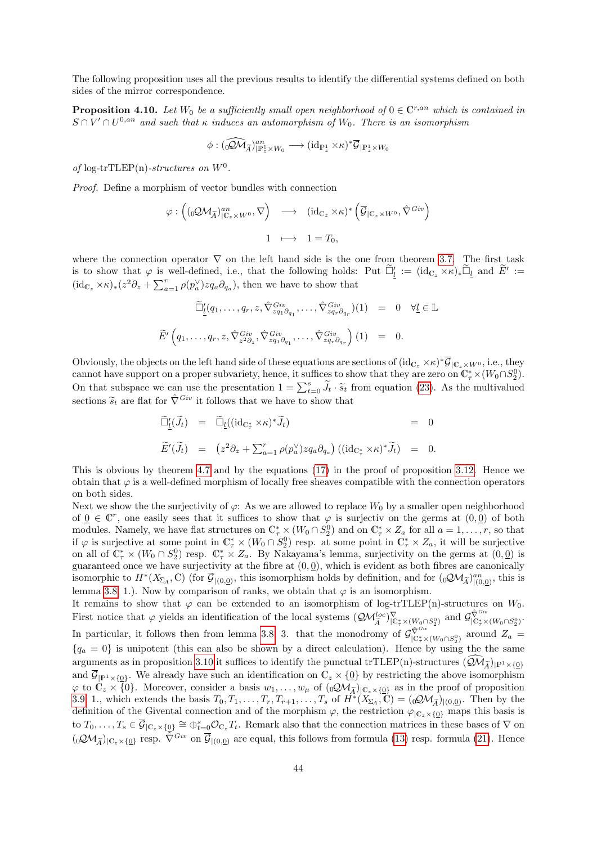The following proposition uses all the previous results to identify the differential systems defined on both sides of the mirror correspondence.

<span id="page-43-0"></span>**Proposition 4.10.** Let  $W_0$  be a sufficiently small open neighborhood of  $0 \in \mathbb{C}^{r, an}$  which is contained in  $S \cap V' \cap U^{0,an}$  and such that  $\kappa$  induces an automorphism of  $W_0$ . There is an isomorphism

$$
\phi: (\widehat{{}_0\mathcal{Q}\mathcal{M}}_{\widetilde{A}})_{|\mathbb{P}_z^1\times W_0}^{an}\longrightarrow (\mathrm{id}_{\mathbb{P}_z^1}\times \kappa)^*\overline{\mathcal{G}}_{|\mathbb{P}_z^1\times W_0}
$$

of log-trTLEP(n)-structures on  $W<sup>0</sup>$ .

Proof. Define a morphism of vector bundles with connection

$$
\varphi : \left( (\underset{\sim}{0} \mathcal{Q} \mathcal{M}_{\widetilde{A}})_{|\mathbb{C}_z \times W^0}^{an}, \nabla \right) \longrightarrow (\mathrm{id}_{\mathbb{C}_z} \times \kappa)^* \left( \overline{\mathcal{G}}_{|\mathbb{C}_z \times W^0}, \widehat{\nabla}^{Giv} \right)
$$

$$
1 \longmapsto 1 = T_0,
$$

where the connection operator  $\nabla$  on the left hand side is the one from theorem [3.7.](#page-24-0) The first task is to show that  $\varphi$  is well-defined, i.e., that the following holds: Put  $\tilde{\Box}'_l := (\mathrm{id}_{\mathbb{C}_z} \times \kappa)_* \tilde{\Box}_l$  and  $\tilde{E}' :=$  $(\mathrm{id}_{\mathbb{C}_z}\times\kappa)_*(z^2\partial_z+\sum_{a=1}^r\rho(p_a^\vee)zq_a\partial_{q_a}),$  then we have to show that

$$
\widetilde{\Box}_{\underline{l}}^{\prime}(q_1,\ldots,q_r,z,\hat{\nabla}_{zq_1\partial_{q_1}}^{Giv},\ldots,\hat{\nabla}_{zq_r\partial_{q_r}}^{Giv})(1) = 0 \quad \forall \underline{l} \in \mathbb{L}
$$
  

$$
\widetilde{E}^{\prime}\left(q_1,\ldots,q_r,z,\hat{\nabla}_{z\partial_{z}}^{Giv},\hat{\nabla}_{zq_1\partial_{q_1}}^{Giv},\ldots,\hat{\nabla}_{zq_r\partial_{q_r}}^{Giv}\right)(1) = 0.
$$

Obviously, the objects on the left hand side of these equations are sections of  $(id_{\mathbb{C}_z}\times \kappa)^*\overline{\mathcal{G}}_{|\mathbb{C}_z\times W^0}$ , i.e., they cannot have support on a proper subvariety, hence, it suffices to show that they are zero on  $\mathbb{C}^*_\tau \times (W_0 \cap S_2^0)$ . On that subspace we can use the presentation  $1 = \sum_{t=0}^{s} \widetilde{J}_t \cdot \widetilde{s}_t$  from equation [\(23\)](#page-42-1). As the multivalued sections  $\widetilde{s}_t$  are flat for  $\hat{\nabla}^{Giv}$  it follows that we have to show that

$$
\widetilde{\Box}_{\underline{l}}^{\prime}(\widetilde{J}_{t}) = \widetilde{\Box}_{\underline{l}}((\mathrm{id}_{\mathbb{C}_{\tau}^{*}} \times \kappa)^{*}\widetilde{J}_{t}) = 0
$$
\n
$$
\widetilde{E}^{\prime}(\widetilde{J}_{t}) = (z^{2}\partial_{z} + \sum_{a=1}^{r} \rho(p_{a}^{\vee})zq_{a}\partial_{q_{a}})((\mathrm{id}_{\mathbb{C}_{\tau}^{*}} \times \kappa)^{*}\widetilde{J}_{t}) = 0.
$$

This is obvious by theorem [4.7](#page-42-0) and by the equations [\(17\)](#page-35-0) in the proof of proposition [3.12.](#page-0-1) Hence we obtain that  $\varphi$  is a well-defined morphism of locally free sheaves compatible with the connection operators on both sides.

Next we show the the surjectivity of  $\varphi$ : As we are allowed to replace  $W_0$  by a smaller open neighborhood of  $0 \in \mathbb{C}^r$ , one easily sees that it suffices to show that  $\varphi$  is surjective on the germs at  $(0,0)$  of both modules. Namely, we have flat structures on  $\mathbb{C}^*_{\tau} \times (W_0 \cap S_2^0)$  and on  $\mathbb{C}^*_{\tau} \times Z_a$  for all  $a = 1, \ldots, r$ , so that if  $\varphi$  is surjective at some point in  $\mathbb{C}^*_{\tau} \times (W_0 \cap S_2^0)$  resp. at some point in  $\mathbb{C}^*_{\tau} \times Z_a$ , it will be surjective on all of  $\mathbb{C}^*_\tau \times (W_0 \cap S_2^0)$  resp.  $\mathbb{C}^*_\tau \times Z_a$ . By Nakayama's lemma, surjectivity on the germs at  $(0,0)$  is guaranteed once we have surjectivity at the fibre at  $(0, 0)$ , which is evident as both fibres are canonically isomorphic to  $H^*(X_{\Sigma_A}, \mathbb{C})$  (for  $\overline{\mathcal{G}}_{|(0,0)}$ , this isomorphism holds by definition, and for  $({}_0\mathcal{QM}_{\widetilde{A}})_{|(0,0)}^{an}$ , this is lemma [3.8,](#page-0-1) 1.). Now by comparison of ranks, we obtain that  $\varphi$  is an isomorphism.

It remains to show that  $\varphi$  can be extended to an isomorphism of log-trTLEP(n)-structures on  $W_0$ . First notice that  $\varphi$  yields an identification of the local systems  $(\mathcal{QM}_{\tilde{A}}^{loc})_{|C^*_{\tau}\times(W_0\cap S_2^0)}^{\nabla}$  and  $\mathcal{G}_{|C^*_{\tau}\times(W_0\cap S_2^0)}^{\nabla^{Giv}}$ . The notice that  $\varphi$  fields an identification of the focal systems  $(\mathcal{L}^*A)^{1}|\mathbb{C}^*_\tau \times (W_0 \cap S_2^0)$  and  $\mathcal{L}^* =$ <br>In particular, it follows then from lemma [3.8,](#page-0-1) 3. that the monodromy of  $\mathcal{G}_{|\mathbb{C}^*_\tau \times (W_0 \cap$  ${q_a = 0}$  is unipotent (this can also be shown by a direct calculation). Hence by using the the same arguments as in proposition [3.10](#page-31-0) it suffices to identify the punctual trTLEP(n)-structures  $(QM_{\widetilde{A}})_{|P^1\times\{0\}}$ and  $\overline{\mathcal{G}}_{|P^1\times\{0\}}$ . We already have such an identification on  $\mathbb{C}_z\times\{0\}$  by restricting the above isomorphism  $\varphi$  to  $\mathbb{C}_z \times \{0\}$ . Moreover, consider a basis  $w_1, \ldots, w_\mu$  of  $(\partial \mathcal{M}_{\tilde{\Lambda}})|_{\mathbb{C}_z \times \{0\}}$  as in the proof of proposition [3.9,](#page-30-2) 1., which extends the basis  $T_0, T_1, \ldots, T_r, T_{r+1}, \ldots, T_s$  of  $\hat{H}^*(X_{\Sigma_A}, \hat{\mathbb{C}}) = (\mathcal{QM}_{\tilde{A}})_{(0,0)}$ . Then by the definition of the Givental connection and of the morphism  $\varphi$ , the restriction  $\varphi_{|C_z\times\{0\}}$  maps this basis is to  $T_0,\ldots,T_s\in\overline{\mathcal{G}}_{\vert\mathbb{C}_z\times\{\underline{0}\}}\cong\oplus_{t=0}^s\mathcal{O}_{\mathbb{C}_z}T_t$ . Remark also that the connection matrices in these bases of  $\nabla$  on  $({}_{0}\mathcal{QM}_{\widetilde{A}})_{\vert C_z\times\{0\}}$  resp.  $\hat{\nabla}^{Giv}$  on  $\overline{\mathcal{G}}_{\vert(0,0)}$  are equal, this follows from formula [\(13\)](#page-30-1) resp. formula [\(21\)](#page-40-0). Hence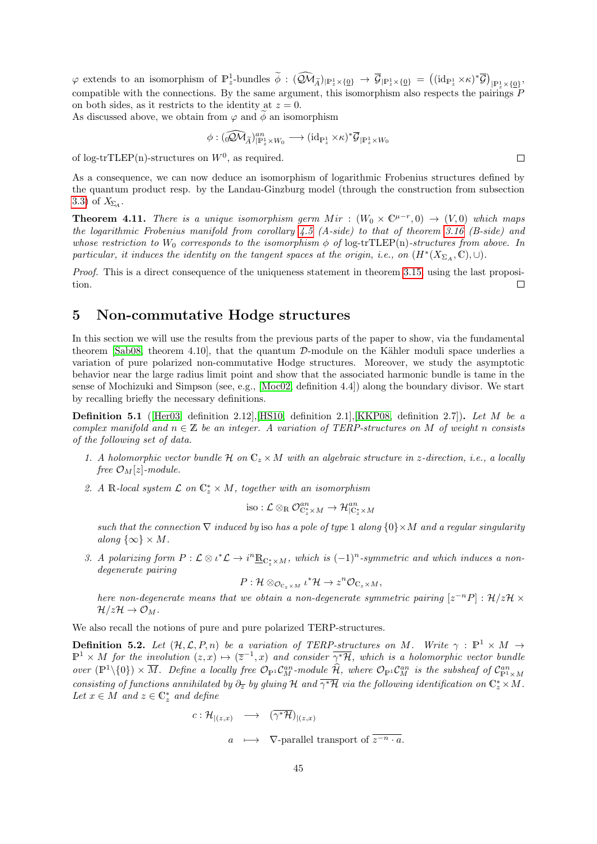$\varphi$  extends to an isomorphism of  $\mathbb{P}^1_z$ -bundles  $\widetilde{\phi}: (\widehat{\mathcal{QM}}_{\widetilde{A}})|_{\mathbb{P}^1_z\times\{0\}} \to \overline{\mathcal{G}}_{|\mathbb{P}^1_z\times\{0\}} = ((id_{\mathbb{P}^1_z}\times \kappa)^*\overline{\mathcal{G}})_{|\mathbb{P}^1_z\times\{0\}}$ compatible with the connections. By the same argument, this isomorphism also respects the pairings  $P$ on both sides, as it restricts to the identity at  $z = 0$ .

As discussed above, we obtain from  $\varphi$  and  $\phi$  an isomorphism

$$
\phi: (\widehat{{}_0\mathcal{Q}\mathcal{M}}_{\widetilde{A}})^{\mathit{an}}_{|\mathbb{P}^1_z\times W_0}\longrightarrow (\mathrm{id}_{\mathbb{P}^1_z}\times \kappa)^*\overline{\mathcal{G}}_{|\mathbb{P}^1_z\times W_0}
$$

of  $log-trTLEP(n)$ -structures on  $W<sup>0</sup>$ , as required.

As a consequence, we can now deduce an isomorphism of logarithmic Frobenius structures defined by the quantum product resp. by the Landau-Ginzburg model (through the construction from subsection [3.3\)](#page-37-0) of  $X_{\Sigma_A}$ .

<span id="page-44-1"></span>**Theorem 4.11.** There is a unique isomorphism germ  $Mir$  :  $(W_0 \times \mathbb{C}^{\mu-r}, 0) \rightarrow (V, 0)$  which maps the logarithmic Frobenius manifold from corollary [4.5](#page-41-1) (A-side) to that of theorem [3.16](#page-0-1) (B-side) and whose restriction to  $W_0$  corresponds to the isomorphism  $\phi$  of log-trTLEP(n)-structures from above. In particular, it induces the identity on the tangent spaces at the origin, i.e., on  $(H^*(X_{\Sigma_A}, \mathbb{C}), \cup)$ .

Proof. This is a direct consequence of the uniqueness statement in theorem [3.15,](#page-37-1) using the last proposi- $\Box$ tion.

### <span id="page-44-0"></span>5 Non-commutative Hodge structures

In this section we will use the results from the previous parts of the paper to show, via the fundamental theorem  $\lceil \text{Sab08}, \text{theorem } 4.10 \rceil$ , that the quantum  $\mathcal{D}\text{-module}$  on the Kähler moduli space underlies a variation of pure polarized non-commutative Hodge structures. Moreover, we study the asymptotic behavior near the large radius limit point and show that the associated harmonic bundle is tame in the sense of Mochizuki and Simpson (see, e.g., [\[Moc02,](#page-49-15) definition 4.4]) along the boundary divisor. We start by recalling briefly the necessary definitions.

<span id="page-44-2"></span>**Definition 5.1** (Her03, definition 2.12], [\[HS10,](#page-48-13) definition 2.1], [\[KKP08,](#page-48-4) definition 2.7]). Let M be a complex manifold and  $n \in \mathbb{Z}$  be an integer. A variation of TERP-structures on M of weight n consists of the following set of data.

- 1. A holomorphic vector bundle H on  $\mathbb{C}_z \times M$  with an algebraic structure in z-direction, i.e., a locally free  $\mathcal{O}_M[z]$ -module.
- 2. A R-local system  $\mathcal L$  on  $\mathbb C_z^*\times M$ , together with an isomorphism

$$
\text{iso}: \mathcal{L} \otimes_{\mathbb{R}} \mathcal{O}^{an}_{\mathbb{C}^*_{z} \times M} \to \mathcal{H}^{an}_{|\mathbb{C}^*_{z} \times M}
$$

such that the connection  $\nabla$  induced by iso has a pole of type 1 along  $\{0\}\times M$  and a regular singularity along  $\{\infty\} \times M$ .

3. A polarizing form  $P: \mathcal{L} \otimes \iota^* \mathcal{L} \to i^n \underline{\mathbb{R}}_{\mathbb{C}^*_z \times M}$ , which is  $(-1)^n$ -symmetric and which induces a nondegenerate pairing

$$
P: \mathcal{H} \otimes_{\mathcal{O}_{\mathbb{C}_z \times M}} \iota^* \mathcal{H} \to z^n \mathcal{O}_{\mathbb{C}_z \times M},
$$

here non-degenerate means that we obtain a non-degenerate symmetric pairing  $[z^{-n}P]: \mathcal{H}/z\mathcal{H} \times$  $\mathcal{H}/z\mathcal{H}\to\mathcal{O}_M$ .

We also recall the notions of pure and pure polarized TERP-structures.

<span id="page-44-3"></span>**Definition 5.2.** Let  $(\mathcal{H}, \mathcal{L}, P, n)$  be a variation of TERP-structures on M. Write  $\gamma : \mathbb{P}^1 \times M \to$  $\mathbb{P}^1 \times M$  for the involution  $(z, x) \mapsto (\overline{z}^{-1}, x)$  and consider  $\overline{\gamma^* \mathcal{H}}$ , which is a holomorphic vector bundle over  $(\mathbb{P}^1\setminus\{0\})\times\overline{M}$ . Define a locally free  $\mathcal{O}_{\mathbb{P}^1}\mathcal{C}_{M}^{an}$ -module  $\widehat{\mathcal{H}}$ , where  $\mathcal{O}_{\mathbb{P}^1}\mathcal{C}_{M}^{an}$  is the subsheaf of  $\mathcal{C}_{\mathbb{P}^1\times M}^{an}$ consisting of functions annihilated by  $\partial_{\overline{z}}$  by gluing H and  $\overline{\gamma^*\mathcal{H}}$  via the following identification on  $\mathbb{C}_z^* \times M$ . Let  $x \in M$  and  $z \in \mathbb{C}^*_z$  and define

$$
c: \mathcal{H}_{|(z,x)} \longrightarrow (\overline{\gamma^*\mathcal{H}})_{|(z,x)}
$$
  

$$
a \longmapsto \nabla\text{-parallel transport of } \overline{z^{-n} \cdot a}.
$$

 $\Box$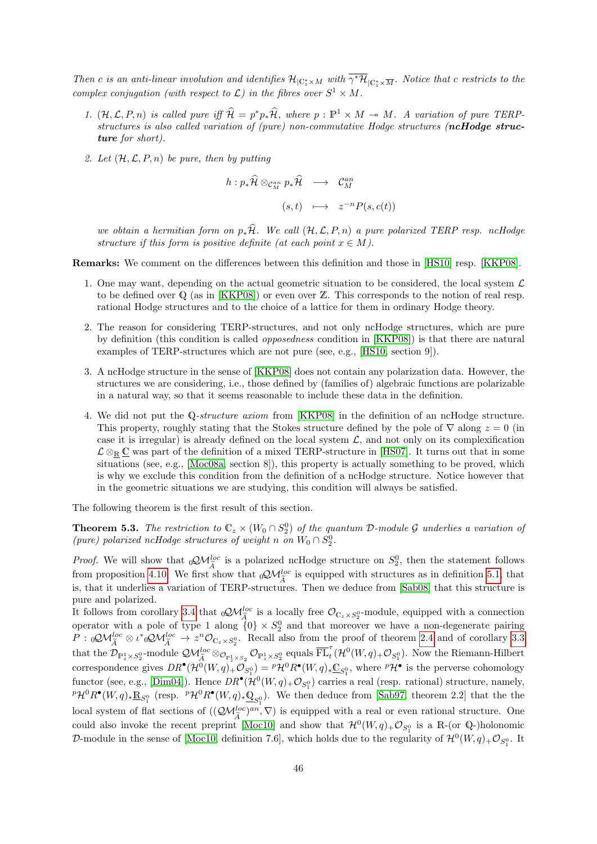Then c is an anti-linear involution and identifies  $\mathcal{H}_{\vert C_z^* \times M}$  with  $\overline{\gamma^* \mathcal{H}}_{\vert C_z^* \times \overline{M}}$ . Notice that c restricts to the complex conjugation (with respect to  $\mathcal{L}$ ) in the fibres over  $S^1 \times M$ .

- 1.  $(\mathcal{H}, \mathcal{L}, P, n)$  is called pure iff  $\widehat{\mathcal{H}} = p^*p_*\widehat{\mathcal{H}}$ , where  $p : \mathbb{P}^1 \times M \rightarrow M$ . A variation of pure TERPstructures is also called variation of (pure) non-commutative Hodge structures (ncHodge structure for short).
- 2. Let  $(\mathcal{H}, \mathcal{L}, P, n)$  be pure, then by putting

$$
\begin{array}{rcl} h:p_*\widehat{\mathcal{H}} \otimes_{\mathcal{C}_M^{an}} p_*\widehat{\mathcal{H}} & \longrightarrow & \mathcal{C}_M^{an} \\ & & \\ (s,t) & \longmapsto & z^{-n}P(s,c(t)) \end{array}
$$

we obtain a hermitian form on  $p_*\hat{\mathcal{H}}$ . We call  $(\mathcal{H}, \mathcal{L}, P, n)$  a pure polarized TERP resp. ncHodge structure if this form is positive definite (at each point  $x \in M$ ).

Remarks: We comment on the differences between this definition and those in [\[HS10\]](#page-48-13) resp. [\[KKP08\]](#page-48-4).

- 1. One may want, depending on the actual geometric situation to be considered, the local system  $\mathcal L$ to be defined over Q (as in [\[KKP08\]](#page-48-4)) or even over Z. This corresponds to the notion of real resp. rational Hodge structures and to the choice of a lattice for them in ordinary Hodge theory.
- 2. The reason for considering TERP-structures, and not only ncHodge structures, which are pure by definition (this condition is called *opposedness* condition in [\[KKP08\]](#page-48-4)) is that there are natural examples of TERP-structures which are not pure (see, e.g., [\[HS10,](#page-48-13) section 9]).
- 3. A ncHodge structure in the sense of [\[KKP08\]](#page-48-4) does not contain any polarization data. However, the structures we are considering, i.e., those defined by (families of) algebraic functions are polarizable in a natural way, so that it seems reasonable to include these data in the definition.
- 4. We did not put the Q-structure axiom from [\[KKP08\]](#page-48-4) in the definition of an ncHodge structure. This property, roughly stating that the Stokes structure defined by the pole of  $\nabla$  along  $z = 0$  (in case it is irregular) is already defined on the local system  $\mathcal{L}$ , and not only on its complexification  $\mathcal{L} \otimes_{\mathbb{R}} \mathbb{C}$  was part of the definition of a mixed TERP-structure in [\[HS07\]](#page-48-19). It turns out that in some situations (see, e.g.,  $[Mod8a, section 8]$ ), this property is actually something to be proved, which is why we exclude this condition from the definition of a ncHodge structure. Notice however that in the geometric situations we are studying, this condition will always be satisfied.

The following theorem is the first result of this section.

<span id="page-45-0"></span>**Theorem 5.3.** The restriction to  $\mathbb{C}_z \times (W_0 \cap S_2^0)$  of the quantum D-module G underlies a variation of (pure) polarized ncHodge structures of weight n on  $W_0 \cap S_2^0$ .

*Proof.* We will show that  ${}_{0}\mathcal{Q}M_{\tilde{A}}^{loc}$  is a polarized ncHodge structure on  $S_{2}^{0}$ , then the statement follows from proposition [4.10.](#page-43-0) We first show that  $\partial \mathcal{M}_{\tilde{\lambda}}^{loc}$  is equipped with structures as in definition [5.1,](#page-44-2) that is, that it underlies a variation of TERP-structures. Then we deduce from  $\lceil \text{Sab08} \rceil$  that this structure is pure and polarized.

It follows from corollary [3.4](#page-0-1) that  $\partial QM_{\tilde{A}}^{loc}$  is a locally free  $\mathcal{O}_{\mathbb{C}_z\times S_2^0}$ -module, equipped with a connection operator with a pole of type 1 along  $\{0\} \times S_2^0$  and that moreover we have a non-degenerate pairing  $P: {}_{0}\mathcal{Q}M_{\tilde{A}}^{loc} \otimes \iota^*_{0}\mathcal{Q}M_{\tilde{A}}^{loc} \to z^n\mathcal{O}_{\mathbb{C}_{z}\times S_2^0}$ . Recall also from the proof of theorem [2.4](#page-6-0) and of corollary [3.3](#page-22-0) that the  $\mathcal{D}_{\mathbb{P}_z^1 \times S_2^0}$ -module  $\mathcal{QM}_{\tilde{A}}^{loc} \otimes_{\mathcal{O}_{\mathbb{P}_z^1 \times S_2^0}} \mathcal{O}_{\mathbb{P}_z^1 \times S_2^0}$  equals  $\overline{\mathrm{FL}}_t^{\tau}(\mathcal{H}^0(W,q)_+ \mathcal{O}_{S_2^0})$ . Now the Riemann-Hilbert correspondence gives  $DR^{\bullet}(\mathcal{H}^0(W,q)_{+}^{\circ}\mathcal{O}_{S_1^0}) = {}^p\mathcal{H}^0R^{\bullet}(W,q)_{*}\underline{\mathbb{C}}_{S_1^0}$ , where  ${}^p\mathcal{H}^{\bullet}$  is the perverse cohomology functor (see, e.g., [\[Dim04\]](#page-47-19)). Hence  $DR^{\bullet}(\mathcal{H}^0(W,q)_{+}\mathcal{O}_{S_1^0})$  carries a real (resp. rational) structure, namely,  $p\mathcal{H}^0R^{\bullet}(W,q) * \underline{\mathbb{R}}_{S_1^0}$  (resp.  $p\mathcal{H}^0R^{\bullet}(W,q) * \underline{\mathbb{Q}}_{S_1^0}$ ). We then deduce from [\[Sab97,](#page-49-0) theorem 2.2] that the the local system of flat sections of  $((\mathcal{QM}_{\tilde{\lambda}}^{loc})^{an}, \nabla)$  is equipped with a real or even rational structure. One could also invoke the recent preprint [\[Moc10\]](#page-49-17) and show that  $\mathcal{H}^0(W, q)$ + $\mathcal{O}_{S_1^0}$  is a R-(or Q-)holonomic D-module in the sense of [\[Moc10,](#page-49-17) definition 7.6], which holds due to the regularity of  $\mathcal{H}^0(W,q)_{+}\mathcal{O}_{S_1^0}$ . It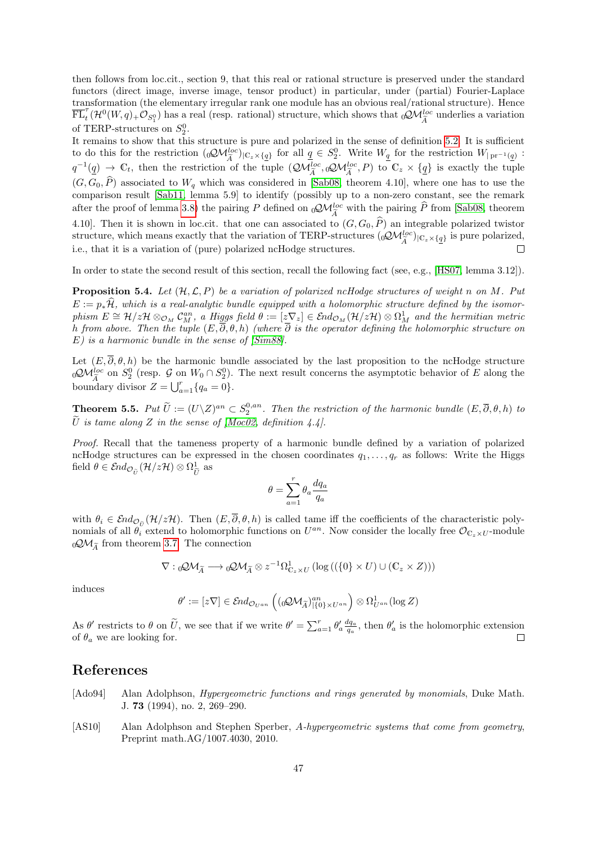then follows from loc.cit., section 9, that this real or rational structure is preserved under the standard functors (direct image, inverse image, tensor product) in particular, under (partial) Fourier-Laplace transformation (the elementary irregular rank one module has an obvious real/rational structure). Hence  $\overline{\text{FL}}_t^{\tau}(\mathcal{H}^0(W,q)_{+}\mathcal{O}_{S_1^0})$  has a real (resp. rational) structure, which shows that  $\phi \mathcal{L}M_{\tilde{A}}^{loc}$  underlies a variation of TERP-structures on  $S_2^0$ .

It remains to show that this structure is pure and polarized in the sense of definition [5.2.](#page-44-3) It is sufficient to do this for the restriction  $(\mathcal{QM}_{\tilde{A}}^{loc})_{|\mathbb{C}_z\times\{q\}}$  for all  $q \in S_2^0$ . Write  $W_q$  for the restriction  $W_{|\mathbb{P}^{\mathbf{r}-1}(q)}$ :  $q^{-1}(\underline{q}) \to \mathbb{C}_t$ , then the restriction of the tuple  $(\mathcal{QM}_{\tilde{A}}^{loc}, 0\mathcal{QM}_{\tilde{A}}^{loc}, P)$  to  $\mathbb{C}_z \times {\underline{q}}$  is exactly the tuple  $(G, G_0, \hat{P})$  associated to  $W_q$  which was considered in [\[Sab08,](#page-49-3) theorem 4.10], where one has to use the comparison result [\[Sab11,](#page-49-18) lemma 5.9] to identify (possibly up to a non-zero constant, see the remark after the proof of lemma [3.8\)](#page-0-1) the pairing P defined on  $\partial \mathcal{M}_{\tilde{A}}^{loc}$  with the pairing  $\tilde{P}$  from [\[Sab08,](#page-49-3) theorem 4.10]. Then it is shown in loc.cit. that one can associated to  $(G, G_0, \widehat{P})$  an integrable polarized twistor structure, which means exactly that the variation of TERP-structures  $({}_0\mathcal{QM}_{\tilde{A}}^{loc})_{|\mathbb{C}_z\times\{q\}}$  is pure polarized, i.e., that it is a variation of (pure) polarized ncHodge structures.  $\Box$ 

In order to state the second result of this section, recall the following fact (see, e.g., [\[HS07,](#page-48-19) lemma 3.12]).

**Proposition 5.4.** Let  $(H, \mathcal{L}, P)$  be a variation of polarized ncHodge structures of weight n on M. Put  $E := p_*\widehat{\mathcal{H}}$ , which is a real-analytic bundle equipped with a holomorphic structure defined by the isomorphism  $E \cong \mathcal{H}/z\mathcal{H} \otimes_{\mathcal{O}_M} \mathcal{C}_M^{an}$ , a Higgs field  $\theta := [z\nabla_z] \in \mathcal{E}nd_{\mathcal{O}_M}(\mathcal{H}/z\mathcal{H}) \otimes \Omega_M^1$  and the hermitian metric h from above. Then the tuple  $(E, \overline{\partial}, \theta, h)$  (where  $\overline{\partial}$  is the operator defining the holomorphic structure on  $E$ ) is a harmonic bundle in the sense of  $|Sims8|$ .

Let  $(E, \overline{\partial}, \theta, h)$  be the harmonic bundle associated by the last proposition to the ncHodge structure <sub>0</sub>QM<sub> $\tilde{A}$ </sub><sup>loc</sup> on  $S_2^0$  (resp. G on  $W_0 \cap S_2^0$ ). The next result concerns the asymptotic behavior of E along the boundary divisor  $Z = \bigcup_{a=1}^r \{q_a = 0\}.$ 

<span id="page-46-1"></span>**Theorem 5.5.** Put  $\widetilde{U} := (U \setminus Z)^{an} \subset S_2^{0,an}$ . Then the restriction of the harmonic bundle  $(E, \overline{\partial}, \theta, h)$  to  $\widetilde{U}$  is tame along Z in the sense of [\[Moc02,](#page-49-15) definition 4.4].

Proof. Recall that the tameness property of a harmonic bundle defined by a variation of polarized ncHodge structures can be expressed in the chosen coordinates  $q_1, \ldots, q_r$  as follows: Write the Higgs field  $\theta \in \mathcal{E}nd_{\mathcal{O}_{\widetilde{U}}}(\mathcal{H}/z\mathcal{H})\otimes \Omega_{\widetilde{U}}^{1}$  $\frac{1}{\tilde{U}}$  as

$$
\theta = \sum_{a=1}^r \theta_a \frac{dq_a}{q_a}
$$

with  $\theta_i \in \mathcal{E}nd_{\mathcal{O}_{\widetilde{U}}}(\mathcal{H}/z\mathcal{H})$ . Then  $(E, \partial, \theta, h)$  is called tame iff the coefficients of the characteristic polynomials of all  $\theta_i$  extend to holomorphic functions on  $U^{an}$ . Now consider the locally free  $\mathcal{O}_{\mathbb{C}_z\times U}$ -module  $_{0}\mathcal{QM}_{\widetilde{A}}$  from theorem [3.7.](#page-24-0) The connection

$$
\nabla : {}_0\mathcal{Q}\mathcal{M}_{\widetilde{A}} \longrightarrow {}_0\mathcal{Q}\mathcal{M}_{\widetilde{A}} \otimes z^{-1}\Omega^1_{\mathbb{C}_z\times U}(\log((\{0\}\times U)\cup(\mathbb{C}_z\times Z)))
$$

induces

$$
\theta' := [z \nabla] \in \mathcal{E}nd_{\mathcal{O}_{U^{an}}}\left(({}_0\mathcal{Q}\mathcal{M}_{\widetilde{A}})^{an}_{|\{0\} \times U^{an}}\right) \otimes \Omega_{U^{an}}^1(\log Z)
$$

As  $\theta'$  restricts to  $\theta$  on  $\tilde{U}$ , we see that if we write  $\theta' = \sum_{a=1}^r \theta'_a \frac{dq_a}{q_a}$ , then  $\theta'_a$  is the holomorphic extension of  $\theta_a$  we are looking for.  $\Box$ 

### References

- <span id="page-46-0"></span>[Ado94] Alan Adolphson, *Hypergeometric functions and rings generated by monomials*, Duke Math. J. 73 (1994), no. 2, 269–290.
- <span id="page-46-2"></span>[AS10] Alan Adolphson and Stephen Sperber, A-hypergeometric systems that come from geometry, Preprint math.AG/1007.4030, 2010.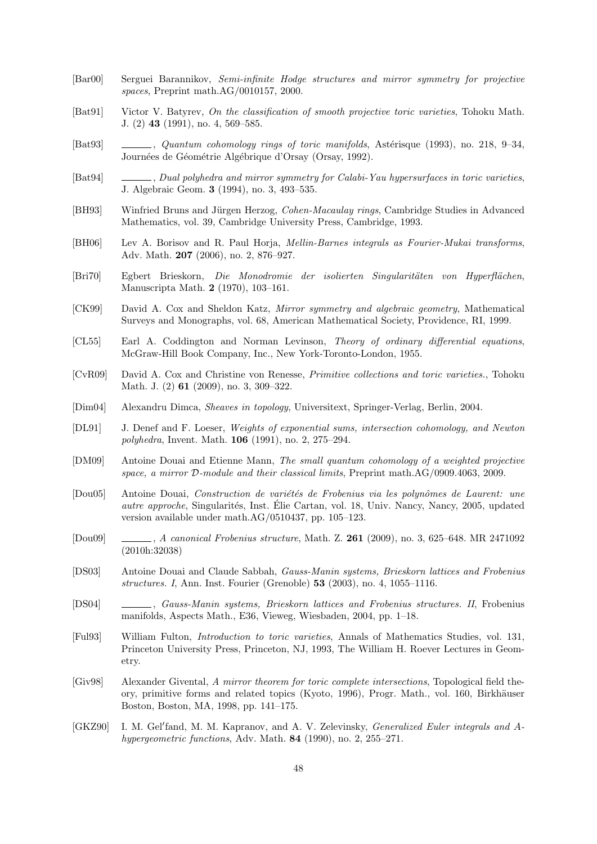- <span id="page-47-2"></span>[Bar00] Serguei Barannikov, Semi-infinite Hodge structures and mirror symmetry for projective spaces, Preprint math.AG/0010157, 2000.
- <span id="page-47-12"></span>[Bat91] Victor V. Batyrev, On the classification of smooth projective toric varieties, Tohoku Math. J. (2) 43 (1991), no. 4, 569–585.
- <span id="page-47-10"></span>[Bat93] , Quantum cohomology rings of toric manifolds, Astérisque (1993), no. 218, 9–34, Journées de Géométrie Algébrique d'Orsay (Orsay, 1992).
- <span id="page-47-9"></span>[Bat94] , Dual polyhedra and mirror symmetry for Calabi-Yau hypersurfaces in toric varieties, J. Algebraic Geom. 3 (1994), no. 3, 493–535.
- <span id="page-47-5"></span>[BH93] Winfried Bruns and Jürgen Herzog, *Cohen-Macaulay rings*, Cambridge Studies in Advanced Mathematics, vol. 39, Cambridge University Press, Cambridge, 1993.
- <span id="page-47-15"></span>[BH06] Lev A. Borisov and R. Paul Horja, Mellin-Barnes integrals as Fourier-Mukai transforms, Adv. Math. 207 (2006), no. 2, 876–927.
- <span id="page-47-11"></span>[Bri70] Egbert Brieskorn, Die Monodromie der isolierten Singularitäten von Hyperflächen, Manuscripta Math. 2 (1970), 103–161.
- <span id="page-47-7"></span>[CK99] David A. Cox and Sheldon Katz, Mirror symmetry and algebraic geometry, Mathematical Surveys and Monographs, vol. 68, American Mathematical Society, Providence, RI, 1999.
- <span id="page-47-16"></span>[CL55] Earl A. Coddington and Norman Levinson, Theory of ordinary differential equations, McGraw-Hill Book Company, Inc., New York-Toronto-London, 1955.
- <span id="page-47-13"></span>[CvR09] David A. Cox and Christine von Renesse, Primitive collections and toric varieties., Tohoku Math. J. (2) 61 (2009), no. 3, 309–322.
- <span id="page-47-19"></span>[Dim04] Alexandru Dimca, Sheaves in topology, Universitext, Springer-Verlag, Berlin, 2004.
- <span id="page-47-8"></span>[DL91] J. Denef and F. Loeser, Weights of exponential sums, intersection cohomology, and Newton polyhedra, Invent. Math. 106 (1991), no. 2, 275–294.
- <span id="page-47-3"></span>[DM09] Antoine Douai and Etienne Mann, The small quantum cohomology of a weighted projective space, a mirror D-module and their classical limits, Preprint math.AG/0909.4063, 2009.
- <span id="page-47-1"></span>[Dou05] Antoine Douai, Construction de variétés de Frobenius via les polynômes de Laurent: une autre approche, Singularités, Inst. Élie Cartan, vol. 18, Univ. Nancy, Nancy, 2005, updated version available under math.AG/0510437, pp. 105–123.
- <span id="page-47-17"></span>[Dou09] , A canonical Frobenius structure, Math. Z. 261 (2009), no. 3, 625–648. MR 2471092 (2010h:32038)
- <span id="page-47-0"></span>[DS03] Antoine Douai and Claude Sabbah, Gauss-Manin systems, Brieskorn lattices and Frobenius structures. I, Ann. Inst. Fourier (Grenoble) 53 (2003), no. 4, 1055–1116.
- <span id="page-47-18"></span>[DS04] , Gauss-Manin systems, Brieskorn lattices and Frobenius structures. II, Frobenius manifolds, Aspects Math., E36, Vieweg, Wiesbaden, 2004, pp. 1–18.
- <span id="page-47-14"></span>[Ful93] William Fulton, Introduction to toric varieties, Annals of Mathematics Studies, vol. 131, Princeton University Press, Princeton, NJ, 1993, The William H. Roever Lectures in Geometry.
- <span id="page-47-4"></span>[Giv98] Alexander Givental, A mirror theorem for toric complete intersections, Topological field theory, primitive forms and related topics (Kyoto, 1996), Progr. Math., vol. 160, Birkhäuser Boston, Boston, MA, 1998, pp. 141–175.
- <span id="page-47-6"></span>[GKZ90] I. M. Gel'fand, M. M. Kapranov, and A. V. Zelevinsky, Generalized Euler integrals and Ahypergeometric functions, Adv. Math. **84** (1990), no. 2, 255–271.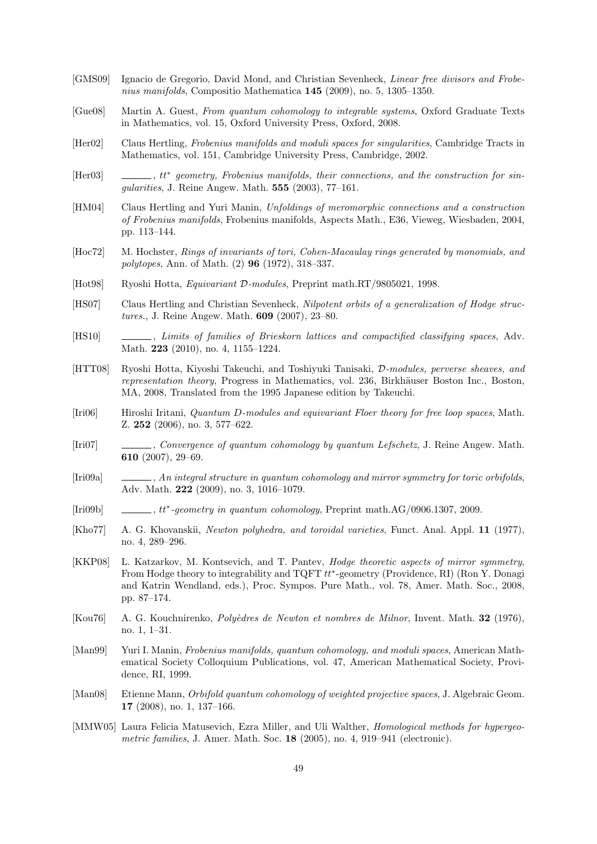- <span id="page-48-1"></span>[GMS09] Ignacio de Gregorio, David Mond, and Christian Sevenheck, Linear free divisors and Frobenius manifolds, Compositio Mathematica 145 (2009), no. 5, 1305–1350.
- <span id="page-48-3"></span>[Gue08] Martin A. Guest, From quantum cohomology to integrable systems, Oxford Graduate Texts in Mathematics, vol. 15, Oxford University Press, Oxford, 2008.
- <span id="page-48-14"></span>[Her02] Claus Hertling, Frobenius manifolds and moduli spaces for singularities, Cambridge Tracts in Mathematics, vol. 151, Cambridge University Press, Cambridge, 2002.
- <span id="page-48-15"></span> $[Her03]$  $iota$ ,  $tt^*$  geometry, Frobenius manifolds, their connections, and the construction for singularities, J. Reine Angew. Math. 555 (2003), 77–161.
- <span id="page-48-16"></span>[HM04] Claus Hertling and Yuri Manin, Unfoldings of meromorphic connections and a construction of Frobenius manifolds, Frobenius manifolds, Aspects Math., E36, Vieweg, Wiesbaden, 2004, pp. 113–144.
- <span id="page-48-7"></span>[Hoc72] M. Hochster, Rings of invariants of tori, Cohen-Macaulay rings generated by monomials, and polytopes, Ann. of Math. (2) 96 (1972), 318–337.
- <span id="page-48-10"></span>[Hot98] Ryoshi Hotta, Equivariant D-modules, Preprint math.RT/9805021, 1998.
- <span id="page-48-19"></span>[HS07] Claus Hertling and Christian Sevenheck, Nilpotent orbits of a generalization of Hodge structures., J. Reine Angew. Math. 609 (2007), 23–80.
- <span id="page-48-13"></span>[HS10] , Limits of families of Brieskorn lattices and compactified classifying spaces, Adv. Math. 223 (2010), no. 4, 1155–1224.
- <span id="page-48-8"></span>[HTT08] Ryoshi Hotta, Kiyoshi Takeuchi, and Toshiyuki Tanisaki, D-modules, perverse sheaves, and representation theory, Progress in Mathematics, vol. 236, Birkhäuser Boston Inc., Boston, MA, 2008, Translated from the 1995 Japanese edition by Takeuchi.
- <span id="page-48-18"></span>[Iri06] Hiroshi Iritani, Quantum D-modules and equivariant Floer theory for free loop spaces, Math. Z. 252 (2006), no. 3, 577–622.
- <span id="page-48-17"></span>[Iri07] , Convergence of quantum cohomology by quantum Lefschetz, J. Reine Angew. Math. 610 (2007), 29–69.
- <span id="page-48-6"></span>[Iri09a] , An integral structure in quantum cohomology and mirror symmetry for toric orbifolds, Adv. Math. 222 (2009), no. 3, 1016–1079.
- <span id="page-48-5"></span> $[Iri09b]$  $\mu$ , tt\*-geometry in quantum cohomology, Preprint math.AG/0906.1307, 2009.
- <span id="page-48-11"></span>[Kho77] A. G. Khovanskii, Newton polyhedra, and toroidal varieties, Funct. Anal. Appl. 11 (1977), no. 4, 289–296.
- <span id="page-48-4"></span>[KKP08] L. Katzarkov, M. Kontsevich, and T. Pantev, Hodge theoretic aspects of mirror symmetry, From Hodge theory to integrability and TQFT  $tt^*$ -geometry (Providence, RI) (Ron Y. Donagi and Katrin Wendland, eds.), Proc. Sympos. Pure Math., vol. 78, Amer. Math. Soc., 2008, pp. 87–174.
- <span id="page-48-9"></span>[Kou76] A. G. Kouchnirenko, Poly`edres de Newton et nombres de Milnor, Invent. Math. 32 (1976), no. 1, 1–31.
- <span id="page-48-0"></span>[Man99] Yuri I. Manin, Frobenius manifolds, quantum cohomology, and moduli spaces, American Mathematical Society Colloquium Publications, vol. 47, American Mathematical Society, Providence, RI, 1999.
- <span id="page-48-2"></span>[Man08] Etienne Mann, *Orbifold quantum cohomology of weighted projective spaces*, J. Algebraic Geom. 17 (2008), no. 1, 137–166.
- <span id="page-48-12"></span>[MMW05] Laura Felicia Matusevich, Ezra Miller, and Uli Walther, *Homological methods for hypergeo*metric families, J. Amer. Math. Soc. 18 (2005), no. 4, 919–941 (electronic).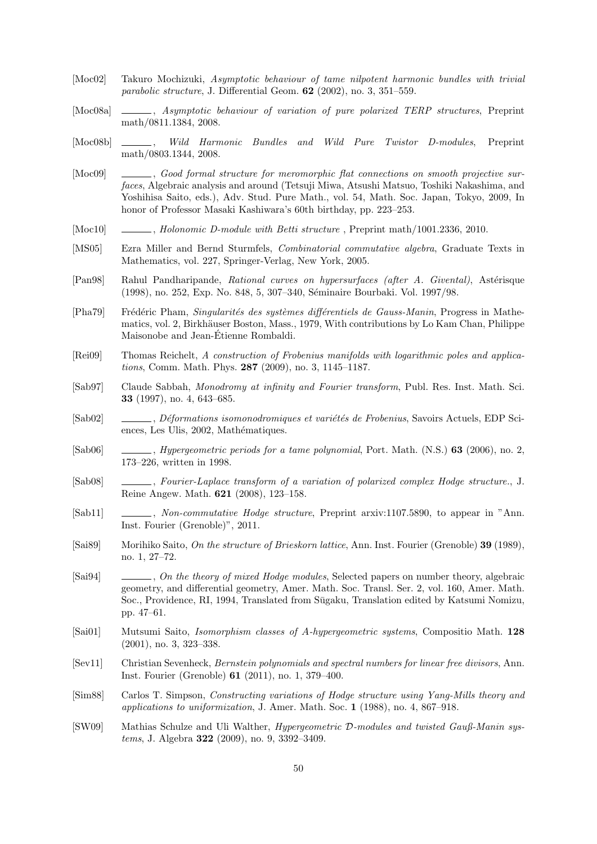- <span id="page-49-15"></span>[Moc02] Takuro Mochizuki, Asymptotic behaviour of tame nilpotent harmonic bundles with trivial parabolic structure, J. Differential Geom. 62 (2002), no. 3, 351–559.
- <span id="page-49-16"></span>[Moc08a]  $\_\_\_\_\_\$  Asymptotic behaviour of variation of pure polarized TERP structures, Preprint math/0811.1384, 2008.
- <span id="page-49-5"></span>[Moc08b] , Wild Harmonic Bundles and Wild Pure Twistor D-modules, Preprint math/0803.1344, 2008.
- <span id="page-49-4"></span>[Moc09] , Good formal structure for meromorphic flat connections on smooth projective surfaces, Algebraic analysis and around (Tetsuji Miwa, Atsushi Matsuo, Toshiki Nakashima, and Yoshihisa Saito, eds.), Adv. Stud. Pure Math., vol. 54, Math. Soc. Japan, Tokyo, 2009, In honor of Professor Masaki Kashiwara's 60th birthday, pp. 223–253.
- <span id="page-49-17"></span>[Moc10] , Holonomic D-module with Betti structure, Preprint math/1001.2336, 2010.
- <span id="page-49-6"></span>[MS05] Ezra Miller and Bernd Sturmfels, Combinatorial commutative algebra, Graduate Texts in Mathematics, vol. 227, Springer-Verlag, New York, 2005.
- <span id="page-49-14"></span>[Pan98] Rahul Pandharipande, Rational curves on hypersurfaces (after A. Givental), Astérisque (1998), no. 252, Exp. No. 848, 5, 307–340, Séminaire Bourbaki. Vol. 1997/98.
- <span id="page-49-10"></span>[Pha79] Frédéric Pham, Singularités des systèmes différentiels de Gauss-Manin, Progress in Mathematics, vol. 2, Birkhäuser Boston, Mass., 1979, With contributions by Lo Kam Chan, Philippe Maisonobe and Jean-Etienne Rombaldi. ´
- <span id="page-49-2"></span>[Rei09] Thomas Reichelt, A construction of Frobenius manifolds with logarithmic poles and applications, Comm. Math. Phys. 287 (2009), no. 3, 1145–1187.
- <span id="page-49-0"></span>[Sab97] Claude Sabbah, Monodromy at infinity and Fourier transform, Publ. Res. Inst. Math. Sci. 33 (1997), no. 4, 643–685.
- <span id="page-49-13"></span>[Sab02] , Déformations isomonodromiques et variétés de Frobenius, Savoirs Actuels, EDP Sciences, Les Ulis, 2002, Mathématiques.
- <span id="page-49-1"></span>[Sab06] , Hypergeometric periods for a tame polynomial, Port. Math. (N.S.) 63 (2006), no. 2, 173–226, written in 1998.
- <span id="page-49-3"></span>[Sab08] , Fourier-Laplace transform of a variation of polarized complex Hodge structure., J. Reine Angew. Math. 621 (2008), 123–158.
- <span id="page-49-18"></span>[Sab11] , Non-commutative Hodge structure, Preprint arxiv:1107.5890, to appear in "Ann. Inst. Fourier (Grenoble)", 2011.
- <span id="page-49-7"></span>[Sai89] Morihiko Saito, On the structure of Brieskorn lattice, Ann. Inst. Fourier (Grenoble) 39 (1989), no. 1, 27–72.
- <span id="page-49-11"></span>[Sai94] , On the theory of mixed Hodge modules, Selected papers on number theory, algebraic geometry, and differential geometry, Amer. Math. Soc. Transl. Ser. 2, vol. 160, Amer. Math. Soc., Providence, RI, 1994, Translated from Sūgaku, Translation edited by Katsumi Nomizu, pp. 47–61.
- <span id="page-49-12"></span>[Sai01] Mutsumi Saito, Isomorphism classes of A-hypergeometric systems, Compositio Math. 128 (2001), no. 3, 323–338.
- <span id="page-49-8"></span>[Sev11] Christian Sevenheck, Bernstein polynomials and spectral numbers for linear free divisors, Ann. Inst. Fourier (Grenoble) 61 (2011), no. 1, 379–400.
- <span id="page-49-19"></span>[Sim88] Carlos T. Simpson, Constructing variations of Hodge structure using Yang-Mills theory and applications to uniformization, J. Amer. Math. Soc. 1 (1988), no. 4, 867–918.
- <span id="page-49-9"></span>[SW09] Mathias Schulze and Uli Walther, Hypergeometric D-modules and twisted Gauß-Manin systems, J. Algebra 322 (2009), no. 9, 3392–3409.